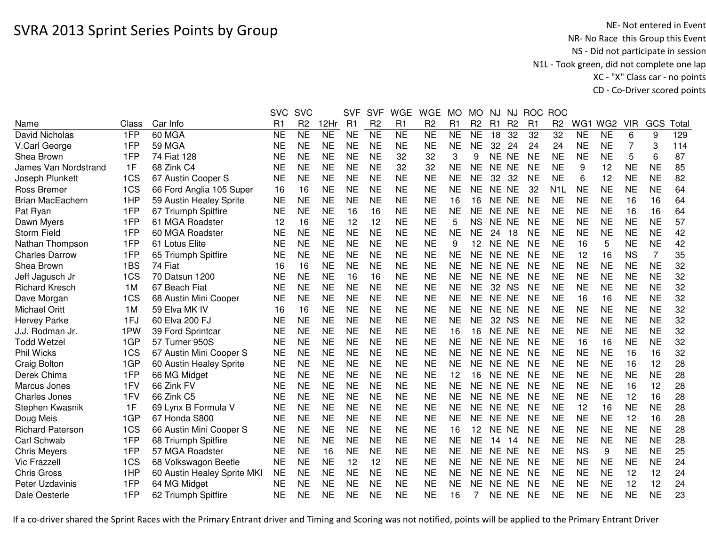|                             |       |                             | <b>SVC</b>     | <b>SVC</b>     |           | <b>SVF</b> | <b>SVF</b>     | <b>WGE</b> | <b>WGE</b>     | <b>MO</b> | <b>MO</b>      | NJ        | NJ.            | <b>ROC</b>     | <b>ROC</b>       |           |                 |            |           |       |
|-----------------------------|-------|-----------------------------|----------------|----------------|-----------|------------|----------------|------------|----------------|-----------|----------------|-----------|----------------|----------------|------------------|-----------|-----------------|------------|-----------|-------|
| Name                        | Class | Car Info                    | R <sub>1</sub> | R <sub>2</sub> | 12Hr      | R1         | R <sub>2</sub> | R1         | R <sub>2</sub> | R1        | R <sub>2</sub> | R1        | R <sub>2</sub> | R <sub>1</sub> | R <sub>2</sub>   | WG1       | WG <sub>2</sub> | <b>VIR</b> | GCS       | Total |
| David Nicholas              | 1FP   | 60 MGA                      | <b>NE</b>      | <b>NE</b>      | <b>NE</b> | <b>NE</b>  | <b>NE</b>      | <b>NE</b>  | <b>NE</b>      | <b>NE</b> | <b>NE</b>      | 18        | 32             | 32             | 32               | <b>NE</b> | <b>NE</b>       | 6          | 9         | 129   |
| V.Carl George               | 1FP   | <b>59 MGA</b>               | <b>NE</b>      | <b>NE</b>      | <b>NE</b> | <b>NE</b>  | <b>NE</b>      | <b>NE</b>  | <b>NE</b>      | <b>NE</b> | <b>NE</b>      | 32        | 24             | 24             | 24               | <b>NE</b> | <b>NE</b>       | 7          | 3         | 114   |
| Shea Brown                  | 1FP   | 74 Fiat 128                 | NE             | <b>NE</b>      | <b>NE</b> | <b>NE</b>  | <b>NE</b>      | 32         | 32             | 3         | 9              | <b>NE</b> | <b>NE</b>      | <b>NE</b>      | <b>NE</b>        | <b>NE</b> | <b>NE</b>       | 5          | 6         | 87    |
| <b>James Van Nordstrand</b> | 1F    | 68 Zink C4                  | <b>NE</b>      | <b>NE</b>      | <b>NE</b> | <b>NE</b>  | <b>NE</b>      | 32         | 32             | <b>NE</b> | <b>NE</b>      | NE NE     |                | <b>NE</b>      | <b>NE</b>        | 9         | 12              | <b>NE</b>  | <b>NE</b> | 85    |
| Joseph Plunkett             | 1CS   | 67 Austin Cooper S          | <b>NE</b>      | <b>NE</b>      | <b>NE</b> | <b>NE</b>  | <b>NE</b>      | <b>NE</b>  | <b>NE</b>      | <b>NE</b> | <b>NE</b>      | 32        | 32             | <b>NE</b>      | <b>NE</b>        | 6         | 12              | <b>NE</b>  | <b>NE</b> | 82    |
| Ross Bremer                 | 1CS   | 66 Ford Anglia 105 Super    | 16             | 16             | <b>NE</b> | <b>NE</b>  | <b>NE</b>      | <b>NE</b>  | <b>NE</b>      | <b>NE</b> | <b>NE</b>      | NE NE     |                | 32             | N <sub>1</sub> L | <b>NE</b> | <b>NE</b>       | <b>NE</b>  | <b>NE</b> | 64    |
| <b>Brian MacEachern</b>     | 1HP   | 59 Austin Healey Sprite     | NE             | <b>NE</b>      | <b>NE</b> | <b>NE</b>  | <b>NE</b>      | <b>NE</b>  | <b>NE</b>      | 16        | 16             | NE NE     |                | <b>NE</b>      | <b>NE</b>        | <b>NE</b> | <b>NE</b>       | 16         | 16        | 64    |
| Pat Ryan                    | 1FP   | 67 Triumph Spitfire         | <b>NE</b>      | <b>NE</b>      | <b>NE</b> | 16         | 16             | <b>NE</b>  | <b>NE</b>      | <b>NE</b> | <b>NE</b>      | NE NE     |                | <b>NE</b>      | <b>NE</b>        | <b>NE</b> | <b>NE</b>       | 16         | 16        | 64    |
| Dawn Myers                  | 1FP   | 61 MGA Roadster             | 12             | 16             | <b>NE</b> | 12         | 12             | <b>NE</b>  | <b>NE</b>      | 5         | <b>NS</b>      | NE.       | <b>NE</b>      | <b>NE</b>      | <b>NE</b>        | <b>NE</b> | <b>NE</b>       | <b>NE</b>  | <b>NE</b> | 57    |
| <b>Storm Field</b>          | 1FP   | 60 MGA Roadster             | <b>NE</b>      | <b>NE</b>      | <b>NE</b> | <b>NE</b>  | <b>NE</b>      | <b>NE</b>  | <b>NE</b>      | <b>NE</b> | <b>NE</b>      | 24        | 18             | <b>NE</b>      | <b>NE</b>        | <b>NE</b> | <b>NE</b>       | <b>NE</b>  | <b>NE</b> | 42    |
| Nathan Thompson             | 1FP   | 61 Lotus Elite              | <b>NE</b>      | <b>NE</b>      | <b>NE</b> | <b>NE</b>  | <b>NE</b>      | <b>NE</b>  | <b>NE</b>      | 9         | 12             | <b>NE</b> | <b>NE</b>      | <b>NE</b>      | <b>NE</b>        | 16        | 5               | <b>NE</b>  | <b>NE</b> | 42    |
| <b>Charles Darrow</b>       | 1FP   | 65 Triumph Spitfire         | <b>NE</b>      | <b>NE</b>      | <b>NE</b> | <b>NE</b>  | <b>NE</b>      | <b>NE</b>  | <b>NE</b>      | <b>NE</b> | <b>NE</b>      | <b>NE</b> | <b>NE</b>      | <b>NE</b>      | <b>NE</b>        | 12        | 16              | <b>NS</b>  | 7         | 35    |
| Shea Brown                  | 1BS   | 74 Fiat                     | 16             | 16             | <b>NE</b> | <b>NE</b>  | <b>NE</b>      | <b>NE</b>  | <b>NE</b>      | <b>NE</b> | <b>NE</b>      | NE.       | <b>NE</b>      | <b>NE</b>      | <b>NE</b>        | <b>NE</b> | <b>NE</b>       | <b>NE</b>  | <b>NE</b> | 32    |
| Jeff Jagusch Jr             | 1CS   | 70 Datsun 1200              | <b>NE</b>      | <b>NE</b>      | <b>NE</b> | 16         | 16             | <b>NE</b>  | <b>NE</b>      | <b>NE</b> | <b>NE</b>      | NE NE     |                | <b>NE</b>      | <b>NE</b>        | <b>NE</b> | <b>NE</b>       | <b>NE</b>  | <b>NE</b> | 32    |
| <b>Richard Kresch</b>       | 1M    | 67 Beach Fiat               | <b>NE</b>      | <b>NE</b>      | <b>NE</b> | <b>NE</b>  | <b>NE</b>      | <b>NE</b>  | <b>NE</b>      | <b>NE</b> | <b>NE</b>      | 32        | <b>NS</b>      | <b>NE</b>      | <b>NE</b>        | <b>NE</b> | <b>NE</b>       | <b>NE</b>  | <b>NE</b> | 32    |
| Dave Morgan                 | 1CS   | 68 Austin Mini Cooper       | <b>NE</b>      | <b>NE</b>      | <b>NE</b> | <b>NE</b>  | <b>NE</b>      | <b>NE</b>  | <b>NE</b>      | <b>NE</b> | <b>NE</b>      | <b>NE</b> | <b>NE</b>      | <b>NE</b>      | <b>NE</b>        | 16        | 16              | <b>NE</b>  | <b>NE</b> | 32    |
| <b>Michael Oritt</b>        | 1M    | 59 Elva MK IV               | 16             | 16             | <b>NE</b> | <b>NE</b>  | <b>NE</b>      | <b>NE</b>  | <b>NE</b>      | <b>NE</b> | <b>NE</b>      | NE NE     |                | <b>NE</b>      | <b>NE</b>        | <b>NE</b> | <b>NE</b>       | <b>NE</b>  | <b>NE</b> | 32    |
| <b>Hervey Parke</b>         | 1FJ   | 60 Elva 200 FJ              | <b>NE</b>      | <b>NE</b>      | <b>NE</b> | <b>NE</b>  | <b>NE</b>      | <b>NE</b>  | <b>NE</b>      | <b>NE</b> | <b>NE</b>      | 32        | <b>NS</b>      | <b>NE</b>      | <b>NE</b>        | <b>NE</b> | <b>NE</b>       | <b>NE</b>  | <b>NE</b> | 32    |
| J.J. Rodman Jr.             | 1PW   | 39 Ford Sprintcar           | <b>NE</b>      | <b>NE</b>      | <b>NE</b> | <b>NE</b>  | <b>NE</b>      | <b>NE</b>  | <b>NE</b>      | 16        | 16             | NE NE     |                | <b>NE</b>      | <b>NE</b>        | <b>NE</b> | <b>NE</b>       | <b>NE</b>  | <b>NE</b> | 32    |
| Todd Wetzel                 | 1GP   | 57 Turner 950S              | NE             | <b>NE</b>      | <b>NE</b> | <b>NE</b>  | <b>NE</b>      | <b>NE</b>  | <b>NE</b>      | <b>NE</b> | <b>NE</b>      | NE NE     |                | <b>NE</b>      | <b>NE</b>        | 16        | 16              | NE         | <b>NE</b> | 32    |
| <b>Phil Wicks</b>           | 1CS   | 67 Austin Mini Cooper S     | <b>NE</b>      | <b>NE</b>      | <b>NE</b> | <b>NE</b>  | <b>NE</b>      | <b>NE</b>  | <b>NE</b>      | <b>NE</b> | <b>NE</b>      | NE NE     |                | <b>NE</b>      | <b>NE</b>        | <b>NE</b> | <b>NE</b>       | 16         | 16        | 32    |
| Craig Bolton                | 1GP   | 60 Austin Healey Sprite     | NE             | <b>NE</b>      | <b>NE</b> | <b>NE</b>  | <b>NE</b>      | <b>NE</b>  | <b>NE</b>      | NE.       | <b>NE</b>      | NE NE     |                | <b>NE</b>      | NE               | <b>NE</b> | <b>NE</b>       | 16         | 12        | 28    |
| Derek Chima                 | 1FP   | 66 MG Midget                | <b>NE</b>      | <b>NE</b>      | <b>NE</b> | <b>NE</b>  | <b>NE</b>      | <b>NE</b>  | <b>NE</b>      | 12        | 16             | NE NE     |                | <b>NE</b>      | <b>NE</b>        | <b>NE</b> | <b>NE</b>       | <b>NE</b>  | <b>NE</b> | 28    |
| Marcus Jones                | 1FV   | 66 Zink FV                  | <b>NE</b>      | <b>NE</b>      | <b>NE</b> | <b>NE</b>  | <b>NE</b>      | <b>NE</b>  | <b>NE</b>      | <b>NE</b> | <b>NE</b>      | <b>NE</b> | <b>NE</b>      | <b>NE</b>      | <b>NE</b>        | <b>NE</b> | <b>NE</b>       | 16         | 12        | 28    |
| <b>Charles Jones</b>        | 1FV   | 66 Zink C5                  | <b>NE</b>      | <b>NE</b>      | <b>NE</b> | <b>NE</b>  | <b>NE</b>      | <b>NE</b>  | <b>NE</b>      | <b>NE</b> | <b>NE</b>      | <b>NE</b> | <b>NE</b>      | <b>NE</b>      | <b>NE</b>        | <b>NE</b> | <b>NE</b>       | 12         | 16        | 28    |
| Stephen Kwasnik             | 1F    | 69 Lynx B Formula V         | <b>NE</b>      | <b>NE</b>      | <b>NE</b> | <b>NE</b>  | <b>NE</b>      | <b>NE</b>  | <b>NE</b>      | <b>NE</b> | <b>NE</b>      | <b>NE</b> | <b>NE</b>      | <b>NE</b>      | <b>NE</b>        | 12        | 16              | <b>NE</b>  | <b>NE</b> | 28    |
| Doug Meis                   | 1GP   | 67 Honda S800               | <b>NE</b>      | <b>NE</b>      | <b>NE</b> | <b>NE</b>  | <b>NE</b>      | <b>NE</b>  | <b>NE</b>      | <b>NE</b> | <b>NE</b>      | <b>NE</b> | <b>NE</b>      | <b>NE</b>      | <b>NE</b>        | <b>NE</b> | <b>NE</b>       | 12         | 16        | 28    |
| <b>Richard Paterson</b>     | 1CS   | 66 Austin Mini Cooper S     | <b>NE</b>      | <b>NE</b>      | <b>NE</b> | <b>NE</b>  | <b>NE</b>      | <b>NE</b>  | <b>NE</b>      | 16        | 12             | NE        | <b>NE</b>      | <b>NE</b>      | <b>NE</b>        | <b>NE</b> | <b>NE</b>       | <b>NE</b>  | <b>NE</b> | 28    |
| Carl Schwab                 | 1FP   | 68 Triumph Spitfire         | <b>NE</b>      | <b>NE</b>      | <b>NE</b> | <b>NE</b>  | <b>NE</b>      | <b>NE</b>  | <b>NE</b>      | <b>NE</b> | <b>NE</b>      | 14        | 14             | <b>NE</b>      | <b>NE</b>        | <b>NE</b> | <b>NE</b>       | <b>NE</b>  | <b>NE</b> | 28    |
| <b>Chris Meyers</b>         | 1FP   | 57 MGA Roadster             | <b>NE</b>      | <b>NE</b>      | 16        | <b>NE</b>  | <b>NE</b>      | <b>NE</b>  | <b>NE</b>      | <b>NE</b> | <b>NE</b>      | <b>NE</b> | <b>NE</b>      | <b>NE</b>      | <b>NE</b>        | <b>NS</b> | 9               | <b>NE</b>  | <b>NE</b> | 25    |
| Vic Frazzell                | 1CS   | 68 Volkswagon Beetle        | <b>NE</b>      | <b>NE</b>      | <b>NE</b> | 12         | 12             | <b>NE</b>  | <b>NE</b>      | <b>NE</b> | <b>NE</b>      | NE NE     |                | <b>NE</b>      | <b>NE</b>        | <b>NE</b> | <b>NE</b>       | <b>NE</b>  | <b>NE</b> | 24    |
| <b>Chris Gross</b>          | 1HP   | 60 Austin Healey Sprite MKI | <b>NE</b>      | <b>NE</b>      | <b>NE</b> | <b>NE</b>  | <b>NE</b>      | <b>NE</b>  | <b>NE</b>      | <b>NE</b> | <b>NE</b>      | NE NE     |                | <b>NE</b>      | <b>NE</b>        | <b>NE</b> | <b>NE</b>       | 12         | 12        | 24    |
| Peter Uzdavinis             | 1FP   | 64 MG Midget                | <b>NE</b>      | <b>NE</b>      | <b>NE</b> | <b>NE</b>  | <b>NE</b>      | <b>NE</b>  | <b>NE</b>      | <b>NE</b> | <b>NE</b>      | NE.       | <b>NE</b>      | <b>NE</b>      | <b>NE</b>        | <b>NE</b> | <b>NE</b>       | 12         | 12        | 24    |
| Dale Oesterle               | 1FP   | 62 Triumph Spitfire         | <b>NE</b>      | <b>NE</b>      | <b>NE</b> | <b>NE</b>  | <b>NE</b>      | <b>NE</b>  | <b>NE</b>      | 16        |                | NE NE     |                | <b>NE</b>      | <b>NE</b>        | <b>NE</b> | <b>NE</b>       | <b>NE</b>  | <b>NE</b> | 23    |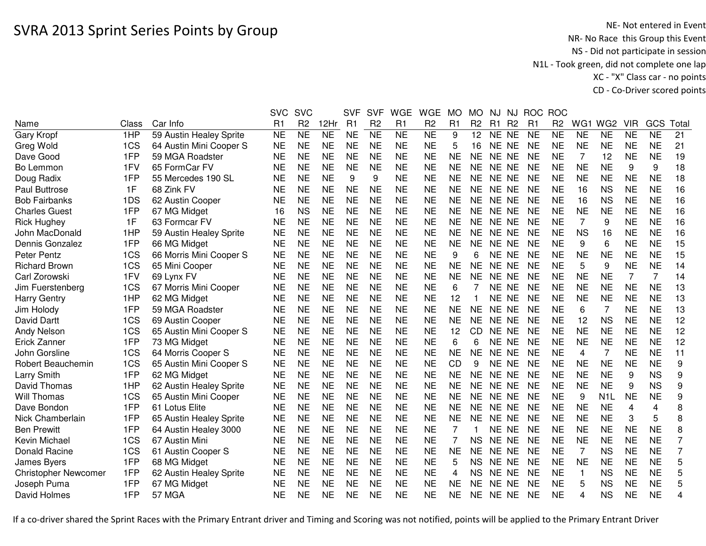|                             |       |                         | <b>SVC</b> | <b>SVC</b>          |                     | <b>SVF</b>     | <b>SVF</b>     | <b>WGE</b> | <b>WGE</b>          | <b>MO</b>      | <b>MO</b>       | <b>NJ</b> | <b>NJ</b>      | <b>ROC</b>     | <b>ROC</b>          |                |                  |            |                |                |
|-----------------------------|-------|-------------------------|------------|---------------------|---------------------|----------------|----------------|------------|---------------------|----------------|-----------------|-----------|----------------|----------------|---------------------|----------------|------------------|------------|----------------|----------------|
| Name                        | Class | Car Info                | R1         | R <sub>2</sub>      | 12Hr                | R <sub>1</sub> | R <sub>2</sub> | R1         | R <sub>2</sub>      | R <sub>1</sub> | R <sub>2</sub>  | R1        | R <sub>2</sub> | R <sub>1</sub> | R <sub>2</sub>      | WG1            | WG <sub>2</sub>  | <b>VIR</b> | GCS            | Total          |
| Gary Kropf                  | 1HP   | 59 Austin Healey Sprite | <b>NE</b>  | $\overline{\sf NE}$ | $\overline{\sf NE}$ | <b>NE</b>      | NE             | NE         | $\overline{\sf NE}$ | 9              | 12 <sub>2</sub> | NE NE     |                | <b>NE</b>      | $\overline{\sf NE}$ | <b>NE</b>      | <b>NE</b>        | <b>NE</b>  | <b>NE</b>      | 21             |
| Greg Wold                   | 1CS   | 64 Austin Mini Cooper S | <b>NE</b>  | <b>NE</b>           | <b>NE</b>           | <b>NE</b>      | <b>NE</b>      | <b>NE</b>  | <b>NE</b>           | 5              | 16              | NE NE     |                | <b>NE</b>      | <b>NE</b>           | <b>NE</b>      | <b>NE</b>        | <b>NE</b>  | <b>NE</b>      | 21             |
| Dave Good                   | 1FP   | 59 MGA Roadster         | <b>NE</b>  | <b>NE</b>           | <b>NE</b>           | <b>NE</b>      | <b>NE</b>      | <b>NE</b>  | <b>NE</b>           | <b>NE</b>      | <b>NE</b>       | NE NE     |                | <b>NE</b>      | <b>NE</b>           | 7              | 12               | <b>NE</b>  | <b>NE</b>      | 19             |
| Bo Lemmon                   | 1FV   | 65 FormCar FV           | <b>NE</b>  | <b>NE</b>           | <b>NE</b>           | <b>NE</b>      | <b>NE</b>      | <b>NE</b>  | <b>NE</b>           | <b>NE</b>      | <b>NE</b>       | NE NE     |                | <b>NE</b>      | <b>NE</b>           | <b>NE</b>      | <b>NE</b>        | 9          | 9              | 18             |
| Doug Radix                  | 1FP   | 55 Mercedes 190 SL      | NE         | <b>NE</b>           | <b>NE</b>           | 9              | 9              | <b>NE</b>  | <b>NE</b>           | <b>NE</b>      | NE.             | NE NE     |                | <b>NE</b>      | NE                  | <b>NE</b>      | <b>NE</b>        | <b>NE</b>  | <b>NE</b>      | 18             |
| Paul Buttrose               | 1F    | 68 Zink FV              | <b>NE</b>  | <b>NE</b>           | <b>NE</b>           | <b>NE</b>      | <b>NE</b>      | <b>NE</b>  | <b>NE</b>           | <b>NE</b>      | <b>NE</b>       | NE NE     |                | <b>NE</b>      | <b>NE</b>           | 16             | <b>NS</b>        | <b>NE</b>  | <b>NE</b>      | 16             |
| <b>Bob Fairbanks</b>        | 1DS   | 62 Austin Cooper        | <b>NE</b>  | <b>NE</b>           | <b>NE</b>           | <b>NE</b>      | <b>NE</b>      | <b>NE</b>  | <b>NE</b>           | <b>NE</b>      | <b>NE</b>       | NE NE     |                | <b>NE</b>      | <b>NE</b>           | 16             | <b>NS</b>        | <b>NE</b>  | <b>NE</b>      | 16             |
| <b>Charles Guest</b>        | 1FP   | 67 MG Midget            | 16         | <b>NS</b>           | <b>NE</b>           | <b>NE</b>      | <b>NE</b>      | <b>NE</b>  | <b>NE</b>           | <b>NE</b>      | <b>NE</b>       | NE NE     |                | <b>NE</b>      | <b>NE</b>           | <b>NE</b>      | <b>NE</b>        | <b>NE</b>  | <b>NE</b>      | 16             |
| <b>Rick Hughey</b>          | 1F    | 63 Formcar FV           | <b>NE</b>  | <b>NE</b>           | <b>NE</b>           | <b>NE</b>      | <b>NE</b>      | <b>NE</b>  | <b>NE</b>           | <b>NE</b>      | <b>NE</b>       | NE NE     |                | <b>NE</b>      | <b>NE</b>           | $\overline{7}$ | 9                | <b>NE</b>  | <b>NE</b>      | 16             |
| John MacDonald              | 1HP   | 59 Austin Healey Sprite | <b>NE</b>  | <b>NE</b>           | <b>NE</b>           | <b>NE</b>      | <b>NE</b>      | <b>NE</b>  | <b>NE</b>           | <b>NE</b>      | <b>NE</b>       | NE NE     |                | <b>NE</b>      | <b>NE</b>           | <b>NS</b>      | 16               | <b>NE</b>  | <b>NE</b>      | 16             |
| Dennis Gonzalez             | 1FP   | 66 MG Midget            | <b>NE</b>  | <b>NE</b>           | <b>NE</b>           | <b>NE</b>      | <b>NE</b>      | <b>NE</b>  | <b>NE</b>           | <b>NE</b>      | <b>NE</b>       | NE NE     |                | <b>NE</b>      | <b>NE</b>           | 9              | 6                | <b>NE</b>  | <b>NE</b>      | 15             |
| <b>Peter Pentz</b>          | 1CS   | 66 Morris Mini Cooper S | <b>NE</b>  | <b>NE</b>           | <b>NE</b>           | <b>NE</b>      | <b>NE</b>      | <b>NE</b>  | <b>NE</b>           | 9              | 6               | <b>NE</b> | <b>NE</b>      | <b>NE</b>      | <b>NE</b>           | <b>NE</b>      | <b>NE</b>        | <b>NE</b>  | <b>NE</b>      | 15             |
| <b>Richard Brown</b>        | 1CS   | 65 Mini Cooper          | <b>NE</b>  | <b>NE</b>           | <b>NE</b>           | <b>NE</b>      | <b>NE</b>      | <b>NE</b>  | <b>NE</b>           | <b>NE</b>      | <b>NE</b>       | <b>NE</b> | <b>NE</b>      | <b>NE</b>      | <b>NE</b>           | 5              | 9                | <b>NE</b>  | <b>NE</b>      | 14             |
| Carl Zorowski               | 1FV   | 69 Lynx FV              | <b>NE</b>  | <b>NE</b>           | <b>NE</b>           | <b>NE</b>      | <b>NE</b>      | <b>NE</b>  | <b>NE</b>           | <b>NE</b>      | <b>NE</b>       | NE.       | <b>NE</b>      | <b>NE</b>      | <b>NE</b>           | <b>NE</b>      | <b>NE</b>        | 7          | $\overline{7}$ | 14             |
| Jim Fuerstenberg            | 1CS   | 67 Morris Mini Cooper   | <b>NE</b>  | <b>NE</b>           | <b>NE</b>           | <b>NE</b>      | <b>NE</b>      | <b>NE</b>  | <b>NE</b>           | 6              |                 | NE NE     |                | <b>NE</b>      | <b>NE</b>           | <b>NE</b>      | <b>NE</b>        | <b>NE</b>  | <b>NE</b>      | 13             |
| <b>Harry Gentry</b>         | 1HP   | 62 MG Midget            | <b>NE</b>  | <b>NE</b>           | <b>NE</b>           | <b>NE</b>      | <b>NE</b>      | <b>NE</b>  | <b>NE</b>           | 12             |                 | <b>NE</b> | <b>NE</b>      | <b>NE</b>      | <b>NE</b>           | <b>NE</b>      | <b>NE</b>        | <b>NE</b>  | <b>NE</b>      | 13             |
| Jim Holody                  | 1FP   | 59 MGA Roadster         | <b>NE</b>  | <b>NE</b>           | <b>NE</b>           | <b>NE</b>      | <b>NE</b>      | <b>NE</b>  | <b>NE</b>           | <b>NE</b>      | <b>NE</b>       | NE NE     |                | <b>NE</b>      | <b>NE</b>           | 6              | $\overline{7}$   | <b>NE</b>  | <b>NE</b>      | 13             |
| <b>David Dartt</b>          | 1CS   | 69 Austin Cooper        | <b>NE</b>  | <b>NE</b>           | <b>NE</b>           | <b>NE</b>      | <b>NE</b>      | <b>NE</b>  | <b>NE</b>           | <b>NE</b>      | <b>NE</b>       | NE NE     |                | <b>NE</b>      | <b>NE</b>           | 12             | <b>NS</b>        | <b>NE</b>  | <b>NE</b>      | 12             |
| <b>Andy Nelson</b>          | 1CS   | 65 Austin Mini Cooper S | <b>NE</b>  | <b>NE</b>           | <b>NE</b>           | <b>NE</b>      | <b>NE</b>      | <b>NE</b>  | <b>NE</b>           | 12             | <b>CD</b>       | NE NE     |                | <b>NE</b>      | <b>NE</b>           | <b>NE</b>      | <b>NE</b>        | <b>NE</b>  | <b>NE</b>      | 12             |
| Erick Zanner                | 1FP   | 73 MG Midget            | <b>NE</b>  | <b>NE</b>           | <b>NE</b>           | <b>NE</b>      | <b>NE</b>      | <b>NE</b>  | <b>NE</b>           | 6              | 6               | NE NE     |                | <b>NE</b>      | <b>NE</b>           | <b>NE</b>      | <b>NE</b>        | <b>NE</b>  | <b>NE</b>      | 12             |
| John Gorsline               | 1CS   | 64 Morris Cooper S      | <b>NE</b>  | <b>NE</b>           | <b>NE</b>           | <b>NE</b>      | <b>NE</b>      | <b>NE</b>  | <b>NE</b>           | <b>NE</b>      | <b>NE</b>       | NE NE     |                | <b>NE</b>      | <b>NE</b>           | 4              | 7                | <b>NE</b>  | <b>NE</b>      | 11             |
| Robert Beauchemin           | 1CS   | 65 Austin Mini Cooper S | <b>NE</b>  | <b>NE</b>           | <b>NE</b>           | <b>NE</b>      | <b>NE</b>      | <b>NE</b>  | <b>NE</b>           | <b>CD</b>      | 9               | NE NE     |                | <b>NE</b>      | <b>NE</b>           | <b>NE</b>      | <b>NE</b>        | <b>NE</b>  | <b>NE</b>      | 9              |
| Larry Smith                 | 1FP   | 62 MG Midget            | <b>NE</b>  | <b>NE</b>           | <b>NE</b>           | <b>NE</b>      | <b>NE</b>      | <b>NE</b>  | <b>NE</b>           | <b>NE</b>      | <b>NE</b>       | NE NE     |                | <b>NE</b>      | <b>NE</b>           | <b>NE</b>      | <b>NE</b>        | 9          | <b>NS</b>      | 9              |
| David Thomas                | 1HP   | 62 Austin Healey Sprite | <b>NE</b>  | <b>NE</b>           | <b>NE</b>           | <b>NE</b>      | <b>NE</b>      | <b>NE</b>  | <b>NE</b>           | <b>NE</b>      | <b>NE</b>       | NE NE     |                | <b>NE</b>      | <b>NE</b>           | <b>NE</b>      | <b>NE</b>        | 9          | <b>NS</b>      | 9              |
| Will Thomas                 | 1CS   | 65 Austin Mini Cooper   | <b>NE</b>  | <b>NE</b>           | <b>NE</b>           | <b>NE</b>      | <b>NE</b>      | <b>NE</b>  | <b>NE</b>           | <b>NE</b>      | <b>NE</b>       | NE NE     |                | <b>NE</b>      | <b>NE</b>           | 9              | N <sub>1</sub> L | <b>NE</b>  | <b>NE</b>      | 9              |
| Dave Bondon                 | 1FP   | 61 Lotus Elite          | <b>NE</b>  | <b>NE</b>           | <b>NE</b>           | <b>NE</b>      | <b>NE</b>      | <b>NE</b>  | <b>NE</b>           | <b>NE</b>      | <b>NE</b>       | NE NE     |                | <b>NE</b>      | <b>NE</b>           | <b>NE</b>      | <b>NE</b>        | 4          | 4              | 8              |
| Nick Chamberlain            | 1FP   | 65 Austin Healey Sprite | <b>NE</b>  | <b>NE</b>           | <b>NE</b>           | <b>NE</b>      | <b>NE</b>      | <b>NE</b>  | <b>NE</b>           | <b>NE</b>      | <b>NE</b>       | NE NE     |                | <b>NE</b>      | <b>NE</b>           | <b>NE</b>      | <b>NE</b>        | 3          | 5              | 8              |
| <b>Ben Prewitt</b>          | 1FP   | 64 Austin Healey 3000   | <b>NE</b>  | <b>NE</b>           | <b>NE</b>           | <b>NE</b>      | <b>NE</b>      | <b>NE</b>  | <b>NE</b>           | 7              |                 | NE NE     |                | <b>NE</b>      | <b>NE</b>           | <b>NE</b>      | <b>NE</b>        | <b>NE</b>  | <b>NE</b>      | 8              |
| Kevin Michael               | 1CS   | 67 Austin Mini          | <b>NE</b>  | <b>NE</b>           | <b>NE</b>           | <b>NE</b>      | <b>NE</b>      | <b>NE</b>  | <b>NE</b>           | 7              | <b>NS</b>       | <b>NE</b> | <b>NE</b>      | <b>NE</b>      | <b>NE</b>           | <b>NE</b>      | <b>NE</b>        | <b>NE</b>  | <b>NE</b>      | $\overline{7}$ |
| Donald Racine               | 1CS   | 61 Austin Cooper S      | <b>NE</b>  | <b>NE</b>           | <b>NE</b>           | <b>NE</b>      | <b>NE</b>      | <b>NE</b>  | <b>NE</b>           | <b>NE</b>      | <b>NE</b>       | <b>NE</b> | <b>NE</b>      | <b>NE</b>      | <b>NE</b>           | 7              | <b>NS</b>        | <b>NE</b>  | <b>NE</b>      | $\overline{7}$ |
| James Byers                 | 1FP   | 68 MG Midget            | <b>NE</b>  | <b>NE</b>           | <b>NE</b>           | <b>NE</b>      | <b>NE</b>      | <b>NE</b>  | <b>NE</b>           | 5              | <b>NS</b>       | NE NE     |                | <b>NE</b>      | <b>NE</b>           | <b>NE</b>      | <b>NE</b>        | <b>NE</b>  | <b>NE</b>      | 5              |
| <b>Christopher Newcomer</b> | 1FP   | 62 Austin Healey Sprite | <b>NE</b>  | <b>NE</b>           | <b>NE</b>           | <b>NE</b>      | <b>NE</b>      | <b>NE</b>  | <b>NE</b>           | 4              | <b>NS</b>       | NE NE     |                | <b>NE</b>      | <b>NE</b>           | $\mathbf{1}$   | <b>NS</b>        | <b>NE</b>  | <b>NE</b>      | 5              |
| Joseph Puma                 | 1FP   | 67 MG Midget            | <b>NE</b>  | <b>NE</b>           | <b>NE</b>           | <b>NE</b>      | <b>NE</b>      | <b>NE</b>  | <b>NE</b>           | <b>NE</b>      | <b>NE</b>       | NE        | <b>NE</b>      | <b>NE</b>      | <b>NE</b>           | 5              | <b>NS</b>        | <b>NE</b>  | <b>NE</b>      | 5              |
| David Holmes                | 1FP   | <b>57 MGA</b>           | <b>NE</b>  | <b>NE</b>           | <b>NE</b>           | <b>NE</b>      | <b>NE</b>      | <b>NE</b>  | <b>NE</b>           | <b>NE</b>      | <b>NE</b>       | NE NE     |                | <b>NE</b>      | <b>NE</b>           | 4              | <b>NS</b>        | <b>NE</b>  | <b>NE</b>      | 4              |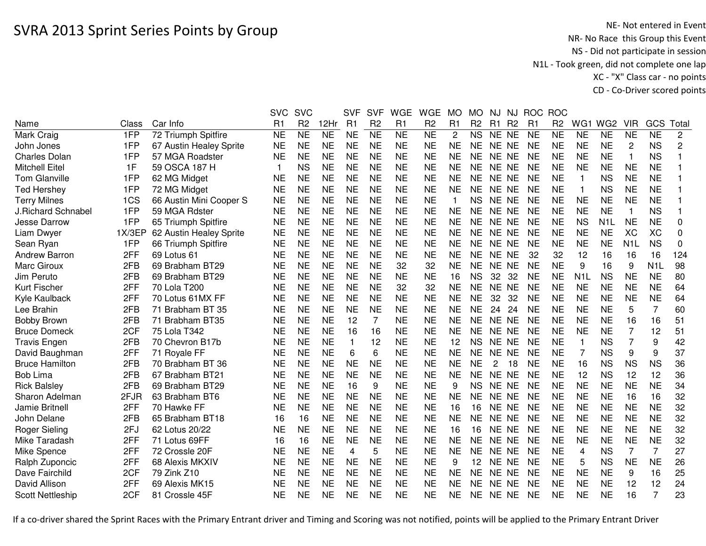|                           |        |                         | <b>SVC</b>              | <b>SVC</b>     |           | <b>SVF</b>     | <b>SVF</b>     | <b>WGE</b> | <b>WGE</b>     | <b>MO</b> | <b>MO</b>      | NJ    | NJ.            | <b>ROC</b> | <b>ROC</b>     |                  |                  |                  |                  |              |
|---------------------------|--------|-------------------------|-------------------------|----------------|-----------|----------------|----------------|------------|----------------|-----------|----------------|-------|----------------|------------|----------------|------------------|------------------|------------------|------------------|--------------|
| Name                      | Class  | Car Info                | R1                      | R <sub>2</sub> | 12Hr      | R1             | R <sub>2</sub> | R1         | R <sub>2</sub> | R1        | R <sub>2</sub> | R1    | R <sub>2</sub> | R1         | R <sub>2</sub> | WG1              | WG <sub>2</sub>  | <b>VIR</b>       | GCS              | Total        |
| Mark Craig                | 1FP    | 72 Triumph Spitfire     | <b>NE</b>               | <b>NE</b>      | <b>NE</b> | <b>NE</b>      | <b>NE</b>      | <b>NE</b>  | <b>NE</b>      | 2         | <b>NS</b>      | NE NE |                | <b>NE</b>  | <b>NE</b>      | <b>NE</b>        | <b>NE</b>        | <b>NE</b>        | <b>NE</b>        | $\mathbf{2}$ |
| John Jones                | 1FP    | 67 Austin Healey Sprite | <b>NE</b>               | <b>NE</b>      | <b>NE</b> | <b>NE</b>      | <b>NE</b>      | <b>NE</b>  | <b>NE</b>      | <b>NE</b> | <b>NE</b>      | NE NE |                | <b>NE</b>  | <b>NE</b>      | <b>NE</b>        | <b>NE</b>        | 2                | <b>NS</b>        | 2            |
| <b>Charles Dolan</b>      | 1FP    | 57 MGA Roadster         | <b>NE</b>               | <b>NE</b>      | <b>NE</b> | <b>NE</b>      | <b>NE</b>      | <b>NE</b>  | <b>NE</b>      | <b>NE</b> | <b>NE</b>      | NE NE |                | <b>NE</b>  | <b>NE</b>      | <b>NE</b>        | <b>NE</b>        | $\mathbf{1}$     | <b>NS</b>        |              |
| <b>Mitchell Eitel</b>     | 1F     | 59 OSCA 187 H           | $\overline{\mathbf{1}}$ | <b>NS</b>      | <b>NE</b> | <b>NE</b>      | <b>NE</b>      | <b>NE</b>  | <b>NE</b>      | <b>NE</b> | <b>NE</b>      | NE NE |                | <b>NE</b>  | <b>NE</b>      | <b>NE</b>        | <b>NE</b>        | <b>NE</b>        | <b>NE</b>        |              |
| <b>Tom Glanville</b>      | 1FP    | 62 MG Midget            | <b>NE</b>               | <b>NE</b>      | <b>NE</b> | <b>NE</b>      | <b>NE</b>      | <b>NE</b>  | <b>NE</b>      | <b>NE</b> | <b>NE</b>      | NE NE |                | <b>NE</b>  | <b>NE</b>      | 1                | <b>NS</b>        | <b>NE</b>        | <b>NE</b>        |              |
| <b>Ted Hershey</b>        | 1FP    | 72 MG Midget            | <b>NE</b>               | <b>NE</b>      | <b>NE</b> | <b>NE</b>      | <b>NE</b>      | <b>NE</b>  | <b>NE</b>      | <b>NE</b> | <b>NE</b>      | NE NE |                | <b>NE</b>  | <b>NE</b>      | -1               | <b>NS</b>        | <b>NE</b>        | <b>NE</b>        |              |
| <b>Terry Milnes</b>       | 1CS    | 66 Austin Mini Cooper S | <b>NE</b>               | <b>NE</b>      | <b>NE</b> | <b>NE</b>      | <b>NE</b>      | <b>NE</b>  | <b>NE</b>      | 1         | <b>NS</b>      | NE NE |                | <b>NE</b>  | <b>NE</b>      | <b>NE</b>        | <b>NE</b>        | <b>NE</b>        | <b>NE</b>        |              |
| <b>J.Richard Schnabel</b> | 1FP    | 59 MGA Rdster           | <b>NE</b>               | <b>NE</b>      | <b>NE</b> | <b>NE</b>      | <b>NE</b>      | <b>NE</b>  | <b>NE</b>      | <b>NE</b> | NE             | NE NE |                | <b>NE</b>  | <b>NE</b>      | <b>NE</b>        | <b>NE</b>        | $\mathbf{1}$     | <b>NS</b>        |              |
| Jesse Darrow              | 1FP    | 65 Triumph Spitfire     | <b>NE</b>               | <b>NE</b>      | <b>NE</b> | <b>NE</b>      | <b>NE</b>      | <b>NE</b>  | <b>NE</b>      | <b>NE</b> | <b>NE</b>      | NE NE |                | <b>NE</b>  | <b>NE</b>      | <b>NS</b>        | N <sub>1</sub> L | NE               | <b>NE</b>        | 0            |
| Liam Dwyer                | 1X/3EP | 62 Austin Healey Sprite | <b>NE</b>               | <b>NE</b>      | <b>NE</b> | <b>NE</b>      | <b>NE</b>      | <b>NE</b>  | <b>NE</b>      | <b>NE</b> | <b>NE</b>      | NE NE |                | <b>NE</b>  | <b>NE</b>      | <b>NE</b>        | <b>NE</b>        | XC               | XC               | 0            |
| Sean Ryan                 | 1FP    | 66 Triumph Spitfire     | <b>NE</b>               | <b>NE</b>      | <b>NE</b> | <b>NE</b>      | <b>NE</b>      | <b>NE</b>  | <b>NE</b>      | <b>NE</b> | <b>NE</b>      | NE NE |                | <b>NE</b>  | <b>NE</b>      | <b>NE</b>        | <b>NE</b>        | N <sub>1</sub> L | <b>NS</b>        | 0            |
| Andrew Barron             | 2FF    | 69 Lotus 61             | <b>NE</b>               | <b>NE</b>      | <b>NE</b> | <b>NE</b>      | <b>NE</b>      | <b>NE</b>  | <b>NE</b>      | <b>NE</b> | <b>NE</b>      | NE NE |                | 32         | 32             | 12               | 16               | 16               | 16               | 124          |
| Marc Giroux               | 2FB    | 69 Brabham BT29         | <b>NE</b>               | <b>NE</b>      | <b>NE</b> | <b>NE</b>      | <b>NE</b>      | 32         | 32             | <b>NE</b> | <b>NE</b>      | NE NE |                | <b>NE</b>  | <b>NE</b>      | 9                | 16               | 9                | N <sub>1</sub> L | 98           |
| Jim Peruto                | 2FB    | 69 Brabham BT29         | <b>NE</b>               | <b>NE</b>      | <b>NE</b> | <b>NE</b>      | <b>NE</b>      | <b>NE</b>  | <b>NE</b>      | 16        | <b>NS</b>      | 32    | 32             | <b>NE</b>  | <b>NE</b>      | N <sub>1</sub> L | <b>NS</b>        | <b>NE</b>        | <b>NE</b>        | 80           |
| <b>Kurt Fischer</b>       | 2FF    | 70 Lola T200            | <b>NE</b>               | <b>NE</b>      | <b>NE</b> | <b>NE</b>      | <b>NE</b>      | 32         | 32             | <b>NE</b> | <b>NE</b>      | NE NE |                | <b>NE</b>  | <b>NE</b>      | <b>NE</b>        | <b>NE</b>        | <b>NE</b>        | <b>NE</b>        | 64           |
| Kyle Kaulback             | 2FF    | 70 Lotus 61MX FF        | <b>NE</b>               | <b>NE</b>      | <b>NE</b> | <b>NE</b>      | <b>NE</b>      | <b>NE</b>  | <b>NE</b>      | <b>NE</b> | <b>NE</b>      | 32    | 32             | <b>NE</b>  | <b>NE</b>      | <b>NE</b>        | <b>NE</b>        | <b>NE</b>        | <b>NE</b>        | 64           |
| Lee Brahin                | 2FB    | 71 Brabham BT 35        | <b>NE</b>               | <b>NE</b>      | <b>NE</b> | <b>NE</b>      | <b>NE</b>      | <b>NE</b>  | <b>NE</b>      | <b>NE</b> | <b>NE</b>      | 24    | 24             | <b>NE</b>  | <b>NE</b>      | <b>NE</b>        | <b>NE</b>        | 5                | 7                | 60           |
| <b>Bobby Brown</b>        | 2FB    | 71 Brabham BT35         | <b>NE</b>               | <b>NE</b>      | <b>NE</b> | 12             | $\overline{7}$ | <b>NE</b>  | <b>NE</b>      | <b>NE</b> | <b>NE</b>      | NE NE |                | <b>NE</b>  | <b>NE</b>      | <b>NE</b>        | <b>NE</b>        | 16               | 16               | 51           |
| <b>Bruce Domeck</b>       | 2CF    | 75 Lola T342            | <b>NE</b>               | <b>NE</b>      | <b>NE</b> | 16             | 16             | <b>NE</b>  | <b>NE</b>      | <b>NE</b> | <b>NE</b>      | NE NE |                | <b>NE</b>  | <b>NE</b>      | <b>NE</b>        | <b>NE</b>        | $\overline{7}$   | 12               | 51           |
| <b>Travis Engen</b>       | 2FB    | 70 Chevron B17b         | <b>NE</b>               | <b>NE</b>      | <b>NE</b> | $\mathbf{1}$   | 12             | <b>NE</b>  | <b>NE</b>      | 12        | <b>NS</b>      | NE NE |                | <b>NE</b>  | <b>NE</b>      | 1                | <b>NS</b>        | $\overline{7}$   | 9                | 42           |
| David Baughman            | 2FF    | 71 Royale FF            | <b>NE</b>               | <b>NE</b>      | <b>NE</b> | 6              | 6              | <b>NE</b>  | <b>NE</b>      | <b>NE</b> | <b>NE</b>      | NE NE |                | <b>NE</b>  | <b>NE</b>      | 7                | <b>NS</b>        | 9                | 9                | 37           |
| <b>Bruce Hamilton</b>     | 2FB    | 70 Brabham BT 36        | NE                      | <b>NE</b>      | <b>NE</b> | <b>NE</b>      | <b>NE</b>      | <b>NE</b>  | <b>NE</b>      | <b>NE</b> | <b>NE</b>      | 2     | 18             | NE         | <b>NE</b>      | 16               | <b>NS</b>        | <b>NS</b>        | <b>NS</b>        | 36           |
| <b>Bob Lima</b>           | 2FB    | 67 Brabham BT21         | <b>NE</b>               | <b>NE</b>      | <b>NE</b> | <b>NE</b>      | <b>NE</b>      | <b>NE</b>  | <b>NE</b>      | <b>NE</b> | <b>NE</b>      | NE NE |                | <b>NE</b>  | <b>NE</b>      | 12               | <b>NS</b>        | 12               | 12               | 36           |
| <b>Rick Balsley</b>       | 2FB    | 69 Brabham BT29         | <b>NE</b>               | <b>NE</b>      | <b>NE</b> | 16             | 9              | <b>NE</b>  | <b>NE</b>      | 9         | <b>NS</b>      | NE NE |                | <b>NE</b>  | <b>NE</b>      | <b>NE</b>        | <b>NE</b>        | <b>NE</b>        | <b>NE</b>        | 34           |
| Sharon Adelman            | 2FJR   | 63 Brabham BT6          | <b>NE</b>               | <b>NE</b>      | <b>NE</b> | <b>NE</b>      | <b>NE</b>      | <b>NE</b>  | <b>NE</b>      | <b>NE</b> | <b>NE</b>      | NE NE |                | <b>NE</b>  | <b>NE</b>      | <b>NE</b>        | <b>NE</b>        | 16               | 16               | 32           |
| Jamie Britnell            | 2FF    | 70 Hawke FF             | <b>NE</b>               | <b>NE</b>      | <b>NE</b> | <b>NE</b>      | <b>NE</b>      | <b>NE</b>  | <b>NE</b>      | 16        | 16             | NE NE |                | <b>NE</b>  | <b>NE</b>      | <b>NE</b>        | <b>NE</b>        | <b>NE</b>        | <b>NE</b>        | 32           |
| John Delane               | 2FB    | 65 Brabham BT18         | 16                      | 16             | <b>NE</b> | <b>NE</b>      | <b>NE</b>      | <b>NE</b>  | <b>NE</b>      | <b>NE</b> | <b>NE</b>      | NE NE |                | <b>NE</b>  | <b>NE</b>      | <b>NE</b>        | <b>NE</b>        | <b>NE</b>        | <b>NE</b>        | 32           |
| <b>Roger Sieling</b>      | 2FJ    | 62 Lotus 20/22          | <b>NE</b>               | <b>NE</b>      | <b>NE</b> | <b>NE</b>      | <b>NE</b>      | <b>NE</b>  | <b>NE</b>      | 16        | 16             | NE NE |                | <b>NE</b>  | <b>NE</b>      | <b>NE</b>        | <b>NE</b>        | <b>NE</b>        | <b>NE</b>        | 32           |
| Mike Taradash             | 2FF    | 71 Lotus 69FF           | 16                      | 16             | <b>NE</b> | <b>NE</b>      | <b>NE</b>      | <b>NE</b>  | <b>NE</b>      | <b>NE</b> | <b>NE</b>      | NE NE |                | <b>NE</b>  | <b>NE</b>      | <b>NE</b>        | <b>NE</b>        | <b>NE</b>        | <b>NE</b>        | 32           |
| Mike Spence               | 2FF    | 72 Crossle 20F          | <b>NE</b>               | <b>NE</b>      | <b>NE</b> | $\overline{4}$ | 5              | <b>NE</b>  | <b>NE</b>      | <b>NE</b> | <b>NE</b>      | NE NE |                | <b>NE</b>  | <b>NE</b>      | $\overline{4}$   | <b>NS</b>        | $\overline{7}$   | $\overline{7}$   | 27           |
| Ralph Zuponcic            | 2FF    | 68 Alexis MKXIV         | <b>NE</b>               | <b>NE</b>      | <b>NE</b> | <b>NE</b>      | <b>NE</b>      | <b>NE</b>  | <b>NE</b>      | 9         | 12             | NE NE |                | <b>NE</b>  | <b>NE</b>      | 5                | <b>NS</b>        | <b>NE</b>        | <b>NE</b>        | 26           |
| Dave Fairchild            | 2CF    | 79 Zink Z10             | <b>NE</b>               | <b>NE</b>      | <b>NE</b> | <b>NE</b>      | <b>NE</b>      | <b>NE</b>  | <b>NE</b>      | <b>NE</b> | <b>NE</b>      | NE NE |                | <b>NE</b>  | <b>NE</b>      | <b>NE</b>        | <b>NE</b>        | 9                | 16               | 25           |
| David Allison             | 2FF    | 69 Alexis MK15          | <b>NE</b>               | <b>NE</b>      | <b>NE</b> | <b>NE</b>      | <b>NE</b>      | <b>NE</b>  | <b>NE</b>      | <b>NE</b> | <b>NE</b>      | NE.   | <b>NE</b>      | <b>NE</b>  | <b>NE</b>      | <b>NE</b>        | <b>NE</b>        | 12               | 12               | 24           |
| <b>Scott Nettleship</b>   | 2CF    | 81 Crossle 45F          | <b>NE</b>               | <b>NE</b>      | <b>NE</b> | <b>NE</b>      | <b>NE</b>      | <b>NE</b>  | <b>NE</b>      | <b>NE</b> | NE             | NE NE |                | <b>NE</b>  | <b>NE</b>      | <b>NE</b>        | <b>NE</b>        | 16               | 7                | 23           |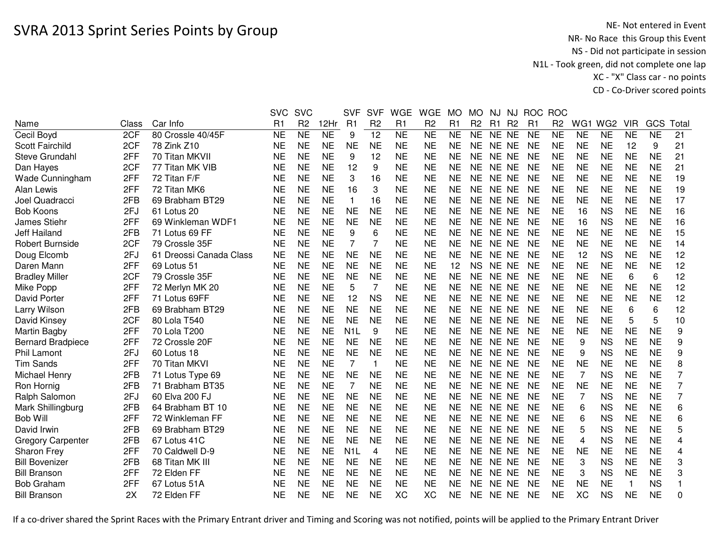|                          |       |                         | <b>SVC</b> | <b>SVC</b>     |           | <b>SVF</b>       | <b>SVF</b>     | <b>WGE</b>     | <b>WGE</b>     | <b>MO</b> | MO.            | NJ.       | NJ             | <b>ROC</b>     | <b>ROC</b>     |                |                 |            |           |                |
|--------------------------|-------|-------------------------|------------|----------------|-----------|------------------|----------------|----------------|----------------|-----------|----------------|-----------|----------------|----------------|----------------|----------------|-----------------|------------|-----------|----------------|
| Name                     | Class | Car Info                | R1         | R <sub>2</sub> | 12Hr      | R1               | R <sub>2</sub> | R <sub>1</sub> | R <sub>2</sub> | R1        | R <sub>2</sub> | R1        | R <sub>2</sub> | R <sub>1</sub> | R <sub>2</sub> | WG1            | WG <sub>2</sub> | <b>VIR</b> | GCS       | Total          |
| Cecil Boyd               | 2CF   | 80 Crossle 40/45F       | <b>NE</b>  | <b>NE</b>      | <b>NE</b> | 9                | 12             | <b>NE</b>      | <b>NE</b>      | <b>NE</b> | <b>NE</b>      | NE NE     |                | <b>NE</b>      | <b>NE</b>      | <b>NE</b>      | <b>NE</b>       | <b>NE</b>  | <b>NE</b> | 21             |
| <b>Scott Fairchild</b>   | 2CF   | 78 Zink Z10             | <b>NE</b>  | <b>NE</b>      | <b>NE</b> | <b>NE</b>        | <b>NE</b>      | <b>NE</b>      | <b>NE</b>      | <b>NE</b> | <b>NE</b>      | NE NE     |                | <b>NE</b>      | <b>NE</b>      | <b>NE</b>      | <b>NE</b>       | 12         | 9         | 21             |
| Steve Grundahl           | 2FF   | 70 Titan MKVII          | <b>NE</b>  | <b>NE</b>      | <b>NE</b> | 9                | 12             | <b>NE</b>      | <b>NE</b>      | <b>NE</b> | <b>NE</b>      | NE NE     |                | <b>NE</b>      | <b>NE</b>      | <b>NE</b>      | <b>NE</b>       | <b>NE</b>  | <b>NE</b> | 21             |
| Dan Hayes                | 2CF   | 77 Titan MK VIB         | <b>NE</b>  | <b>NE</b>      | <b>NE</b> | 12               | 9              | <b>NE</b>      | <b>NE</b>      | <b>NE</b> | <b>NE</b>      | NE NE     |                | <b>NE</b>      | <b>NE</b>      | <b>NE</b>      | <b>NE</b>       | <b>NE</b>  | <b>NE</b> | 21             |
| Wade Cunningham          | 2FF   | 72 Titan F/F            | <b>NE</b>  | <b>NE</b>      | <b>NE</b> | 3                | 16             | <b>NE</b>      | <b>NE</b>      | <b>NE</b> | <b>NE</b>      | NE NE     |                | <b>NE</b>      | <b>NE</b>      | <b>NE</b>      | <b>NE</b>       | <b>NE</b>  | <b>NE</b> | 19             |
| Alan Lewis               | 2FF   | 72 Titan MK6            | <b>NE</b>  | <b>NE</b>      | <b>NE</b> | 16               | 3              | <b>NE</b>      | <b>NE</b>      | <b>NE</b> | NE             | NE NE     |                | <b>NE</b>      | <b>NE</b>      | <b>NE</b>      | <b>NE</b>       | <b>NE</b>  | <b>NE</b> | 19             |
| Joel Quadracci           | 2FB   | 69 Brabham BT29         | <b>NE</b>  | <b>NE</b>      | <b>NE</b> | 1                | 16             | <b>NE</b>      | <b>NE</b>      | <b>NE</b> | NE.            | NE NE     |                | <b>NE</b>      | <b>NE</b>      | <b>NE</b>      | <b>NE</b>       | <b>NE</b>  | <b>NE</b> | 17             |
| <b>Bob Koons</b>         | 2FJ   | 61 Lotus 20             | <b>NE</b>  | <b>NE</b>      | <b>NE</b> | <b>NE</b>        | <b>NE</b>      | <b>NE</b>      | <b>NE</b>      | <b>NE</b> | NE.            | NE NE     |                | <b>NE</b>      | <b>NE</b>      | 16             | <b>NS</b>       | <b>NE</b>  | <b>NE</b> | 16             |
| James Stiehr             | 2FF   | 69 Winkleman WDF1       | <b>NE</b>  | <b>NE</b>      | <b>NE</b> | <b>NE</b>        | <b>NE</b>      | <b>NE</b>      | <b>NE</b>      | <b>NE</b> | <b>NE</b>      | NE NE     |                | <b>NE</b>      | <b>NE</b>      | 16             | <b>NS</b>       | <b>NE</b>  | <b>NE</b> | 16             |
| <b>Jeff Hailand</b>      | 2FB   | 71 Lotus 69 FF          | <b>NE</b>  | <b>NE</b>      | <b>NE</b> | 9                | 6              | <b>NE</b>      | <b>NE</b>      | <b>NE</b> | <b>NE</b>      | NE NE     |                | <b>NE</b>      | <b>NE</b>      | <b>NE</b>      | <b>NE</b>       | <b>NE</b>  | <b>NE</b> | 15             |
| <b>Robert Burnside</b>   | 2CF   | 79 Crossle 35F          | <b>NE</b>  | <b>NE</b>      | <b>NE</b> | 7                | 7              | <b>NE</b>      | <b>NE</b>      | <b>NE</b> | <b>NE</b>      | NE NE     |                | <b>NE</b>      | <b>NE</b>      | <b>NE</b>      | <b>NE</b>       | <b>NE</b>  | <b>NE</b> | 14             |
| Doug Elcomb              | 2FJ   | 61 Dreossi Canada Class | <b>NE</b>  | <b>NE</b>      | <b>NE</b> | <b>NE</b>        | <b>NE</b>      | <b>NE</b>      | <b>NE</b>      | <b>NE</b> | <b>NE</b>      | NE NE     |                | <b>NE</b>      | <b>NE</b>      | 12             | <b>NS</b>       | <b>NE</b>  | <b>NE</b> | 12             |
| Daren Mann               | 2FF   | 69 Lotus 51             | <b>NE</b>  | <b>NE</b>      | <b>NE</b> | <b>NE</b>        | <b>NE</b>      | <b>NE</b>      | <b>NE</b>      | 12        | <b>NS</b>      | NE NE     |                | <b>NE</b>      | <b>NE</b>      | <b>NE</b>      | <b>NE</b>       | <b>NE</b>  | <b>NE</b> | 12             |
| <b>Bradley Miller</b>    | 2CF   | 79 Crossle 35F          | <b>NE</b>  | <b>NE</b>      | <b>NE</b> | <b>NE</b>        | <b>NE</b>      | <b>NE</b>      | <b>NE</b>      | <b>NE</b> | <b>NE</b>      | <b>NE</b> | NE.            | <b>NE</b>      | <b>NE</b>      | <b>NE</b>      | <b>NE</b>       | 6          | 6         | 12             |
| Mike Popp                | 2FF   | 72 Merlyn MK 20         | <b>NE</b>  | <b>NE</b>      | <b>NE</b> | 5                | 7              | <b>NE</b>      | <b>NE</b>      | <b>NE</b> | NE             | <b>NE</b> | NE             | <b>NE</b>      | <b>NE</b>      | <b>NE</b>      | <b>NE</b>       | <b>NE</b>  | <b>NE</b> | 12             |
| David Porter             | 2FF   | 71 Lotus 69FF           | <b>NE</b>  | <b>NE</b>      | <b>NE</b> | 12               | <b>NS</b>      | <b>NE</b>      | <b>NE</b>      | <b>NE</b> | NE             | <b>NE</b> | <b>NE</b>      | <b>NE</b>      | <b>NE</b>      | <b>NE</b>      | <b>NE</b>       | <b>NE</b>  | <b>NE</b> | 12             |
| Larry Wilson             | 2FB   | 69 Brabham BT29         | <b>NE</b>  | <b>NE</b>      | <b>NE</b> | <b>NE</b>        | <b>NE</b>      | <b>NE</b>      | <b>NE</b>      | <b>NE</b> | <b>NE</b>      | NE.       | <b>NE</b>      | <b>NE</b>      | <b>NE</b>      | <b>NE</b>      | <b>NE</b>       | 6          | 6         | 12             |
| David Kinsey             | 2CF   | 80 Lola T540            | <b>NE</b>  | <b>NE</b>      | <b>NE</b> | <b>NE</b>        | <b>NE</b>      | <b>NE</b>      | <b>NE</b>      | <b>NE</b> | <b>NE</b>      | NE NE     |                | <b>NE</b>      | <b>NE</b>      | <b>NE</b>      | <b>NE</b>       | 5          | 5         | 10             |
| Martin Bagby             | 2FF   | 70 Lola T200            | <b>NE</b>  | <b>NE</b>      | <b>NE</b> | N <sub>1</sub> L | 9              | <b>NE</b>      | <b>NE</b>      | <b>NE</b> | <b>NE</b>      | NE NE     |                | <b>NE</b>      | <b>NE</b>      | <b>NE</b>      | <b>NE</b>       | <b>NE</b>  | <b>NE</b> | 9              |
| <b>Bernard Bradpiece</b> | 2FF   | 72 Crossle 20F          | <b>NE</b>  | <b>NE</b>      | <b>NE</b> | <b>NE</b>        | <b>NE</b>      | <b>NE</b>      | <b>NE</b>      | <b>NE</b> | <b>NE</b>      | NE NE     |                | <b>NE</b>      | <b>NE</b>      | 9              | <b>NS</b>       | <b>NE</b>  | <b>NE</b> | 9              |
| <b>Phil Lamont</b>       | 2FJ   | 60 Lotus 18             | <b>NE</b>  | <b>NE</b>      | <b>NE</b> | <b>NE</b>        | <b>NE</b>      | <b>NE</b>      | <b>NE</b>      | <b>NE</b> | NE             | NE NE     |                | <b>NE</b>      | <b>NE</b>      | 9              | <b>NS</b>       | <b>NE</b>  | <b>NE</b> | 9              |
| <b>Tim Sands</b>         | 2FF   | 70 Titan MKVI           | <b>NE</b>  | <b>NE</b>      | <b>NE</b> | 7                |                | <b>NE</b>      | <b>NE</b>      | <b>NE</b> | NE.            | NE NE     |                | <b>NE</b>      | <b>NE</b>      | <b>NE</b>      | <b>NE</b>       | <b>NE</b>  | <b>NE</b> | 8              |
| Michael Henry            | 2FB   | 71 Lotus Type 69        | <b>NE</b>  | <b>NE</b>      | <b>NE</b> | <b>NE</b>        | <b>NE</b>      | <b>NE</b>      | <b>NE</b>      | <b>NE</b> | NE.            | NE NE     |                | <b>NE</b>      | <b>NE</b>      | 7              | <b>NS</b>       | <b>NE</b>  | <b>NE</b> | $\overline{7}$ |
| Ron Hornig               | 2FB   | 71 Brabham BT35         | <b>NE</b>  | <b>NE</b>      | <b>NE</b> | 7                | <b>NE</b>      | <b>NE</b>      | <b>NE</b>      | <b>NE</b> | <b>NE</b>      | NE NE     |                | <b>NE</b>      | <b>NE</b>      | <b>NE</b>      | <b>NE</b>       | <b>NE</b>  | <b>NE</b> | 7              |
| Ralph Salomon            | 2FJ   | 60 Elva 200 FJ          | <b>NE</b>  | <b>NE</b>      | <b>NE</b> | <b>NE</b>        | <b>NE</b>      | <b>NE</b>      | <b>NE</b>      | <b>NE</b> | <b>NE</b>      | NE NE     |                | <b>NE</b>      | <b>NE</b>      | 7              | <b>NS</b>       | <b>NE</b>  | <b>NE</b> | 7              |
| Mark Shillingburg        | 2FB   | 64 Brabham BT 10        | <b>NE</b>  | <b>NE</b>      | <b>NE</b> | <b>NE</b>        | <b>NE</b>      | <b>NE</b>      | <b>NE</b>      | <b>NE</b> | <b>NE</b>      | NE NE     |                | <b>NE</b>      | <b>NE</b>      | 6              | <b>NS</b>       | <b>NE</b>  | <b>NE</b> | 6              |
| <b>Bob Will</b>          | 2FF   | 72 Winkleman FF         | <b>NE</b>  | <b>NE</b>      | <b>NE</b> | <b>NE</b>        | <b>NE</b>      | <b>NE</b>      | <b>NE</b>      | <b>NE</b> | <b>NE</b>      | NE NE     |                | <b>NE</b>      | <b>NE</b>      | 6              | <b>NS</b>       | <b>NE</b>  | <b>NE</b> | 6              |
| David Irwin              | 2FB   | 69 Brabham BT29         | <b>NE</b>  | <b>NE</b>      | <b>NE</b> | <b>NE</b>        | <b>NE</b>      | <b>NE</b>      | <b>NE</b>      | <b>NE</b> | <b>NE</b>      | NE NE     |                | <b>NE</b>      | <b>NE</b>      | 5              | <b>NS</b>       | <b>NE</b>  | <b>NE</b> | 5              |
| <b>Gregory Carpenter</b> | 2FB   | 67 Lotus 41C            | <b>NE</b>  | <b>NE</b>      | <b>NE</b> | <b>NE</b>        | <b>NE</b>      | <b>NE</b>      | <b>NE</b>      | <b>NE</b> | NE             | NE.       | NE             | <b>NE</b>      | <b>NE</b>      | $\overline{4}$ | <b>NS</b>       | <b>NE</b>  | <b>NE</b> | 4              |
| Sharon Frey              | 2FF   | 70 Caldwell D-9         | <b>NE</b>  | <b>NE</b>      | <b>NE</b> | N <sub>1</sub> L | $\overline{4}$ | <b>NE</b>      | <b>NE</b>      | <b>NE</b> | <b>NE</b>      | <b>NE</b> | <b>NE</b>      | <b>NE</b>      | <b>NE</b>      | <b>NE</b>      | <b>NE</b>       | <b>NE</b>  | <b>NE</b> | 4              |
| <b>Bill Bovenizer</b>    | 2FB   | 68 Titan MK III         | <b>NE</b>  | <b>NE</b>      | <b>NE</b> | <b>NE</b>        | <b>NE</b>      | <b>NE</b>      | <b>NE</b>      | <b>NE</b> | NE             | NE.       | NE             | <b>NE</b>      | <b>NE</b>      | 3              | <b>NS</b>       | <b>NE</b>  | <b>NE</b> | 3              |
| <b>Bill Branson</b>      | 2FF   | 72 Elden FF             | <b>NE</b>  | <b>NE</b>      | <b>NE</b> | <b>NE</b>        | <b>NE</b>      | <b>NE</b>      | <b>NE</b>      | <b>NE</b> | <b>NE</b>      | NE NE     |                | <b>NE</b>      | <b>NE</b>      | 3              | <b>NS</b>       | <b>NE</b>  | <b>NE</b> | 3              |
| <b>Bob Graham</b>        | 2FF   | 67 Lotus 51A            | <b>NE</b>  | <b>NE</b>      | <b>NE</b> | <b>NE</b>        | <b>NE</b>      | <b>NE</b>      | <b>NE</b>      | <b>NE</b> | <b>NE</b>      | <b>NE</b> | <b>NE</b>      | <b>NE</b>      | <b>NE</b>      | <b>NE</b>      | <b>NE</b>       | 1          | <b>NS</b> |                |
| <b>Bill Branson</b>      | 2X    | 72 Elden FF             | <b>NE</b>  | <b>NE</b>      | <b>NE</b> | <b>NE</b>        | <b>NE</b>      | <b>XC</b>      | XC             | <b>NE</b> | NE             | NE NE     |                | <b>NE</b>      | <b>NE</b>      | XC             | <b>NS</b>       | <b>NE</b>  | <b>NE</b> | $\mathbf{0}$   |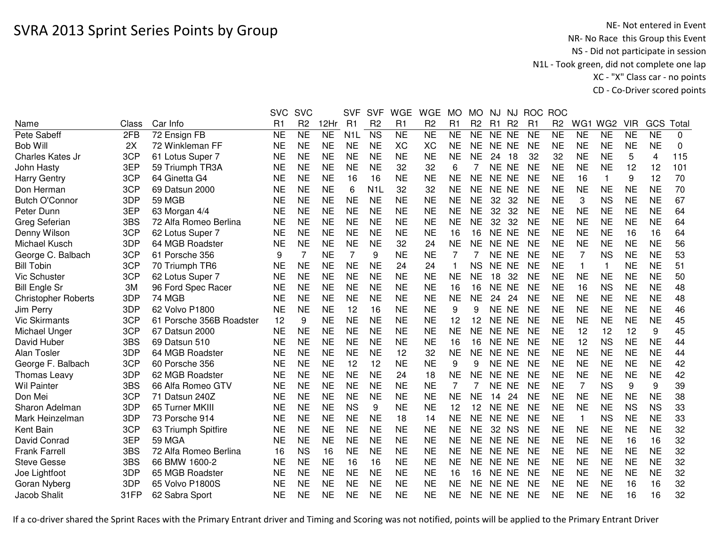|                            |       |                          | <b>SVC</b>     | <b>SVC</b>     |                | <b>SVF</b>       | <b>SVF</b>       | WGE       | <b>WGE</b>     | MO             | <b>MO</b>      | NJ        | NJ.            | <b>ROC</b>     | <b>ROC</b>     |              |                 |            |                |       |
|----------------------------|-------|--------------------------|----------------|----------------|----------------|------------------|------------------|-----------|----------------|----------------|----------------|-----------|----------------|----------------|----------------|--------------|-----------------|------------|----------------|-------|
| Name                       | Class | Car Info                 | R <sub>1</sub> | R <sub>2</sub> | 12Hr           | R1               | R <sub>2</sub>   | R1        | R <sub>2</sub> | R <sub>1</sub> | R <sub>2</sub> | R1        | R <sub>2</sub> | R <sub>1</sub> | R <sub>2</sub> | WG1          | WG <sub>2</sub> | <b>VIR</b> | GCS            | Total |
| Pete Sabeff                | 2FB   | 72 Ensign FB             | <b>NE</b>      | <b>NE</b>      | N <sub>E</sub> | N <sub>1</sub> L | <b>NS</b>        | <b>NE</b> | <b>NE</b>      | <b>NE</b>      | <b>NE</b>      | NE NE     |                | <b>NE</b>      | <b>NE</b>      | <b>NE</b>    | <b>NE</b>       | <b>NE</b>  | <b>NE</b>      | 0     |
| <b>Bob Will</b>            | 2X    | 72 Winkleman FF          | <b>NE</b>      | <b>NE</b>      | <b>NE</b>      | <b>NE</b>        | <b>NE</b>        | <b>XC</b> | XC             | <b>NE</b>      | NE             | NE NE     |                | <b>NE</b>      | <b>NE</b>      | <b>NE</b>    | <b>NE</b>       | <b>NE</b>  | <b>NE</b>      | 0     |
| Charles Kates Jr           | 3CP   | 61 Lotus Super 7         | <b>NE</b>      | <b>NE</b>      | <b>NE</b>      | <b>NE</b>        | <b>NE</b>        | <b>NE</b> | <b>NE</b>      | <b>NE</b>      | <b>NE</b>      | 24        | 18             | 32             | 32             | <b>NE</b>    | <b>NE</b>       | 5          | $\overline{4}$ | 115   |
| John Hasty                 | 3EP   | 59 Triumph TR3A          | <b>NE</b>      | <b>NE</b>      | <b>NE</b>      | <b>NE</b>        | <b>NE</b>        | 32        | 32             | 6              |                | NE NE     |                | <b>NE</b>      | <b>NE</b>      | <b>NE</b>    | <b>NE</b>       | 12         | 12             | 101   |
| <b>Harry Gentry</b>        | 3CP   | 64 Ginetta G4            | <b>NE</b>      | <b>NE</b>      | <b>NE</b>      | 16               | 16               | <b>NE</b> | <b>NE</b>      | <b>NE</b>      | <b>NE</b>      | NE NE     |                | <b>NE</b>      | <b>NE</b>      | 16           | 1               | 9          | 12             | 70    |
| Don Herman                 | 3CP   | 69 Datsun 2000           | <b>NE</b>      | <b>NE</b>      | <b>NE</b>      | 6                | N <sub>1</sub> L | 32        | 32             | <b>NE</b>      | <b>NE</b>      | NE NE     |                | <b>NE</b>      | <b>NE</b>      | <b>NE</b>    | <b>NE</b>       | <b>NE</b>  | <b>NE</b>      | 70    |
| <b>Butch O'Connor</b>      | 3DP   | 59 MGB                   | <b>NE</b>      | <b>NE</b>      | <b>NE</b>      | <b>NE</b>        | <b>NE</b>        | <b>NE</b> | <b>NE</b>      | <b>NE</b>      | <b>NE</b>      | 32        | 32             | <b>NE</b>      | <b>NE</b>      | 3            | <b>NS</b>       | <b>NE</b>  | <b>NE</b>      | 67    |
| Peter Dunn                 | 3EP   | 63 Morgan 4/4            | <b>NE</b>      | <b>NE</b>      | <b>NE</b>      | <b>NE</b>        | <b>NE</b>        | <b>NE</b> | <b>NE</b>      | <b>NE</b>      | <b>NE</b>      | 32        | 32             | <b>NE</b>      | <b>NE</b>      | <b>NE</b>    | <b>NE</b>       | <b>NE</b>  | <b>NE</b>      | 64    |
| Greg Seferian              | 3BS   | 72 Alfa Romeo Berlina    | <b>NE</b>      | <b>NE</b>      | <b>NE</b>      | <b>NE</b>        | <b>NE</b>        | <b>NE</b> | <b>NE</b>      | <b>NE</b>      | <b>NE</b>      | 32        | 32             | <b>NE</b>      | <b>NE</b>      | <b>NE</b>    | <b>NE</b>       | <b>NE</b>  | <b>NE</b>      | 64    |
| Denny Wilson               | 3CP   | 62 Lotus Super 7         | <b>NE</b>      | <b>NE</b>      | <b>NE</b>      | <b>NE</b>        | <b>NE</b>        | <b>NE</b> | <b>NE</b>      | 16             | 16             | NE NE     |                | <b>NE</b>      | <b>NE</b>      | <b>NE</b>    | <b>NE</b>       | 16         | 16             | 64    |
| Michael Kusch              | 3DP   | 64 MGB Roadster          | <b>NE</b>      | <b>NE</b>      | <b>NE</b>      | <b>NE</b>        | <b>NE</b>        | 32        | 24             | <b>NE</b>      | <b>NE</b>      | <b>NE</b> | <b>NE</b>      | <b>NE</b>      | <b>NE</b>      | <b>NE</b>    | <b>NE</b>       | <b>NE</b>  | <b>NE</b>      | 56    |
| George C. Balbach          | 3CP   | 61 Porsche 356           | 9              | $\overline{7}$ | <b>NE</b>      | 7                | 9                | <b>NE</b> | <b>NE</b>      | 7              |                | NE NE     |                | <b>NE</b>      | <b>NE</b>      | 7            | <b>NS</b>       | <b>NE</b>  | <b>NE</b>      | 53    |
| <b>Bill Tobin</b>          | 3CP   | 70 Triumph TR6           | <b>NE</b>      | <b>NE</b>      | <b>NE</b>      | <b>NE</b>        | <b>NE</b>        | 24        | 24             | 1              | <b>NS</b>      | NE NE     |                | <b>NE</b>      | <b>NE</b>      | 1            | 1               | <b>NE</b>  | <b>NE</b>      | 51    |
| Vic Schuster               | 3CP   | 62 Lotus Super 7         | <b>NE</b>      | <b>NE</b>      | <b>NE</b>      | <b>NE</b>        | <b>NE</b>        | <b>NE</b> | <b>NE</b>      | <b>NE</b>      | <b>NE</b>      | 18        | 32             | <b>NE</b>      | <b>NE</b>      | <b>NE</b>    | <b>NE</b>       | <b>NE</b>  | <b>NE</b>      | 50    |
| <b>Bill Engle Sr</b>       | 3M    | 96 Ford Spec Racer       | <b>NE</b>      | <b>NE</b>      | <b>NE</b>      | <b>NE</b>        | <b>NE</b>        | <b>NE</b> | <b>NE</b>      | 16             | 16             | NE.       | <b>NE</b>      | <b>NE</b>      | <b>NE</b>      | 16           | <b>NS</b>       | <b>NE</b>  | <b>NE</b>      | 48    |
| <b>Christopher Roberts</b> | 3DP   | 74 MGB                   | <b>NE</b>      | <b>NE</b>      | <b>NE</b>      | <b>NE</b>        | <b>NE</b>        | <b>NE</b> | <b>NE</b>      | <b>NE</b>      | <b>NE</b>      | 24        | 24             | <b>NE</b>      | <b>NE</b>      | <b>NE</b>    | <b>NE</b>       | <b>NE</b>  | <b>NE</b>      | 48    |
| Jim Perry                  | 3DP   | 62 Volvo P1800           | <b>NE</b>      | <b>NE</b>      | <b>NE</b>      | 12               | 16               | <b>NE</b> | <b>NE</b>      | 9              | 9              | NE NE     |                | <b>NE</b>      | <b>NE</b>      | <b>NE</b>    | <b>NE</b>       | <b>NE</b>  | <b>NE</b>      | 46    |
| <b>Vic Skirmants</b>       | 3CP   | 61 Porsche 356B Roadster | 12             | 9              | <b>NE</b>      | <b>NE</b>        | <b>NE</b>        | <b>NE</b> | <b>NE</b>      | 12             | 12             | NE NE     |                | <b>NE</b>      | <b>NE</b>      | <b>NE</b>    | <b>NE</b>       | <b>NE</b>  | <b>NE</b>      | 45    |
| Michael Unger              | 3CP   | 67 Datsun 2000           | <b>NE</b>      | <b>NE</b>      | <b>NE</b>      | <b>NE</b>        | <b>NE</b>        | <b>NE</b> | <b>NE</b>      | <b>NE</b>      | <b>NE</b>      | NE NE     |                | <b>NE</b>      | <b>NE</b>      | 12           | 12              | 12         | 9              | 45    |
| David Huber                | 3BS   | 69 Datsun 510            | <b>NE</b>      | <b>NE</b>      | <b>NE</b>      | <b>NE</b>        | <b>NE</b>        | <b>NE</b> | <b>NE</b>      | 16             | 16             | NE NE     |                | <b>NE</b>      | <b>NE</b>      | 12           | <b>NS</b>       | <b>NE</b>  | <b>NE</b>      | 44    |
| Alan Tosler                | 3DP   | 64 MGB Roadster          | <b>NE</b>      | <b>NE</b>      | <b>NE</b>      | <b>NE</b>        | <b>NE</b>        | 12        | 32             | <b>NE</b>      | <b>NE</b>      | NE NE     |                | <b>NE</b>      | <b>NE</b>      | <b>NE</b>    | <b>NE</b>       | <b>NE</b>  | <b>NE</b>      | 44    |
| George F. Balbach          | 3CP   | 60 Porsche 356           | NE             | NE             | <b>NE</b>      | 12               | 12               | <b>NE</b> | <b>NE</b>      | 9              | 9              |           | NE NE          | <b>NE</b>      | <b>NE</b>      | NE           | <b>NE</b>       | NE         | <b>NE</b>      | 42    |
| <b>Thomas Leavy</b>        | 3DP   | 62 MGB Roadster          | <b>NE</b>      | <b>NE</b>      | <b>NE</b>      | <b>NE</b>        | <b>NE</b>        | 24        | 18             | <b>NE</b>      | <b>NE</b>      | NE NE     |                | <b>NE</b>      | <b>NE</b>      | <b>NE</b>    | <b>NE</b>       | <b>NE</b>  | <b>NE</b>      | 42    |
| <b>Wil Painter</b>         | 3BS   | 66 Alfa Romeo GTV        | <b>NE</b>      | <b>NE</b>      | <b>NE</b>      | <b>NE</b>        | <b>NE</b>        | <b>NE</b> | <b>NE</b>      | 7              |                | NE NE     |                | <b>NE</b>      | <b>NE</b>      | 7            | <b>NS</b>       | 9          | 9              | 39    |
| Don Mei                    | 3CP   | 71 Datsun 240Z           | <b>NE</b>      | <b>NE</b>      | <b>NE</b>      | <b>NE</b>        | <b>NE</b>        | <b>NE</b> | <b>NE</b>      | <b>NE</b>      | <b>NE</b>      | 14        | 24             | <b>NE</b>      | <b>NE</b>      | <b>NE</b>    | <b>NE</b>       | <b>NE</b>  | <b>NE</b>      | 38    |
| Sharon Adelman             | 3DP   | 65 Turner MKIII          | <b>NE</b>      | <b>NE</b>      | <b>NE</b>      | <b>NS</b>        | 9                | <b>NE</b> | <b>NE</b>      | 12             | 12             | NE NE     |                | <b>NE</b>      | <b>NE</b>      | <b>NE</b>    | <b>NE</b>       | <b>NS</b>  | <b>NS</b>      | 33    |
| Mark Heinzelman            | 3DP   | 73 Porsche 914           | <b>NE</b>      | <b>NE</b>      | <b>NE</b>      | <b>NE</b>        | <b>NE</b>        | 18        | 14             | <b>NE</b>      | <b>NE</b>      | NE NE     |                | <b>NE</b>      | <b>NE</b>      | $\mathbf{1}$ | <b>NS</b>       | <b>NE</b>  | <b>NE</b>      | 33    |
| Kent Bain                  | 3CP   | 63 Triumph Spitfire      | <b>NE</b>      | <b>NE</b>      | <b>NE</b>      | <b>NE</b>        | <b>NE</b>        | <b>NE</b> | <b>NE</b>      | <b>NE</b>      | <b>NE</b>      | 32        | <b>NS</b>      | <b>NE</b>      | <b>NE</b>      | <b>NE</b>    | <b>NE</b>       | <b>NE</b>  | <b>NE</b>      | 32    |
| David Conrad               | 3EP   | 59 MGA                   | <b>NE</b>      | <b>NE</b>      | <b>NE</b>      | <b>NE</b>        | <b>NE</b>        | <b>NE</b> | <b>NE</b>      | <b>NE</b>      | <b>NE</b>      | NE NE     |                | <b>NE</b>      | <b>NE</b>      | <b>NE</b>    | <b>NE</b>       | 16         | 16             | 32    |
| <b>Frank Farrell</b>       | 3BS   | 72 Alfa Romeo Berlina    | 16             | <b>NS</b>      | 16             | <b>NE</b>        | <b>NE</b>        | <b>NE</b> | <b>NE</b>      | <b>NE</b>      | <b>NE</b>      | NE NE     |                | <b>NE</b>      | <b>NE</b>      | <b>NE</b>    | <b>NE</b>       | <b>NE</b>  | <b>NE</b>      | 32    |
| <b>Steve Gesse</b>         | 3BS   | 66 BMW 1600-2            | <b>NE</b>      | <b>NE</b>      | <b>NE</b>      | 16               | 16               | <b>NE</b> | <b>NE</b>      | <b>NE</b>      | <b>NE</b>      | NE NE     |                | <b>NE</b>      | <b>NE</b>      | <b>NE</b>    | <b>NE</b>       | <b>NE</b>  | <b>NE</b>      | 32    |
| Joe Lightfoot              | 3DP   | 65 MGB Roadster          | <b>NE</b>      | <b>NE</b>      | <b>NE</b>      | <b>NE</b>        | <b>NE</b>        | <b>NE</b> | <b>NE</b>      | 16             | 16             | NE NE     |                | <b>NE</b>      | <b>NE</b>      | <b>NE</b>    | <b>NE</b>       | <b>NE</b>  | <b>NE</b>      | 32    |
| Goran Nyberg               | 3DP   | 65 Volvo P1800S          | <b>NE</b>      | <b>NE</b>      | <b>NE</b>      | <b>NE</b>        | <b>NE</b>        | <b>NE</b> | <b>NE</b>      | <b>NE</b>      | <b>NE</b>      | NE NE     |                | <b>NE</b>      | <b>NE</b>      | <b>NE</b>    | <b>NE</b>       | 16         | 16             | 32    |
| Jacob Shalit               | 31FP  | 62 Sabra Sport           | <b>NE</b>      | <b>NE</b>      | <b>NE</b>      | <b>NE</b>        | <b>NE</b>        | <b>NE</b> | NΕ             | <b>NE</b>      | NE             | NE NE     |                | NE             | <b>NE</b>      | <b>NE</b>    | <b>NE</b>       | 16         | 16             | 32    |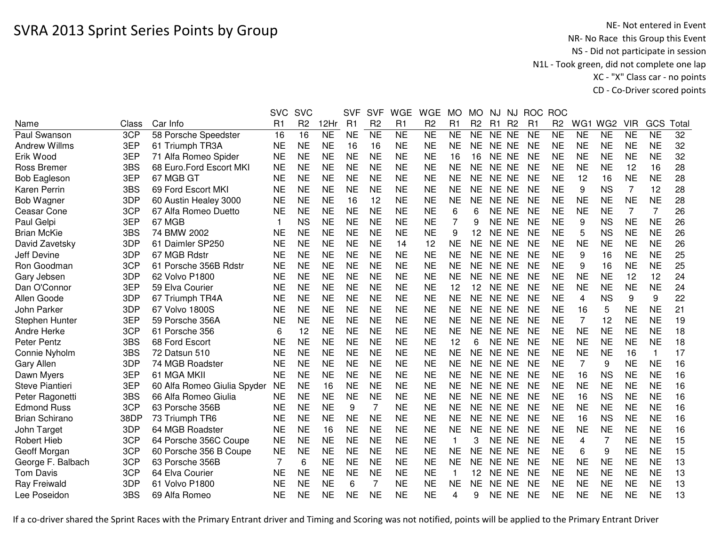|                       |       |                             | <b>SVC</b> | <b>SVC</b>     |           | <b>SVF</b> | <b>SVF</b>     | <b>WGE</b> | <b>WGE</b>     | <b>MO</b>    | <b>MO</b>      | NJ.       | NJ             | <b>ROC</b>     | <b>ROC</b>     |                 |                 |            |           |      |
|-----------------------|-------|-----------------------------|------------|----------------|-----------|------------|----------------|------------|----------------|--------------|----------------|-----------|----------------|----------------|----------------|-----------------|-----------------|------------|-----------|------|
| Name                  | Class | Car Info                    | R1         | R <sub>2</sub> | 12Hr      | R1         | R <sub>2</sub> | R1         | R <sub>2</sub> | R1           | R <sub>2</sub> | R1        | R <sub>2</sub> | R <sub>1</sub> | R <sub>2</sub> | WG <sub>1</sub> | WG <sub>2</sub> | <b>VIR</b> | GCS       | Tota |
| Paul Swanson          | 3CP   | 58 Porsche Speedster        | 16         | 16             | <b>NE</b> | <b>NE</b>  | <b>NE</b>      | <b>NE</b>  | <b>NE</b>      | <b>NE</b>    | <b>NE</b>      | NE NE     |                | <b>NE</b>      | <b>NE</b>      | <b>NE</b>       | <b>NE</b>       | <b>NE</b>  | <b>NE</b> | 32   |
| <b>Andrew Willms</b>  | 3EP   | 61 Triumph TR3A             | <b>NE</b>  | <b>NE</b>      | <b>NE</b> | 16         | 16             | <b>NE</b>  | <b>NE</b>      | <b>NE</b>    | <b>NE</b>      | <b>NE</b> | NE             | <b>NE</b>      | <b>NE</b>      | <b>NE</b>       | <b>NE</b>       | <b>NE</b>  | <b>NE</b> | 32   |
| Erik Wood             | 3EP   | 71 Alfa Romeo Spider        | <b>NE</b>  | <b>NE</b>      | <b>NE</b> | <b>NE</b>  | <b>NE</b>      | <b>NE</b>  | <b>NE</b>      | 16           | 16             | NE NE     |                | <b>NE</b>      | <b>NE</b>      | <b>NE</b>       | <b>NE</b>       | <b>NE</b>  | <b>NE</b> | 32   |
| Ross Bremer           | 3BS   | 68 Euro. Ford Escort MKI    | <b>NE</b>  | <b>NE</b>      | <b>NE</b> | <b>NE</b>  | <b>NE</b>      | <b>NE</b>  | <b>NE</b>      | <b>NE</b>    | <b>NE</b>      | NE NE     |                | <b>NE</b>      | <b>NE</b>      | <b>NE</b>       | <b>NE</b>       | 12         | 16        | 28   |
| <b>Bob Eagleson</b>   | 3EP   | 67 MGB GT                   | <b>NE</b>  | <b>NE</b>      | <b>NE</b> | <b>NE</b>  | <b>NE</b>      | <b>NE</b>  | <b>NE</b>      | <b>NE</b>    | <b>NE</b>      | NE NE     |                | <b>NE</b>      | <b>NE</b>      | 12              | 16              | <b>NE</b>  | <b>NE</b> | 28   |
| Karen Perrin          | 3BS   | 69 Ford Escort MKI          | <b>NE</b>  | <b>NE</b>      | <b>NE</b> | <b>NE</b>  | <b>NE</b>      | <b>NE</b>  | <b>NE</b>      | <b>NE</b>    | NE             | NE NE     |                | <b>NE</b>      | <b>NE</b>      | 9               | <b>NS</b>       | 7          | 12        | 28   |
| Bob Wagner            | 3DP   | 60 Austin Healey 3000       | <b>NE</b>  | <b>NE</b>      | <b>NE</b> | 16         | 12             | <b>NE</b>  | <b>NE</b>      | <b>NE</b>    | <b>NE</b>      | NE NE     |                | <b>NE</b>      | <b>NE</b>      | <b>NE</b>       | <b>NE</b>       | <b>NE</b>  | <b>NE</b> | 28   |
| Ceasar Cone           | 3CP   | 67 Alfa Romeo Duetto        | <b>NE</b>  | <b>NE</b>      | <b>NE</b> | <b>NE</b>  | <b>NE</b>      | <b>NE</b>  | <b>NE</b>      | 6            | 6              | NE NE     |                | <b>NE</b>      | <b>NE</b>      | <b>NE</b>       | <b>NE</b>       | 7          | 7         | 26   |
| Paul Gelpi            | 3EP   | 67 MGB                      | -1         | <b>NS</b>      | <b>NE</b> | <b>NE</b>  | <b>NE</b>      | <b>NE</b>  | <b>NE</b>      | 7            | 9              | NE NE     |                | <b>NE</b>      | <b>NE</b>      | 9               | <b>NS</b>       | <b>NE</b>  | <b>NE</b> | 26   |
| <b>Brian McKie</b>    | 3BS   | 74 BMW 2002                 | <b>NE</b>  | <b>NE</b>      | <b>NE</b> | <b>NE</b>  | <b>NE</b>      | <b>NE</b>  | <b>NE</b>      | 9            | 12             | NE NE     |                | <b>NE</b>      | <b>NE</b>      | 5               | <b>NS</b>       | <b>NE</b>  | <b>NE</b> | 26   |
| David Zavetsky        | 3DP   | 61 Daimler SP250            | <b>NE</b>  | <b>NE</b>      | <b>NE</b> | <b>NE</b>  | <b>NE</b>      | 14         | 12             | <b>NE</b>    | <b>NE</b>      | NE NE     |                | <b>NE</b>      | <b>NE</b>      | <b>NE</b>       | <b>NE</b>       | <b>NE</b>  | <b>NE</b> | 26   |
| Jeff Devine           | 3DP   | 67 MGB Rdstr                | <b>NE</b>  | <b>NE</b>      | <b>NE</b> | <b>NE</b>  | <b>NE</b>      | <b>NE</b>  | <b>NE</b>      | <b>NE</b>    | <b>NE</b>      | NE NE     |                | <b>NE</b>      | <b>NE</b>      | 9               | 16              | <b>NE</b>  | <b>NE</b> | 25   |
| Ron Goodman           | 3CP   | 61 Porsche 356B Rdstr       | <b>NE</b>  | <b>NE</b>      | <b>NE</b> | <b>NE</b>  | <b>NE</b>      | <b>NE</b>  | <b>NE</b>      | <b>NE</b>    | <b>NE</b>      | NE NE     |                | <b>NE</b>      | <b>NE</b>      | 9               | 16              | <b>NE</b>  | <b>NE</b> | 25   |
| Gary Jebsen           | 3DP   | 62 Volvo P1800              | <b>NE</b>  | NE             | <b>NE</b> | <b>NE</b>  | <b>NE</b>      | <b>NE</b>  | <b>NE</b>      | <b>NE</b>    | <b>NE</b>      | <b>NE</b> | NE.            | <b>NE</b>      | <b>NE</b>      | <b>NE</b>       | <b>NE</b>       | 12         | 12        | 24   |
| Dan O'Connor          | 3EP   | 59 Elva Courier             | <b>NE</b>  | <b>NE</b>      | <b>NE</b> | <b>NE</b>  | <b>NE</b>      | <b>NE</b>  | <b>NE</b>      | 12           | 12             | <b>NE</b> | NE.            | <b>NE</b>      | <b>NE</b>      | <b>NE</b>       | <b>NE</b>       | <b>NE</b>  | <b>NE</b> | 24   |
| Allen Goode           | 3DP   | 67 Triumph TR4A             | NE         | <b>NE</b>      | <b>NE</b> | <b>NE</b>  | <b>NE</b>      | <b>NE</b>  | <b>NE</b>      | <b>NE</b>    | NE             | <b>NE</b> | NE             | <b>NE</b>      | <b>NE</b>      | 4               | <b>NS</b>       | 9          | 9         | 22   |
| John Parker           | 3DP   | 67 Volvo 1800S              | NE         | <b>NE</b>      | <b>NE</b> | <b>NE</b>  | <b>NE</b>      | <b>NE</b>  | <b>NE</b>      | <b>NE</b>    | <b>NE</b>      | NE NE     |                | <b>NE</b>      | <b>NE</b>      | 16              | 5               | <b>NE</b>  | <b>NE</b> | 21   |
| Stephen Hunter        | 3EP   | 59 Porsche 356A             | <b>NE</b>  | <b>NE</b>      | <b>NE</b> | <b>NE</b>  | <b>NE</b>      | <b>NE</b>  | <b>NE</b>      | <b>NE</b>    | <b>NE</b>      | NE NE     |                | <b>NE</b>      | <b>NE</b>      | $\overline{7}$  | 12              | <b>NE</b>  | <b>NE</b> | 19   |
| Andre Herke           | 3CP   | 61 Porsche 356              | 6          | 12             | <b>NE</b> | <b>NE</b>  | <b>NE</b>      | <b>NE</b>  | <b>NE</b>      | <b>NE</b>    | <b>NE</b>      | NE NE     |                | <b>NE</b>      | <b>NE</b>      | <b>NE</b>       | <b>NE</b>       | <b>NE</b>  | <b>NE</b> | 18   |
| Peter Pentz           | 3BS   | 68 Ford Escort              | <b>NE</b>  | <b>NE</b>      | <b>NE</b> | <b>NE</b>  | <b>NE</b>      | <b>NE</b>  | <b>NE</b>      | 12           | 6              | NE NE     |                | <b>NE</b>      | <b>NE</b>      | <b>NE</b>       | <b>NE</b>       | <b>NE</b>  | <b>NE</b> | 18   |
| Connie Nyholm         | 3BS   | 72 Datsun 510               | <b>NE</b>  | <b>NE</b>      | <b>NE</b> | <b>NE</b>  | <b>NE</b>      | <b>NE</b>  | <b>NE</b>      | <b>NE</b>    | <b>NE</b>      | NE NE     |                | <b>NE</b>      | <b>NE</b>      | <b>NE</b>       | <b>NE</b>       | 16         | 1         | 17   |
| Gary Allen            | 3DP   | 74 MGB Roadster             | NE         | <b>NE</b>      | <b>NE</b> | <b>NE</b>  | <b>NE</b>      | <b>NE</b>  | <b>NE</b>      | <b>NE</b>    | <b>NE</b>      | NE NE     |                | <b>NE</b>      | <b>NE</b>      | $\overline{7}$  | 9               | <b>NE</b>  | <b>NE</b> | 16   |
| Dawn Myers            | 3EP   | 61 MGA MKII                 | <b>NE</b>  | <b>NE</b>      | <b>NE</b> | <b>NE</b>  | <b>NE</b>      | <b>NE</b>  | <b>NE</b>      | <b>NE</b>    | <b>NE</b>      | NE NE     |                | <b>NE</b>      | <b>NE</b>      | 16              | <b>NS</b>       | <b>NE</b>  | <b>NE</b> | 16   |
| Steve Piantieri       | 3EP   | 60 Alfa Romeo Giulia Spyder | <b>NE</b>  | <b>NE</b>      | 16        | <b>NE</b>  | <b>NE</b>      | <b>NE</b>  | <b>NE</b>      | <b>NE</b>    | <b>NE</b>      | NE NE     |                | <b>NE</b>      | <b>NE</b>      | <b>NE</b>       | <b>NE</b>       | <b>NE</b>  | <b>NE</b> | 16   |
| Peter Ragonetti       | 3BS   | 66 Alfa Romeo Giulia        | <b>NE</b>  | <b>NE</b>      | <b>NE</b> | <b>NE</b>  | <b>NE</b>      | <b>NE</b>  | <b>NE</b>      | <b>NE</b>    | <b>NE</b>      | NE NE     |                | <b>NE</b>      | <b>NE</b>      | 16              | <b>NS</b>       | <b>NE</b>  | <b>NE</b> | 16   |
| <b>Edmond Russ</b>    | 3CP   | 63 Porsche 356B             | <b>NE</b>  | <b>NE</b>      | <b>NE</b> | 9          | $\overline{7}$ | <b>NE</b>  | <b>NE</b>      | <b>NE</b>    | <b>NE</b>      | NE NE     |                | <b>NE</b>      | <b>NE</b>      | <b>NE</b>       | <b>NE</b>       | <b>NE</b>  | <b>NE</b> | 16   |
| <b>Brian Schirano</b> | 38DP  | 73 Triumph TR6              | <b>NE</b>  | <b>NE</b>      | <b>NE</b> | <b>NE</b>  | <b>NE</b>      | <b>NE</b>  | <b>NE</b>      | <b>NE</b>    | <b>NE</b>      | NE NE     |                | <b>NE</b>      | <b>NE</b>      | 16              | <b>NS</b>       | <b>NE</b>  | <b>NE</b> | 16   |
| John Target           | 3DP   | 64 MGB Roadster             | <b>NE</b>  | <b>NE</b>      | 16        | <b>NE</b>  | <b>NE</b>      | <b>NE</b>  | <b>NE</b>      | <b>NE</b>    | <b>NE</b>      | NE NE     |                | <b>NE</b>      | <b>NE</b>      | <b>NE</b>       | <b>NE</b>       | <b>NE</b>  | <b>NE</b> | 16   |
| Robert Hieb           | 3CP   | 64 Porsche 356C Coupe       | <b>NE</b>  | <b>NE</b>      | <b>NE</b> | <b>NE</b>  | <b>NE</b>      | <b>NE</b>  | <b>NE</b>      | $\mathbf{1}$ | 3              | <b>NE</b> | <b>NE</b>      | <b>NE</b>      | <b>NE</b>      | 4               | $\overline{7}$  | <b>NE</b>  | <b>NE</b> | 15   |
| Geoff Morgan          | 3CP   | 60 Porsche 356 B Coupe      | <b>NE</b>  | <b>NE</b>      | <b>NE</b> | <b>NE</b>  | <b>NE</b>      | <b>NE</b>  | <b>NE</b>      | <b>NE</b>    | <b>NE</b>      | <b>NE</b> | <b>NE</b>      | <b>NE</b>      | <b>NE</b>      | 6               | 9               | <b>NE</b>  | <b>NE</b> | 15   |
| George F. Balbach     | 3CP   | 63 Porsche 356B             | 7          | 6              | <b>NE</b> | <b>NE</b>  | <b>NE</b>      | <b>NE</b>  | <b>NE</b>      | <b>NE</b>    | NE             | <b>NE</b> | NE             | <b>NE</b>      | <b>NE</b>      | <b>NE</b>       | <b>NE</b>       | <b>NE</b>  | <b>NE</b> | 13   |
| <b>Tom Davis</b>      | 3CP   | 64 Elva Courier             | NE         | <b>NE</b>      | <b>NE</b> | <b>NE</b>  | <b>NE</b>      | <b>NE</b>  | <b>NE</b>      | 1            | 12             | <b>NE</b> | NE.            | <b>NE</b>      | <b>NE</b>      | <b>NE</b>       | <b>NE</b>       | <b>NE</b>  | <b>NE</b> | 13   |
| Ray Freiwald          | 3DP   | 61 Volvo P1800              | <b>NE</b>  | <b>NE</b>      | <b>NE</b> | 6          | $\overline{7}$ | <b>NE</b>  | <b>NE</b>      | <b>NE</b>    | <b>NE</b>      | <b>NE</b> | <b>NE</b>      | <b>NE</b>      | <b>NE</b>      | <b>NE</b>       | <b>NE</b>       | <b>NE</b>  | <b>NE</b> | 13   |
| Lee Poseidon          | 3BS   | 69 Alfa Romeo               | NE         | <b>NE</b>      | <b>NE</b> | <b>NE</b>  | <b>NE</b>      | <b>NE</b>  | <b>NE</b>      | 4            | 9              | NE NE     |                | <b>NE</b>      | <b>NE</b>      | <b>NE</b>       | <b>NE</b>       | <b>NE</b>  | <b>NE</b> | 13   |
|                       |       |                             |            |                |           |            |                |            |                |              |                |           |                |                |                |                 |                 |            |           |      |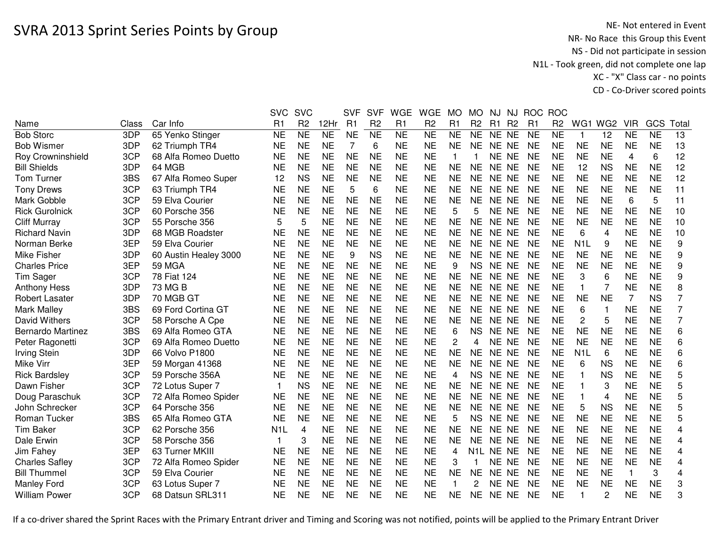## SVRA 2013 Sprint Series Points by Group

NE- Not entered in Event<br>NR- No Race this Group this Event NS - Did not participate in session N1L - Took green, did not complete one lap XC - "X" Class car - no pointsCD - Co-Driver scored points

|                          |       |                       | <b>SVC</b>       | <b>SVC</b>     |           | <b>SVF</b>     | <b>SVF</b>      | <b>WGE</b>      | <b>WGE</b>     | <b>MO</b>      | MO.            | NJ.       | NJ             | <b>ROC</b>     | <b>ROC</b>     |                  |                 |            |                |                |
|--------------------------|-------|-----------------------|------------------|----------------|-----------|----------------|-----------------|-----------------|----------------|----------------|----------------|-----------|----------------|----------------|----------------|------------------|-----------------|------------|----------------|----------------|
| Name                     | Class | Car Info              | R1               | R <sub>2</sub> | 12Hr      | R1             | R <sub>2</sub>  | R1              | R <sub>2</sub> | R <sub>1</sub> | R <sub>2</sub> | R1        | R <sub>2</sub> | R <sub>1</sub> | R <sub>2</sub> | WG1              | WG <sub>2</sub> | <b>VIR</b> | GCS            | Total          |
| <b>Bob Storc</b>         | 3DP   | 65 Yenko Stinger      | <b>NE</b>        | <b>NE</b>      | <b>NE</b> | <b>NE</b>      | $\overline{NE}$ | $\overline{NE}$ | <b>NE</b>      | <b>NE</b>      | <b>NE</b>      | NE NE     |                | <b>NE</b>      | <b>NE</b>      | -1               | 12              | <b>NE</b>  | N <sub>E</sub> | 13             |
| <b>Bob Wismer</b>        | 3DP   | 62 Triumph TR4        | <b>NE</b>        | <b>NE</b>      | <b>NE</b> | $\overline{7}$ | 6               | <b>NE</b>       | <b>NE</b>      | <b>NE</b>      | <b>NE</b>      | NE NE     |                | <b>NE</b>      | <b>NE</b>      | <b>NE</b>        | <b>NE</b>       | <b>NE</b>  | <b>NE</b>      | 13             |
| <b>Roy Crowninshield</b> | 3CP   | 68 Alfa Romeo Duetto  | <b>NE</b>        | <b>NE</b>      | <b>NE</b> | <b>NE</b>      | <b>NE</b>       | <b>NE</b>       | <b>NE</b>      | $\mathbf 1$    |                | NE NE     |                | <b>NE</b>      | <b>NE</b>      | <b>NE</b>        | <b>NE</b>       | 4          | 6              | 12             |
| <b>Bill Shields</b>      | 3DP   | 64 MGB                | <b>NE</b>        | <b>NE</b>      | <b>NE</b> | <b>NE</b>      | <b>NE</b>       | <b>NE</b>       | <b>NE</b>      | <b>NE</b>      | <b>NE</b>      | NE NE     |                | <b>NE</b>      | <b>NE</b>      | 12               | <b>NS</b>       | <b>NE</b>  | <b>NE</b>      | 12             |
| Tom Turner               | 3BS   | 67 Alfa Romeo Super   | 12               | <b>NS</b>      | <b>NE</b> | <b>NE</b>      | <b>NE</b>       | <b>NE</b>       | <b>NE</b>      | <b>NE</b>      | <b>NE</b>      | NE NE     |                | <b>NE</b>      | <b>NE</b>      | <b>NE</b>        | <b>NE</b>       | <b>NE</b>  | <b>NE</b>      | 12             |
| <b>Tony Drews</b>        | 3CP   | 63 Triumph TR4        | <b>NE</b>        | <b>NE</b>      | <b>NE</b> | 5              | 6               | <b>NE</b>       | <b>NE</b>      | <b>NE</b>      | NE.            | NE NE     |                | <b>NE</b>      | <b>NE</b>      | <b>NE</b>        | <b>NE</b>       | <b>NE</b>  | <b>NE</b>      | 11             |
| Mark Gobble              | 3CP   | 59 Elva Courier       | <b>NE</b>        | <b>NE</b>      | <b>NE</b> | <b>NE</b>      | <b>NE</b>       | <b>NE</b>       | <b>NE</b>      | <b>NE</b>      | <b>NE</b>      | NE NE     |                | <b>NE</b>      | <b>NE</b>      | <b>NE</b>        | <b>NE</b>       | 6          | 5              | 11             |
| <b>Rick Gurolnick</b>    | 3CP   | 60 Porsche 356        | <b>NE</b>        | <b>NE</b>      | <b>NE</b> | <b>NE</b>      | <b>NE</b>       | <b>NE</b>       | <b>NE</b>      | 5              | 5              | NE NE     |                | <b>NE</b>      | <b>NE</b>      | <b>NE</b>        | <b>NE</b>       | <b>NE</b>  | <b>NE</b>      | 10             |
| <b>Cliff Murray</b>      | 3CP   | 55 Porsche 356        | 5                | 5              | <b>NE</b> | <b>NE</b>      | <b>NE</b>       | <b>NE</b>       | <b>NE</b>      | <b>NE</b>      | <b>NE</b>      | NE NE     |                | <b>NE</b>      | <b>NE</b>      | <b>NE</b>        | <b>NE</b>       | <b>NE</b>  | <b>NE</b>      | 10             |
| <b>Richard Navin</b>     | 3DP   | 68 MGB Roadster       | <b>NE</b>        | <b>NE</b>      | <b>NE</b> | <b>NE</b>      | <b>NE</b>       | <b>NE</b>       | <b>NE</b>      | <b>NE</b>      | <b>NE</b>      | NE NE     |                | <b>NE</b>      | <b>NE</b>      | 6                | 4               | <b>NE</b>  | <b>NE</b>      | 10             |
| Norman Berke             | 3EP   | 59 Elva Courier       | <b>NE</b>        | <b>NE</b>      | <b>NE</b> | <b>NE</b>      | <b>NE</b>       | <b>NE</b>       | <b>NE</b>      | <b>NE</b>      | <b>NE</b>      | NE NE     |                | <b>NE</b>      | <b>NE</b>      | N <sub>1</sub> L | 9               | <b>NE</b>  | <b>NE</b>      | 9              |
| <b>Mike Fisher</b>       | 3DP   | 60 Austin Healey 3000 | <b>NE</b>        | <b>NE</b>      | <b>NE</b> | 9              | <b>NS</b>       | <b>NE</b>       | <b>NE</b>      | <b>NE</b>      | <b>NE</b>      | <b>NE</b> | NE             | <b>NE</b>      | <b>NE</b>      | <b>NE</b>        | <b>NE</b>       | <b>NE</b>  | <b>NE</b>      | 9              |
| <b>Charles Price</b>     | 3EP   | <b>59 MGA</b>         | <b>NE</b>        | <b>NE</b>      | <b>NE</b> | <b>NE</b>      | <b>NE</b>       | <b>NE</b>       | <b>NE</b>      | 9              | <b>NS</b>      | <b>NE</b> | <b>NE</b>      | <b>NE</b>      | <b>NE</b>      | <b>NE</b>        | <b>NE</b>       | <b>NE</b>  | <b>NE</b>      | 9              |
| Tim Sager                | 3CP   | 78 Fiat 124           | <b>NE</b>        | <b>NE</b>      | <b>NE</b> | <b>NE</b>      | <b>NE</b>       | <b>NE</b>       | <b>NE</b>      | <b>NE</b>      | <b>NE</b>      | <b>NE</b> | NE             | <b>NE</b>      | <b>NE</b>      | 3                | 6               | <b>NE</b>  | <b>NE</b>      | 9              |
| <b>Anthony Hess</b>      | 3DP   | 73 MG B               | <b>NE</b>        | <b>NE</b>      | <b>NE</b> | <b>NE</b>      | <b>NE</b>       | <b>NE</b>       | <b>NE</b>      | <b>NE</b>      | <b>NE</b>      | <b>NE</b> | <b>NE</b>      | <b>NE</b>      | <b>NE</b>      | $\mathbf{1}$     | $\overline{7}$  | <b>NE</b>  | <b>NE</b>      | 8              |
| <b>Robert Lasater</b>    | 3DP   | 70 MGB GT             | <b>NE</b>        | <b>NE</b>      | <b>NE</b> | <b>NE</b>      | <b>NE</b>       | <b>NE</b>       | <b>NE</b>      | <b>NE</b>      | <b>NE</b>      | NE NE     |                | <b>NE</b>      | <b>NE</b>      | <b>NE</b>        | <b>NE</b>       | 7          | <b>NS</b>      | 7              |
| <b>Mark Malley</b>       | 3BS   | 69 Ford Cortina GT    | <b>NE</b>        | <b>NE</b>      | <b>NE</b> | <b>NE</b>      | <b>NE</b>       | <b>NE</b>       | <b>NE</b>      | <b>NE</b>      | <b>NE</b>      | NE NE     |                | <b>NE</b>      | <b>NE</b>      | 6                | $\mathbf{1}$    | <b>NE</b>  | <b>NE</b>      | $\overline{7}$ |
| David Withers            | 3CP   | 58 Porsche A Cpe      | <b>NE</b>        | <b>NE</b>      | <b>NE</b> | <b>NE</b>      | <b>NE</b>       | <b>NE</b>       | <b>NE</b>      | <b>NE</b>      | <b>NE</b>      | NE NE     |                | <b>NE</b>      | <b>NE</b>      | $\overline{c}$   | 5               | <b>NE</b>  | <b>NE</b>      | 7              |
| <b>Bernardo Martinez</b> | 3BS   | 69 Alfa Romeo GTA     | <b>NE</b>        | <b>NE</b>      | <b>NE</b> | <b>NE</b>      | <b>NE</b>       | <b>NE</b>       | <b>NE</b>      | 6              | <b>NS</b>      | NE NE     |                | <b>NE</b>      | <b>NE</b>      | <b>NE</b>        | <b>NE</b>       | <b>NE</b>  | <b>NE</b>      | 6              |
| Peter Ragonetti          | 3CP   | 69 Alfa Romeo Duetto  | <b>NE</b>        | NE             | <b>NE</b> | <b>NE</b>      | <b>NE</b>       | <b>NE</b>       | <b>NE</b>      | $\overline{c}$ | 4              | NE NE     |                | <b>NE</b>      | <b>NE</b>      | <b>NE</b>        | <b>NE</b>       | <b>NE</b>  | <b>NE</b>      | 6              |
| <b>Irving Stein</b>      | 3DP   | 66 Volvo P1800        | <b>NE</b>        | <b>NE</b>      | <b>NE</b> | <b>NE</b>      | <b>NE</b>       | <b>NE</b>       | <b>NE</b>      | <b>NE</b>      | <b>NE</b>      | NE NE     |                | <b>NE</b>      | <b>NE</b>      | N <sub>1</sub> L | 6               | <b>NE</b>  | <b>NE</b>      | 6              |
| Mike Virr                | 3EP   | 59 Morgan 41368       | <b>NE</b>        | <b>NE</b>      | <b>NE</b> | <b>NE</b>      | <b>NE</b>       | <b>NE</b>       | <b>NE</b>      | <b>NE</b>      | <b>NE</b>      | NE NE     |                | <b>NE</b>      | <b>NE</b>      | 6                | <b>NS</b>       | <b>NE</b>  | <b>NE</b>      | 6              |
| <b>Rick Bardsley</b>     | 3CP   | 59 Porsche 356A       | <b>NE</b>        | <b>NE</b>      | <b>NE</b> | <b>NE</b>      | <b>NE</b>       | <b>NE</b>       | <b>NE</b>      | 4              | <b>NS</b>      | NE NE     |                | <b>NE</b>      | <b>NE</b>      | -1               | <b>NS</b>       | <b>NE</b>  | <b>NE</b>      | 5              |
| Dawn Fisher              | 3CP   | 72 Lotus Super 7      | 1                | <b>NS</b>      | <b>NE</b> | <b>NE</b>      | <b>NE</b>       | <b>NE</b>       | <b>NE</b>      | <b>NE</b>      | <b>NE</b>      | NE NE     |                | <b>NE</b>      | <b>NE</b>      |                  | 3               | <b>NE</b>  | <b>NE</b>      | 5              |
| Doug Paraschuk           | 3CP   | 72 Alfa Romeo Spider  | <b>NE</b>        | <b>NE</b>      | <b>NE</b> | <b>NE</b>      | <b>NE</b>       | <b>NE</b>       | <b>NE</b>      | <b>NE</b>      | <b>NE</b>      | NE NE     |                | <b>NE</b>      | <b>NE</b>      |                  | $\overline{4}$  | <b>NE</b>  | <b>NE</b>      | 5              |
| John Schrecker           | 3CP   | 64 Porsche 356        | <b>NE</b>        | <b>NE</b>      | <b>NE</b> | <b>NE</b>      | <b>NE</b>       | <b>NE</b>       | <b>NE</b>      | <b>NE</b>      | <b>NE</b>      | <b>NE</b> | <b>NE</b>      | <b>NE</b>      | <b>NE</b>      | 5                | <b>NS</b>       | <b>NE</b>  | <b>NE</b>      | 5              |
| Roman Tucker             | 3BS   | 65 Alfa Romeo GTA     | <b>NE</b>        | <b>NE</b>      | <b>NE</b> | <b>NE</b>      | <b>NE</b>       | <b>NE</b>       | <b>NE</b>      | 5              | <b>NS</b>      | <b>NE</b> | NE.            | <b>NE</b>      | <b>NE</b>      | <b>NE</b>        | <b>NE</b>       | <b>NE</b>  | <b>NE</b>      | 5              |
| <b>Tim Baker</b>         | 3CP   | 62 Porsche 356        | N <sub>1</sub> L | 4              | <b>NE</b> | <b>NE</b>      | <b>NE</b>       | <b>NE</b>       | <b>NE</b>      | <b>NE</b>      | <b>NE</b>      | NE.       | NE.            | <b>NE</b>      | <b>NE</b>      | <b>NE</b>        | <b>NE</b>       | <b>NE</b>  | <b>NE</b>      | 4              |
| Dale Erwin               | 3CP   | 58 Porsche 356        | 1                | 3              | <b>NE</b> | <b>NE</b>      | <b>NE</b>       | <b>NE</b>       | <b>NE</b>      | <b>NE</b>      | <b>NE</b>      | NE        | NE.            | <b>NE</b>      | <b>NE</b>      | <b>NE</b>        | <b>NE</b>       | <b>NE</b>  | <b>NE</b>      | 4              |
| Jim Fahey                | 3EP   | 63 Turner MKIII       | <b>NE</b>        | <b>NE</b>      | <b>NE</b> | <b>NE</b>      | <b>NE</b>       | <b>NE</b>       | <b>NE</b>      | 4              | N1L.           | NE NE     |                | <b>NE</b>      | <b>NE</b>      | <b>NE</b>        | <b>NE</b>       | <b>NE</b>  | <b>NE</b>      | 4              |
| <b>Charles Safley</b>    | 3CP   | 72 Alfa Romeo Spider  | <b>NE</b>        | <b>NE</b>      | <b>NE</b> | <b>NE</b>      | <b>NE</b>       | <b>NE</b>       | <b>NE</b>      | 3              |                | NE NE     |                | <b>NE</b>      | <b>NE</b>      | <b>NE</b>        | <b>NE</b>       | <b>NE</b>  | <b>NE</b>      | 4              |
| <b>Bill Thummel</b>      | 3CP   | 59 Elva Courier       | <b>NE</b>        | <b>NE</b>      | <b>NE</b> | <b>NE</b>      | <b>NE</b>       | <b>NE</b>       | <b>NE</b>      | <b>NE</b>      | <b>NE</b>      | NE NE     |                | <b>NE</b>      | <b>NE</b>      | <b>NE</b>        | <b>NE</b>       |            | 3              | 4              |
| <b>Manley Ford</b>       | 3CP   | 63 Lotus Super 7      | <b>NE</b>        | <b>NE</b>      | <b>NE</b> | <b>NE</b>      | <b>NE</b>       | <b>NE</b>       | <b>NE</b>      |                | 2              | NE NE     |                | <b>NE</b>      | <b>NE</b>      | <b>NE</b>        | <b>NE</b>       | <b>NE</b>  | <b>NE</b>      | 3              |
| <b>William Power</b>     | 3CP   | 68 Datsun SRL311      | <b>NE</b>        | <b>NE</b>      | <b>NE</b> | <b>NE</b>      | <b>NE</b>       | <b>NE</b>       | <b>NE</b>      | <b>NE</b>      | <b>NE</b>      | NE NE     |                | <b>NE</b>      | <b>NE</b>      |                  | 2               | <b>NE</b>  | <b>NE</b>      | 3              |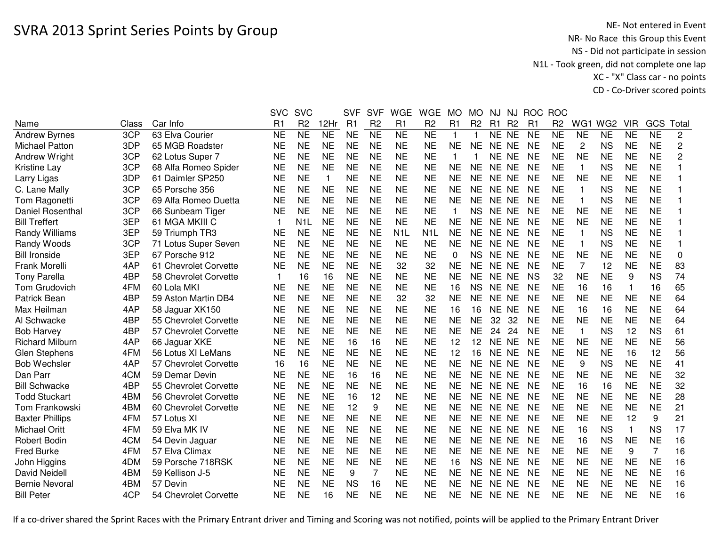|                        |       |                       | <b>SVC</b>     | <b>SVC</b>       |                 | <b>SVF</b> | <b>SVF</b>     | <b>WGE</b>       | <b>WGE</b>          | <b>MO</b>      | <b>MO</b>      | <b>NJ</b>      | NJ             |           | ROC ROC        |                |                 |            |                 |                |
|------------------------|-------|-----------------------|----------------|------------------|-----------------|------------|----------------|------------------|---------------------|----------------|----------------|----------------|----------------|-----------|----------------|----------------|-----------------|------------|-----------------|----------------|
| Name                   | Class | Car Info              | R <sub>1</sub> | R <sub>2</sub>   | 12Hr            | R1         | R <sub>2</sub> | R1               | R <sub>2</sub>      | R <sub>1</sub> | R <sub>2</sub> | R <sub>1</sub> | R <sub>2</sub> | R1        | R <sub>2</sub> | WG1            | WG <sub>2</sub> | <b>VIR</b> | GCS             | Total          |
| <b>Andrew Byrnes</b>   | 3CP   | 63 Elva Courier       | <b>NE</b>      | $\overline{NE}$  | $\overline{NE}$ | <b>NE</b>  | N <sub>E</sub> | N <sub>E</sub>   | $\overline{\sf NE}$ | $\mathbf{1}$   |                | NE NE          |                | <b>NE</b> | <b>NE</b>      | <b>NE</b>      | <b>NE</b>       | <b>NE</b>  | $\overline{NE}$ | $\overline{c}$ |
| <b>Michael Patton</b>  | 3DP   | 65 MGB Roadster       | <b>NE</b>      | <b>NE</b>        | <b>NE</b>       | <b>NE</b>  | <b>NE</b>      | <b>NE</b>        | <b>NE</b>           | <b>NE</b>      | <b>NE</b>      | NE NE          |                | <b>NE</b> | <b>NE</b>      | $\overline{2}$ | <b>NS</b>       | <b>NE</b>  | <b>NE</b>       | 2              |
| <b>Andrew Wright</b>   | 3CP   | 62 Lotus Super 7      | <b>NE</b>      | <b>NE</b>        | <b>NE</b>       | <b>NE</b>  | <b>NE</b>      | <b>NE</b>        | <b>NE</b>           | 1              |                | NE NE          |                | <b>NE</b> | <b>NE</b>      | <b>NE</b>      | <b>NE</b>       | <b>NE</b>  | <b>NE</b>       | $\overline{c}$ |
| <b>Kristine Lay</b>    | 3CP   | 68 Alfa Romeo Spider  | <b>NE</b>      | <b>NE</b>        | <b>NE</b>       | <b>NE</b>  | <b>NE</b>      | <b>NE</b>        | <b>NE</b>           | <b>NE</b>      | <b>NE</b>      | NE NE          |                | <b>NE</b> | <b>NE</b>      | -1             | <b>NS</b>       | <b>NE</b>  | <b>NE</b>       |                |
| Larry Ligas            | 3DP   | 61 Daimler SP250      | NE             | <b>NE</b>        | $\mathbf 1$     | <b>NE</b>  | <b>NE</b>      | <b>NE</b>        | <b>NE</b>           | NE             | NE.            | NE NE          |                | <b>NE</b> | <b>NE</b>      | NE             | <b>NE</b>       | <b>NE</b>  | <b>NE</b>       |                |
| C. Lane Mally          | 3CP   | 65 Porsche 356        | <b>NE</b>      | <b>NE</b>        | <b>NE</b>       | <b>NE</b>  | <b>NE</b>      | <b>NE</b>        | <b>NE</b>           | <b>NE</b>      | <b>NE</b>      | NE NE          |                | <b>NE</b> | <b>NE</b>      | $\mathbf 1$    | <b>NS</b>       | <b>NE</b>  | <b>NE</b>       |                |
| Tom Ragonetti          | 3CP   | 69 Alfa Romeo Duetta  | <b>NE</b>      | <b>NE</b>        | <b>NE</b>       | <b>NE</b>  | <b>NE</b>      | <b>NE</b>        | <b>NE</b>           | <b>NE</b>      | <b>NE</b>      | NE NE          |                | <b>NE</b> | <b>NE</b>      | -1             | <b>NS</b>       | <b>NE</b>  | <b>NE</b>       |                |
| Daniel Rosenthal       | 3CP   | 66 Sunbeam Tiger      | <b>NE</b>      | <b>NE</b>        | <b>NE</b>       | <b>NE</b>  | <b>NE</b>      | <b>NE</b>        | <b>NE</b>           | $\mathbf{1}$   | <b>NS</b>      | NE NE          |                | <b>NE</b> | <b>NE</b>      | <b>NE</b>      | <b>NE</b>       | <b>NE</b>  | <b>NE</b>       |                |
| <b>Bill Treffert</b>   | 3EP   | 61 MGA MKIII C        | $\mathbf 1$    | N <sub>1</sub> L | <b>NE</b>       | <b>NE</b>  | <b>NE</b>      | <b>NE</b>        | <b>NE</b>           | <b>NE</b>      | <b>NE</b>      | NE NE          |                | <b>NE</b> | <b>NE</b>      | <b>NE</b>      | <b>NE</b>       | <b>NE</b>  | <b>NE</b>       |                |
| Randy Williams         | 3EP   | 59 Triumph TR3        | <b>NE</b>      | <b>NE</b>        | <b>NE</b>       | <b>NE</b>  | <b>NE</b>      | N <sub>1</sub> L | N <sub>1</sub> L    | <b>NE</b>      | <b>NE</b>      | NE NE          |                | <b>NE</b> | <b>NE</b>      | $\mathbf{1}$   | <b>NS</b>       | <b>NE</b>  | <b>NE</b>       |                |
| Randy Woods            | 3CP   | 71 Lotus Super Seven  | <b>NE</b>      | <b>NE</b>        | <b>NE</b>       | <b>NE</b>  | <b>NE</b>      | <b>NE</b>        | <b>NE</b>           | <b>NE</b>      | <b>NE</b>      | NE.            | <b>NE</b>      | <b>NE</b> | <b>NE</b>      | -1             | <b>NS</b>       | <b>NE</b>  | <b>NE</b>       |                |
| <b>Bill Ironside</b>   | 3EP   | 67 Porsche 912        | <b>NE</b>      | <b>NE</b>        | <b>NE</b>       | <b>NE</b>  | <b>NE</b>      | <b>NE</b>        | <b>NE</b>           | 0              | <b>NS</b>      | NE.            | NE             | <b>NE</b> | <b>NE</b>      | <b>NE</b>      | <b>NE</b>       | <b>NE</b>  | <b>NE</b>       | 0              |
| Frank Morelli          | 4AP   | 61 Chevrolet Corvette | <b>NE</b>      | <b>NE</b>        | <b>NE</b>       | <b>NE</b>  | <b>NE</b>      | 32               | 32                  | <b>NE</b>      | <b>NE</b>      | NE.            | <b>NE</b>      | <b>NE</b> | <b>NE</b>      | 7              | 12              | <b>NE</b>  | <b>NE</b>       | 83             |
| <b>Tony Parella</b>    | 4BP   | 58 Chevrolet Corvette | $\mathbf 1$    | 16               | 16              | <b>NE</b>  | <b>NE</b>      | <b>NE</b>        | <b>NE</b>           | <b>NE</b>      | <b>NE</b>      | <b>NE</b>      | <b>NE</b>      | <b>NS</b> | 32             | <b>NE</b>      | <b>NE</b>       | 9          | <b>NS</b>       | 74             |
| Tom Grudovich          | 4FM   | 60 Lola MKI           | <b>NE</b>      | <b>NE</b>        | <b>NE</b>       | <b>NE</b>  | <b>NE</b>      | <b>NE</b>        | <b>NE</b>           | 16             | <b>NS</b>      | NE NE          |                | <b>NE</b> | <b>NE</b>      | 16             | 16              | 1          | 16              | 65             |
| <b>Patrick Bean</b>    | 4BP   | 59 Aston Martin DB4   | <b>NE</b>      | <b>NE</b>        | <b>NE</b>       | <b>NE</b>  | <b>NE</b>      | 32               | 32                  | <b>NE</b>      | <b>NE</b>      | NE NE          |                | <b>NE</b> | <b>NE</b>      | <b>NE</b>      | <b>NE</b>       | <b>NE</b>  | <b>NE</b>       | 64             |
| Max Heilman            | 4AP   | 58 Jaguar XK150       | <b>NE</b>      | <b>NE</b>        | <b>NE</b>       | <b>NE</b>  | <b>NE</b>      | <b>NE</b>        | <b>NE</b>           | 16             | 16             | NE NE          |                | <b>NE</b> | <b>NE</b>      | 16             | 16              | <b>NE</b>  | <b>NE</b>       | 64             |
| Al Schwacke            | 4BP   | 55 Chevrolet Corvette | <b>NE</b>      | <b>NE</b>        | <b>NE</b>       | <b>NE</b>  | <b>NE</b>      | <b>NE</b>        | <b>NE</b>           | <b>NE</b>      | <b>NE</b>      | 32             | 32             | <b>NE</b> | <b>NE</b>      | <b>NE</b>      | <b>NE</b>       | <b>NE</b>  | <b>NE</b>       | 64             |
| <b>Bob Harvey</b>      | 4BP   | 57 Chevrolet Corvette | <b>NE</b>      | <b>NE</b>        | <b>NE</b>       | <b>NE</b>  | <b>NE</b>      | <b>NE</b>        | <b>NE</b>           | <b>NE</b>      | <b>NE</b>      | 24             | 24             | <b>NE</b> | <b>NE</b>      | -1             | <b>NS</b>       | 12         | <b>NS</b>       | 61             |
| <b>Richard Milburn</b> | 4AP   | 66 Jaguar XKE         | NE             | <b>NE</b>        | <b>NE</b>       | 16         | 16             | <b>NE</b>        | <b>NE</b>           | 12             | 12             | NE NE          |                | <b>NE</b> | <b>NE</b>      | NE             | <b>NE</b>       | <b>NE</b>  | <b>NE</b>       | 56             |
| <b>Glen Stephens</b>   | 4FM   | 56 Lotus XI LeMans    | <b>NE</b>      | <b>NE</b>        | <b>NE</b>       | <b>NE</b>  | <b>NE</b>      | <b>NE</b>        | <b>NE</b>           | 12             | 16             | NE NE          |                | <b>NE</b> | <b>NE</b>      | <b>NE</b>      | <b>NE</b>       | 16         | 12              | 56             |
| <b>Bob Wechsler</b>    | 4AP   | 57 Chevrolet Corvette | 16             | 16               | <b>NE</b>       | <b>NE</b>  | <b>NE</b>      | <b>NE</b>        | <b>NE</b>           | <b>NE</b>      | <b>NE</b>      | NE NE          |                | <b>NE</b> | <b>NE</b>      | 9              | <b>NS</b>       | <b>NE</b>  | <b>NE</b>       | 41             |
| Dan Parr               | 4CM   | 59 Demar Devin        | <b>NE</b>      | <b>NE</b>        | <b>NE</b>       | 16         | 16             | <b>NE</b>        | <b>NE</b>           | <b>NE</b>      | <b>NE</b>      | NE NE          |                | <b>NE</b> | <b>NE</b>      | <b>NE</b>      | <b>NE</b>       | <b>NE</b>  | <b>NE</b>       | 32             |
| <b>Bill Schwacke</b>   | 4BP   | 55 Chevrolet Corvette | <b>NE</b>      | <b>NE</b>        | <b>NE</b>       | <b>NE</b>  | <b>NE</b>      | <b>NE</b>        | <b>NE</b>           | <b>NE</b>      | <b>NE</b>      | NE NE          |                | <b>NE</b> | <b>NE</b>      | 16             | 16              | <b>NE</b>  | <b>NE</b>       | 32             |
| <b>Todd Stuckart</b>   | 4BM   | 56 Chevrolet Corvette | <b>NE</b>      | <b>NE</b>        | <b>NE</b>       | 16         | 12             | <b>NE</b>        | <b>NE</b>           | <b>NE</b>      | <b>NE</b>      | NE NE          |                | <b>NE</b> | <b>NE</b>      | <b>NE</b>      | <b>NE</b>       | <b>NE</b>  | <b>NE</b>       | 28             |
| Tom Frankowski         | 4BM   | 60 Chevrolet Corvette | <b>NE</b>      | <b>NE</b>        | <b>NE</b>       | 12         | 9              | <b>NE</b>        | <b>NE</b>           | <b>NE</b>      | <b>NE</b>      | NE NE          |                | <b>NE</b> | <b>NE</b>      | <b>NE</b>      | <b>NE</b>       | <b>NE</b>  | <b>NE</b>       | 21             |
| <b>Baxter Phillips</b> | 4FM   | 57 Lotus XI           | <b>NE</b>      | <b>NE</b>        | <b>NE</b>       | <b>NE</b>  | <b>NE</b>      | <b>NE</b>        | <b>NE</b>           | <b>NE</b>      | <b>NE</b>      | NE NE          |                | <b>NE</b> | <b>NE</b>      | <b>NE</b>      | <b>NE</b>       | 12         | 9               | 21             |
| Michael Oritt          | 4FM   | 59 Elva MK IV         | <b>NE</b>      | <b>NE</b>        | <b>NE</b>       | <b>NE</b>  | <b>NE</b>      | <b>NE</b>        | <b>NE</b>           | <b>NE</b>      | <b>NE</b>      | NE NE          |                | <b>NE</b> | <b>NE</b>      | 16             | <b>NS</b>       | 1          | <b>NS</b>       | 17             |
| <b>Robert Bodin</b>    | 4CM   | 54 Devin Jaguar       | <b>NE</b>      | <b>NE</b>        | <b>NE</b>       | <b>NE</b>  | <b>NE</b>      | <b>NE</b>        | <b>NE</b>           | <b>NE</b>      | <b>NE</b>      | NE NE          |                | <b>NE</b> | <b>NE</b>      | 16             | <b>NS</b>       | <b>NE</b>  | <b>NE</b>       | 16             |
| <b>Fred Burke</b>      | 4FM   | 57 Elva Climax        | <b>NE</b>      | <b>NE</b>        | <b>NE</b>       | <b>NE</b>  | <b>NE</b>      | <b>NE</b>        | <b>NE</b>           | <b>NE</b>      | <b>NE</b>      | NE NE          |                | <b>NE</b> | <b>NE</b>      | <b>NE</b>      | <b>NE</b>       | 9          | $\overline{7}$  | 16             |
| John Higgins           | 4DM   | 59 Porsche 718RSK     | <b>NE</b>      | <b>NE</b>        | <b>NE</b>       | <b>NE</b>  | <b>NE</b>      | <b>NE</b>        | <b>NE</b>           | 16             | <b>NS</b>      | NE NE          |                | <b>NE</b> | <b>NE</b>      | <b>NE</b>      | <b>NE</b>       | <b>NE</b>  | <b>NE</b>       | 16             |
| David Neidell          | 4BM   | 59 Kellison J-5       | <b>NE</b>      | <b>NE</b>        | <b>NE</b>       | 9          | 7              | <b>NE</b>        | <b>NE</b>           | <b>NE</b>      | <b>NE</b>      | NE NE          |                | <b>NE</b> | <b>NE</b>      | <b>NE</b>      | <b>NE</b>       | <b>NE</b>  | <b>NE</b>       | 16             |
| <b>Bernie Nevoral</b>  | 4BM   | 57 Devin              | <b>NE</b>      | <b>NE</b>        | <b>NE</b>       | <b>NS</b>  | 16             | <b>NE</b>        | <b>NE</b>           | <b>NE</b>      | <b>NE</b>      | <b>NE</b>      | <b>NE</b>      | <b>NE</b> | <b>NE</b>      | <b>NE</b>      | <b>NE</b>       | <b>NE</b>  | <b>NE</b>       | 16             |
| <b>Bill Peter</b>      | 4CP   | 54 Chevrolet Corvette | <b>NE</b>      | <b>NE</b>        | 16              | <b>NE</b>  | <b>NE</b>      | <b>NE</b>        | <b>NE</b>           | NE             | <b>NE</b>      | NE NE          |                | <b>NE</b> | <b>NE</b>      | NE             | <b>NE</b>       | <b>NE</b>  | <b>NE</b>       | 16             |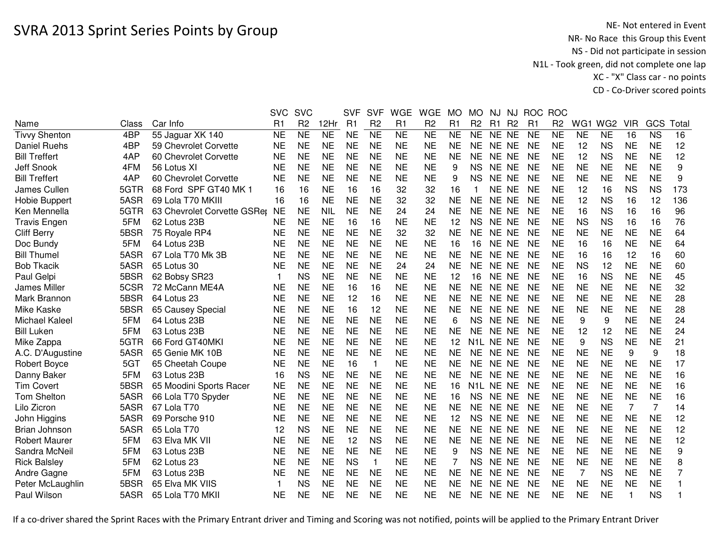|                       |       |                             | <b>SVC</b> | <b>SVC</b>     |            | <b>SVF</b> | <b>SVF</b>     | <b>WGE</b> | <b>WGE</b>     | МO        | МO             | NJ.                    | NJ.            | <b>ROC</b>     | <b>ROC</b>     |           |                 |            |                |       |
|-----------------------|-------|-----------------------------|------------|----------------|------------|------------|----------------|------------|----------------|-----------|----------------|------------------------|----------------|----------------|----------------|-----------|-----------------|------------|----------------|-------|
| Name                  | Class | Car Info                    | R1         | R <sub>2</sub> | 12Hr       | R1         | R <sub>2</sub> | R1         | R <sub>2</sub> | R1        | R <sub>2</sub> | R1                     | R <sub>2</sub> | R <sub>1</sub> | R <sub>2</sub> | WG1       | WG <sub>2</sub> | <b>VIR</b> | GCS            | Total |
| <b>Tivvy Shenton</b>  | 4BP   | 55 Jaguar XK 140            | <b>NE</b>  | <b>NE</b>      | <b>NE</b>  | <b>NE</b>  | <b>NE</b>      | <b>NE</b>  | <b>NE</b>      | <b>NE</b> | <b>NE</b>      | NE NE                  |                | <b>NE</b>      | <b>NE</b>      | <b>NE</b> | <b>NE</b>       | 16         | <b>NS</b>      | 16    |
| <b>Daniel Ruehs</b>   | 4BP   | 59 Chevrolet Corvette       | <b>NE</b>  | <b>NE</b>      | <b>NE</b>  | <b>NE</b>  | <b>NE</b>      | <b>NE</b>  | <b>NE</b>      | <b>NE</b> | <b>NE</b>      | NE NE                  |                | <b>NE</b>      | <b>NE</b>      | 12        | <b>NS</b>       | <b>NE</b>  | <b>NE</b>      | 12    |
| <b>Bill Treffert</b>  | 4AP   | 60 Chevrolet Corvette       | <b>NE</b>  | <b>NE</b>      | <b>NE</b>  | <b>NE</b>  | <b>NE</b>      | <b>NE</b>  | <b>NE</b>      | <b>NE</b> | <b>NE</b>      | NE NE                  |                | <b>NE</b>      | <b>NE</b>      | 12        | <b>NS</b>       | <b>NE</b>  | <b>NE</b>      | 12    |
| Jeff Snook            | 4FM   | 56 Lotus XI                 | <b>NE</b>  | <b>NE</b>      | <b>NE</b>  | <b>NE</b>  | <b>NE</b>      | <b>NE</b>  | <b>NE</b>      | 9         | <b>NS</b>      | NE NE                  |                | <b>NE</b>      | <b>NE</b>      | <b>NE</b> | <b>NE</b>       | <b>NE</b>  | <b>NE</b>      | 9     |
| <b>Bill Treffert</b>  | 4AP   | 60 Chevrolet Corvette       | <b>NE</b>  | <b>NE</b>      | <b>NE</b>  | <b>NE</b>  | <b>NE</b>      | <b>NE</b>  | <b>NE</b>      | 9         | <b>NS</b>      | NE NE                  |                | <b>NE</b>      | <b>NE</b>      | <b>NE</b> | <b>NE</b>       | <b>NE</b>  | <b>NE</b>      | 9     |
| James Cullen          | 5GTR  | 68 Ford SPF GT40 MK 1       | 16         | 16             | <b>NE</b>  | 16         | 16             | 32         | 32             | 16        |                | NE NE                  |                | <b>NE</b>      | <b>NE</b>      | 12        | 16              | <b>NS</b>  | <b>NS</b>      | 173   |
| Hobie Buppert         | 5ASR  | 69 Lola T70 MKIII           | 16         | 16             | <b>NE</b>  | <b>NE</b>  | <b>NE</b>      | 32         | 32             | <b>NE</b> | <b>NE</b>      | NE NE                  |                | <b>NE</b>      | <b>NE</b>      | 12        | <b>NS</b>       | 16         | 12             | 136   |
| Ken Mennella          | 5GTR  | 63 Chevrolet Corvette GSRer | <b>NE</b>  | <b>NE</b>      | <b>NIL</b> | <b>NE</b>  | <b>NE</b>      | 24         | 24             | <b>NE</b> | <b>NE</b>      | NE NE                  |                | <b>NE</b>      | <b>NE</b>      | 16        | <b>NS</b>       | 16         | 16             | 96    |
| <b>Travis Engen</b>   | 5FM   | 62 Lotus 23B                | NE         | <b>NE</b>      | <b>NE</b>  | 16         | 16             | <b>NE</b>  | NE             | 12        | <b>NS</b>      | NE NE                  |                | NE             | <b>NE</b>      | <b>NS</b> | <b>NS</b>       | 16         | 16             | 76    |
| <b>Cliff Berry</b>    | 5BSR  | 75 Royale RP4               | <b>NE</b>  | <b>NE</b>      | <b>NE</b>  | <b>NE</b>  | <b>NE</b>      | 32         | 32             | <b>NE</b> | <b>NE</b>      | NE NE                  |                | <b>NE</b>      | <b>NE</b>      | <b>NE</b> | <b>NE</b>       | <b>NE</b>  | <b>NE</b>      | 64    |
| Doc Bundy             | 5FM   | 64 Lotus 23B                | <b>NE</b>  | <b>NE</b>      | <b>NE</b>  | <b>NE</b>  | <b>NE</b>      | <b>NE</b>  | <b>NE</b>      | 16        | 16             | NE NE                  |                | <b>NE</b>      | <b>NE</b>      | 16        | 16              | <b>NE</b>  | <b>NE</b>      | 64    |
| <b>Bill Thumel</b>    | 5ASR  | 67 Lola T70 Mk 3B           | <b>NE</b>  | <b>NE</b>      | <b>NE</b>  | <b>NE</b>  | <b>NE</b>      | <b>NE</b>  | <b>NE</b>      | <b>NE</b> | <b>NE</b>      | NE NE                  |                | <b>NE</b>      | <b>NE</b>      | 16        | 16              | 12         | 16             | 60    |
| <b>Bob Tkacik</b>     | 5ASR  | 65 Lotus 30                 | <b>NE</b>  | <b>NE</b>      | <b>NE</b>  | <b>NE</b>  | <b>NE</b>      | 24         | 24             | <b>NE</b> | <b>NE</b>      | NE NE                  |                | <b>NE</b>      | <b>NE</b>      | <b>NS</b> | 12              | <b>NE</b>  | <b>NE</b>      | 60    |
| Paul Gelpi            | 5BSR  | 62 Bobsy SR23               | 1          | <b>NS</b>      | <b>NE</b>  | <b>NE</b>  | <b>NE</b>      | <b>NE</b>  | <b>NE</b>      | 12        | 16             | NE NE                  |                | <b>NE</b>      | <b>NE</b>      | 16        | <b>NS</b>       | <b>NE</b>  | <b>NE</b>      | 45    |
| James Miller          | 5CSR  | 72 McCann ME4A              | <b>NE</b>  | <b>NE</b>      | <b>NE</b>  | 16         | 16             | <b>NE</b>  | <b>NE</b>      | <b>NE</b> | <b>NE</b>      | <b>NE</b>              | <b>NE</b>      | <b>NE</b>      | <b>NE</b>      | <b>NE</b> | <b>NE</b>       | <b>NE</b>  | <b>NE</b>      | 32    |
| Mark Brannon          | 5BSR  | 64 Lotus 23                 | <b>NE</b>  | <b>NE</b>      | <b>NE</b>  | 12         | 16             | <b>NE</b>  | <b>NE</b>      | <b>NE</b> | <b>NE</b>      | <b>NE</b>              | NE             | <b>NE</b>      | <b>NE</b>      | <b>NE</b> | <b>NE</b>       | <b>NE</b>  | <b>NE</b>      | 28    |
| Mike Kaske            | 5BSR  | 65 Causey Special           | <b>NE</b>  | <b>NE</b>      | <b>NE</b>  | 16         | 12             | <b>NE</b>  | <b>NE</b>      | <b>NE</b> | <b>NE</b>      | NE NE                  |                | <b>NE</b>      | NE             | <b>NE</b> | <b>NE</b>       | <b>NE</b>  | <b>NE</b>      | 28    |
| <b>Michael Kaleel</b> | 5FM   | 64 Lotus 23B                | <b>NE</b>  | <b>NE</b>      | <b>NE</b>  | <b>NE</b>  | <b>NE</b>      | <b>NE</b>  | <b>NE</b>      | 6         | <b>NS</b>      | NE NE                  |                | <b>NE</b>      | <b>NE</b>      | 9         | 9               | <b>NE</b>  | <b>NE</b>      | 24    |
| <b>Bill Luken</b>     | 5FM   | 63 Lotus 23B                | NE         | <b>NE</b>      | <b>NE</b>  | <b>NE</b>  | <b>NE</b>      | <b>NE</b>  | <b>NE</b>      | <b>NE</b> | <b>NE</b>      | NE NE                  |                | <b>NE</b>      | <b>NE</b>      | 12        | 12              | <b>NE</b>  | <b>NE</b>      | 24    |
| Mike Zappa            | 5GTR  | 66 Ford GT40MKI             | <b>NE</b>  | <b>NE</b>      | <b>NE</b>  | <b>NE</b>  | <b>NE</b>      | <b>NE</b>  | <b>NE</b>      | 12        |                | N1L NE NE              |                | <b>NE</b>      | <b>NE</b>      | 9         | <b>NS</b>       | <b>NE</b>  | <b>NE</b>      | 21    |
| A.C. D'Augustine      | 5ASR  | 65 Genie MK 10B             | <b>NE</b>  | <b>NE</b>      | <b>NE</b>  | <b>NE</b>  | <b>NE</b>      | <b>NE</b>  | <b>NE</b>      | <b>NE</b> | NE.            | NE NE                  |                | <b>NE</b>      | <b>NE</b>      | <b>NE</b> | <b>NE</b>       | 9          | 9              | 18    |
| <b>Robert Boyce</b>   | 5GT   | 65 Cheetah Coupe            | <b>NE</b>  | <b>NE</b>      | <b>NE</b>  | 16         | 1              | <b>NE</b>  | <b>NE</b>      | <b>NE</b> | NE.            | NE NE                  |                | <b>NE</b>      | <b>NE</b>      | <b>NE</b> | <b>NE</b>       | <b>NE</b>  | <b>NE</b>      | 17    |
| Danny Baker           | 5FM   | 63 Lotus 23B                | 16         | <b>NS</b>      | <b>NE</b>  | <b>NE</b>  | <b>NE</b>      | <b>NE</b>  | <b>NE</b>      | <b>NE</b> | NE.            | NE NE                  |                | <b>NE</b>      | <b>NE</b>      | <b>NE</b> | <b>NE</b>       | <b>NE</b>  | <b>NE</b>      | 16    |
| <b>Tim Covert</b>     | 5BSR  | 65 Moodini Sports Racer     | <b>NE</b>  | <b>NE</b>      | <b>NE</b>  | <b>NE</b>  | <b>NE</b>      | <b>NE</b>  | <b>NE</b>      | 16        |                | N <sub>1</sub> L NE NE |                | <b>NE</b>      | <b>NE</b>      | <b>NE</b> | <b>NE</b>       | <b>NE</b>  | <b>NE</b>      | 16    |
| Tom Shelton           | 5ASR  | 66 Lola T70 Spyder          | <b>NE</b>  | <b>NE</b>      | <b>NE</b>  | <b>NE</b>  | <b>NE</b>      | <b>NE</b>  | <b>NE</b>      | 16        | <b>NS</b>      | NE NE                  |                | <b>NE</b>      | <b>NE</b>      | <b>NE</b> | <b>NE</b>       | <b>NE</b>  | <b>NE</b>      | 16    |
| Lilo Zicron           | 5ASR  | 67 Lola T70                 | NE         | <b>NE</b>      | <b>NE</b>  | <b>NE</b>  | <b>NE</b>      | <b>NE</b>  | <b>NE</b>      | <b>NE</b> | <b>NE</b>      | NE NE                  |                | <b>NE</b>      | NE             | <b>NE</b> | <b>NE</b>       | 7          | $\overline{7}$ | 14    |
| John Higgins          | 5ASR  | 69 Porsche 910              | <b>NE</b>  | <b>NE</b>      | <b>NE</b>  | <b>NE</b>  | <b>NE</b>      | <b>NE</b>  | <b>NE</b>      | 12        | <b>NS</b>      | NE NE                  |                | <b>NE</b>      | <b>NE</b>      | <b>NE</b> | <b>NE</b>       | <b>NE</b>  | <b>NE</b>      | 12    |
| Brian Johnson         | 5ASR  | 65 Lola T70                 | 12         | <b>NS</b>      | <b>NE</b>  | <b>NE</b>  | <b>NE</b>      | <b>NE</b>  | <b>NE</b>      | <b>NE</b> | <b>NE</b>      | NE NE                  |                | <b>NE</b>      | <b>NE</b>      | <b>NE</b> | <b>NE</b>       | <b>NE</b>  | <b>NE</b>      | 12    |
| <b>Robert Maurer</b>  | 5FM   | 63 Elva MK VII              | <b>NE</b>  | <b>NE</b>      | <b>NE</b>  | 12         | <b>NS</b>      | <b>NE</b>  | <b>NE</b>      | <b>NE</b> | <b>NE</b>      | NE NE                  |                | <b>NE</b>      | <b>NE</b>      | <b>NE</b> | <b>NE</b>       | <b>NE</b>  | <b>NE</b>      | 12    |
| Sandra McNeil         | 5FM   | 63 Lotus 23B                | <b>NE</b>  | <b>NE</b>      | <b>NE</b>  | <b>NE</b>  | <b>NE</b>      | <b>NE</b>  | <b>NE</b>      | 9         | <b>NS</b>      | <b>NE</b>              | NE             | <b>NE</b>      | <b>NE</b>      | <b>NE</b> | <b>NE</b>       | <b>NE</b>  | <b>NE</b>      | 9     |
| <b>Rick Balsley</b>   | 5FM   | 62 Lotus 23                 | <b>NE</b>  | <b>NE</b>      | <b>NE</b>  | <b>NS</b>  | $\mathbf{1}$   | <b>NE</b>  | <b>NE</b>      | 7         | <b>NS</b>      | NE NE                  |                | <b>NE</b>      | <b>NE</b>      | <b>NE</b> | <b>NE</b>       | <b>NE</b>  | <b>NE</b>      | 8     |
| Andre Gagne           | 5FM   | 63 Lotus 23B                | <b>NE</b>  | <b>NE</b>      | <b>NE</b>  | <b>NE</b>  | <b>NE</b>      | <b>NE</b>  | <b>NE</b>      | <b>NE</b> | <b>NE</b>      | NE NE                  |                | <b>NE</b>      | <b>NE</b>      | 7         | <b>NS</b>       | <b>NE</b>  | <b>NE</b>      | 7     |
| Peter McLaughlin      | 5BSR  | 65 Elva MK VIIS             | -1         | <b>NS</b>      | <b>NE</b>  | <b>NE</b>  | <b>NE</b>      | <b>NE</b>  | <b>NE</b>      | <b>NE</b> | <b>NE</b>      | <b>NE</b>              | <b>NE</b>      | <b>NE</b>      | <b>NE</b>      | <b>NE</b> | <b>NE</b>       | <b>NE</b>  | <b>NE</b>      |       |
| Paul Wilson           | 5ASR  | 65 Lola T70 MKII            | <b>NE</b>  | <b>NE</b>      | <b>NE</b>  | <b>NE</b>  | <b>NE</b>      | <b>NE</b>  | <b>NE</b>      | <b>NE</b> | <b>NE</b>      | NE NE                  |                | <b>NE</b>      | NE             | <b>NE</b> | <b>NE</b>       | 1          | <b>NS</b>      |       |
|                       |       |                             |            |                |            |            |                |            |                |           |                |                        |                |                |                |           |                 |            |                |       |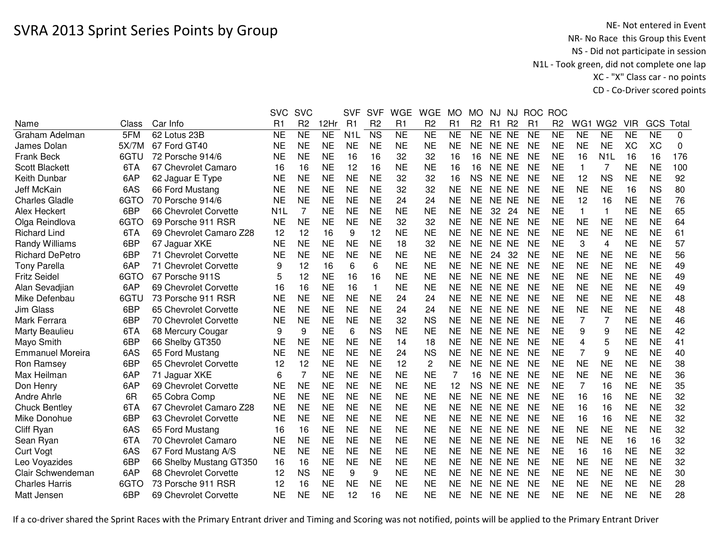|                         |       |                         | <b>SVC</b>       | <b>SVC</b>     |                | <b>SVF</b>       | <b>SVF</b>     | <b>WGE</b> | <b>WGE</b>     | MO        | <b>MO</b>      | <b>NJ</b> | NJ             |           | ROC ROC        |                |                  |            |           |          |
|-------------------------|-------|-------------------------|------------------|----------------|----------------|------------------|----------------|------------|----------------|-----------|----------------|-----------|----------------|-----------|----------------|----------------|------------------|------------|-----------|----------|
| Name                    | Class | Car Info                | R1               | R <sub>2</sub> | 12Hr           | R1               | R <sub>2</sub> | R1         | R <sub>2</sub> | R1        | R <sub>2</sub> | R1        | R <sub>2</sub> | R1        | R <sub>2</sub> | WG1            | WG <sub>2</sub>  | <b>VIR</b> | GCS       | Total    |
| Graham Adelman          | 5FM   | 62 Lotus 23B            | <b>NE</b>        | <b>NE</b>      | N <sub>E</sub> | N <sub>1</sub> L | <b>NS</b>      | <b>NE</b>  | <b>NE</b>      | <b>NE</b> | <b>NE</b>      | NE NE     |                | <b>NE</b> | <b>NE</b>      | <b>NE</b>      | <b>NE</b>        | <b>NE</b>  | <b>NE</b> | $\Omega$ |
| James Dolan             | 5X/7M | 67 Ford GT40            | <b>NE</b>        | <b>NE</b>      | <b>NE</b>      | <b>NE</b>        | <b>NE</b>      | <b>NE</b>  | <b>NE</b>      | <b>NE</b> | <b>NE</b>      | NE NE     |                | <b>NE</b> | <b>NE</b>      | <b>NE</b>      | <b>NE</b>        | <b>XC</b>  | <b>XC</b> | 0        |
| <b>Frank Beck</b>       | 6GTU  | 72 Porsche 914/6        | <b>NE</b>        | <b>NE</b>      | <b>NE</b>      | 16               | 16             | 32         | 32             | 16        | 16             | NE NE     |                | <b>NE</b> | <b>NE</b>      | 16             | N <sub>1</sub> L | 16         | 16        | 176      |
| <b>Scott Blackett</b>   | 6TA   | 67 Chevrolet Camaro     | 16               | 16             | <b>NE</b>      | 12               | 16             | <b>NE</b>  | <b>NE</b>      | 16        | 16             | NE NE     |                | <b>NE</b> | <b>NE</b>      | $\mathbf{1}$   | 7                | <b>NE</b>  | <b>NE</b> | 100      |
| Keith Dunbar            | 6AP   | 62 Jaguar E Type        | <b>NE</b>        | <b>NE</b>      | <b>NE</b>      | <b>NE</b>        | <b>NE</b>      | 32         | 32             | 16        | <b>NS</b>      | NE NE     |                | <b>NE</b> | <b>NE</b>      | 12             | <b>NS</b>        | <b>NE</b>  | <b>NE</b> | 92       |
| Jeff McKain             | 6AS   | 66 Ford Mustang         | <b>NE</b>        | <b>NE</b>      | <b>NE</b>      | <b>NE</b>        | <b>NE</b>      | 32         | 32             | <b>NE</b> | NE.            | NE NE     |                | <b>NE</b> | <b>NE</b>      | <b>NE</b>      | <b>NE</b>        | 16         | <b>NS</b> | 80       |
| <b>Charles Gladle</b>   | 6GTO  | 70 Porsche 914/6        | <b>NE</b>        | <b>NE</b>      | <b>NE</b>      | <b>NE</b>        | <b>NE</b>      | 24         | 24             | <b>NE</b> | <b>NE</b>      | NE NE     |                | <b>NE</b> | <b>NE</b>      | 12             | 16               | <b>NE</b>  | <b>NE</b> | 76       |
| Alex Heckert            | 6BP   | 66 Chevrolet Corvette   | N <sub>1</sub> L | 7              | <b>NE</b>      | <b>NE</b>        | <b>NE</b>      | <b>NE</b>  | <b>NE</b>      | <b>NE</b> | <b>NE</b>      | 32        | 24             | <b>NE</b> | <b>NE</b>      | $\mathbf{1}$   | $\mathbf{1}$     | <b>NE</b>  | <b>NE</b> | 65       |
| Olga Reindlova          | 6GTO  | 69 Porsche 911 RSR      | <b>NE</b>        | <b>NE</b>      | <b>NE</b>      | <b>NE</b>        | <b>NE</b>      | 32         | 32             | <b>NE</b> | <b>NE</b>      | NE NE     |                | <b>NE</b> | <b>NE</b>      | <b>NE</b>      | <b>NE</b>        | <b>NE</b>  | <b>NE</b> | 64       |
| <b>Richard Lind</b>     | 6TA   | 69 Chevrolet Camaro Z28 | 12               | 12             | 16             | 9                | 12             | <b>NE</b>  | <b>NE</b>      | <b>NE</b> | <b>NE</b>      | NE NE     |                | <b>NE</b> | <b>NE</b>      | <b>NE</b>      | <b>NE</b>        | <b>NE</b>  | <b>NE</b> | 61       |
| Randy Williams          | 6BP   | 67 Jaguar XKE           | <b>NE</b>        | <b>NE</b>      | <b>NE</b>      | <b>NE</b>        | <b>NE</b>      | 18         | 32             | <b>NE</b> | <b>NE</b>      | NE NE     |                | <b>NE</b> | <b>NE</b>      | 3              | 4                | <b>NE</b>  | <b>NE</b> | 57       |
| <b>Richard DePetro</b>  | 6BP   | 71 Chevrolet Corvette   | <b>NE</b>        | <b>NE</b>      | <b>NE</b>      | <b>NE</b>        | <b>NE</b>      | <b>NE</b>  | <b>NE</b>      | <b>NE</b> | <b>NE</b>      | 24        | 32             | <b>NE</b> | <b>NE</b>      | <b>NE</b>      | <b>NE</b>        | <b>NE</b>  | <b>NE</b> | 56       |
| <b>Tony Parella</b>     | 6AP   | 71 Chevrolet Corvette   | 9                | 12             | 16             | 6                | 6              | <b>NE</b>  | <b>NE</b>      | <b>NE</b> | <b>NE</b>      | NE NE     |                | <b>NE</b> | <b>NE</b>      | <b>NE</b>      | <b>NE</b>        | <b>NE</b>  | <b>NE</b> | 49       |
| <b>Fritz Seidel</b>     | 6GTO  | 67 Porsche 911S         | 5                | 12             | <b>NE</b>      | 16               | 16             | <b>NE</b>  | <b>NE</b>      | <b>NE</b> | <b>NE</b>      | <b>NE</b> | <b>NE</b>      | <b>NE</b> | <b>NE</b>      | <b>NE</b>      | <b>NE</b>        | <b>NE</b>  | <b>NE</b> | 49       |
| Alan Sevadjian          | 6AP   | 69 Chevrolet Corvette   | 16               | 16             | <b>NE</b>      | 16               | $\mathbf{1}$   | <b>NE</b>  | <b>NE</b>      | <b>NE</b> | <b>NE</b>      | NE NE     |                | <b>NE</b> | <b>NE</b>      | <b>NE</b>      | <b>NE</b>        | <b>NE</b>  | <b>NE</b> | 49       |
| Mike Defenbau           | 6GTU  | 73 Porsche 911 RSR      | <b>NE</b>        | <b>NE</b>      | <b>NE</b>      | <b>NE</b>        | <b>NE</b>      | 24         | 24             | <b>NE</b> | <b>NE</b>      | NE NE     |                | <b>NE</b> | <b>NE</b>      | <b>NE</b>      | <b>NE</b>        | <b>NE</b>  | <b>NE</b> | 48       |
| Jim Glass               | 6BP   | 65 Chevrolet Corvette   | <b>NE</b>        | <b>NE</b>      | <b>NE</b>      | <b>NE</b>        | <b>NE</b>      | 24         | 24             | <b>NE</b> | <b>NE</b>      | <b>NE</b> | <b>NE</b>      | <b>NE</b> | <b>NE</b>      | <b>NE</b>      | <b>NE</b>        | <b>NE</b>  | <b>NE</b> | 48       |
| Mark Ferrara            | 6BP   | 70 Chevrolet Corvette   | <b>NE</b>        | <b>NE</b>      | <b>NE</b>      | <b>NE</b>        | <b>NE</b>      | 32         | <b>NS</b>      | <b>NE</b> | <b>NE</b>      | NE NE     |                | <b>NE</b> | <b>NE</b>      | 7              | 7                | <b>NE</b>  | <b>NE</b> | 46       |
| Marty Beaulieu          | 6TA   | 68 Mercury Cougar       | 9                | 9              | <b>NE</b>      | 6                | <b>NS</b>      | <b>NE</b>  | <b>NE</b>      | <b>NE</b> | <b>NE</b>      | NE NE     |                | <b>NE</b> | <b>NE</b>      | 9              | 9                | <b>NE</b>  | <b>NE</b> | 42       |
| Mayo Smith              | 6BP   | 66 Shelby GT350         | <b>NE</b>        | <b>NE</b>      | <b>NE</b>      | <b>NE</b>        | <b>NE</b>      | 14         | 18             | <b>NE</b> | <b>NE</b>      | NE NE     |                | <b>NE</b> | <b>NE</b>      | 4              | 5                | <b>NE</b>  | <b>NE</b> | 41       |
| <b>Emmanuel Moreira</b> | 6AS   | 65 Ford Mustang         | <b>NE</b>        | <b>NE</b>      | <b>NE</b>      | <b>NE</b>        | <b>NE</b>      | 24         | <b>NS</b>      | <b>NE</b> | <b>NE</b>      | NE NE     |                | <b>NE</b> | <b>NE</b>      | $\overline{7}$ | 9                | <b>NE</b>  | <b>NE</b> | 40       |
| <b>Ron Ramsey</b>       | 6BP   | 65 Chevrolet Corvette   | 12               | 12             | <b>NE</b>      | <b>NE</b>        | <b>NE</b>      | 12         | $\overline{c}$ | <b>NE</b> | <b>NE</b>      | NE NE     |                | <b>NE</b> | <b>NE</b>      | <b>NE</b>      | <b>NE</b>        | <b>NE</b>  | <b>NE</b> | 38       |
| Max Heilman             | 6AP   | 71 Jaguar XKE           | 6                | 7              | <b>NE</b>      | <b>NE</b>        | <b>NE</b>      | <b>NE</b>  | <b>NE</b>      |           | 16             | NE NE     |                | <b>NE</b> | <b>NE</b>      | <b>NE</b>      | <b>NE</b>        | <b>NE</b>  | <b>NE</b> | 36       |
| Don Henry               | 6AP   | 69 Chevrolet Corvette   | <b>NE</b>        | <b>NE</b>      | <b>NE</b>      | <b>NE</b>        | <b>NE</b>      | <b>NE</b>  | <b>NE</b>      | 12        | <b>NS</b>      | NE NE     |                | <b>NE</b> | <b>NE</b>      | $\overline{7}$ | 16               | <b>NE</b>  | <b>NE</b> | 35       |
| Andre Ahrle             | 6R    | 65 Cobra Comp           | <b>NE</b>        | <b>NE</b>      | <b>NE</b>      | <b>NE</b>        | <b>NE</b>      | <b>NE</b>  | <b>NE</b>      | <b>NE</b> | <b>NE</b>      | NE NE     |                | <b>NE</b> | <b>NE</b>      | 16             | 16               | <b>NE</b>  | <b>NE</b> | 32       |
| <b>Chuck Bentley</b>    | 6TA   | 67 Chevrolet Camaro Z28 | <b>NE</b>        | <b>NE</b>      | <b>NE</b>      | <b>NE</b>        | <b>NE</b>      | <b>NE</b>  | <b>NE</b>      | <b>NE</b> | <b>NE</b>      | <b>NE</b> | NE             | <b>NE</b> | <b>NE</b>      | 16             | 16               | <b>NE</b>  | <b>NE</b> | 32       |
| Mike Donohue            | 6BP   | 63 Chevrolet Corvette   | <b>NE</b>        | <b>NE</b>      | <b>NE</b>      | <b>NE</b>        | <b>NE</b>      | <b>NE</b>  | <b>NE</b>      | <b>NE</b> | <b>NE</b>      | NE NE     |                | <b>NE</b> | <b>NE</b>      | 16             | 16               | <b>NE</b>  | <b>NE</b> | 32       |
| Cliff Ryan              | 6AS   | 65 Ford Mustang         | 16               | 16             | <b>NE</b>      | <b>NE</b>        | <b>NE</b>      | <b>NE</b>  | <b>NE</b>      | <b>NE</b> | <b>NE</b>      | NE NE     |                | <b>NE</b> | <b>NE</b>      | <b>NE</b>      | <b>NE</b>        | <b>NE</b>  | <b>NE</b> | 32       |
| Sean Ryan               | 6TA   | 70 Chevrolet Camaro     | <b>NE</b>        | <b>NE</b>      | <b>NE</b>      | <b>NE</b>        | <b>NE</b>      | <b>NE</b>  | <b>NE</b>      | <b>NE</b> | <b>NE</b>      | NE.       | <b>NE</b>      | <b>NE</b> | <b>NE</b>      | <b>NE</b>      | <b>NE</b>        | 16         | 16        | 32       |
| <b>Curt Vogt</b>        | 6AS   | 67 Ford Mustang A/S     | <b>NE</b>        | <b>NE</b>      | <b>NE</b>      | <b>NE</b>        | <b>NE</b>      | <b>NE</b>  | <b>NE</b>      | <b>NE</b> | <b>NE</b>      | <b>NE</b> | <b>NE</b>      | <b>NE</b> | <b>NE</b>      | 16             | 16               | <b>NE</b>  | <b>NE</b> | 32       |
| Leo Voyazides           | 6BP   | 66 Shelby Mustang GT350 | 16               | 16             | <b>NE</b>      | <b>NE</b>        | <b>NE</b>      | <b>NE</b>  | <b>NE</b>      | <b>NE</b> | <b>NE</b>      | NE NE     |                | <b>NE</b> | <b>NE</b>      | <b>NE</b>      | <b>NE</b>        | <b>NE</b>  | <b>NE</b> | 32       |
| Clair Schwendeman       | 6AP   | 68 Chevrolet Corvette   | 12               | <b>NS</b>      | <b>NE</b>      | 9                | 9              | <b>NE</b>  | <b>NE</b>      | <b>NE</b> | <b>NE</b>      | NE.       | <b>NE</b>      | <b>NE</b> | <b>NE</b>      | <b>NE</b>      | <b>NE</b>        | <b>NE</b>  | <b>NE</b> | 30       |
| <b>Charles Harris</b>   | 6GTO  | 73 Porsche 911 RSR      | 12               | 16             | <b>NE</b>      | <b>NE</b>        | <b>NE</b>      | <b>NE</b>  | <b>NE</b>      | <b>NE</b> | <b>NE</b>      | <b>NE</b> | <b>NE</b>      | <b>NE</b> | <b>NE</b>      | <b>NE</b>      | <b>NE</b>        | <b>NE</b>  | <b>NE</b> | 28       |
| Matt Jensen             | 6BP   | 69 Chevrolet Corvette   | <b>NE</b>        | <b>NE</b>      | <b>NE</b>      | 12               | 16             | <b>NE</b>  | <b>NE</b>      | <b>NE</b> | NE             | NE NE     |                | <b>NE</b> | <b>NE</b>      | <b>NE</b>      | <b>NE</b>        | <b>NE</b>  | <b>NE</b> | 28       |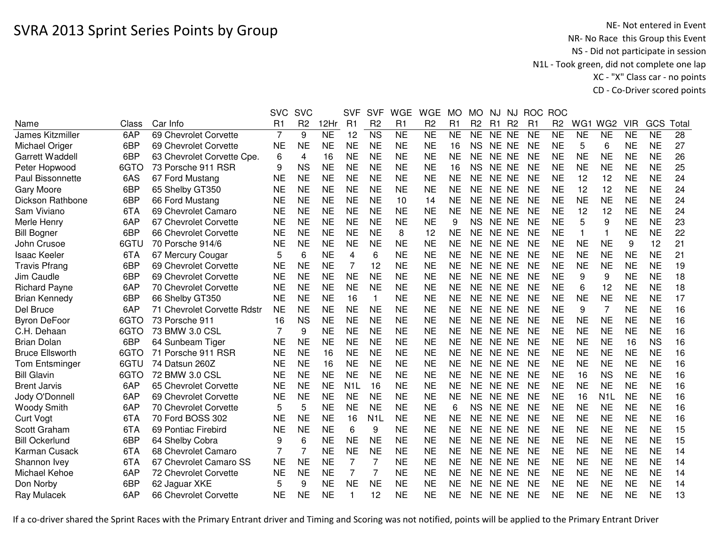|                         |       |                             | <b>SVC</b>     | <b>SVC</b>     |                     | <b>SVF</b>              | <b>SVF</b>             | <b>WGE</b>     | <b>WGE</b>             | <b>MO</b>           | <b>MO</b>           | NJ        | NJ             | <b>ROC</b>     | <b>ROC</b>     |           |                  |                 |                 |       |
|-------------------------|-------|-----------------------------|----------------|----------------|---------------------|-------------------------|------------------------|----------------|------------------------|---------------------|---------------------|-----------|----------------|----------------|----------------|-----------|------------------|-----------------|-----------------|-------|
| Name                    | Class | Car Info                    | R <sub>1</sub> | R <sub>2</sub> | 12Hr                | R1                      | R <sub>2</sub>         | R <sub>1</sub> | R <sub>2</sub>         | R1                  | R <sub>2</sub>      | R1        | R <sub>2</sub> | R <sub>1</sub> | R <sub>2</sub> | WG1       | WG <sub>2</sub>  | <b>VIR</b>      | GCS             | Total |
| James Kitzmiller        | 6AP   | 69 Chevrolet Corvette       | $\overline{7}$ | 9              | $\overline{\sf NE}$ | 12                      | $\overline{\text{NS}}$ | N <sub>E</sub> | $\overline{\text{NE}}$ | $\overline{\sf NE}$ | $\overline{\sf NE}$ | NE NE     |                | <b>NE</b>      | N <sub>E</sub> | <b>NE</b> | $\overline{NE}$  | $\overline{NE}$ | $\overline{NE}$ | 28    |
| Michael Origer          | 6BP   | 69 Chevrolet Corvette       | <b>NE</b>      | <b>NE</b>      | <b>NE</b>           | <b>NE</b>               | <b>NE</b>              | <b>NE</b>      | <b>NE</b>              | 16                  | <b>NS</b>           | NE NE     |                | <b>NE</b>      | <b>NE</b>      | 5         | 6                | <b>NE</b>       | <b>NE</b>       | 27    |
| <b>Garrett Waddell</b>  | 6BP   | 63 Chevrolet Corvette Cpe.  | 6              | 4              | 16                  | <b>NE</b>               | <b>NE</b>              | <b>NE</b>      | <b>NE</b>              | <b>NE</b>           | <b>NE</b>           | NE NE     |                | <b>NE</b>      | <b>NE</b>      | <b>NE</b> | <b>NE</b>        | <b>NE</b>       | <b>NE</b>       | 26    |
| Peter Hopwood           | 6GTO  | 73 Porsche 911 RSR          | 9              | <b>NS</b>      | <b>NE</b>           | <b>NE</b>               | <b>NE</b>              | <b>NE</b>      | <b>NE</b>              | 16                  | <b>NS</b>           | NE NE     |                | <b>NE</b>      | <b>NE</b>      | <b>NE</b> | <b>NE</b>        | <b>NE</b>       | <b>NE</b>       | 25    |
| <b>Paul Bissonnette</b> | 6AS   | 67 Ford Mustang             | <b>NE</b>      | <b>NE</b>      | <b>NE</b>           | <b>NE</b>               | <b>NE</b>              | <b>NE</b>      | <b>NE</b>              | <b>NE</b>           | <b>NE</b>           | NE NE     |                | <b>NE</b>      | <b>NE</b>      | 12        | 12               | <b>NE</b>       | <b>NE</b>       | 24    |
| <b>Gary Moore</b>       | 6BP   | 65 Shelby GT350             | <b>NE</b>      | <b>NE</b>      | <b>NE</b>           | <b>NE</b>               | <b>NE</b>              | <b>NE</b>      | <b>NE</b>              | <b>NE</b>           | <b>NE</b>           | NE NE     |                | <b>NE</b>      | <b>NE</b>      | 12        | 12               | <b>NE</b>       | <b>NE</b>       | 24    |
| Dickson Rathbone        | 6BP   | 66 Ford Mustang             | <b>NE</b>      | <b>NE</b>      | <b>NE</b>           | <b>NE</b>               | <b>NE</b>              | 10             | 14                     | <b>NE</b>           | <b>NE</b>           | NE NE     |                | <b>NE</b>      | <b>NE</b>      | <b>NE</b> | <b>NE</b>        | <b>NE</b>       | <b>NE</b>       | 24    |
| Sam Viviano             | 6TA   | 69 Chevrolet Camaro         | <b>NE</b>      | <b>NE</b>      | <b>NE</b>           | <b>NE</b>               | <b>NE</b>              | <b>NE</b>      | <b>NE</b>              | <b>NE</b>           | <b>NE</b>           | NE NE     |                | <b>NE</b>      | <b>NE</b>      | 12        | 12               | <b>NE</b>       | <b>NE</b>       | 24    |
| Merle Henry             | 6AP   | 67 Chevrolet Corvette       | <b>NE</b>      | <b>NE</b>      | <b>NE</b>           | <b>NE</b>               | <b>NE</b>              | <b>NE</b>      | <b>NE</b>              | 9                   | <b>NS</b>           | NE NE     |                | <b>NE</b>      | <b>NE</b>      | 5         | 9                | <b>NE</b>       | <b>NE</b>       | 23    |
| <b>Bill Bogner</b>      | 6BP   | 66 Chevrolet Corvette       | <b>NE</b>      | <b>NE</b>      | <b>NE</b>           | <b>NE</b>               | <b>NE</b>              | 8              | 12                     | <b>NE</b>           | <b>NE</b>           | NE NE     |                | <b>NE</b>      | <b>NE</b>      |           | $\mathbf{1}$     | <b>NE</b>       | <b>NE</b>       | 22    |
| John Crusoe             | 6GTU  | 70 Porsche 914/6            | <b>NE</b>      | <b>NE</b>      | <b>NE</b>           | <b>NE</b>               | <b>NE</b>              | <b>NE</b>      | <b>NE</b>              | <b>NE</b>           | <b>NE</b>           | NE NE     |                | <b>NE</b>      | <b>NE</b>      | <b>NE</b> | <b>NE</b>        | 9               | 12              | 21    |
| <b>Isaac Keeler</b>     | 6TA   | 67 Mercury Cougar           | 5              | 6              | <b>NE</b>           | $\overline{\mathbf{4}}$ | 6                      | <b>NE</b>      | <b>NE</b>              | <b>NE</b>           | <b>NE</b>           | <b>NE</b> | <b>NE</b>      | <b>NE</b>      | <b>NE</b>      | <b>NE</b> | <b>NE</b>        | <b>NE</b>       | <b>NE</b>       | 21    |
| <b>Travis Pfrang</b>    | 6BP   | 69 Chevrolet Corvette       | <b>NE</b>      | <b>NE</b>      | <b>NE</b>           | 7                       | 12                     | <b>NE</b>      | <b>NE</b>              | <b>NE</b>           | NE                  | <b>NE</b> | NE             | <b>NE</b>      | <b>NE</b>      | <b>NE</b> | <b>NE</b>        | <b>NE</b>       | <b>NE</b>       | 19    |
| Jim Caudle              | 6BP   | 69 Chevrolet Corvette       | <b>NE</b>      | <b>NE</b>      | <b>NE</b>           | <b>NE</b>               | <b>NE</b>              | <b>NE</b>      | <b>NE</b>              | <b>NE</b>           | <b>NE</b>           | <b>NE</b> | <b>NE</b>      | <b>NE</b>      | <b>NE</b>      | 9         | 9                | <b>NE</b>       | <b>NE</b>       | 18    |
| <b>Richard Payne</b>    | 6AP   | 70 Chevrolet Corvette       | <b>NE</b>      | <b>NE</b>      | <b>NE</b>           | <b>NE</b>               | <b>NE</b>              | <b>NE</b>      | <b>NE</b>              | <b>NE</b>           | <b>NE</b>           | <b>NE</b> | <b>NE</b>      | <b>NE</b>      | <b>NE</b>      | 6         | 12               | <b>NE</b>       | <b>NE</b>       | 18    |
| <b>Brian Kennedy</b>    | 6BP   | 66 Shelby GT350             | <b>NE</b>      | <b>NE</b>      | <b>NE</b>           | 16                      | 1                      | <b>NE</b>      | <b>NE</b>              | <b>NE</b>           | <b>NE</b>           | NE NE     |                | <b>NE</b>      | <b>NE</b>      | <b>NE</b> | <b>NE</b>        | <b>NE</b>       | <b>NE</b>       | 17    |
| Del Bruce               | 6AP   | 71 Chevrolet Corvette Rdstr | <b>NE</b>      | <b>NE</b>      | <b>NE</b>           | <b>NE</b>               | <b>NE</b>              | <b>NE</b>      | <b>NE</b>              | <b>NE</b>           | <b>NE</b>           | NE NE     |                | <b>NE</b>      | <b>NE</b>      | 9         | $\overline{7}$   | <b>NE</b>       | <b>NE</b>       | 16    |
| <b>Byron DeFoor</b>     | 6GTO  | 73 Porsche 911              | 16             | <b>NS</b>      | <b>NE</b>           | <b>NE</b>               | <b>NE</b>              | <b>NE</b>      | <b>NE</b>              | <b>NE</b>           | <b>NE</b>           | NE NE     |                | <b>NE</b>      | <b>NE</b>      | <b>NE</b> | <b>NE</b>        | <b>NE</b>       | <b>NE</b>       | 16    |
| C.H. Dehaan             | 6GTO  | 73 BMW 3.0 CSL              |                | 9              | <b>NE</b>           | <b>NE</b>               | <b>NE</b>              | <b>NE</b>      | <b>NE</b>              | <b>NE</b>           | NE                  | NE NE     |                | <b>NE</b>      | <b>NE</b>      | <b>NE</b> | <b>NE</b>        | <b>NE</b>       | <b>NE</b>       | 16    |
| <b>Brian Dolan</b>      | 6BP   | 64 Sunbeam Tiger            | NE             | <b>NE</b>      | <b>NE</b>           | <b>NE</b>               | <b>NE</b>              | <b>NE</b>      | NE                     | <b>NE</b>           | NE.                 | NE NE     |                | <b>NE</b>      | <b>NE</b>      | <b>NE</b> | <b>NE</b>        | 16              | <b>NS</b>       | 16    |
| <b>Bruce Ellsworth</b>  | 6GTO  | 71 Porsche 911 RSR          | <b>NE</b>      | <b>NE</b>      | 16                  | <b>NE</b>               | <b>NE</b>              | <b>NE</b>      | <b>NE</b>              | <b>NE</b>           | <b>NE</b>           | NE NE     |                | <b>NE</b>      | <b>NE</b>      | <b>NE</b> | <b>NE</b>        | <b>NE</b>       | <b>NE</b>       | 16    |
| <b>Tom Entsminger</b>   | 6GTU  | 74 Datsun 260Z              | <b>NE</b>      | <b>NE</b>      | 16                  | <b>NE</b>               | <b>NE</b>              | <b>NE</b>      | <b>NE</b>              | <b>NE</b>           | <b>NE</b>           | NE NE     |                | <b>NE</b>      | <b>NE</b>      | <b>NE</b> | <b>NE</b>        | <b>NE</b>       | <b>NE</b>       | 16    |
| <b>Bill Glavin</b>      | 6GTO  | 72 BMW 3.0 CSL              | <b>NE</b>      | <b>NE</b>      | <b>NE</b>           | <b>NE</b>               | <b>NE</b>              | <b>NE</b>      | <b>NE</b>              | <b>NE</b>           | <b>NE</b>           | NE NE     |                | <b>NE</b>      | <b>NE</b>      | 16        | <b>NS</b>        | <b>NE</b>       | <b>NE</b>       | 16    |
| <b>Brent Jarvis</b>     | 6AP   | 65 Chevrolet Corvette       | <b>NE</b>      | <b>NE</b>      | <b>NE</b>           | N <sub>1</sub> L        | 16                     | <b>NE</b>      | <b>NE</b>              | <b>NE</b>           | <b>NE</b>           | NE NE     |                | <b>NE</b>      | <b>NE</b>      | <b>NE</b> | <b>NE</b>        | <b>NE</b>       | <b>NE</b>       | 16    |
| Jody O'Donnell          | 6AP   | 69 Chevrolet Corvette       | <b>NE</b>      | <b>NE</b>      | <b>NE</b>           | <b>NE</b>               | <b>NE</b>              | <b>NE</b>      | <b>NE</b>              | <b>NE</b>           | <b>NE</b>           | NE NE     |                | <b>NE</b>      | <b>NE</b>      | 16        | N <sub>1</sub> L | <b>NE</b>       | <b>NE</b>       | 16    |
| <b>Woody Smith</b>      | 6AP   | 70 Chevrolet Corvette       | 5              | 5              | <b>NE</b>           | <b>NE</b>               | <b>NE</b>              | <b>NE</b>      | <b>NE</b>              | 6                   | <b>NS</b>           | <b>NE</b> | <b>NE</b>      | <b>NE</b>      | <b>NE</b>      | <b>NE</b> | <b>NE</b>        | <b>NE</b>       | <b>NE</b>       | 16    |
| <b>Curt Vogt</b>        | 6TA   | 70 Ford BOSS 302            | <b>NE</b>      | <b>NE</b>      | <b>NE</b>           | 16                      | N <sub>1</sub> L       | <b>NE</b>      | <b>NE</b>              | <b>NE</b>           | <b>NE</b>           | <b>NE</b> | <b>NE</b>      | <b>NE</b>      | <b>NE</b>      | <b>NE</b> | <b>NE</b>        | <b>NE</b>       | <b>NE</b>       | 16    |
| Scott Graham            | 6TA   | 69 Pontiac Firebird         | <b>NE</b>      | <b>NE</b>      | <b>NE</b>           | 6                       | 9                      | <b>NE</b>      | <b>NE</b>              | <b>NE</b>           | <b>NE</b>           | <b>NE</b> | NE             | <b>NE</b>      | <b>NE</b>      | <b>NE</b> | <b>NE</b>        | <b>NE</b>       | <b>NE</b>       | 15    |
| <b>Bill Ockerlund</b>   | 6BP   | 64 Shelby Cobra             | 9              | 6              | <b>NE</b>           | <b>NE</b>               | <b>NE</b>              | <b>NE</b>      | <b>NE</b>              | <b>NE</b>           | <b>NE</b>           | <b>NE</b> | <b>NE</b>      | <b>NE</b>      | <b>NE</b>      | <b>NE</b> | <b>NE</b>        | <b>NE</b>       | <b>NE</b>       | 15    |
| Karman Cusack           | 6TA   | 68 Chevrolet Camaro         |                | 7              | <b>NE</b>           | <b>NE</b>               | <b>NE</b>              | <b>NE</b>      | <b>NE</b>              | <b>NE</b>           | <b>NE</b>           | <b>NE</b> | <b>NE</b>      | <b>NE</b>      | <b>NE</b>      | <b>NE</b> | <b>NE</b>        | <b>NE</b>       | <b>NE</b>       | 14    |
| Shannon Ivey            | 6TA   | 67 Chevrolet Camaro SS      | <b>NE</b>      | <b>NE</b>      | <b>NE</b>           | $\overline{7}$          | $\overline{7}$         | <b>NE</b>      | <b>NE</b>              | <b>NE</b>           | <b>NE</b>           | NE NE     |                | <b>NE</b>      | <b>NE</b>      | <b>NE</b> | <b>NE</b>        | <b>NE</b>       | <b>NE</b>       | 14    |
| Michael Kehoe           | 6AP   | 72 Chevrolet Corvette       | <b>NE</b>      | <b>NE</b>      | <b>NE</b>           | 7                       |                        | <b>NE</b>      | <b>NE</b>              | <b>NE</b>           | <b>NE</b>           | NE NE     |                | <b>NE</b>      | <b>NE</b>      | <b>NE</b> | <b>NE</b>        | <b>NE</b>       | <b>NE</b>       | 14    |
| Don Norby               | 6BP   | 62 Jaguar XKE               | 5              | 9              | <b>NE</b>           | <b>NE</b>               | <b>NE</b>              | <b>NE</b>      | <b>NE</b>              | <b>NE</b>           | <b>NE</b>           | NE NE     |                | <b>NE</b>      | <b>NE</b>      | <b>NE</b> | <b>NE</b>        | <b>NE</b>       | <b>NE</b>       | 14    |
| Ray Mulacek             | 6AP   | 66 Chevrolet Corvette       | <b>NE</b>      | <b>NE</b>      | <b>NE</b>           |                         | 12                     | <b>NE</b>      | <b>NE</b>              | <b>NE</b>           | NE.                 | NE NE     |                | <b>NE</b>      | <b>NE</b>      | <b>NE</b> | <b>NE</b>        | <b>NE</b>       | <b>NE</b>       | 13    |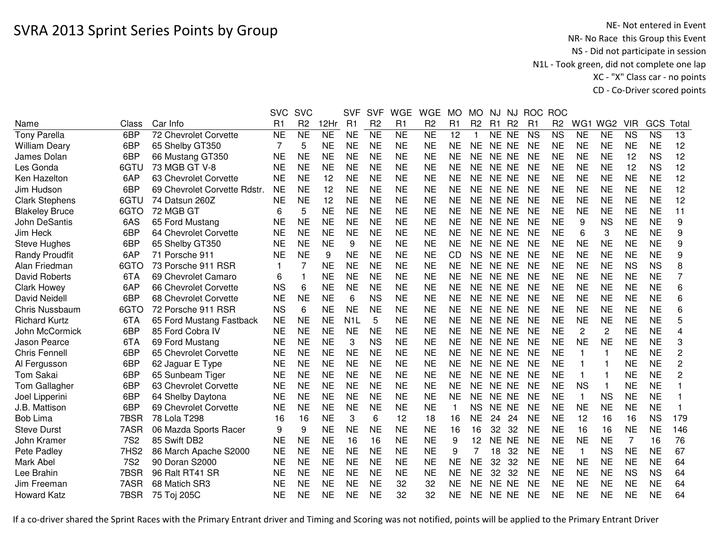|                       |                  |                              | <b>SVC</b>     | <b>SVC</b>      |           | <b>SVF</b>       | <b>SVF</b>     | <b>WGE</b>     | <b>WGE</b>     | <b>MO</b> | <b>MO</b>      | NJ    | NJ             | <b>ROC</b> | <b>ROC</b>     |                 |                 |                |                        |                 |
|-----------------------|------------------|------------------------------|----------------|-----------------|-----------|------------------|----------------|----------------|----------------|-----------|----------------|-------|----------------|------------|----------------|-----------------|-----------------|----------------|------------------------|-----------------|
| Name                  | Class            | Car Info                     | R <sub>1</sub> | R <sub>2</sub>  | 12Hr      | R1               | R <sub>2</sub> | R1             | R <sub>2</sub> | R1        | R <sub>2</sub> | R1    | R <sub>2</sub> | R1         | R <sub>2</sub> | WG1             | WG <sub>2</sub> | <b>VIR</b>     | GCS                    | Total           |
| <b>Tony Parella</b>   | 6BP              | 72 Chevrolet Corvette        | <b>NE</b>      | $\overline{NE}$ | NE        | <b>NE</b>        | N <sub>E</sub> | N <sub>E</sub> | N <sub>E</sub> | 12        | $\mathbf{1}$   | NE NE |                | <b>NS</b>  | <b>NS</b>      | $\overline{NE}$ | NE              | <b>NS</b>      | $\overline{\text{NS}}$ | $\overline{13}$ |
| <b>William Deary</b>  | 6BP              | 65 Shelby GT350              | 7              | 5               | <b>NE</b> | <b>NE</b>        | <b>NE</b>      | <b>NE</b>      | <b>NE</b>      | <b>NE</b> | <b>NE</b>      | NE NE |                | <b>NE</b>  | <b>NE</b>      | <b>NE</b>       | <b>NE</b>       | <b>NE</b>      | <b>NE</b>              | 12              |
| James Dolan           | 6BP              | 66 Mustang GT350             | <b>NE</b>      | <b>NE</b>       | <b>NE</b> | <b>NE</b>        | <b>NE</b>      | <b>NE</b>      | <b>NE</b>      | <b>NE</b> | <b>NE</b>      | NE NE |                | <b>NE</b>  | <b>NE</b>      | <b>NE</b>       | <b>NE</b>       | 12             | <b>NS</b>              | 12              |
| Les Gonda             | 6GTU             | 73 MGB GT V-8                | <b>NE</b>      | <b>NE</b>       | <b>NE</b> | <b>NE</b>        | <b>NE</b>      | <b>NE</b>      | <b>NE</b>      | <b>NE</b> | <b>NE</b>      | NE NE |                | <b>NE</b>  | <b>NE</b>      | <b>NE</b>       | <b>NE</b>       | 12             | <b>NS</b>              | 12              |
| Ken Hazelton          | 6AP              | 63 Chevrolet Corvette        | <b>NE</b>      | <b>NE</b>       | 12        | <b>NE</b>        | <b>NE</b>      | <b>NE</b>      | <b>NE</b>      | <b>NE</b> | <b>NE</b>      | NE NE |                | <b>NE</b>  | <b>NE</b>      | <b>NE</b>       | <b>NE</b>       | <b>NE</b>      | <b>NE</b>              | 12              |
| Jim Hudson            | 6BP              | 69 Chevrolet Corvette Rdstr. | <b>NE</b>      | <b>NE</b>       | 12        | <b>NE</b>        | <b>NE</b>      | <b>NE</b>      | <b>NE</b>      | <b>NE</b> | <b>NE</b>      | NE NE |                | <b>NE</b>  | <b>NE</b>      | <b>NE</b>       | <b>NE</b>       | <b>NE</b>      | <b>NE</b>              | 12              |
| <b>Clark Stephens</b> | 6GTU             | 74 Datsun 260Z               | NE             | <b>NE</b>       | 12        | <b>NE</b>        | <b>NE</b>      | <b>NE</b>      | <b>NE</b>      | <b>NE</b> | <b>NE</b>      | NE NE |                | <b>NE</b>  | <b>NE</b>      | <b>NE</b>       | <b>NE</b>       | <b>NE</b>      | <b>NE</b>              | 12              |
| <b>Blakeley Bruce</b> | 6GTO             | 72 MGB GT                    | 6              | 5               | <b>NE</b> | <b>NE</b>        | <b>NE</b>      | <b>NE</b>      | <b>NE</b>      | <b>NE</b> | <b>NE</b>      | NE NE |                | <b>NE</b>  | <b>NE</b>      | <b>NE</b>       | <b>NE</b>       | <b>NE</b>      | <b>NE</b>              | 11              |
| John DeSantis         | 6AS              | 65 Ford Mustang              | <b>NE</b>      | <b>NE</b>       | <b>NE</b> | <b>NE</b>        | <b>NE</b>      | <b>NE</b>      | <b>NE</b>      | <b>NE</b> | <b>NE</b>      | NE NE |                | <b>NE</b>  | <b>NE</b>      | 9               | <b>NS</b>       | <b>NE</b>      | <b>NE</b>              | 9               |
| Jim Heck              | 6BP              | 64 Chevrolet Corvette        | <b>NE</b>      | <b>NE</b>       | <b>NE</b> | <b>NE</b>        | <b>NE</b>      | <b>NE</b>      | <b>NE</b>      | <b>NE</b> | <b>NE</b>      | NE NE |                | <b>NE</b>  | <b>NE</b>      | 6               | 3               | <b>NE</b>      | <b>NE</b>              | 9               |
| Steve Hughes          | 6BP              | 65 Shelby GT350              | <b>NE</b>      | <b>NE</b>       | <b>NE</b> | 9                | <b>NE</b>      | <b>NE</b>      | <b>NE</b>      | <b>NE</b> | <b>NE</b>      | NE NE |                | <b>NE</b>  | <b>NE</b>      | <b>NE</b>       | <b>NE</b>       | <b>NE</b>      | <b>NE</b>              | 9               |
| <b>Randy Proudfit</b> | 6AP              | 71 Porsche 911               | <b>NE</b>      | <b>NE</b>       | 9         | <b>NE</b>        | <b>NE</b>      | <b>NE</b>      | <b>NE</b>      | <b>CD</b> | <b>NS</b>      | NE NE |                | <b>NE</b>  | <b>NE</b>      | <b>NE</b>       | <b>NE</b>       | <b>NE</b>      | <b>NE</b>              | 9               |
| Alan Friedman         | 6GTO             | 73 Porsche 911 RSR           |                | 7               | <b>NE</b> | <b>NE</b>        | <b>NE</b>      | <b>NE</b>      | <b>NE</b>      | <b>NE</b> | <b>NE</b>      | NE.   | <b>NE</b>      | <b>NE</b>  | <b>NE</b>      | <b>NE</b>       | <b>NE</b>       | <b>NS</b>      | <b>NS</b>              | 8               |
| David Roberts         | 6TA              | 69 Chevrolet Camaro          | 6              |                 | <b>NE</b> | <b>NE</b>        | <b>NE</b>      | <b>NE</b>      | <b>NE</b>      | <b>NE</b> | <b>NE</b>      | NE NE |                | <b>NE</b>  | <b>NE</b>      | <b>NE</b>       | <b>NE</b>       | <b>NE</b>      | <b>NE</b>              | 7               |
| <b>Clark Howey</b>    | 6AP              | 66 Chevrolet Corvette        | <b>NS</b>      | 6               | <b>NE</b> | <b>NE</b>        | <b>NE</b>      | <b>NE</b>      | <b>NE</b>      | <b>NE</b> | <b>NE</b>      | NE NE |                | <b>NE</b>  | <b>NE</b>      | <b>NE</b>       | <b>NE</b>       | <b>NE</b>      | <b>NE</b>              | 6               |
| <b>David Neidell</b>  | 6BP              | 68 Chevrolet Corvette        | <b>NE</b>      | <b>NE</b>       | <b>NE</b> | 6                | <b>NS</b>      | <b>NE</b>      | <b>NE</b>      | <b>NE</b> | <b>NE</b>      | NE NE |                | <b>NE</b>  | <b>NE</b>      | <b>NE</b>       | <b>NE</b>       | <b>NE</b>      | <b>NE</b>              | 6               |
| Chris Nussbaum        | 6GTO             | 72 Porsche 911 RSR           | <b>NS</b>      | 6               | <b>NE</b> | <b>NE</b>        | <b>NE</b>      | <b>NE</b>      | <b>NE</b>      | <b>NE</b> | <b>NE</b>      | NE NE |                | <b>NE</b>  | <b>NE</b>      | <b>NE</b>       | <b>NE</b>       | <b>NE</b>      | <b>NE</b>              | 6               |
| <b>Richard Kurtz</b>  | 6TA              | 65 Ford Mustang Fastback     | <b>NE</b>      | <b>NE</b>       | <b>NE</b> | N <sub>1</sub> L | 5              | <b>NE</b>      | <b>NE</b>      | <b>NE</b> | <b>NE</b>      | NE NE |                | <b>NE</b>  | <b>NE</b>      | <b>NE</b>       | <b>NE</b>       | <b>NE</b>      | <b>NE</b>              | 5               |
| John McCormick        | 6BP              | 85 Ford Cobra IV             | <b>NE</b>      | <b>NE</b>       | <b>NE</b> | <b>NE</b>        | <b>NE</b>      | <b>NE</b>      | <b>NE</b>      | <b>NE</b> | <b>NE</b>      | NE NE |                | <b>NE</b>  | <b>NE</b>      | $\overline{c}$  | 2               | <b>NE</b>      | <b>NE</b>              | 4               |
| Jason Pearce          | 6TA              | 69 Ford Mustang              | <b>NE</b>      | <b>NE</b>       | <b>NE</b> | 3                | <b>NS</b>      | <b>NE</b>      | <b>NE</b>      | <b>NE</b> | <b>NE</b>      | NE NE |                | <b>NE</b>  | <b>NE</b>      | <b>NE</b>       | <b>NE</b>       | <b>NE</b>      | <b>NE</b>              | 3               |
| <b>Chris Fennell</b>  | 6BP              | 65 Chevrolet Corvette        | <b>NE</b>      | <b>NE</b>       | <b>NE</b> | <b>NE</b>        | <b>NE</b>      | <b>NE</b>      | <b>NE</b>      | <b>NE</b> | <b>NE</b>      | NE NE |                | <b>NE</b>  | <b>NE</b>      | 1               | 1               | <b>NE</b>      | <b>NE</b>              | 2               |
| Al Fergusson          | 6BP              | 62 Jaguar E Type             | <b>NE</b>      | <b>NE</b>       | <b>NE</b> | <b>NE</b>        | <b>NE</b>      | <b>NE</b>      | <b>NE</b>      | <b>NE</b> | <b>NE</b>      | NE NE |                | <b>NE</b>  | <b>NE</b>      | 1               | 1               | <b>NE</b>      | <b>NE</b>              | $\overline{c}$  |
| Tom Sakai             | 6BP              | 65 Sunbeam Tiger             | <b>NE</b>      | <b>NE</b>       | <b>NE</b> | <b>NE</b>        | <b>NE</b>      | <b>NE</b>      | <b>NE</b>      | <b>NE</b> | <b>NE</b>      | NE NE |                | <b>NE</b>  | <b>NE</b>      | 1               | 1               | <b>NE</b>      | <b>NE</b>              | 2               |
| Tom Gallagher         | 6BP              | 63 Chevrolet Corvette        | <b>NE</b>      | <b>NE</b>       | <b>NE</b> | <b>NE</b>        | <b>NE</b>      | <b>NE</b>      | <b>NE</b>      | <b>NE</b> | <b>NE</b>      | NE NE |                | <b>NE</b>  | <b>NE</b>      | <b>NS</b>       | $\mathbf{1}$    | <b>NE</b>      | <b>NE</b>              |                 |
| Joel Lipperini        | 6BP              | 64 Shelby Daytona            | <b>NE</b>      | <b>NE</b>       | <b>NE</b> | <b>NE</b>        | <b>NE</b>      | <b>NE</b>      | <b>NE</b>      | <b>NE</b> | <b>NE</b>      | NE NE |                | <b>NE</b>  | <b>NE</b>      | $\mathbf{1}$    | <b>NS</b>       | <b>NE</b>      | <b>NE</b>              |                 |
| J.B. Mattison         | 6BP              | 69 Chevrolet Corvette        | <b>NE</b>      | <b>NE</b>       | <b>NE</b> | <b>NE</b>        | <b>NE</b>      | <b>NE</b>      | <b>NE</b>      | 1         | <b>NS</b>      | NE NE |                | <b>NE</b>  | <b>NE</b>      | <b>NE</b>       | <b>NE</b>       | <b>NE</b>      | <b>NE</b>              |                 |
| <b>Bob Lima</b>       | 7BSR             | 78 Lola T298                 | 16             | 16              | <b>NE</b> | 3                | 6              | 12             | 18             | 16        | <b>NE</b>      | 24    | 24             | <b>NE</b>  | <b>NE</b>      | 12              | 16              | 16             | <b>NS</b>              | 179             |
| <b>Steve Durst</b>    | 7ASR             | 06 Mazda Sports Racer        | 9              | 9               | <b>NE</b> | <b>NE</b>        | <b>NE</b>      | <b>NE</b>      | <b>NE</b>      | 16        | 16             | 32    | 32             | <b>NE</b>  | <b>NE</b>      | 16              | 16              | <b>NE</b>      | <b>NE</b>              | 146             |
| John Kramer           | <b>7S2</b>       | 85 Swift DB2                 | <b>NE</b>      | <b>NE</b>       | <b>NE</b> | 16               | 16             | <b>NE</b>      | <b>NE</b>      | 9         | 12             | NE NE |                | <b>NE</b>  | <b>NE</b>      | <b>NE</b>       | <b>NE</b>       | $\overline{7}$ | 16                     | 76              |
| Pete Padley           | 7HS <sub>2</sub> | 86 March Apache S2000        | <b>NE</b>      | <b>NE</b>       | <b>NE</b> | <b>NE</b>        | <b>NE</b>      | <b>NE</b>      | <b>NE</b>      | 9         |                | 18    | 32             | <b>NE</b>  | <b>NE</b>      | $\mathbf{1}$    | <b>NS</b>       | <b>NE</b>      | <b>NE</b>              | 67              |
| Mark Abel             | <b>7S2</b>       | 90 Doran S2000               | <b>NE</b>      | <b>NE</b>       | <b>NE</b> | <b>NE</b>        | <b>NE</b>      | <b>NE</b>      | <b>NE</b>      | <b>NE</b> | <b>NE</b>      | 32    | 32             | <b>NE</b>  | <b>NE</b>      | <b>NE</b>       | <b>NE</b>       | <b>NE</b>      | <b>NE</b>              | 64              |
| Lee Brahin            | 7BSR             | 96 Ralt RT41 SR              | <b>NE</b>      | <b>NE</b>       | <b>NE</b> | <b>NE</b>        | <b>NE</b>      | <b>NE</b>      | <b>NE</b>      | <b>NE</b> | <b>NE</b>      | 32    | 32             | <b>NE</b>  | <b>NE</b>      | <b>NE</b>       | <b>NE</b>       | <b>NS</b>      | <b>NS</b>              | 64              |
| Jim Freeman           | 7ASR             | 68 Matich SR3                | NE             | <b>NE</b>       | <b>NE</b> | <b>NE</b>        | <b>NE</b>      | 32             | 32             | <b>NE</b> | <b>NE</b>      | NE NE |                | NE         | NE             | NE              | <b>NE</b>       | NE             | <b>NE</b>              | 64              |
| <b>Howard Katz</b>    | 7BSR             | 75 Toj 205C                  | <b>NE</b>      | <b>NE</b>       | <b>NE</b> | <b>NE</b>        | <b>NE</b>      | 32             | 32             | <b>NE</b> | <b>NE</b>      | NE NE |                | <b>NE</b>  | <b>NE</b>      | <b>NE</b>       | <b>NE</b>       | <b>NE</b>      | <b>NE</b>              | 64              |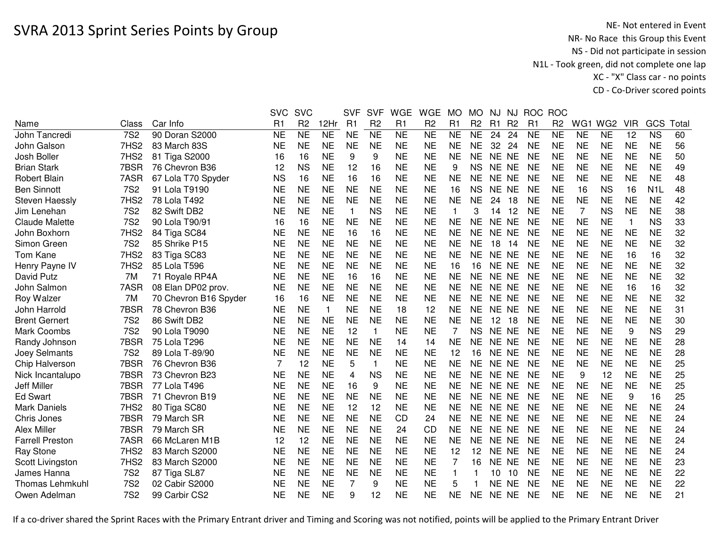|                        |                  |                       | <b>SVC</b>     | <b>SVC</b>     |              | <b>SVF</b>  | <b>SVF</b>     | <b>WGE</b> | <b>WGE</b>     | <b>MO</b>      | <b>MO</b>      | NJ        | NJ             | <b>ROC</b>     | <b>ROC</b>     |           |                 |            |                  |       |
|------------------------|------------------|-----------------------|----------------|----------------|--------------|-------------|----------------|------------|----------------|----------------|----------------|-----------|----------------|----------------|----------------|-----------|-----------------|------------|------------------|-------|
| Name                   | Class            | Car Info              | R <sub>1</sub> | R <sub>2</sub> | 12Hr         | R1          | R <sub>2</sub> | R1         | R <sub>2</sub> | R <sub>1</sub> | R <sub>2</sub> | R1        | R <sub>2</sub> | R <sub>1</sub> | R <sub>2</sub> | WG1       | WG <sub>2</sub> | <b>VIR</b> | GCS              | Total |
| John Tancredi          | <b>7S2</b>       | 90 Doran S2000        | NE             | <b>NE</b>      | <b>NE</b>    | <b>NE</b>   | <b>NE</b>      | <b>NE</b>  | <b>NE</b>      | <b>NE</b>      | <b>NE</b>      | 24        | 24             | <b>NE</b>      | <b>NE</b>      | <b>NE</b> | <b>NE</b>       | 12         | <b>NS</b>        | 60    |
| John Galson            | 7HS2             | 83 March 83S          | <b>NE</b>      | <b>NE</b>      | <b>NE</b>    | <b>NE</b>   | <b>NE</b>      | <b>NE</b>  | <b>NE</b>      | <b>NE</b>      | <b>NE</b>      | 32        | 24             | <b>NE</b>      | <b>NE</b>      | <b>NE</b> | <b>NE</b>       | <b>NE</b>  | <b>NE</b>        | 56    |
| Josh Boller            | 7HS <sub>2</sub> | 81 Tiga S2000         | 16             | 16             | <b>NE</b>    | 9           | 9              | <b>NE</b>  | <b>NE</b>      | <b>NE</b>      | <b>NE</b>      | NE NE     |                | <b>NE</b>      | <b>NE</b>      | <b>NE</b> | <b>NE</b>       | <b>NE</b>  | <b>NE</b>        | 50    |
| <b>Brian Stark</b>     | 7BSR             | 76 Chevron B36        | 12             | <b>NS</b>      | <b>NE</b>    | 12          | 16             | <b>NE</b>  | <b>NE</b>      | 9              | <b>NS</b>      | NE NE     |                | <b>NE</b>      | <b>NE</b>      | <b>NE</b> | <b>NE</b>       | <b>NE</b>  | <b>NE</b>        | 49    |
| <b>Robert Blain</b>    | 7ASR             | 67 Lola T70 Spyder    | <b>NS</b>      | 16             | <b>NE</b>    | 16          | 16             | <b>NE</b>  | <b>NE</b>      | <b>NE</b>      | <b>NE</b>      | NE NE     |                | <b>NE</b>      | <b>NE</b>      | <b>NE</b> | <b>NE</b>       | <b>NE</b>  | <b>NE</b>        | 48    |
| <b>Ben Sinnott</b>     | 7S <sub>2</sub>  | 91 Lola T9190         | NE             | <b>NE</b>      | <b>NE</b>    | <b>NE</b>   | <b>NE</b>      | <b>NE</b>  | <b>NE</b>      | 16             | <b>NS</b>      | NE NE     |                | <b>NE</b>      | <b>NE</b>      | 16        | <b>NS</b>       | 16         | N <sub>1</sub> L | 48    |
| <b>Steven Haessly</b>  | 7HS <sub>2</sub> | 78 Lola T492          | <b>NE</b>      | <b>NE</b>      | <b>NE</b>    | <b>NE</b>   | <b>NE</b>      | <b>NE</b>  | <b>NE</b>      | <b>NE</b>      | NE             | 24        | 18             | <b>NE</b>      | <b>NE</b>      | <b>NE</b> | <b>NE</b>       | <b>NE</b>  | <b>NE</b>        | 42    |
| Jim Lenehan            | <b>7S2</b>       | 82 Swift DB2          | NE             | <b>NE</b>      | <b>NE</b>    | $\mathbf 1$ | <b>NS</b>      | <b>NE</b>  | <b>NE</b>      | 1              | 3              | 14        | 12             | <b>NE</b>      | NE             | 7         | <b>NS</b>       | <b>NE</b>  | <b>NE</b>        | 38    |
| <b>Claude Malette</b>  | <b>7S2</b>       | 90 Lola T90/91        | 16             | 16             | <b>NE</b>    | <b>NE</b>   | <b>NE</b>      | <b>NE</b>  | <b>NE</b>      | <b>NE</b>      | <b>NE</b>      | NE NE     |                | <b>NE</b>      | <b>NE</b>      | <b>NE</b> | <b>NE</b>       | 1          | <b>NS</b>        | 33    |
| John Boxhorn           | 7HS2             | 84 Tiga SC84          | <b>NE</b>      | <b>NE</b>      | <b>NE</b>    | 16          | 16             | <b>NE</b>  | <b>NE</b>      | <b>NE</b>      | <b>NE</b>      | NE NE     |                | <b>NE</b>      | <b>NE</b>      | <b>NE</b> | <b>NE</b>       | <b>NE</b>  | <b>NE</b>        | 32    |
| Simon Green            | <b>7S2</b>       | 85 Shrike P15         | <b>NE</b>      | <b>NE</b>      | <b>NE</b>    | <b>NE</b>   | <b>NE</b>      | <b>NE</b>  | <b>NE</b>      | <b>NE</b>      | <b>NE</b>      | 18        | 14             | <b>NE</b>      | <b>NE</b>      | <b>NE</b> | <b>NE</b>       | <b>NE</b>  | <b>NE</b>        | 32    |
| Tom Kane               | 7HS2             | 83 Tiga SC83          | <b>NE</b>      | <b>NE</b>      | <b>NE</b>    | <b>NE</b>   | <b>NE</b>      | <b>NE</b>  | <b>NE</b>      | <b>NE</b>      | <b>NE</b>      | NE NE     |                | <b>NE</b>      | <b>NE</b>      | <b>NE</b> | <b>NE</b>       | 16         | 16               | 32    |
| Henry Payne IV         | 7HS <sub>2</sub> | 85 Lola T596          | <b>NE</b>      | <b>NE</b>      | <b>NE</b>    | <b>NE</b>   | <b>NE</b>      | <b>NE</b>  | <b>NE</b>      | 16             | 16             | NE NE     |                | <b>NE</b>      | <b>NE</b>      | <b>NE</b> | <b>NE</b>       | <b>NE</b>  | <b>NE</b>        | 32    |
| David Putz             | 7M               | 71 Royale RP4A        | <b>NE</b>      | <b>NE</b>      | <b>NE</b>    | 16          | 16             | <b>NE</b>  | <b>NE</b>      | <b>NE</b>      | <b>NE</b>      | NE.       | <b>NE</b>      | <b>NE</b>      | <b>NE</b>      | <b>NE</b> | <b>NE</b>       | <b>NE</b>  | <b>NE</b>        | 32    |
| John Salmon            | 7ASR             | 08 Elan DP02 prov.    | <b>NE</b>      | <b>NE</b>      | <b>NE</b>    | <b>NE</b>   | <b>NE</b>      | <b>NE</b>  | <b>NE</b>      | <b>NE</b>      | <b>NE</b>      | NE        | <b>NE</b>      | <b>NE</b>      | <b>NE</b>      | <b>NE</b> | <b>NE</b>       | 16         | 16               | 32    |
| Roy Walzer             | 7M               | 70 Chevron B16 Spyder | 16             | 16             | <b>NE</b>    | <b>NE</b>   | <b>NE</b>      | <b>NE</b>  | <b>NE</b>      | <b>NE</b>      | NE             | NE        | <b>NE</b>      | <b>NE</b>      | <b>NE</b>      | <b>NE</b> | <b>NE</b>       | <b>NE</b>  | <b>NE</b>        | 32    |
| John Harrold           | 7BSR             | 78 Chevron B36        | <b>NE</b>      | <b>NE</b>      | $\mathbf{1}$ | <b>NE</b>   | <b>NE</b>      | 18         | 12             | <b>NE</b>      | <b>NE</b>      | NE.       | <b>NE</b>      | <b>NE</b>      | <b>NE</b>      | <b>NE</b> | <b>NE</b>       | <b>NE</b>  | <b>NE</b>        | 31    |
| <b>Brent Gernert</b>   | <b>7S2</b>       | 86 Swift DB2          | <b>NE</b>      | <b>NE</b>      | <b>NE</b>    | <b>NE</b>   | <b>NE</b>      | <b>NE</b>  | <b>NE</b>      | <b>NE</b>      | <b>NE</b>      | 12        | 18             | <b>NE</b>      | <b>NE</b>      | <b>NE</b> | <b>NE</b>       | <b>NE</b>  | <b>NE</b>        | 30    |
| <b>Mark Coombs</b>     | <b>7S2</b>       | 90 Lola T9090         | <b>NE</b>      | <b>NE</b>      | <b>NE</b>    | 12          | $\mathbf{1}$   | <b>NE</b>  | <b>NE</b>      | 7              | NS.            | NE NE     |                | <b>NE</b>      | <b>NE</b>      | <b>NE</b> | <b>NE</b>       | 9          | <b>NS</b>        | 29    |
| Randy Johnson          | 7BSR             | 75 Lola T296          | <b>NE</b>      | <b>NE</b>      | <b>NE</b>    | <b>NE</b>   | <b>NE</b>      | 14         | 14             | <b>NE</b>      | <b>NE</b>      | NE NE     |                | <b>NE</b>      | <b>NE</b>      | <b>NE</b> | <b>NE</b>       | <b>NE</b>  | <b>NE</b>        | 28    |
| Joey Selmants          | <b>7S2</b>       | 89 Lola T-89/90       | <b>NE</b>      | <b>NE</b>      | <b>NE</b>    | <b>NE</b>   | <b>NE</b>      | <b>NE</b>  | <b>NE</b>      | 12             | 16             | NE NE     |                | <b>NE</b>      | <b>NE</b>      | <b>NE</b> | <b>NE</b>       | <b>NE</b>  | <b>NE</b>        | 28    |
| Chip Halverson         | 7BSR             | 76 Chevron B36        | 7              | 12             | <b>NE</b>    | 5           | 1              | <b>NE</b>  | <b>NE</b>      | <b>NE</b>      | NE             | NE NE     |                | <b>NE</b>      | NE             | <b>NE</b> | <b>NE</b>       | <b>NE</b>  | <b>NE</b>        | 25    |
| Nick Incantalupo       | 7BSR             | 73 Chevron B23        | <b>NE</b>      | <b>NE</b>      | <b>NE</b>    | 4           | <b>NS</b>      | <b>NE</b>  | <b>NE</b>      | <b>NE</b>      | <b>NE</b>      | NE NE     |                | <b>NE</b>      | <b>NE</b>      | 9         | 12              | <b>NE</b>  | <b>NE</b>        | 25    |
| <b>Jeff Miller</b>     | 7BSR             | 77 Lola T496          | <b>NE</b>      | <b>NE</b>      | <b>NE</b>    | 16          | 9              | <b>NE</b>  | <b>NE</b>      | <b>NE</b>      | <b>NE</b>      | NE NE     |                | <b>NE</b>      | <b>NE</b>      | <b>NE</b> | <b>NE</b>       | <b>NE</b>  | <b>NE</b>        | 25    |
| <b>Ed Swart</b>        | 7BSR             | 71 Chevron B19        | <b>NE</b>      | <b>NE</b>      | <b>NE</b>    | <b>NE</b>   | <b>NE</b>      | <b>NE</b>  | <b>NE</b>      | <b>NE</b>      | <b>NE</b>      | NE NE     |                | <b>NE</b>      | <b>NE</b>      | <b>NE</b> | <b>NE</b>       | 9          | 16               | 25    |
| <b>Mark Daniels</b>    | 7HS <sub>2</sub> | 80 Tiga SC80          | <b>NE</b>      | <b>NE</b>      | <b>NE</b>    | 12          | 12             | <b>NE</b>  | <b>NE</b>      | <b>NE</b>      | <b>NE</b>      | NE NE     |                | <b>NE</b>      | <b>NE</b>      | <b>NE</b> | <b>NE</b>       | <b>NE</b>  | <b>NE</b>        | 24    |
| Chris Jones            | 7BSR             | 79 March SR           | <b>NE</b>      | <b>NE</b>      | <b>NE</b>    | <b>NE</b>   | <b>NE</b>      | <b>CD</b>  | 24             | <b>NE</b>      | <b>NE</b>      | NE NE     |                | <b>NE</b>      | <b>NE</b>      | <b>NE</b> | <b>NE</b>       | <b>NE</b>  | <b>NE</b>        | 24    |
| Alex Miller            | 7BSR             | 79 March SR           | <b>NE</b>      | <b>NE</b>      | <b>NE</b>    | <b>NE</b>   | <b>NE</b>      | 24         | CD             | <b>NE</b>      | <b>NE</b>      | NE NE     |                | <b>NE</b>      | <b>NE</b>      | <b>NE</b> | <b>NE</b>       | <b>NE</b>  | <b>NE</b>        | 24    |
| <b>Farrell Preston</b> | 7ASR             | 66 McLaren M1B        | 12             | 12             | <b>NE</b>    | <b>NE</b>   | <b>NE</b>      | <b>NE</b>  | <b>NE</b>      | <b>NE</b>      | <b>NE</b>      | NE.       | <b>NE</b>      | <b>NE</b>      | <b>NE</b>      | <b>NE</b> | <b>NE</b>       | <b>NE</b>  | <b>NE</b>        | 24    |
| Ray Stone              | 7HS <sub>2</sub> | 83 March S2000        | <b>NE</b>      | <b>NE</b>      | <b>NE</b>    | <b>NE</b>   | <b>NE</b>      | <b>NE</b>  | <b>NE</b>      | 12             | 12             | <b>NE</b> | <b>NE</b>      | <b>NE</b>      | <b>NE</b>      | <b>NE</b> | <b>NE</b>       | <b>NE</b>  | <b>NE</b>        | 24    |
| Scott Livingston       | 7HS <sub>2</sub> | 83 March S2000        | <b>NE</b>      | <b>NE</b>      | <b>NE</b>    | <b>NE</b>   | <b>NE</b>      | <b>NE</b>  | <b>NE</b>      |                | 16             | NE        | NE             | <b>NE</b>      | <b>NE</b>      | <b>NE</b> | <b>NE</b>       | <b>NE</b>  | <b>NE</b>        | 23    |
| James Hanna            | <b>7S2</b>       | 87 Tiga SL87          | NE             | <b>NE</b>      | <b>NE</b>    | <b>NE</b>   | <b>NE</b>      | <b>NE</b>  | <b>NE</b>      | 1              |                | 10        | 10             | <b>NE</b>      | <b>NE</b>      | <b>NE</b> | <b>NE</b>       | <b>NE</b>  | <b>NE</b>        | 22    |
| Thomas Lehmkuhl        | <b>7S2</b>       | 02 Cabir S2000        | <b>NE</b>      | <b>NE</b>      | <b>NE</b>    | 7           | 9              | <b>NE</b>  | <b>NE</b>      | 5              |                | ΝE        | <b>NE</b>      | <b>NE</b>      | <b>NE</b>      | <b>NE</b> | <b>NE</b>       | <b>NE</b>  | <b>NE</b>        | 22    |
| Owen Adelman           | <b>7S2</b>       | 99 Carbir CS2         | NE             | <b>NE</b>      | <b>NE</b>    | 9           | 12             | <b>NE</b>  | <b>NE</b>      | <b>NE</b>      | <b>NE</b>      | NE NE     |                | <b>NE</b>      | <b>NE</b>      | <b>NE</b> | <b>NE</b>       | <b>NE</b>  | <b>NE</b>        | 21    |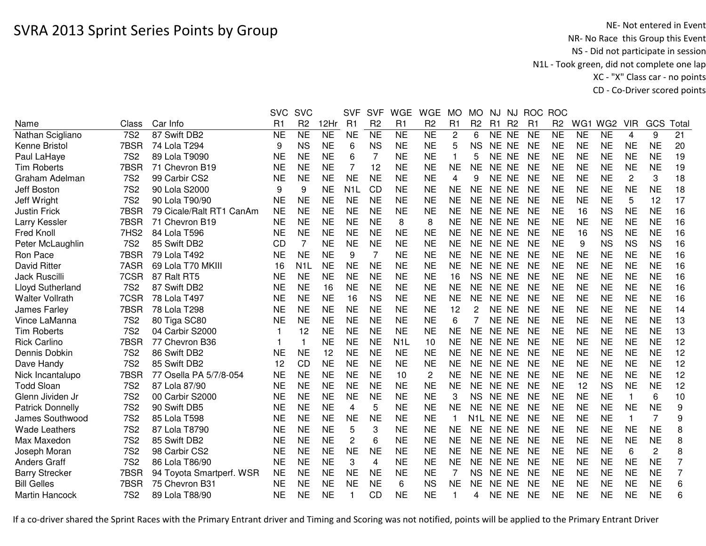|                         |                  |                          | <b>SVC</b> | <b>SVC</b>     |           | <b>SVF</b>       | <b>SVF</b>      | <b>WGE</b>             | <b>WGE</b>     | <b>MO</b>      | <b>MO</b>        | NJ.       | NJ.            | <b>ROC</b> | <b>ROC</b>     |                 |                 |                |                |                |
|-------------------------|------------------|--------------------------|------------|----------------|-----------|------------------|-----------------|------------------------|----------------|----------------|------------------|-----------|----------------|------------|----------------|-----------------|-----------------|----------------|----------------|----------------|
| Name                    | Class            | Car Info                 | R1         | R <sub>2</sub> | 12Hr      | R1               | R <sub>2</sub>  | R1                     | R <sub>2</sub> | R <sub>1</sub> | R <sub>2</sub>   | R1        | R <sub>2</sub> | R1         | R <sub>2</sub> | WG <sub>1</sub> | WG <sub>2</sub> | <b>VIR</b>     | GCS            | Total          |
| Nathan Scigliano        | <b>7S2</b>       | 87 Swift DB2             | <b>NE</b>  | <b>NE</b>      | NE        | <b>NE</b>        | $\overline{NE}$ | $\overline{\text{NE}}$ | <b>NE</b>      | $\mathbf{2}$   | 6                | NE NE     |                | <b>NE</b>  | <b>NE</b>      | <b>NE</b>       | <b>NE</b>       | $\overline{4}$ | 9              | 21             |
| Kenne Bristol           | 7BSR             | 74 Lola T294             | 9          | <b>NS</b>      | <b>NE</b> | 6                | <b>NS</b>       | <b>NE</b>              | <b>NE</b>      | 5              | <b>NS</b>        | <b>NE</b> | <b>NE</b>      | <b>NE</b>  | <b>NE</b>      | <b>NE</b>       | <b>NE</b>       | <b>NE</b>      | <b>NE</b>      | 20             |
| Paul LaHaye             | <b>7S2</b>       | 89 Lola T9090            | NE         | <b>NE</b>      | <b>NE</b> | 6                | 7               | <b>NE</b>              | <b>NE</b>      | -1             | 5                | NE NE     |                | <b>NE</b>  | NE             | <b>NE</b>       | <b>NE</b>       | <b>NE</b>      | <b>NE</b>      | 19             |
| <b>Tim Roberts</b>      | 7BSR             | 71 Chevron B19           | <b>NE</b>  | <b>NE</b>      | <b>NE</b> | 7                | 12              | <b>NE</b>              | <b>NE</b>      | <b>NE</b>      | <b>NE</b>        | NE NE     |                | <b>NE</b>  | <b>NE</b>      | <b>NE</b>       | <b>NE</b>       | <b>NE</b>      | <b>NE</b>      | 19             |
| Graham Adelman          | <b>7S2</b>       | 99 Carbir CS2            | <b>NE</b>  | <b>NE</b>      | <b>NE</b> | <b>NE</b>        | <b>NE</b>       | <b>NE</b>              | <b>NE</b>      | 4              | 9                | NE NE     |                | <b>NE</b>  | <b>NE</b>      | <b>NE</b>       | <b>NE</b>       | 2              | 3              | 18             |
| Jeff Boston             | <b>7S2</b>       | 90 Lola S2000            | 9          | 9              | <b>NE</b> | N <sub>1</sub> L | <b>CD</b>       | <b>NE</b>              | <b>NE</b>      | <b>NE</b>      | <b>NE</b>        | NE NE     |                | <b>NE</b>  | <b>NE</b>      | <b>NE</b>       | <b>NE</b>       | <b>NE</b>      | <b>NE</b>      | 18             |
| Jeff Wright             | <b>7S2</b>       | 90 Lola T90/90           | NE         | NE             | <b>NE</b> | <b>NE</b>        | <b>NE</b>       | <b>NE</b>              | <b>NE</b>      | <b>NE</b>      | NE.              | NE NE     |                | <b>NE</b>  | <b>NE</b>      | <b>NE</b>       | <b>NE</b>       | 5              | 12             | 17             |
| <b>Justin Frick</b>     | 7BSR             | 79 Cicale/Ralt RT1 CanAm | <b>NE</b>  | <b>NE</b>      | <b>NE</b> | <b>NE</b>        | <b>NE</b>       | <b>NE</b>              | <b>NE</b>      | <b>NE</b>      | NE               | NE NE     |                | <b>NE</b>  | <b>NE</b>      | 16              | <b>NS</b>       | <b>NE</b>      | <b>NE</b>      | 16             |
| Larry Kessler           | 7BSR             | 71 Chevron B19           | <b>NE</b>  | <b>NE</b>      | <b>NE</b> | <b>NE</b>        | <b>NE</b>       | 8                      | 8              | <b>NE</b>      | <b>NE</b>        | NE NE     |                | <b>NE</b>  | <b>NE</b>      | <b>NE</b>       | <b>NE</b>       | <b>NE</b>      | <b>NE</b>      | 16             |
| Fred Knoll              | 7HS <sub>2</sub> | 84 Lola T596             | <b>NE</b>  | <b>NE</b>      | <b>NE</b> | <b>NE</b>        | <b>NE</b>       | <b>NE</b>              | <b>NE</b>      | <b>NE</b>      | <b>NE</b>        | NE NE     |                | <b>NE</b>  | <b>NE</b>      | 16              | <b>NS</b>       | <b>NE</b>      | <b>NE</b>      | 16             |
| Peter McLaughlin        | <b>7S2</b>       | 85 Swift DB2             | <b>CD</b>  | $\overline{7}$ | <b>NE</b> | <b>NE</b>        | <b>NE</b>       | <b>NE</b>              | <b>NE</b>      | <b>NE</b>      | <b>NE</b>        | NE NE     |                | <b>NE</b>  | <b>NE</b>      | 9               | <b>NS</b>       | <b>NS</b>      | <b>NS</b>      | 16             |
| Ron Pace                | 7BSR             | 79 Lola T492             | <b>NE</b>  | <b>NE</b>      | <b>NE</b> | 9                | $\overline{7}$  | <b>NE</b>              | <b>NE</b>      | <b>NE</b>      | <b>NE</b>        | NE NE     |                | <b>NE</b>  | <b>NE</b>      | <b>NE</b>       | <b>NE</b>       | <b>NE</b>      | <b>NE</b>      | 16             |
| <b>David Ritter</b>     | 7ASR             | 69 Lola T70 MKIII        | 16         | N <sub>1</sub> | <b>NE</b> | <b>NE</b>        | <b>NE</b>       | <b>NE</b>              | <b>NE</b>      | <b>NE</b>      | <b>NE</b>        | NE NE     |                | <b>NE</b>  | <b>NE</b>      | <b>NE</b>       | <b>NE</b>       | <b>NE</b>      | <b>NE</b>      | 16             |
| Jack Ruscilli           | 7CSR             | 87 Ralt RT5              | <b>NE</b>  | <b>NE</b>      | <b>NE</b> | <b>NE</b>        | <b>NE</b>       | <b>NE</b>              | <b>NE</b>      | 16             | <b>NS</b>        | <b>NE</b> | <b>NE</b>      | <b>NE</b>  | <b>NE</b>      | <b>NE</b>       | <b>NE</b>       | <b>NE</b>      | <b>NE</b>      | 16             |
| Lloyd Sutherland        | <b>7S2</b>       | 87 Swift DB2             | <b>NE</b>  | <b>NE</b>      | 16        | <b>NE</b>        | <b>NE</b>       | <b>NE</b>              | <b>NE</b>      | <b>NE</b>      | <b>NE</b>        | NE        | <b>NE</b>      | <b>NE</b>  | <b>NE</b>      | <b>NE</b>       | <b>NE</b>       | <b>NE</b>      | <b>NE</b>      | 16             |
| <b>Walter Vollrath</b>  | 7CSR             | 78 Lola T497             | <b>NE</b>  | <b>NE</b>      | <b>NE</b> | 16               | <b>NS</b>       | <b>NE</b>              | <b>NE</b>      | <b>NE</b>      | <b>NE</b>        | NE        | <b>NE</b>      | <b>NE</b>  | <b>NE</b>      | <b>NE</b>       | <b>NE</b>       | <b>NE</b>      | <b>NE</b>      | 16             |
| James Farley            | 7BSR             | 78 Lola T298             | <b>NE</b>  | <b>NE</b>      | <b>NE</b> | <b>NE</b>        | <b>NE</b>       | <b>NE</b>              | <b>NE</b>      | 12             | 2                | <b>NE</b> | <b>NE</b>      | <b>NE</b>  | <b>NE</b>      | <b>NE</b>       | <b>NE</b>       | <b>NE</b>      | <b>NE</b>      | 14             |
| Vince LaManna           | <b>7S2</b>       | 80 Tiga SC80             | NE         | <b>NE</b>      | <b>NE</b> | <b>NE</b>        | <b>NE</b>       | <b>NE</b>              | <b>NE</b>      | 6              |                  | NE NE     |                | <b>NE</b>  | <b>NE</b>      | <b>NE</b>       | <b>NE</b>       | <b>NE</b>      | <b>NE</b>      | 13             |
| <b>Tim Roberts</b>      | <b>7S2</b>       | 04 Carbir S2000          |            | 12             | <b>NE</b> | <b>NE</b>        | <b>NE</b>       | <b>NE</b>              | <b>NE</b>      | <b>NE</b>      | <b>NE</b>        | NE NE     |                | <b>NE</b>  | <b>NE</b>      | <b>NE</b>       | <b>NE</b>       | <b>NE</b>      | <b>NE</b>      | 13             |
| <b>Rick Carlino</b>     | 7BSR             | 77 Chevron B36           |            |                | <b>NE</b> | <b>NE</b>        | <b>NE</b>       | N <sub>1</sub> L       | 10             | <b>NE</b>      | <b>NE</b>        | NE NE     |                | <b>NE</b>  | <b>NE</b>      | <b>NE</b>       | <b>NE</b>       | <b>NE</b>      | <b>NE</b>      | 12             |
| Dennis Dobkin           | <b>7S2</b>       | 86 Swift DB2             | <b>NE</b>  | <b>NE</b>      | 12        | <b>NE</b>        | <b>NE</b>       | <b>NE</b>              | <b>NE</b>      | <b>NE</b>      | NE               | NE NE     |                | <b>NE</b>  | <b>NE</b>      | <b>NE</b>       | <b>NE</b>       | <b>NE</b>      | <b>NE</b>      | 12             |
| Dave Handy              | <b>7S2</b>       | 85 Swift DB2             | 12         | <b>CD</b>      | <b>NE</b> | <b>NE</b>        | <b>NE</b>       | NE                     | NE             | <b>NE</b>      | NE.              | NE NE     |                | <b>NE</b>  | NE             | NE              | <b>NE</b>       | NE             | <b>NE</b>      | 12             |
| Nick Incantalupo        | 7BSR             | 77 Osella PA 5/7/8-054   | <b>NE</b>  | <b>NE</b>      | <b>NE</b> | <b>NE</b>        | <b>NE</b>       | 10                     | $\overline{c}$ | <b>NE</b>      | <b>NE</b>        | NE NE     |                | <b>NE</b>  | <b>NE</b>      | <b>NE</b>       | <b>NE</b>       | <b>NE</b>      | <b>NE</b>      | 12             |
| <b>Todd Sloan</b>       | <b>7S2</b>       | 87 Lola 87/90            | NE         | <b>NE</b>      | <b>NE</b> | <b>NE</b>        | <b>NE</b>       | <b>NE</b>              | <b>NE</b>      | <b>NE</b>      | <b>NE</b>        | NE NE     |                | <b>NE</b>  | NE             | 12              | <b>NS</b>       | <b>NE</b>      | <b>NE</b>      | 12             |
| Glenn Jividen Jr        | <b>7S2</b>       | 00 Carbir S2000          | <b>NE</b>  | <b>NE</b>      | <b>NE</b> | <b>NE</b>        | <b>NE</b>       | <b>NE</b>              | <b>NE</b>      | 3              | <b>NS</b>        | NE NE     |                | <b>NE</b>  | <b>NE</b>      | <b>NE</b>       | <b>NE</b>       | 1              | 6              | 10             |
| <b>Patrick Donnelly</b> | <b>7S2</b>       | 90 Swift DB5             | <b>NE</b>  | <b>NE</b>      | <b>NE</b> | 4                | 5               | <b>NE</b>              | <b>NE</b>      | <b>NE</b>      | <b>NE</b>        | NE NE     |                | <b>NE</b>  | <b>NE</b>      | <b>NE</b>       | <b>NE</b>       | <b>NE</b>      | <b>NE</b>      | 9              |
| James Southwood         | <b>7S2</b>       | 85 Lola T598             | <b>NE</b>  | <b>NE</b>      | <b>NE</b> | <b>NE</b>        | <b>NE</b>       | <b>NE</b>              | <b>NE</b>      | 1              | N <sub>1</sub> L | NE NE     |                | <b>NE</b>  | <b>NE</b>      | <b>NE</b>       | <b>NE</b>       | 1              | $\overline{7}$ | 9              |
| <b>Wade Leathers</b>    | <b>7S2</b>       | 87 Lola T8790            | <b>NE</b>  | <b>NE</b>      | <b>NE</b> | 5                | 3               | <b>NE</b>              | <b>NE</b>      | <b>NE</b>      | <b>NE</b>        | NE        | <b>NE</b>      | <b>NE</b>  | <b>NE</b>      | <b>NE</b>       | <b>NE</b>       | <b>NE</b>      | <b>NE</b>      | 8              |
| Max Maxedon             | <b>7S2</b>       | 85 Swift DB2             | NE         | <b>NE</b>      | <b>NE</b> | $\overline{c}$   | 6               | <b>NE</b>              | <b>NE</b>      | <b>NE</b>      | <b>NE</b>        | NE.       | <b>NE</b>      | <b>NE</b>  | <b>NE</b>      | <b>NE</b>       | <b>NE</b>       | <b>NE</b>      | <b>NE</b>      | 8              |
| Joseph Moran            | <b>7S2</b>       | 98 Carbir CS2            | NE         | <b>NE</b>      | <b>NE</b> | <b>NE</b>        | <b>NE</b>       | <b>NE</b>              | <b>NE</b>      | <b>NE</b>      | <b>NE</b>        | NE.       | <b>NE</b>      | <b>NE</b>  | <b>NE</b>      | <b>NE</b>       | <b>NE</b>       | 6              | 2              | 8              |
| <b>Anders Graff</b>     | <b>7S2</b>       | 86 Lola T86/90           | <b>NE</b>  | <b>NE</b>      | <b>NE</b> | 3                | 4               | <b>NE</b>              | <b>NE</b>      | <b>NE</b>      | <b>NE</b>        | NE NE     |                | <b>NE</b>  | <b>NE</b>      | <b>NE</b>       | <b>NE</b>       | <b>NE</b>      | <b>NE</b>      | $\overline{7}$ |
| <b>Barry Strecker</b>   | 7BSR             | 94 Toyota Smartperf. WSR | <b>NE</b>  | <b>NE</b>      | <b>NE</b> | <b>NE</b>        | <b>NE</b>       | <b>NE</b>              | <b>NE</b>      | 7              | <b>NS</b>        | NE NE     |                | <b>NE</b>  | <b>NE</b>      | <b>NE</b>       | <b>NE</b>       | <b>NE</b>      | <b>NE</b>      | $\overline{7}$ |
| <b>Bill Gelles</b>      | 7BSR             | 75 Chevron B31           | <b>NE</b>  | <b>NE</b>      | <b>NE</b> | <b>NE</b>        | <b>NE</b>       | 6                      | <b>NS</b>      | <b>NE</b>      | <b>NE</b>        | NE NE     |                | <b>NE</b>  | <b>NE</b>      | <b>NE</b>       | <b>NE</b>       | <b>NE</b>      | <b>NE</b>      | 6              |
| <b>Martin Hancock</b>   | <b>7S2</b>       | 89 Lola T88/90           | <b>NE</b>  | <b>NE</b>      | <b>NE</b> |                  | CD              | <b>NE</b>              | <b>NE</b>      |                | 4                | NE NE     |                | <b>NE</b>  | <b>NE</b>      | <b>NE</b>       | <b>NE</b>       | <b>NE</b>      | <b>NE</b>      | 6              |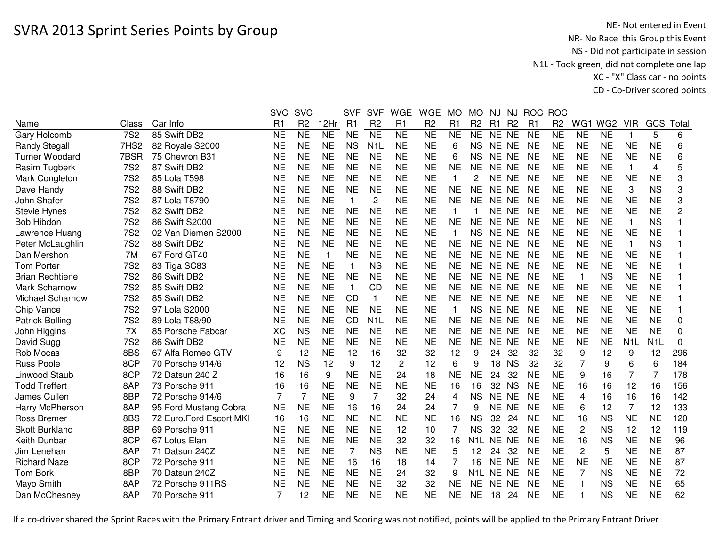|                         |                 |                         | <b>SVC</b> | <b>SVC</b>     |                | <b>SVF</b>   | <b>SVF</b>       | <b>WGE</b>     | <b>WGE</b>     | <b>MO</b>      | <b>MO</b>        | NJ        | NJ             |                | ROC ROC        |                |                 |                  |                  |                |
|-------------------------|-----------------|-------------------------|------------|----------------|----------------|--------------|------------------|----------------|----------------|----------------|------------------|-----------|----------------|----------------|----------------|----------------|-----------------|------------------|------------------|----------------|
| Name                    | Class           | Car Info                | R1         | R <sub>2</sub> | 12Hr           | R1           | R <sub>2</sub>   | R <sub>1</sub> | R <sub>2</sub> | R <sub>1</sub> | R <sub>2</sub>   | R1        | R <sub>2</sub> | R <sub>1</sub> | R <sub>2</sub> | WG1            | WG <sub>2</sub> | <b>VIR</b>       | GCS              | Total          |
| Gary Holcomb            | <b>7S2</b>      | 85 Swift DB2            | NE         | <b>NE</b>      | N <sub>E</sub> | <b>NE</b>    | <b>NE</b>        | <b>NE</b>      | <b>NE</b>      | <b>NE</b>      | <b>NE</b>        | NE NE     |                | <b>NE</b>      | <b>NE</b>      | <b>NE</b>      | <b>NE</b>       | 1                | 5                | 6              |
| <b>Randy Stegall</b>    | 7HS2            | 82 Royale S2000         | <b>NE</b>  | <b>NE</b>      | <b>NE</b>      | <b>NS</b>    | N <sub>1</sub> L | <b>NE</b>      | <b>NE</b>      | 6              | <b>NS</b>        | NE NE     |                | <b>NE</b>      | <b>NE</b>      | <b>NE</b>      | <b>NE</b>       | <b>NE</b>        | <b>NE</b>        | 6              |
| <b>Turner Woodard</b>   | 7BSR            | 75 Chevron B31          | <b>NE</b>  | <b>NE</b>      | <b>NE</b>      | <b>NE</b>    | <b>NE</b>        | <b>NE</b>      | <b>NE</b>      | 6              | NS.              | NE NE     |                | <b>NE</b>      | <b>NE</b>      | <b>NE</b>      | <b>NE</b>       | <b>NE</b>        | <b>NE</b>        | 6              |
| Rasim Tugberk           | <b>7S2</b>      | 87 Swift DB2            | <b>NE</b>  | <b>NE</b>      | <b>NE</b>      | <b>NE</b>    | <b>NE</b>        | <b>NE</b>      | <b>NE</b>      | <b>NE</b>      | <b>NE</b>        | NE NE     |                | <b>NE</b>      | <b>NE</b>      | <b>NE</b>      | <b>NE</b>       | 1                | 4                | 5              |
| Mark Congleton          | <b>7S2</b>      | 85 Lola T598            | <b>NE</b>  | <b>NE</b>      | <b>NE</b>      | <b>NE</b>    | <b>NE</b>        | <b>NE</b>      | <b>NE</b>      | 1              | 2                | NE NE     |                | <b>NE</b>      | <b>NE</b>      | <b>NE</b>      | <b>NE</b>       | <b>NE</b>        | <b>NE</b>        | 3              |
| Dave Handy              | <b>7S2</b>      | 88 Swift DB2            | <b>NE</b>  | <b>NE</b>      | <b>NE</b>      | <b>NE</b>    | <b>NE</b>        | <b>NE</b>      | <b>NE</b>      | <b>NE</b>      | <b>NE</b>        | NE NE     |                | <b>NE</b>      | <b>NE</b>      | <b>NE</b>      | <b>NE</b>       | 3                | <b>NS</b>        | 3              |
| John Shafer             | <b>7S2</b>      | 87 Lola T8790           | <b>NE</b>  | <b>NE</b>      | <b>NE</b>      | $\mathbf{1}$ | $\overline{c}$   | <b>NE</b>      | <b>NE</b>      | <b>NE</b>      | <b>NE</b>        | NE NE     |                | <b>NE</b>      | <b>NE</b>      | <b>NE</b>      | <b>NE</b>       | <b>NE</b>        | <b>NE</b>        | 3              |
| <b>Stevie Hynes</b>     | <b>7S2</b>      | 82 Swift DB2            | <b>NE</b>  | <b>NE</b>      | <b>NE</b>      | <b>NE</b>    | <b>NE</b>        | <b>NE</b>      | <b>NE</b>      | 1              |                  | NE NE     |                | <b>NE</b>      | <b>NE</b>      | <b>NE</b>      | <b>NE</b>       | <b>NE</b>        | <b>NE</b>        | $\overline{c}$ |
| <b>Bob Hibdon</b>       | <b>7S2</b>      | 86 Swift S2000          | <b>NE</b>  | <b>NE</b>      | <b>NE</b>      | <b>NE</b>    | <b>NE</b>        | <b>NE</b>      | <b>NE</b>      | <b>NE</b>      | <b>NE</b>        | NE NE     |                | <b>NE</b>      | <b>NE</b>      | <b>NE</b>      | <b>NE</b>       | $\mathbf{1}$     | <b>NS</b>        |                |
| Lawrence Huang          | <b>7S2</b>      | 02 Van Diemen S2000     | <b>NE</b>  | <b>NE</b>      | <b>NE</b>      | <b>NE</b>    | <b>NE</b>        | <b>NE</b>      | <b>NE</b>      | 1              | <b>NS</b>        | NE NE     |                | <b>NE</b>      | <b>NE</b>      | <b>NE</b>      | <b>NE</b>       | <b>NE</b>        | <b>NE</b>        |                |
| Peter McLaughlin        | <b>7S2</b>      | 88 Swift DB2            | <b>NE</b>  | <b>NE</b>      | <b>NE</b>      | <b>NE</b>    | <b>NE</b>        | <b>NE</b>      | <b>NE</b>      | <b>NE</b>      | <b>NE</b>        | NE NE     |                | <b>NE</b>      | <b>NE</b>      | <b>NE</b>      | <b>NE</b>       | 1                | <b>NS</b>        |                |
| Dan Mershon             | 7M              | 67 Ford GT40            | <b>NE</b>  | <b>NE</b>      | $\mathbf{1}$   | <b>NE</b>    | <b>NE</b>        | <b>NE</b>      | <b>NE</b>      | <b>NE</b>      | <b>NE</b>        | NE.       | <b>NE</b>      | <b>NE</b>      | <b>NE</b>      | <b>NE</b>      | <b>NE</b>       | <b>NE</b>        | <b>NE</b>        |                |
| <b>Tom Porter</b>       | <b>7S2</b>      | 83 Tiga SC83            | <b>NE</b>  | <b>NE</b>      | <b>NE</b>      | $\mathbf{1}$ | <b>NS</b>        | <b>NE</b>      | <b>NE</b>      | <b>NE</b>      | NE               | <b>NE</b> | <b>NE</b>      | <b>NE</b>      | <b>NE</b>      | <b>NE</b>      | <b>NE</b>       | <b>NE</b>        | <b>NE</b>        |                |
| <b>Brian Rechtiene</b>  | 7S <sub>2</sub> | 86 Swift DB2            | <b>NE</b>  | <b>NE</b>      | <b>NE</b>      | <b>NE</b>    | <b>NE</b>        | <b>NE</b>      | <b>NE</b>      | <b>NE</b>      | <b>NE</b>        | NE NE     |                | <b>NE</b>      | <b>NE</b>      | -1             | <b>NS</b>       | <b>NE</b>        | <b>NE</b>        |                |
| Mark Scharnow           | <b>7S2</b>      | 85 Swift DB2            | <b>NE</b>  | <b>NE</b>      | <b>NE</b>      | $\mathbf{1}$ | CD               | <b>NE</b>      | <b>NE</b>      | <b>NE</b>      | <b>NE</b>        | <b>NE</b> | <b>NE</b>      | <b>NE</b>      | <b>NE</b>      | <b>NE</b>      | <b>NE</b>       | <b>NE</b>        | <b>NE</b>        |                |
| <b>Michael Scharnow</b> | <b>7S2</b>      | 85 Swift DB2            | <b>NE</b>  | <b>NE</b>      | <b>NE</b>      | <b>CD</b>    | $\mathbf{1}$     | <b>NE</b>      | <b>NE</b>      | <b>NE</b>      | <b>NE</b>        | <b>NE</b> | NE             | <b>NE</b>      | <b>NE</b>      | <b>NE</b>      | <b>NE</b>       | <b>NE</b>        | <b>NE</b>        |                |
| Chip Vance              | <b>7S2</b>      | 97 Lola S2000           | <b>NE</b>  | <b>NE</b>      | <b>NE</b>      | <b>NE</b>    | <b>NE</b>        | <b>NE</b>      | <b>NE</b>      | 1              | <b>NS</b>        | NE NE     |                | <b>NE</b>      | <b>NE</b>      | <b>NE</b>      | <b>NE</b>       | <b>NE</b>        | <b>NE</b>        |                |
| <b>Patrick Bolling</b>  | <b>7S2</b>      | 89 Lola T88/90          | <b>NE</b>  | <b>NE</b>      | <b>NE</b>      | <b>CD</b>    | N <sub>1</sub> L | <b>NE</b>      | <b>NE</b>      | <b>NE</b>      | <b>NE</b>        | NE NE     |                | <b>NE</b>      | <b>NE</b>      | <b>NE</b>      | <b>NE</b>       | <b>NE</b>        | <b>NE</b>        | 0              |
| John Higgins            | 7X              | 85 Porsche Fabcar       | XC         | <b>NS</b>      | <b>NE</b>      | <b>NE</b>    | <b>NE</b>        | <b>NE</b>      | <b>NE</b>      | <b>NE</b>      | <b>NE</b>        | NE NE     |                | <b>NE</b>      | <b>NE</b>      | <b>NE</b>      | <b>NE</b>       | <b>NE</b>        | <b>NE</b>        | 0              |
| David Sugg              | <b>7S2</b>      | 86 Swift DB2            | <b>NE</b>  | <b>NE</b>      | <b>NE</b>      | <b>NE</b>    | <b>NE</b>        | <b>NE</b>      | <b>NE</b>      | <b>NE</b>      | <b>NE</b>        | NE NE     |                | <b>NE</b>      | <b>NE</b>      | <b>NE</b>      | <b>NE</b>       | N <sub>1</sub> L | N <sub>1</sub> L | $\Omega$       |
| Rob Mocas               | 8BS             | 67 Alfa Romeo GTV       | 9          | 12             | <b>NE</b>      | 12           | 16               | 32             | 32             | 12             | 9                | 24        | 32             | 32             | 32             | 9              | 12              | 9                | 12               | 296            |
| <b>Russ Poole</b>       | 8CP             | 70 Porsche 914/6        | 12         | <b>NS</b>      | 12             | 9            | 12               | $\overline{c}$ | 12             | 6              | 9                | 18        | <b>NS</b>      | 32             | 32             | 7              | 9               | 6                | 6                | 184            |
| Linwood Staub           | 8CP             | 72 Datsun 240 Z         | 16         | 16             | 9              | <b>NE</b>    | <b>NE</b>        | 24             | 18             | <b>NE</b>      | <b>NE</b>        | 24        | 32             | <b>NE</b>      | <b>NE</b>      | 9              | 16              | $\overline{7}$   | 7                | 178            |
| <b>Todd Treffert</b>    | 8AP             | 73 Porsche 911          | 16         | 16             | <b>NE</b>      | <b>NE</b>    | <b>NE</b>        | <b>NE</b>      | <b>NE</b>      | 16             | 16               | 32        | <b>NS</b>      | <b>NE</b>      | <b>NE</b>      | 16             | 16              | 12               | 16               | 156            |
| James Cullen            | 8BP             | 72 Porsche 914/6        | 7          | $\overline{7}$ | <b>NE</b>      | 9            | $\overline{7}$   | 32             | 24             | 4              | <b>NS</b>        | NE NE     |                | <b>NE</b>      | <b>NE</b>      | 4              | 16              | 16               | 16               | 142            |
| Harry McPherson         | 8AP             | 95 Ford Mustang Cobra   | <b>NE</b>  | <b>NE</b>      | <b>NE</b>      | 16           | 16               | 24             | 24             | 7              | 9                | NE NE     |                | <b>NE</b>      | <b>NE</b>      | 6              | 12              | 7                | 12               | 133            |
| <b>Ross Bremer</b>      | 8BS             | 72 Euro.Ford Escort MKI | 16         | 16             | <b>NE</b>      | <b>NE</b>    | <b>NE</b>        | <b>NE</b>      | <b>NE</b>      | 16             | <b>NS</b>        | 32        | 24             | <b>NE</b>      | <b>NE</b>      | 16             | <b>NS</b>       | <b>NE</b>        | <b>NE</b>        | 120            |
| <b>Skott Burkland</b>   | 8BP             | 69 Porsche 911          | <b>NE</b>  | <b>NE</b>      | <b>NE</b>      | <b>NE</b>    | <b>NE</b>        | 12             | 10             | 7              | <b>NS</b>        | 32        | 32             | <b>NE</b>      | NE             | $\overline{c}$ | <b>NS</b>       | 12               | 12               | 119            |
| Keith Dunbar            | 8CP             | 67 Lotus Elan           | <b>NE</b>  | <b>NE</b>      | <b>NE</b>      | <b>NE</b>    | <b>NE</b>        | 32             | 32             | 16             | N1L              | NE NE     |                | <b>NE</b>      | <b>NE</b>      | 16             | <b>NS</b>       | <b>NE</b>        | <b>NE</b>        | 96             |
| Jim Lenehan             | 8AP             | 71 Datsun 240Z          | <b>NE</b>  | <b>NE</b>      | <b>NE</b>      | 7            | <b>NS</b>        | <b>NE</b>      | <b>NE</b>      | 5              | 12               | 24        | 32             | <b>NE</b>      | <b>NE</b>      | $\overline{2}$ | 5               | <b>NE</b>        | <b>NE</b>        | 87             |
| <b>Richard Naze</b>     | 8CP             | 72 Porsche 911          | <b>NE</b>  | <b>NE</b>      | <b>NE</b>      | 16           | 16               | 18             | 14             | 7              | 16               | NE NE     |                | <b>NE</b>      | <b>NE</b>      | <b>NE</b>      | <b>NE</b>       | <b>NE</b>        | <b>NE</b>        | 87             |
| Tom Bork                | 8BP             | 70 Datsun 240Z          | <b>NE</b>  | <b>NE</b>      | <b>NE</b>      | <b>NE</b>    | <b>NE</b>        | 24             | 32             | 9              | N <sub>1</sub> L | NE NE     |                | <b>NE</b>      | <b>NE</b>      | 7              | <b>NS</b>       | <b>NE</b>        | <b>NE</b>        | 72             |
| Mayo Smith              | 8AP             | 72 Porsche 911RS        | <b>NE</b>  | <b>NE</b>      | <b>NE</b>      | <b>NE</b>    | <b>NE</b>        | 32             | 32             | <b>NE</b>      | <b>NE</b>        | NE NE     |                | <b>NE</b>      | <b>NE</b>      |                | <b>NS</b>       | <b>NE</b>        | <b>NE</b>        | 65             |
| Dan McChesney           | 8AP             | 70 Porsche 911          | 7          | 12             | <b>NE</b>      | <b>NE</b>    | <b>NE</b>        | <b>NE</b>      | <b>NE</b>      | <b>NE</b>      | <b>NE</b>        | 18        | 24             | <b>NE</b>      | <b>NE</b>      |                | <b>NS</b>       | <b>NE</b>        | <b>NE</b>        | 62             |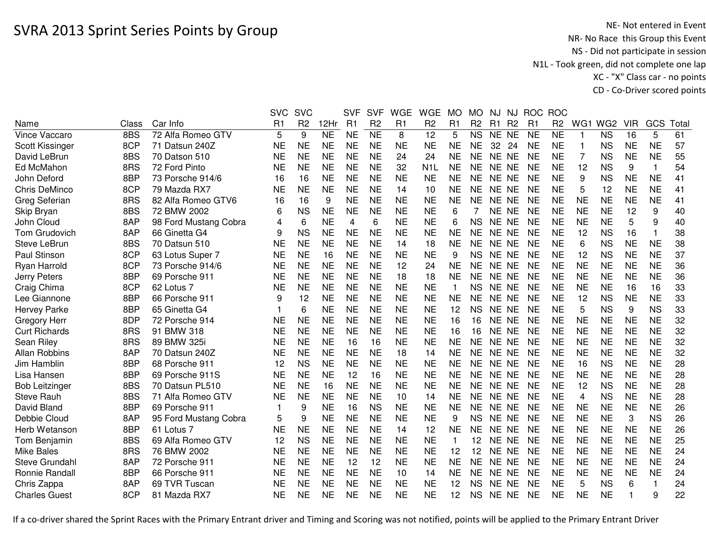|                       |       |                       | <b>SVC</b>     | <b>SVC</b>     |                        | <b>SVF</b>     | <b>SVF</b>     | <b>WGE</b>     | <b>WGE</b>       | <b>MO</b> | <b>MO</b>              | NJ.       | NJ             | <b>ROC</b>          | <b>ROC</b>     |              |                        |            |           |       |
|-----------------------|-------|-----------------------|----------------|----------------|------------------------|----------------|----------------|----------------|------------------|-----------|------------------------|-----------|----------------|---------------------|----------------|--------------|------------------------|------------|-----------|-------|
| Name                  | Class | Car Info              | R <sub>1</sub> | R <sub>2</sub> | 12Hr                   | R <sub>1</sub> | R <sub>2</sub> | R <sub>1</sub> | R <sub>2</sub>   | R1        | R <sub>2</sub>         | R1        | R <sub>2</sub> | R1                  | R <sub>2</sub> | WG1          | WG <sub>2</sub>        | <b>VIR</b> | GCS       | Total |
| Vince Vaccaro         | 8BS   | 72 Alfa Romeo GTV     | 5              | 9              | $\overline{\text{NE}}$ | <b>NE</b>      | N <sub>E</sub> | 8              | $\overline{12}$  | 5         | $\overline{\text{NS}}$ | NE NE     |                | $\overline{\sf NE}$ | N <sub>E</sub> | $\mathbf{1}$ | $\overline{\text{NS}}$ | 16         | 5         | 61    |
| Scott Kissinger       | 8CP   | 71 Datsun 240Z        | <b>NE</b>      | <b>NE</b>      | <b>NE</b>              | <b>NE</b>      | <b>NE</b>      | <b>NE</b>      | <b>NE</b>        | <b>NE</b> | <b>NE</b>              | 32        | 24             | <b>NE</b>           | <b>NE</b>      |              | <b>NS</b>              | <b>NE</b>  | <b>NE</b> | 57    |
| David LeBrun          | 8BS   | 70 Datson 510         | <b>NE</b>      | <b>NE</b>      | <b>NE</b>              | <b>NE</b>      | <b>NE</b>      | 24             | 24               | <b>NE</b> | <b>NE</b>              | NE NE     |                | <b>NE</b>           | <b>NE</b>      | 7            | <b>NS</b>              | <b>NE</b>  | <b>NE</b> | 55    |
| Ed McMahon            | 8RS   | 72 Ford Pinto         | <b>NE</b>      | <b>NE</b>      | <b>NE</b>              | <b>NE</b>      | <b>NE</b>      | 32             | N <sub>1</sub> L | <b>NE</b> | <b>NE</b>              | NE NE     |                | <b>NE</b>           | <b>NE</b>      | 12           | <b>NS</b>              | 9          | 1         | 54    |
| John Deford           | 8BP   | 73 Porsche 914/6      | 16             | 16             | <b>NE</b>              | <b>NE</b>      | <b>NE</b>      | <b>NE</b>      | <b>NE</b>        | <b>NE</b> | <b>NE</b>              | NE NE     |                | <b>NE</b>           | <b>NE</b>      | 9            | <b>NS</b>              | <b>NE</b>  | <b>NE</b> | 41    |
| Chris DeMinco         | 8CP   | 79 Mazda RX7          | <b>NE</b>      | <b>NE</b>      | <b>NE</b>              | <b>NE</b>      | <b>NE</b>      | 14             | 10               | <b>NE</b> | NE.                    | NE NE     |                | <b>NE</b>           | <b>NE</b>      | 5            | 12                     | <b>NE</b>  | <b>NE</b> | 41    |
| Greg Seferian         | 8RS   | 82 Alfa Romeo GTV6    | 16             | 16             | 9                      | <b>NE</b>      | <b>NE</b>      | <b>NE</b>      | <b>NE</b>        | NE        | <b>NE</b>              | NE NE     |                | <b>NE</b>           | <b>NE</b>      | <b>NE</b>    | <b>NE</b>              | <b>NE</b>  | <b>NE</b> | 41    |
| Skip Bryan            | 8BS   | 72 BMW 2002           | 6              | <b>NS</b>      | NE                     | <b>NE</b>      | NE             | <b>NE</b>      | <b>NE</b>        | 6         |                        | NE NE     |                | <b>NE</b>           | NE             | <b>NE</b>    | <b>NE</b>              | 12         | 9         | 40    |
| John Cloud            | 8AP   | 98 Ford Mustang Cobra | 4              | 6              | <b>NE</b>              | 4              | 6              | <b>NE</b>      | <b>NE</b>        | 6         | <b>NS</b>              | NE NE     |                | <b>NE</b>           | <b>NE</b>      | <b>NE</b>    | <b>NE</b>              | 5          | 9         | 40    |
| Tom Grudovich         | 8AP   | 66 Ginetta G4         | 9              | <b>NS</b>      | <b>NE</b>              | <b>NE</b>      | <b>NE</b>      | <b>NE</b>      | <b>NE</b>        | <b>NE</b> | <b>NE</b>              | NE NE     |                | <b>NE</b>           | <b>NE</b>      | 12           | <b>NS</b>              | 16         | -1        | 38    |
| Steve LeBrun          | 8BS   | 70 Datsun 510         | <b>NE</b>      | <b>NE</b>      | <b>NE</b>              | <b>NE</b>      | <b>NE</b>      | 14             | 18               | <b>NE</b> | <b>NE</b>              | NE NE     |                | <b>NE</b>           | <b>NE</b>      | 6            | <b>NS</b>              | <b>NE</b>  | <b>NE</b> | 38    |
| Paul Stinson          | 8CP   | 63 Lotus Super 7      | <b>NE</b>      | <b>NE</b>      | 16                     | <b>NE</b>      | <b>NE</b>      | <b>NE</b>      | <b>NE</b>        | 9         | <b>NS</b>              | NE NE     |                | <b>NE</b>           | <b>NE</b>      | 12           | <b>NS</b>              | <b>NE</b>  | <b>NE</b> | 37    |
| Ryan Harrold          | 8CP   | 73 Porsche 914/6      | <b>NE</b>      | <b>NE</b>      | <b>NE</b>              | <b>NE</b>      | <b>NE</b>      | 12             | 24               | <b>NE</b> | <b>NE</b>              | <b>NE</b> | NE             | <b>NE</b>           | <b>NE</b>      | <b>NE</b>    | <b>NE</b>              | <b>NE</b>  | <b>NE</b> | 36    |
| Jerry Peters          | 8BP   | 69 Porsche 911        | <b>NE</b>      | <b>NE</b>      | <b>NE</b>              | <b>NE</b>      | <b>NE</b>      | 18             | 18               | <b>NE</b> | <b>NE</b>              | <b>NE</b> | NE.            | <b>NE</b>           | <b>NE</b>      | <b>NE</b>    | <b>NE</b>              | <b>NE</b>  | <b>NE</b> | 36    |
| Craig Chima           | 8CP   | 62 Lotus 7            | <b>NE</b>      | <b>NE</b>      | <b>NE</b>              | <b>NE</b>      | <b>NE</b>      | <b>NE</b>      | <b>NE</b>        | 1         | <b>NS</b>              | <b>NE</b> | NE             | <b>NE</b>           | <b>NE</b>      | <b>NE</b>    | <b>NE</b>              | 16         | 16        | 33    |
| Lee Giannone          | 8BP   | 66 Porsche 911        | 9              | 12             | <b>NE</b>              | <b>NE</b>      | <b>NE</b>      | <b>NE</b>      | <b>NE</b>        | <b>NE</b> | <b>NE</b>              | NE        | NE.            | <b>NE</b>           | <b>NE</b>      | 12           | <b>NS</b>              | <b>NE</b>  | <b>NE</b> | 33    |
| Hervey Parke          | 8BP   | 65 Ginetta G4         |                | 6              | <b>NE</b>              | <b>NE</b>      | <b>NE</b>      | <b>NE</b>      | <b>NE</b>        | 12        | <b>NS</b>              | NE NE     |                | <b>NE</b>           | <b>NE</b>      | 5            | <b>NS</b>              | 9          | <b>NS</b> | 33    |
| <b>Gregory Herr</b>   | 8DP   | 72 Porsche 914        | <b>NE</b>      | <b>NE</b>      | <b>NE</b>              | <b>NE</b>      | <b>NE</b>      | <b>NE</b>      | <b>NE</b>        | 16        | 16                     | NE NE     |                | <b>NE</b>           | <b>NE</b>      | <b>NE</b>    | <b>NE</b>              | <b>NE</b>  | <b>NE</b> | 32    |
| <b>Curt Richards</b>  | 8RS   | 91 BMW 318            | <b>NE</b>      | <b>NE</b>      | <b>NE</b>              | <b>NE</b>      | <b>NE</b>      | <b>NE</b>      | <b>NE</b>        | 16        | 16                     | NE NE     |                | <b>NE</b>           | <b>NE</b>      | <b>NE</b>    | <b>NE</b>              | <b>NE</b>  | <b>NE</b> | 32    |
| Sean Riley            | 8RS   | 89 BMW 325i           | <b>NE</b>      | <b>NE</b>      | <b>NE</b>              | 16             | 16             | <b>NE</b>      | <b>NE</b>        | <b>NE</b> | <b>NE</b>              | NE NE     |                | <b>NE</b>           | <b>NE</b>      | <b>NE</b>    | <b>NE</b>              | <b>NE</b>  | <b>NE</b> | 32    |
| <b>Allan Robbins</b>  | 8AP   | 70 Datsun 240Z        | <b>NE</b>      | <b>NE</b>      | <b>NE</b>              | <b>NE</b>      | <b>NE</b>      | 18             | 14               | <b>NE</b> | NE.                    | NE NE     |                | <b>NE</b>           | <b>NE</b>      | <b>NE</b>    | <b>NE</b>              | <b>NE</b>  | <b>NE</b> | 32    |
| Jim Hamblin           | 8BP   | 68 Porsche 911        | 12             | <b>NS</b>      | <b>NE</b>              | <b>NE</b>      | <b>NE</b>      | <b>NE</b>      | <b>NE</b>        | <b>NE</b> | <b>NE</b>              | NE NE     |                | <b>NE</b>           | <b>NE</b>      | 16           | <b>NS</b>              | <b>NE</b>  | <b>NE</b> | 28    |
| Lisa Hansen           | 8BP   | 69 Porsche 911S       | <b>NE</b>      | <b>NE</b>      | <b>NE</b>              | 12             | 16             | <b>NE</b>      | <b>NE</b>        | <b>NE</b> | <b>NE</b>              | NE NE     |                | <b>NE</b>           | <b>NE</b>      | <b>NE</b>    | <b>NE</b>              | <b>NE</b>  | <b>NE</b> | 28    |
| <b>Bob Leitzinger</b> | 8BS   | 70 Datsun PL510       | <b>NE</b>      | <b>NE</b>      | 16                     | <b>NE</b>      | <b>NE</b>      | <b>NE</b>      | <b>NE</b>        | <b>NE</b> | <b>NE</b>              | NE NE     |                | <b>NE</b>           | <b>NE</b>      | 12           | <b>NS</b>              | <b>NE</b>  | <b>NE</b> | 28    |
| <b>Steve Rauh</b>     | 8BS   | 71 Alfa Romeo GTV     | <b>NE</b>      | <b>NE</b>      | <b>NE</b>              | <b>NE</b>      | <b>NE</b>      | 10             | 14               | <b>NE</b> | <b>NE</b>              | NE NE     |                | <b>NE</b>           | <b>NE</b>      | 4            | <b>NS</b>              | <b>NE</b>  | <b>NE</b> | 28    |
| David Bland           | 8BP   | 69 Porsche 911        | 1              | 9              | <b>NE</b>              | 16             | <b>NS</b>      | <b>NE</b>      | <b>NE</b>        | <b>NE</b> | <b>NE</b>              | NE NE     |                | <b>NE</b>           | <b>NE</b>      | <b>NE</b>    | <b>NE</b>              | <b>NE</b>  | <b>NE</b> | 26    |
| Debbie Cloud          | 8AP   | 95 Ford Mustang Cobra | 5              | 9              | <b>NE</b>              | <b>NE</b>      | <b>NE</b>      | <b>NE</b>      | <b>NE</b>        | 9         | <b>NS</b>              | NE NE     |                | <b>NE</b>           | <b>NE</b>      | <b>NE</b>    | <b>NE</b>              | 3          | <b>NS</b> | 26    |
| Herb Wetanson         | 8BP   | 61 Lotus 7            | <b>NE</b>      | <b>NE</b>      | <b>NE</b>              | <b>NE</b>      | <b>NE</b>      | 14             | 12               | <b>NE</b> | <b>NE</b>              | NE        | <b>NE</b>      | <b>NE</b>           | <b>NE</b>      | <b>NE</b>    | <b>NE</b>              | <b>NE</b>  | <b>NE</b> | 26    |
| Tom Benjamin          | 8BS   | 69 Alfa Romeo GTV     | 12             | <b>NS</b>      | <b>NE</b>              | <b>NE</b>      | <b>NE</b>      | <b>NE</b>      | <b>NE</b>        | 1         | 12                     | <b>NE</b> | NE.            | <b>NE</b>           | <b>NE</b>      | <b>NE</b>    | <b>NE</b>              | <b>NE</b>  | <b>NE</b> | 25    |
| <b>Mike Bales</b>     | 8RS   | 76 BMW 2002           | <b>NE</b>      | <b>NE</b>      | <b>NE</b>              | <b>NE</b>      | <b>NE</b>      | <b>NE</b>      | <b>NE</b>        | 12        | 12                     | NE NE     |                | <b>NE</b>           | <b>NE</b>      | <b>NE</b>    | <b>NE</b>              | <b>NE</b>  | <b>NE</b> | 24    |
| Steve Grundahl        | 8AP   | 72 Porsche 911        | <b>NE</b>      | <b>NE</b>      | <b>NE</b>              | 12             | 12             | <b>NE</b>      | <b>NE</b>        | <b>NE</b> | <b>NE</b>              | NE NE     |                | <b>NE</b>           | <b>NE</b>      | <b>NE</b>    | <b>NE</b>              | <b>NE</b>  | <b>NE</b> | 24    |
| Ronnie Randall        | 8BP   | 66 Porsche 911        | <b>NE</b>      | <b>NE</b>      | <b>NE</b>              | <b>NE</b>      | <b>NE</b>      | 10             | 14               | <b>NE</b> | <b>NE</b>              | NE NE     |                | <b>NE</b>           | <b>NE</b>      | <b>NE</b>    | <b>NE</b>              | <b>NE</b>  | <b>NE</b> | 24    |
| Chris Zappa           | 8AP   | 69 TVR Tuscan         | <b>NE</b>      | <b>NE</b>      | <b>NE</b>              | <b>NE</b>      | <b>NE</b>      | <b>NE</b>      | <b>NE</b>        | 12        | <b>NS</b>              | NE NE     |                | <b>NE</b>           | <b>NE</b>      | 5            | <b>NS</b>              | 6          |           | 24    |
| <b>Charles Guest</b>  | 8CP   | 81 Mazda RX7          | NE             | <b>NE</b>      | <b>NE</b>              | <b>NE</b>      | <b>NE</b>      | <b>NE</b>      | <b>NE</b>        | 12        | NS.                    | NE NE     |                | <b>NE</b>           | <b>NE</b>      | <b>NE</b>    | <b>NE</b>              |            | 9         | 22    |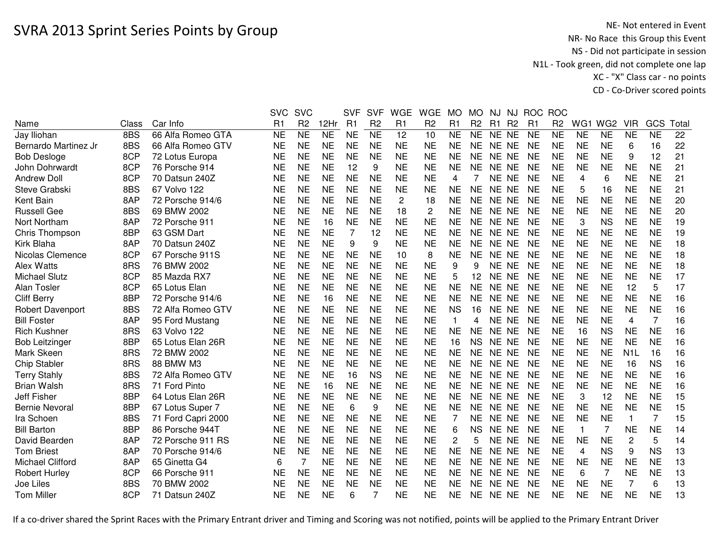## SVRA 2013 Sprint Series Points by Group

NE- Not entered in Event<br>NR- No Race this Group this Event NS - Did not participate in session N1L - Took green, did not complete one lap XC - "X" Class car - no pointsCD - Co-Driver scored points

|                       |       |                    | <b>SVC</b> | <b>SVC</b>     |           | <b>SVF</b> | <b>SVF</b>     | <b>WGE</b>     | <b>WGE</b>     | <b>MO</b>      | <b>MO</b>      | NJ        | NJ.       | <b>ROC</b>     | <b>ROC</b>     |                |                 |                |           |       |
|-----------------------|-------|--------------------|------------|----------------|-----------|------------|----------------|----------------|----------------|----------------|----------------|-----------|-----------|----------------|----------------|----------------|-----------------|----------------|-----------|-------|
| Name                  | Class | Car Info           | R1         | R <sub>2</sub> | 12Hr      | R1         | R <sub>2</sub> | R1             | R <sub>2</sub> | R1             | R <sub>2</sub> | R1        | <b>R2</b> | R <sub>1</sub> | R <sub>2</sub> | WG1            | WG <sub>2</sub> | <b>VIR</b>     | GCS       | Total |
| Jay Iliohan           | 8BS   | 66 Alfa Romeo GTA  | <b>NE</b>  | <b>NE</b>      | <b>NE</b> | <b>NE</b>  | <b>NE</b>      | 12             | 10             | <b>NE</b>      | <b>NE</b>      | NE NE     |           | <b>NE</b>      | <b>NE</b>      | <b>NE</b>      | <b>NE</b>       | <b>NE</b>      | <b>NE</b> | 22    |
| Bernardo Martinez Jr  | 8BS   | 66 Alfa Romeo GTV  | <b>NE</b>  | <b>NE</b>      | <b>NE</b> | <b>NE</b>  | <b>NE</b>      | <b>NE</b>      | <b>NE</b>      | <b>NE</b>      | <b>NE</b>      | NE NE     |           | <b>NE</b>      | <b>NE</b>      | <b>NE</b>      | <b>NE</b>       | 6              | 16        | 22    |
| <b>Bob Desloge</b>    | 8CP   | 72 Lotus Europa    | <b>NE</b>  | <b>NE</b>      | <b>NE</b> | <b>NE</b>  | <b>NE</b>      | <b>NE</b>      | <b>NE</b>      | <b>NE</b>      | <b>NE</b>      | NE NE     |           | <b>NE</b>      | <b>NE</b>      | <b>NE</b>      | <b>NE</b>       | 9              | 12        | 21    |
| John Dohrwardt        | 8CP   | 76 Porsche 914     | <b>NE</b>  | <b>NE</b>      | <b>NE</b> | 12         | 9              | <b>NE</b>      | <b>NE</b>      | <b>NE</b>      | <b>NE</b>      | NE NE     |           | <b>NE</b>      | <b>NE</b>      | <b>NE</b>      | <b>NE</b>       | <b>NE</b>      | <b>NE</b> | 21    |
| <b>Andrew Doll</b>    | 8CP   | 70 Datsun 240Z     | <b>NE</b>  | <b>NE</b>      | <b>NE</b> | <b>NE</b>  | <b>NE</b>      | <b>NE</b>      | <b>NE</b>      | 4              |                | NE NE     |           | <b>NE</b>      | <b>NE</b>      | $\overline{4}$ | 6               | <b>NE</b>      | <b>NE</b> | 21    |
| Steve Grabski         | 8BS   | 67 Volvo 122       | <b>NE</b>  | <b>NE</b>      | <b>NE</b> | <b>NE</b>  | <b>NE</b>      | <b>NE</b>      | <b>NE</b>      | <b>NE</b>      | <b>NE</b>      | NE NE     |           | <b>NE</b>      | <b>NE</b>      | 5              | 16              | <b>NE</b>      | <b>NE</b> | 21    |
| Kent Bain             | 8AP   | 72 Porsche 914/6   | <b>NE</b>  | <b>NE</b>      | <b>NE</b> | <b>NE</b>  | <b>NE</b>      | $\overline{2}$ | 18             | <b>NE</b>      | <b>NE</b>      | NE NE     |           | <b>NE</b>      | <b>NE</b>      | <b>NE</b>      | <b>NE</b>       | <b>NE</b>      | <b>NE</b> | 20    |
| <b>Russell Gee</b>    | 8BS   | 69 BMW 2002        | NE         | <b>NE</b>      | <b>NE</b> | <b>NE</b>  | <b>NE</b>      | 18             | $\overline{c}$ | NE             | NE             | NE NE     |           | <b>NE</b>      | NE             | <b>NE</b>      | <b>NE</b>       | <b>NE</b>      | <b>NE</b> | 20    |
| Nort Northam          | 8AP   | 72 Porsche 911     | <b>NE</b>  | <b>NE</b>      | 16        | <b>NE</b>  | <b>NE</b>      | <b>NE</b>      | <b>NE</b>      | <b>NE</b>      | <b>NE</b>      | NE NE     |           | <b>NE</b>      | <b>NE</b>      | 3              | <b>NS</b>       | <b>NE</b>      | <b>NE</b> | 19    |
| Chris Thompson        | 8BP   | 63 GSM Dart        | <b>NE</b>  | <b>NE</b>      | <b>NE</b> | 7          | 12             | <b>NE</b>      | <b>NE</b>      | <b>NE</b>      | <b>NE</b>      | NE NE     |           | <b>NE</b>      | <b>NE</b>      | <b>NE</b>      | <b>NE</b>       | <b>NE</b>      | <b>NE</b> | 19    |
| Kirk Blaha            | 8AP   | 70 Datsun 240Z     | <b>NE</b>  | <b>NE</b>      | <b>NE</b> | 9          | 9              | <b>NE</b>      | <b>NE</b>      | <b>NE</b>      | <b>NE</b>      | NE NE     |           | <b>NE</b>      | <b>NE</b>      | <b>NE</b>      | <b>NE</b>       | <b>NE</b>      | <b>NE</b> | 18    |
| Nicolas Clemence      | 8CP   | 67 Porsche 911S    | <b>NE</b>  | <b>NE</b>      | <b>NE</b> | <b>NE</b>  | <b>NE</b>      | 10             | 8              | <b>NE</b>      | <b>NE</b>      | NE NE     |           | <b>NE</b>      | <b>NE</b>      | <b>NE</b>      | <b>NE</b>       | <b>NE</b>      | <b>NE</b> | 18    |
| Alex Watts            | 8RS   | 76 BMW 2002        | <b>NE</b>  | <b>NE</b>      | <b>NE</b> | <b>NE</b>  | <b>NE</b>      | <b>NE</b>      | <b>NE</b>      | 9              | 9              | NE NE     |           | <b>NE</b>      | <b>NE</b>      | <b>NE</b>      | <b>NE</b>       | <b>NE</b>      | <b>NE</b> | 18    |
| <b>Michael Slutz</b>  | 8CP   | 85 Mazda RX7       | <b>NE</b>  | <b>NE</b>      | <b>NE</b> | <b>NE</b>  | <b>NE</b>      | <b>NE</b>      | <b>NE</b>      | 5              | 12             | <b>NE</b> | <b>NE</b> | <b>NE</b>      | <b>NE</b>      | <b>NE</b>      | <b>NE</b>       | <b>NE</b>      | <b>NE</b> | 17    |
| <b>Alan Tosler</b>    | 8CP   | 65 Lotus Elan      | <b>NE</b>  | <b>NE</b>      | <b>NE</b> | <b>NE</b>  | <b>NE</b>      | <b>NE</b>      | <b>NE</b>      | <b>NE</b>      | <b>NE</b>      | NE        | <b>NE</b> | <b>NE</b>      | <b>NE</b>      | <b>NE</b>      | <b>NE</b>       | 12             | 5         | 17    |
| <b>Cliff Berry</b>    | 8BP   | 72 Porsche 914/6   | <b>NE</b>  | <b>NE</b>      | 16        | <b>NE</b>  | <b>NE</b>      | <b>NE</b>      | <b>NE</b>      | <b>NE</b>      | <b>NE</b>      | NE.       | NE        | <b>NE</b>      | <b>NE</b>      | <b>NE</b>      | <b>NE</b>       | <b>NE</b>      | <b>NE</b> | 16    |
| Robert Davenport      | 8BS   | 72 Alfa Romeo GTV  | <b>NE</b>  | <b>NE</b>      | <b>NE</b> | <b>NE</b>  | <b>NE</b>      | <b>NE</b>      | <b>NE</b>      | <b>NS</b>      | 16             | NE.       | <b>NE</b> | <b>NE</b>      | <b>NE</b>      | <b>NE</b>      | <b>NE</b>       | <b>NE</b>      | <b>NE</b> | 16    |
| <b>Bill Foster</b>    | 8AP   | 95 Ford Mustang    | <b>NE</b>  | <b>NE</b>      | <b>NE</b> | <b>NE</b>  | <b>NE</b>      | <b>NE</b>      | <b>NE</b>      | 1              | 4              | NE NE     |           | <b>NE</b>      | <b>NE</b>      | <b>NE</b>      | <b>NE</b>       | 4              | 7         | 16    |
| <b>Rich Kushner</b>   | 8RS   | 63 Volvo 122       | <b>NE</b>  | <b>NE</b>      | <b>NE</b> | <b>NE</b>  | <b>NE</b>      | <b>NE</b>      | <b>NE</b>      | <b>NE</b>      | <b>NE</b>      | NE NE     |           | <b>NE</b>      | <b>NE</b>      | 16             | <b>NS</b>       | <b>NE</b>      | <b>NE</b> | 16    |
| <b>Bob Leitzinger</b> | 8BP   | 65 Lotus Elan 26R  | <b>NE</b>  | <b>NE</b>      | <b>NE</b> | <b>NE</b>  | <b>NE</b>      | <b>NE</b>      | <b>NE</b>      | 16             | <b>NS</b>      | NE NE     |           | <b>NE</b>      | <b>NE</b>      | <b>NE</b>      | <b>NE</b>       | <b>NE</b>      | <b>NE</b> | 16    |
| Mark Skeen            | 8RS   | 72 BMW 2002        | <b>NE</b>  | <b>NE</b>      | <b>NE</b> | <b>NE</b>  | <b>NE</b>      | <b>NE</b>      | <b>NE</b>      | <b>NE</b>      | <b>NE</b>      | NE NE     |           | <b>NE</b>      | <b>NE</b>      | <b>NE</b>      | <b>NE</b>       | N <sub>1</sub> | 16        | 16    |
| <b>Chip Stabler</b>   | 8RS   | 88 BMW M3          | <b>NE</b>  | <b>NE</b>      | <b>NE</b> | <b>NE</b>  | <b>NE</b>      | <b>NE</b>      | <b>NE</b>      | <b>NE</b>      | NE             | NE NE     |           | <b>NE</b>      | <b>NE</b>      | <b>NE</b>      | <b>NE</b>       | 16             | <b>NS</b> | 16    |
| <b>Terry Stahly</b>   | 8BS   | 72 Alfa Romeo GTV  | <b>NE</b>  | <b>NE</b>      | <b>NE</b> | 16         | <b>NS</b>      | <b>NE</b>      | <b>NE</b>      | <b>NE</b>      | <b>NE</b>      | NE NE     |           | <b>NE</b>      | <b>NE</b>      | <b>NE</b>      | <b>NE</b>       | <b>NE</b>      | <b>NE</b> | 16    |
| <b>Brian Walsh</b>    | 8RS   | 71 Ford Pinto      | <b>NE</b>  | <b>NE</b>      | 16        | <b>NE</b>  | <b>NE</b>      | <b>NE</b>      | <b>NE</b>      | <b>NE</b>      | <b>NE</b>      | NE NE     |           | <b>NE</b>      | <b>NE</b>      | <b>NE</b>      | <b>NE</b>       | <b>NE</b>      | <b>NE</b> | 16    |
| <b>Jeff Fisher</b>    | 8BP   | 64 Lotus Elan 26R  | <b>NE</b>  | <b>NE</b>      | <b>NE</b> | <b>NE</b>  | <b>NE</b>      | <b>NE</b>      | <b>NE</b>      | <b>NE</b>      | <b>NE</b>      | NE NE     |           | <b>NE</b>      | <b>NE</b>      | 3              | 12              | <b>NE</b>      | <b>NE</b> | 15    |
| <b>Bernie Nevoral</b> | 8BP   | 67 Lotus Super 7   | <b>NE</b>  | <b>NE</b>      | <b>NE</b> | 6          | 9              | <b>NE</b>      | <b>NE</b>      | <b>NE</b>      | <b>NE</b>      | NE NE     |           | <b>NE</b>      | <b>NE</b>      | <b>NE</b>      | <b>NE</b>       | <b>NE</b>      | <b>NE</b> | 15    |
| Ira Schoen            | 8BS   | 71 Ford Capri 2000 | <b>NE</b>  | <b>NE</b>      | <b>NE</b> | <b>NE</b>  | <b>NE</b>      | <b>NE</b>      | <b>NE</b>      | 7              | <b>NE</b>      | NE NE     |           | <b>NE</b>      | <b>NE</b>      | <b>NE</b>      | <b>NE</b>       | 1              | 7         | 15    |
| <b>Bill Barton</b>    | 8BP   | 86 Porsche 944T    | <b>NE</b>  | <b>NE</b>      | <b>NE</b> | <b>NE</b>  | <b>NE</b>      | <b>NE</b>      | <b>NE</b>      | 6              | <b>NS</b>      | NE NE     |           | <b>NE</b>      | <b>NE</b>      | $\mathbf{1}$   | 7               | <b>NE</b>      | <b>NE</b> | 14    |
| David Bearden         | 8AP   | 72 Porsche 911 RS  | <b>NE</b>  | <b>NE</b>      | <b>NE</b> | <b>NE</b>  | <b>NE</b>      | <b>NE</b>      | <b>NE</b>      | $\overline{c}$ | 5              | NE NE     |           | <b>NE</b>      | <b>NE</b>      | <b>NE</b>      | <b>NE</b>       | $\overline{c}$ | 5         | 14    |
| <b>Tom Briest</b>     | 8AP   | 70 Porsche 914/6   | <b>NE</b>  | <b>NE</b>      | <b>NE</b> | <b>NE</b>  | <b>NE</b>      | <b>NE</b>      | <b>NE</b>      | <b>NE</b>      | <b>NE</b>      | <b>NE</b> | <b>NE</b> | <b>NE</b>      | <b>NE</b>      | $\overline{4}$ | <b>NS</b>       | 9              | <b>NS</b> | 13    |
| Michael Clifford      | 8AP   | 65 Ginetta G4      | 6          | $\overline{7}$ | <b>NE</b> | <b>NE</b>  | <b>NE</b>      | <b>NE</b>      | <b>NE</b>      | <b>NE</b>      | <b>NE</b>      | NE NE     |           | <b>NE</b>      | <b>NE</b>      | <b>NE</b>      | <b>NE</b>       | <b>NE</b>      | <b>NE</b> | 13    |
| Robert Hurley         | 8CP   | 66 Porsche 911     | <b>NE</b>  | <b>NE</b>      | <b>NE</b> | <b>NE</b>  | <b>NE</b>      | <b>NE</b>      | <b>NE</b>      | <b>NE</b>      | <b>NE</b>      | NE NE     |           | <b>NE</b>      | <b>NE</b>      | 6              | 7               | <b>NE</b>      | <b>NE</b> | 13    |
| Joe Liles             | 8BS   | 70 BMW 2002        | <b>NE</b>  | <b>NE</b>      | <b>NE</b> | <b>NE</b>  | <b>NE</b>      | <b>NE</b>      | <b>NE</b>      | <b>NE</b>      | <b>NE</b>      | <b>NE</b> | <b>NE</b> | <b>NE</b>      | <b>NE</b>      | <b>NE</b>      | <b>NE</b>       | 7              | 6         | 13    |
| <b>Tom Miller</b>     | 8CP   | 71 Datsun 240Z     | NE         | <b>NE</b>      | <b>NE</b> | 6          |                | <b>NE</b>      | <b>NE</b>      | <b>NE</b>      | NE.            | NE NE     |           | <b>NE</b>      | <b>NE</b>      | <b>NE</b>      | <b>NE</b>       | <b>NE</b>      | <b>NE</b> | 13    |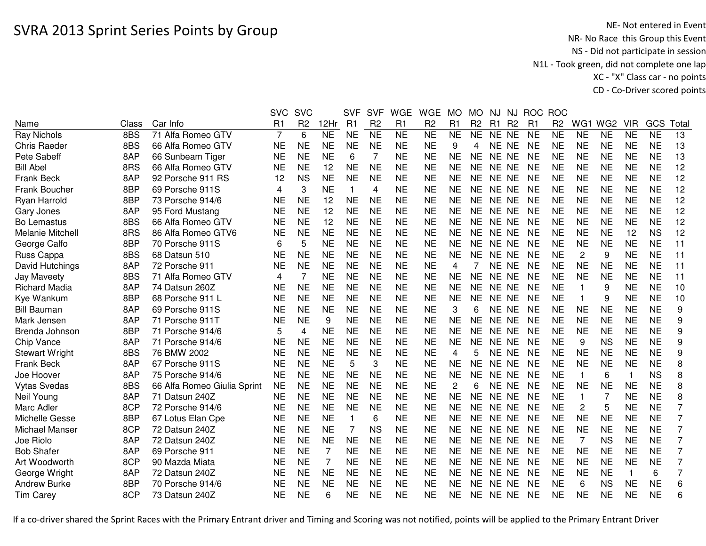|                       |       |                             | <b>SVC</b>     | <b>SVC</b>     |           | <b>SVF</b>   | <b>SVF</b>     | <b>WGE</b>          | <b>WGE</b>     | <b>MO</b> | МO             | NJ        | NJ        | <b>ROC</b>     | <b>ROC</b>     |                |           |              |            |                |
|-----------------------|-------|-----------------------------|----------------|----------------|-----------|--------------|----------------|---------------------|----------------|-----------|----------------|-----------|-----------|----------------|----------------|----------------|-----------|--------------|------------|----------------|
| Name                  | Class | Car Info                    | R1             | R <sub>2</sub> | 12Hr      | R1           | R <sub>2</sub> | R1                  | R <sub>2</sub> | R1        | R <sub>2</sub> | R1        | <b>R2</b> | R <sub>1</sub> | R <sub>2</sub> | WG1            | WG2       | <b>VIR</b>   | <b>GCS</b> | Total          |
| <b>Ray Nichols</b>    | 8BS   | 71 Alfa Romeo GTV           | $\overline{7}$ | 6              | NE        | <b>NE</b>    | N <sub>E</sub> | $\overline{\sf NE}$ | <b>NE</b>      | <b>NE</b> | <b>NE</b>      | NE NE     |           | <b>NE</b>      | <b>NE</b>      | <b>NE</b>      | <b>NE</b> | <b>NE</b>    | <b>NE</b>  | 13             |
| <b>Chris Raeder</b>   | 8BS   | 66 Alfa Romeo GTV           | <b>NE</b>      | <b>NE</b>      | <b>NE</b> | <b>NE</b>    | <b>NE</b>      | <b>NE</b>           | <b>NE</b>      | 9         | 4              | NE NE     |           | <b>NE</b>      | <b>NE</b>      | <b>NE</b>      | <b>NE</b> | <b>NE</b>    | <b>NE</b>  | 13             |
| Pete Sabeff           | 8AP   | 66 Sunbeam Tiger            | <b>NE</b>      | <b>NE</b>      | <b>NE</b> | 6            | 7              | <b>NE</b>           | <b>NE</b>      | <b>NE</b> | <b>NE</b>      | NE NE     |           | <b>NE</b>      | <b>NE</b>      | <b>NE</b>      | <b>NE</b> | <b>NE</b>    | <b>NE</b>  | 13             |
| <b>Bill Abel</b>      | 8RS   | 66 Alfa Romeo GTV           | <b>NE</b>      | <b>NE</b>      | 12        | <b>NE</b>    | <b>NE</b>      | <b>NE</b>           | <b>NE</b>      | <b>NE</b> | <b>NE</b>      | NE NE     |           | <b>NE</b>      | <b>NE</b>      | <b>NE</b>      | <b>NE</b> | <b>NE</b>    | <b>NE</b>  | 12             |
| <b>Frank Beck</b>     | 8AP   | 92 Porsche 911 RS           | 12             | <b>NS</b>      | <b>NE</b> | <b>NE</b>    | <b>NE</b>      | <b>NE</b>           | <b>NE</b>      | <b>NE</b> | <b>NE</b>      | NE NE     |           | <b>NE</b>      | <b>NE</b>      | <b>NE</b>      | <b>NE</b> | <b>NE</b>    | <b>NE</b>  | 12             |
| <b>Frank Boucher</b>  | 8BP   | 69 Porsche 911S             | 4              | 3              | <b>NE</b> | $\mathbf 1$  | 4              | <b>NE</b>           | <b>NE</b>      | <b>NE</b> | <b>NE</b>      | NE NE     |           | <b>NE</b>      | <b>NE</b>      | <b>NE</b>      | <b>NE</b> | <b>NE</b>    | <b>NE</b>  | 12             |
| Ryan Harrold          | 8BP   | 73 Porsche 914/6            | <b>NE</b>      | <b>NE</b>      | 12        | <b>NE</b>    | <b>NE</b>      | <b>NE</b>           | <b>NE</b>      | <b>NE</b> | <b>NE</b>      | NE NE     |           | <b>NE</b>      | <b>NE</b>      | <b>NE</b>      | <b>NE</b> | <b>NE</b>    | <b>NE</b>  | 12             |
| Gary Jones            | 8AP   | 95 Ford Mustang             | <b>NE</b>      | <b>NE</b>      | 12        | <b>NE</b>    | <b>NE</b>      | <b>NE</b>           | ΝE             | <b>NE</b> | <b>NE</b>      | NE NE     |           | <b>NE</b>      | <b>NE</b>      | <b>NE</b>      | <b>NE</b> | <b>NE</b>    | <b>NE</b>  | 12             |
| Bo Lemastus           | 8BS   | 66 Alfa Romeo GTV           | <b>NE</b>      | <b>NE</b>      | 12        | <b>NE</b>    | <b>NE</b>      | <b>NE</b>           | <b>NE</b>      | <b>NE</b> | <b>NE</b>      | NE NE     |           | <b>NE</b>      | <b>NE</b>      | <b>NE</b>      | <b>NE</b> | <b>NE</b>    | <b>NE</b>  | 12             |
| Melanie Mitchell      | 8RS   | 86 Alfa Romeo GTV6          | <b>NE</b>      | <b>NE</b>      | <b>NE</b> | <b>NE</b>    | <b>NE</b>      | <b>NE</b>           | <b>NE</b>      | <b>NE</b> | <b>NE</b>      | NE NE     |           | <b>NE</b>      | <b>NE</b>      | <b>NE</b>      | <b>NE</b> | 12           | <b>NS</b>  | 12             |
| George Calfo          | 8BP   | 70 Porsche 911S             | 6              | 5              | <b>NE</b> | <b>NE</b>    | <b>NE</b>      | <b>NE</b>           | <b>NE</b>      | <b>NE</b> | <b>NE</b>      | NE NE     |           | <b>NE</b>      | <b>NE</b>      | <b>NE</b>      | <b>NE</b> | <b>NE</b>    | <b>NE</b>  | 11             |
| Russ Cappa            | 8BS   | 68 Datsun 510               | <b>NE</b>      | <b>NE</b>      | <b>NE</b> | <b>NE</b>    | <b>NE</b>      | <b>NE</b>           | <b>NE</b>      | <b>NE</b> | <b>NE</b>      | NE NE     |           | <b>NE</b>      | <b>NE</b>      | $\overline{2}$ | 9         | <b>NE</b>    | <b>NE</b>  | 11             |
| David Hutchings       | 8AP   | 72 Porsche 911              | <b>NE</b>      | <b>NE</b>      | <b>NE</b> | <b>NE</b>    | <b>NE</b>      | <b>NE</b>           | <b>NE</b>      | 4         | 7              | NE NE     |           | <b>NE</b>      | <b>NE</b>      | <b>NE</b>      | <b>NE</b> | <b>NE</b>    | <b>NE</b>  | 11             |
| Jay Maveety           | 8BS   | 71 Alfa Romeo GTV           | 4              | $\overline{7}$ | <b>NE</b> | <b>NE</b>    | <b>NE</b>      | <b>NE</b>           | <b>NE</b>      | <b>NE</b> | <b>NE</b>      | NE NE     |           | <b>NE</b>      | <b>NE</b>      | <b>NE</b>      | <b>NE</b> | <b>NE</b>    | <b>NE</b>  | 11             |
| <b>Richard Madia</b>  | 8AP   | 74 Datsun 260Z              | <b>NE</b>      | <b>NE</b>      | <b>NE</b> | <b>NE</b>    | <b>NE</b>      | <b>NE</b>           | <b>NE</b>      | <b>NE</b> | <b>NE</b>      | <b>NE</b> | <b>NE</b> | <b>NE</b>      | <b>NE</b>      | $\overline{1}$ | 9         | <b>NE</b>    | <b>NE</b>  | 10             |
| Kye Wankum            | 8BP   | 68 Porsche 911 L            | <b>NE</b>      | <b>NE</b>      | <b>NE</b> | <b>NE</b>    | <b>NE</b>      | <b>NE</b>           | <b>NE</b>      | <b>NE</b> | <b>NE</b>      | <b>NE</b> | <b>NE</b> | <b>NE</b>      | <b>NE</b>      | $\overline{1}$ | 9         | <b>NE</b>    | <b>NE</b>  | 10             |
| <b>Bill Bauman</b>    | 8AP   | 69 Porsche 911S             | <b>NE</b>      | <b>NE</b>      | <b>NE</b> | <b>NE</b>    | <b>NE</b>      | <b>NE</b>           | <b>NE</b>      | 3         | 6              | NE NE     |           | <b>NE</b>      | <b>NE</b>      | <b>NE</b>      | <b>NE</b> | <b>NE</b>    | <b>NE</b>  | 9              |
| Mark Jensen           | 8AP   | 71 Porsche 911T             | <b>NE</b>      | <b>NE</b>      | 9         | <b>NE</b>    | <b>NE</b>      | <b>NE</b>           | <b>NE</b>      | <b>NE</b> | <b>NE</b>      | NE NE     |           | <b>NE</b>      | <b>NE</b>      | <b>NE</b>      | <b>NE</b> | <b>NE</b>    | <b>NE</b>  | 9              |
| Brenda Johnson        | 8BP   | 71 Porsche 914/6            | 5              | 4              | <b>NE</b> | <b>NE</b>    | <b>NE</b>      | <b>NE</b>           | <b>NE</b>      | <b>NE</b> | <b>NE</b>      | NE NE     |           | <b>NE</b>      | <b>NE</b>      | <b>NE</b>      | <b>NE</b> | <b>NE</b>    | <b>NE</b>  | 9              |
| Chip Vance            | 8AP   | 71 Porsche 914/6            | <b>NE</b>      | <b>NE</b>      | <b>NE</b> | <b>NE</b>    | <b>NE</b>      | <b>NE</b>           | <b>NE</b>      | <b>NE</b> | <b>NE</b>      | NE NE     |           | <b>NE</b>      | <b>NE</b>      | 9              | <b>NS</b> | <b>NE</b>    | <b>NE</b>  | 9              |
| <b>Stewart Wright</b> | 8BS   | 76 BMW 2002                 | <b>NE</b>      | <b>NE</b>      | <b>NE</b> | <b>NE</b>    | <b>NE</b>      | <b>NE</b>           | <b>NE</b>      | 4         | 5              | NE NE     |           | <b>NE</b>      | <b>NE</b>      | <b>NE</b>      | <b>NE</b> | <b>NE</b>    | <b>NE</b>  | 9              |
| <b>Frank Beck</b>     | 8AP   | 67 Porsche 911S             | <b>NE</b>      | <b>NE</b>      | <b>NE</b> | 5            | 3              | <b>NE</b>           | <b>NE</b>      | <b>NE</b> | <b>NE</b>      | NE NE     |           | <b>NE</b>      | <b>NE</b>      | <b>NE</b>      | <b>NE</b> | <b>NE</b>    | <b>NE</b>  | 8              |
| Joe Hoover            | 8AP   | 75 Porsche 914/6            | <b>NE</b>      | <b>NE</b>      | <b>NE</b> | <b>NE</b>    | <b>NE</b>      | <b>NE</b>           | ΝE             | NE        | NE.            | NE NE     |           | <b>NE</b>      | <b>NE</b>      | -1             | 6         | 1            | <b>NS</b>  | 8              |
| <b>Vytas Svedas</b>   | 8BS   | 66 Alfa Romeo Giulia Sprint | <b>NE</b>      | <b>NE</b>      | <b>NE</b> | <b>NE</b>    | <b>NE</b>      | <b>NE</b>           | <b>NE</b>      | 2         | 6              | NE NE     |           | <b>NE</b>      | <b>NE</b>      | <b>NE</b>      | <b>NE</b> | <b>NE</b>    | <b>NE</b>  | 8              |
| Neil Young            | 8AP   | 71 Datsun 240Z              | <b>NE</b>      | <b>NE</b>      | <b>NE</b> | <b>NE</b>    | <b>NE</b>      | <b>NE</b>           | <b>NE</b>      | <b>NE</b> | <b>NE</b>      | NE NE     |           | <b>NE</b>      | <b>NE</b>      | -1             | 7         | NE           | <b>NE</b>  | 8              |
| Marc Adler            | 8CP   | 72 Porsche 914/6            | <b>NE</b>      | <b>NE</b>      | <b>NE</b> | <b>NE</b>    | <b>NE</b>      | <b>NE</b>           | <b>NE</b>      | <b>NE</b> | <b>NE</b>      | NE NE     |           | <b>NE</b>      | <b>NE</b>      | 2              | 5         | <b>NE</b>    | <b>NE</b>  | 7              |
| Michelle Gesse        | 8BP   | 67 Lotus Elan Cpe           | <b>NE</b>      | <b>NE</b>      | <b>NE</b> | $\mathbf{1}$ | 6              | <b>NE</b>           | <b>NE</b>      | <b>NE</b> | <b>NE</b>      | NE NE     |           | <b>NE</b>      | <b>NE</b>      | <b>NE</b>      | <b>NE</b> | <b>NE</b>    | <b>NE</b>  | 7              |
| Michael Manser        | 8CP   | 72 Datsun 240Z              | <b>NE</b>      | <b>NE</b>      | <b>NE</b> | 7            | <b>NS</b>      | <b>NE</b>           | <b>NE</b>      | <b>NE</b> | <b>NE</b>      | NE NE     |           | <b>NE</b>      | <b>NE</b>      | <b>NE</b>      | <b>NE</b> | <b>NE</b>    | <b>NE</b>  | $\overline{7}$ |
| Joe Riolo             | 8AP   | 72 Datsun 240Z              | <b>NE</b>      | <b>NE</b>      | <b>NE</b> | <b>NE</b>    | <b>NE</b>      | <b>NE</b>           | <b>NE</b>      | <b>NE</b> | <b>NE</b>      | NE NE     |           | <b>NE</b>      | <b>NE</b>      | $\overline{7}$ | <b>NS</b> | <b>NE</b>    | <b>NE</b>  | 7              |
| <b>Bob Shafer</b>     | 8AP   | 69 Porsche 911              | <b>NE</b>      | <b>NE</b>      | 7         | <b>NE</b>    | <b>NE</b>      | <b>NE</b>           | <b>NE</b>      | <b>NE</b> | <b>NE</b>      | NE NE     |           | <b>NE</b>      | <b>NE</b>      | <b>NE</b>      | <b>NE</b> | <b>NE</b>    | <b>NE</b>  | 7              |
| Art Woodworth         | 8CP   | 90 Mazda Miata              | <b>NE</b>      | <b>NE</b>      | 7         | <b>NE</b>    | <b>NE</b>      | <b>NE</b>           | <b>NE</b>      | <b>NE</b> | <b>NE</b>      | NE NE     |           | <b>NE</b>      | <b>NE</b>      | <b>NE</b>      | <b>NE</b> | <b>NE</b>    | <b>NE</b>  | $\overline{7}$ |
| George Wright         | 8AP   | 72 Datsun 240Z              | <b>NE</b>      | <b>NE</b>      | <b>NE</b> | <b>NE</b>    | <b>NE</b>      | <b>NE</b>           | <b>NE</b>      | <b>NE</b> | <b>NE</b>      | NE NE     |           | <b>NE</b>      | <b>NE</b>      | <b>NE</b>      | <b>NE</b> | $\mathbf{1}$ | 6          | 7              |
| <b>Andrew Burke</b>   | 8BP   | 70 Porsche 914/6            | <b>NE</b>      | <b>NE</b>      | <b>NE</b> | <b>NE</b>    | <b>NE</b>      | <b>NE</b>           | <b>NE</b>      | <b>NE</b> | <b>NE</b>      | <b>NE</b> | <b>NE</b> | <b>NE</b>      | <b>NE</b>      | 6              | <b>NS</b> | <b>NE</b>    | <b>NE</b>  | 6              |
| <b>Tim Carey</b>      | 8CP   | 73 Datsun 240Z              | <b>NE</b>      | <b>NE</b>      | 6         | <b>NE</b>    | <b>NE</b>      | <b>NE</b>           | <b>NE</b>      | NE        | <b>NE</b>      | NE NE     |           | <b>NE</b>      | <b>NE</b>      | <b>NE</b>      | <b>NE</b> | <b>NE</b>    | <b>NE</b>  | 6              |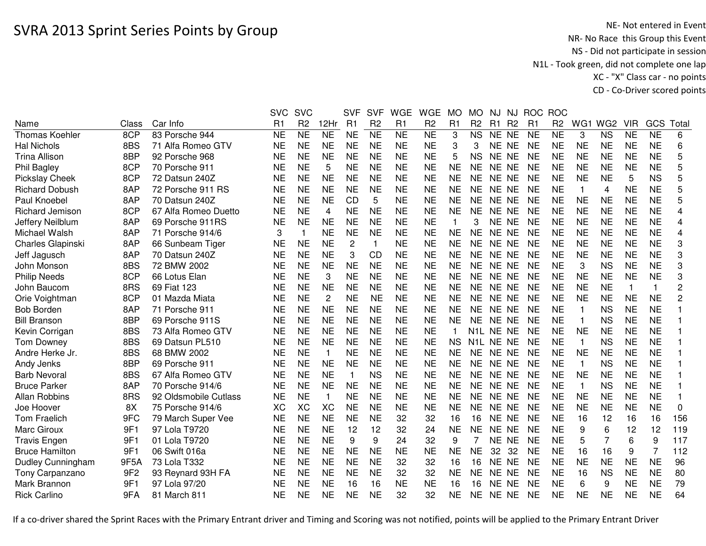|                          |                 |                       | <b>SVC</b> | <b>SVC</b>     |                | <b>SVF</b>     | <b>SVF</b>     | <b>WGE</b> | <b>WGE</b>     | <b>MO</b> | <b>MO</b>      | NJ        | <b>NJ</b>      | <b>ROC</b>     | <b>ROC</b>     |              |                 |            |                         |                |
|--------------------------|-----------------|-----------------------|------------|----------------|----------------|----------------|----------------|------------|----------------|-----------|----------------|-----------|----------------|----------------|----------------|--------------|-----------------|------------|-------------------------|----------------|
| Name                     | Class           | Car Info              | R1         | R <sub>2</sub> | 12Hr           | R1             | R <sub>2</sub> | R1         | R <sub>2</sub> | R1        | R <sub>2</sub> | R1        | R <sub>2</sub> | R <sub>1</sub> | R <sub>2</sub> | WG1          | WG <sub>2</sub> | <b>VIR</b> | GCS                     | Total          |
| <b>Thomas Koehler</b>    | 8CP             | 83 Porsche 944        | <b>NE</b>  | <b>NE</b>      | <b>NE</b>      | <b>NE</b>      | <b>NE</b>      | <b>NE</b>  | <b>NE</b>      | 3         | <b>NS</b>      | NE NE     |                | <b>NE</b>      | <b>NE</b>      | 3            | <b>NS</b>       | <b>NE</b>  | <b>NE</b>               | 6              |
| <b>Hal Nichols</b>       | 8BS             | 71 Alfa Romeo GTV     | <b>NE</b>  | <b>NE</b>      | <b>NE</b>      | <b>NE</b>      | <b>NE</b>      | <b>NE</b>  | <b>NE</b>      | 3         | 3              | NE NE     |                | <b>NE</b>      | <b>NE</b>      | <b>NE</b>    | <b>NE</b>       | <b>NE</b>  | <b>NE</b>               | 6              |
| <b>Trina Allison</b>     | 8BP             | 92 Porsche 968        | <b>NE</b>  | <b>NE</b>      | <b>NE</b>      | <b>NE</b>      | <b>NE</b>      | <b>NE</b>  | <b>NE</b>      | 5         | <b>NS</b>      | NE NE     |                | <b>NE</b>      | <b>NE</b>      | <b>NE</b>    | <b>NE</b>       | <b>NE</b>  | <b>NE</b>               | 5              |
| <b>Phil Bagley</b>       | 8CP             | 70 Porsche 911        | <b>NE</b>  | <b>NE</b>      | 5              | <b>NE</b>      | <b>NE</b>      | <b>NE</b>  | <b>NE</b>      | <b>NE</b> | <b>NE</b>      | NE NE     |                | <b>NE</b>      | <b>NE</b>      | <b>NE</b>    | <b>NE</b>       | <b>NE</b>  | <b>NE</b>               | 5              |
| <b>Pickslay Cheek</b>    | 8CP             | 72 Datsun 240Z        | <b>NE</b>  | <b>NE</b>      | <b>NE</b>      | <b>NE</b>      | <b>NE</b>      | <b>NE</b>  | <b>NE</b>      | <b>NE</b> | <b>NE</b>      | NE NE     |                | <b>NE</b>      | <b>NE</b>      | <b>NE</b>    | <b>NE</b>       | 5          | <b>NS</b>               | 5              |
| <b>Richard Dobush</b>    | 8AP             | 72 Porsche 911 RS     | <b>NE</b>  | <b>NE</b>      | <b>NE</b>      | <b>NE</b>      | <b>NE</b>      | <b>NE</b>  | <b>NE</b>      | <b>NE</b> | NE             | NE NE     |                | NE             | NE             | -1           | 4               | <b>NE</b>  | <b>NE</b>               | 5              |
| Paul Knoebel             | 8AP             | 70 Datsun 240Z        | <b>NE</b>  | <b>NE</b>      | <b>NE</b>      | CD             | 5              | <b>NE</b>  | <b>NE</b>      | <b>NE</b> | NE.            | NE NE     |                | <b>NE</b>      | <b>NE</b>      | <b>NE</b>    | <b>NE</b>       | <b>NE</b>  | <b>NE</b>               | 5              |
| Richard Jemison          | 8CP             | 67 Alfa Romeo Duetto  | <b>NE</b>  | <b>NE</b>      | $\overline{4}$ | <b>NE</b>      | <b>NE</b>      | <b>NE</b>  | <b>NE</b>      | <b>NE</b> | <b>NE</b>      | NE NE     |                | <b>NE</b>      | <b>NE</b>      | <b>NE</b>    | <b>NE</b>       | <b>NE</b>  | <b>NE</b>               | $\overline{4}$ |
| Jeffery Neilblum         | 8AP             | 69 Porsche 911RS      | <b>NE</b>  | <b>NE</b>      | <b>NE</b>      | <b>NE</b>      | <b>NE</b>      | <b>NE</b>  | <b>NE</b>      | 1         | 3              | NE NE     |                | <b>NE</b>      | <b>NE</b>      | <b>NE</b>    | <b>NE</b>       | <b>NE</b>  | <b>NE</b>               | 4              |
| Michael Walsh            | 8AP             | 71 Porsche 914/6      | 3          | $\mathbf{1}$   | <b>NE</b>      | <b>NE</b>      | <b>NE</b>      | <b>NE</b>  | <b>NE</b>      | <b>NE</b> | <b>NE</b>      | NE NE     |                | <b>NE</b>      | <b>NE</b>      | <b>NE</b>    | <b>NE</b>       | <b>NE</b>  | <b>NE</b>               | 4              |
| Charles Glapinski        | 8AP             | 66 Sunbeam Tiger      | <b>NE</b>  | <b>NE</b>      | <b>NE</b>      | $\overline{c}$ | 1              | <b>NE</b>  | <b>NE</b>      | <b>NE</b> | <b>NE</b>      | NE NE     |                | <b>NE</b>      | <b>NE</b>      | <b>NE</b>    | <b>NE</b>       | <b>NE</b>  | <b>NE</b>               | 3              |
| Jeff Jagusch             | 8AP             | 70 Datsun 240Z        | <b>NE</b>  | <b>NE</b>      | <b>NE</b>      | 3              | CD             | <b>NE</b>  | <b>NE</b>      | <b>NE</b> | <b>NE</b>      | NE NE     |                | <b>NE</b>      | <b>NE</b>      | <b>NE</b>    | <b>NE</b>       | <b>NE</b>  | <b>NE</b>               | 3              |
| John Monson              | 8BS             | 72 BMW 2002           | <b>NE</b>  | <b>NE</b>      | <b>NE</b>      | <b>NE</b>      | <b>NE</b>      | <b>NE</b>  | <b>NE</b>      | <b>NE</b> | <b>NE</b>      | NE NE     |                | <b>NE</b>      | <b>NE</b>      | 3            | <b>NS</b>       | <b>NE</b>  | <b>NE</b>               | 3              |
| <b>Philip Needs</b>      | 8CP             | 66 Lotus Elan         | <b>NE</b>  | <b>NE</b>      | 3              | <b>NE</b>      | <b>NE</b>      | <b>NE</b>  | <b>NE</b>      | <b>NE</b> | <b>NE</b>      | <b>NE</b> | <b>NE</b>      | <b>NE</b>      | <b>NE</b>      | <b>NE</b>    | <b>NE</b>       | <b>NE</b>  | <b>NE</b>               | 3              |
| John Baucom              | 8RS             | 69 Fiat 123           | <b>NE</b>  | <b>NE</b>      | <b>NE</b>      | <b>NE</b>      | <b>NE</b>      | <b>NE</b>  | <b>NE</b>      | <b>NE</b> | <b>NE</b>      | NE.       | <b>NE</b>      | <b>NE</b>      | <b>NE</b>      | <b>NE</b>    | <b>NE</b>       | 1          | $\overline{\mathbf{1}}$ | 2              |
| Orie Voightman           | 8CP             | 01 Mazda Miata        | <b>NE</b>  | <b>NE</b>      | $\overline{c}$ | <b>NE</b>      | <b>NE</b>      | <b>NE</b>  | <b>NE</b>      | <b>NE</b> | <b>NE</b>      | <b>NE</b> | <b>NE</b>      | <b>NE</b>      | <b>NE</b>      | <b>NE</b>    | <b>NE</b>       | <b>NE</b>  | <b>NE</b>               | 2              |
| <b>Bob Borden</b>        | 8AP             | 71 Porsche 911        | <b>NE</b>  | <b>NE</b>      | <b>NE</b>      | <b>NE</b>      | <b>NE</b>      | <b>NE</b>  | <b>NE</b>      | <b>NE</b> | <b>NE</b>      | NE NE     |                | <b>NE</b>      | <b>NE</b>      | $\mathbf{1}$ | <b>NS</b>       | <b>NE</b>  | <b>NE</b>               |                |
| <b>Bill Branson</b>      | 8BP             | 69 Porsche 911S       | <b>NE</b>  | <b>NE</b>      | <b>NE</b>      | <b>NE</b>      | <b>NE</b>      | <b>NE</b>  | <b>NE</b>      | <b>NE</b> | NE.            | NE NE     |                | <b>NE</b>      | <b>NE</b>      | -1           | <b>NS</b>       | <b>NE</b>  | <b>NE</b>               |                |
| Kevin Corrigan           | 8BS             | 73 Alfa Romeo GTV     | <b>NE</b>  | <b>NE</b>      | <b>NE</b>      | <b>NE</b>      | <b>NE</b>      | <b>NE</b>  | <b>NE</b>      |           |                | N1L NE NE |                | <b>NE</b>      | <b>NE</b>      | <b>NE</b>    | <b>NE</b>       | <b>NE</b>  | <b>NE</b>               |                |
| Tom Downey               | 8BS             | 69 Datsun PL510       | <b>NE</b>  | <b>NE</b>      | <b>NE</b>      | <b>NE</b>      | <b>NE</b>      | <b>NE</b>  | <b>NE</b>      | <b>NS</b> |                | N1L NE NE |                | <b>NE</b>      | <b>NE</b>      | $\mathbf 1$  | <b>NS</b>       | <b>NE</b>  | <b>NE</b>               |                |
| Andre Herke Jr.          | 8BS             | 68 BMW 2002           | <b>NE</b>  | <b>NE</b>      | $\mathbf 1$    | <b>NE</b>      | <b>NE</b>      | <b>NE</b>  | <b>NE</b>      | <b>NE</b> | <b>NE</b>      | NE NE     |                | <b>NE</b>      | <b>NE</b>      | <b>NE</b>    | <b>NE</b>       | <b>NE</b>  | <b>NE</b>               |                |
| Andy Jenks               | 8BP             | 69 Porsche 911        | <b>NE</b>  | <b>NE</b>      | <b>NE</b>      | <b>NE</b>      | <b>NE</b>      | <b>NE</b>  | <b>NE</b>      | <b>NE</b> | NE             | NE NE     |                | <b>NE</b>      | <b>NE</b>      | -1           | <b>NS</b>       | <b>NE</b>  | <b>NE</b>               |                |
| <b>Barb Nevoral</b>      | 8BS             | 67 Alfa Romeo GTV     | <b>NE</b>  | <b>NE</b>      | <b>NE</b>      | 1              | <b>NS</b>      | <b>NE</b>  | <b>NE</b>      | <b>NE</b> | <b>NE</b>      | NE NE     |                | <b>NE</b>      | <b>NE</b>      | <b>NE</b>    | <b>NE</b>       | <b>NE</b>  | <b>NE</b>               |                |
| <b>Bruce Parker</b>      | 8AP             | 70 Porsche 914/6      | <b>NE</b>  | <b>NE</b>      | <b>NE</b>      | <b>NE</b>      | <b>NE</b>      | <b>NE</b>  | <b>NE</b>      | <b>NE</b> | <b>NE</b>      | NE NE     |                | <b>NE</b>      | <b>NE</b>      | $\mathbf 1$  | <b>NS</b>       | <b>NE</b>  | <b>NE</b>               |                |
| <b>Allan Robbins</b>     | 8RS             | 92 Oldsmobile Cutlass | <b>NE</b>  | <b>NE</b>      | $\mathbf 1$    | <b>NE</b>      | <b>NE</b>      | <b>NE</b>  | <b>NE</b>      | <b>NE</b> | <b>NE</b>      | NE NE     |                | <b>NE</b>      | <b>NE</b>      | <b>NE</b>    | <b>NE</b>       | <b>NE</b>  | <b>NE</b>               |                |
| Joe Hoover               | 8X              | 75 Porsche 914/6      | XC         | XC             | XC             | <b>NE</b>      | <b>NE</b>      | <b>NE</b>  | <b>NE</b>      | <b>NE</b> | <b>NE</b>      | NE NE     |                | <b>NE</b>      | <b>NE</b>      | <b>NE</b>    | <b>NE</b>       | <b>NE</b>  | <b>NE</b>               | 0              |
| <b>Tom Fraelich</b>      | 9FC             | 79 March Super Vee    | <b>NE</b>  | <b>NE</b>      | <b>NE</b>      | <b>NE</b>      | <b>NE</b>      | 32         | 32             | 16        | 16             | NE NE     |                | <b>NE</b>      | <b>NE</b>      | 16           | 12              | 16         | 16                      | 156            |
| Marc Giroux              | 9F1             | 97 Lola T9720         | <b>NE</b>  | <b>NE</b>      | <b>NE</b>      | 12             | 12             | 32         | 24             | <b>NE</b> | <b>NE</b>      | NE NE     |                | <b>NE</b>      | <b>NE</b>      | 9            | 6               | 12         | 12                      | 119            |
| <b>Travis Engen</b>      | 9F1             | 01 Lola T9720         | <b>NE</b>  | <b>NE</b>      | <b>NE</b>      | 9              | 9              | 24         | 32             | 9         | 7              | <b>NE</b> | <b>NE</b>      | <b>NE</b>      | <b>NE</b>      | 5            | 7               | 6          | 9                       | 117            |
| <b>Bruce Hamilton</b>    | 9F1             | 06 Swift 016a         | <b>NE</b>  | <b>NE</b>      | <b>NE</b>      | <b>NE</b>      | <b>NE</b>      | <b>NE</b>  | <b>NE</b>      | <b>NE</b> | <b>NE</b>      | 32        | 32             | <b>NE</b>      | <b>NE</b>      | 16           | 16              | 9          | $\overline{7}$          | 112            |
| <b>Dudley Cunningham</b> | 9F5A            | 73 Lola T332          | <b>NE</b>  | <b>NE</b>      | <b>NE</b>      | <b>NE</b>      | <b>NE</b>      | 32         | 32             | 16        | 16             | NE.       | <b>NE</b>      | <b>NE</b>      | <b>NE</b>      | <b>NE</b>    | <b>NE</b>       | <b>NE</b>  | <b>NE</b>               | 96             |
| Tony Carpanzano          | 9F <sub>2</sub> | 93 Reynard 93H FA     | <b>NE</b>  | <b>NE</b>      | <b>NE</b>      | <b>NE</b>      | <b>NE</b>      | 32         | 32             | <b>NE</b> | <b>NE</b>      | NE NE     |                | <b>NE</b>      | <b>NE</b>      | 16           | <b>NS</b>       | <b>NE</b>  | <b>NE</b>               | 80             |
| Mark Brannon             | 9F1             | 97 Lola 97/20         | <b>NE</b>  | <b>NE</b>      | <b>NE</b>      | 16             | 16             | <b>NE</b>  | <b>NE</b>      | 16        | 16             | <b>NE</b> | <b>NE</b>      | <b>NE</b>      | <b>NE</b>      | 6            | 9               | <b>NE</b>  | <b>NE</b>               | 79             |
| <b>Rick Carlino</b>      | 9FA             | 81 March 811          | <b>NE</b>  | <b>NE</b>      | <b>NE</b>      | <b>NE</b>      | <b>NE</b>      | 32         | 32             | <b>NE</b> | NE             | NE NE     |                | <b>NE</b>      | <b>NE</b>      | <b>NE</b>    | <b>NE</b>       | <b>NE</b>  | <b>NE</b>               | 64             |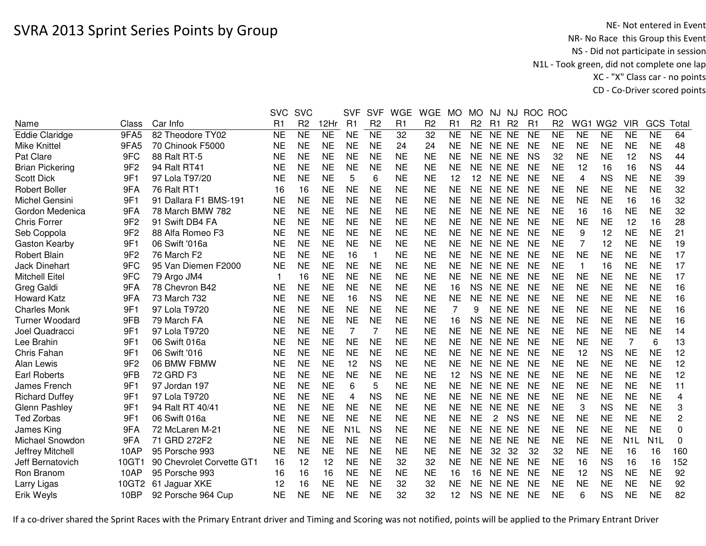|                        |                 |                           | <b>SVC</b>     | <b>SVC</b>      |                 | <b>SVF</b>       | <b>SVF</b>     | <b>WGE</b>      | <b>WGE</b>      | <b>MO</b> | <b>MO</b>      | NJ             | NJ             |           | ROC ROC         |                |                 |                  |                        |                |
|------------------------|-----------------|---------------------------|----------------|-----------------|-----------------|------------------|----------------|-----------------|-----------------|-----------|----------------|----------------|----------------|-----------|-----------------|----------------|-----------------|------------------|------------------------|----------------|
| Name                   | Class           | Car Info                  | R <sub>1</sub> | R <sub>2</sub>  | 12Hr            | R1               | R <sub>2</sub> | R <sub>1</sub>  | R <sub>2</sub>  | R1        | R <sub>2</sub> | R1             | R <sub>2</sub> | R1        | R <sub>2</sub>  | WG1            | WG <sub>2</sub> | <b>VIR</b>       | GCS                    | Total          |
| <b>Eddie Claridge</b>  | 9FA5            | 82 Theodore TY02          | <b>NE</b>      | $\overline{NE}$ | $\overline{NE}$ | <b>NE</b>        | N <sub>E</sub> | $\overline{32}$ | $\overline{32}$ | <b>NE</b> | <b>NE</b>      | NE NE          |                | <b>NE</b> | $\overline{NE}$ | <b>NE</b>      | N <sub>E</sub>  | <b>NE</b>        | $\overline{\text{NE}}$ | 64             |
| <b>Mike Knittel</b>    | 9FA5            | 70 Chinook F5000          | <b>NE</b>      | <b>NE</b>       | <b>NE</b>       | <b>NE</b>        | <b>NE</b>      | 24              | 24              | <b>NE</b> | <b>NE</b>      | NE NE          |                | <b>NE</b> | <b>NE</b>       | <b>NE</b>      | <b>NE</b>       | <b>NE</b>        | <b>NE</b>              | 48             |
| Pat Clare              | 9FC             | 88 Ralt RT-5              | <b>NE</b>      | <b>NE</b>       | <b>NE</b>       | <b>NE</b>        | <b>NE</b>      | <b>NE</b>       | <b>NE</b>       | <b>NE</b> | <b>NE</b>      | NE NE          |                | <b>NS</b> | 32              | <b>NE</b>      | <b>NE</b>       | 12               | <b>NS</b>              | 44             |
| <b>Brian Pickering</b> | 9F <sub>2</sub> | 94 Ralt RT41              | <b>NE</b>      | <b>NE</b>       | <b>NE</b>       | <b>NE</b>        | <b>NE</b>      | <b>NE</b>       | <b>NE</b>       | <b>NE</b> | <b>NE</b>      | NE NE          |                | <b>NE</b> | <b>NE</b>       | 12             | 16              | 16               | <b>NS</b>              | 44             |
| <b>Scott Dick</b>      | 9F1             | 97 Lola T97/20            | NE             | <b>NE</b>       | <b>NE</b>       | 5                | 6              | <b>NE</b>       | <b>NE</b>       | 12        | 12             | NE NE          |                | <b>NE</b> | <b>NE</b>       | 4              | <b>NS</b>       | <b>NE</b>        | <b>NE</b>              | 39             |
| <b>Robert Boller</b>   | 9FA             | 76 Ralt RT1               | 16             | 16              | <b>NE</b>       | <b>NE</b>        | <b>NE</b>      | <b>NE</b>       | <b>NE</b>       | <b>NE</b> | <b>NE</b>      | NE NE          |                | <b>NE</b> | <b>NE</b>       | NE             | <b>NE</b>       | <b>NE</b>        | <b>NE</b>              | 32             |
| Michel Gensini         | 9F1             | 91 Dallara F1 BMS-191     | <b>NE</b>      | <b>NE</b>       | <b>NE</b>       | <b>NE</b>        | <b>NE</b>      | <b>NE</b>       | <b>NE</b>       | <b>NE</b> | <b>NE</b>      | NE NE          |                | <b>NE</b> | <b>NE</b>       | <b>NE</b>      | <b>NE</b>       | 16               | 16                     | 32             |
| Gordon Medenica        | 9FA             | 78 March BMW 782          | <b>NE</b>      | <b>NE</b>       | <b>NE</b>       | <b>NE</b>        | <b>NE</b>      | <b>NE</b>       | <b>NE</b>       | <b>NE</b> | <b>NE</b>      | NE NE          |                | <b>NE</b> | <b>NE</b>       | 16             | 16              | <b>NE</b>        | <b>NE</b>              | 32             |
| <b>Chris Forrer</b>    | 9F <sub>2</sub> | 91 Swift DB4 FA           | <b>NE</b>      | <b>NE</b>       | <b>NE</b>       | <b>NE</b>        | <b>NE</b>      | <b>NE</b>       | <b>NE</b>       | <b>NE</b> | NE.            | NE NE          |                | <b>NE</b> | <b>NE</b>       | <b>NE</b>      | <b>NE</b>       | 12               | 16                     | 28             |
| Seb Coppola            | 9F <sub>2</sub> | 88 Alfa Romeo F3          | <b>NE</b>      | <b>NE</b>       | <b>NE</b>       | <b>NE</b>        | <b>NE</b>      | <b>NE</b>       | <b>NE</b>       | <b>NE</b> | <b>NE</b>      | NE NE          |                | <b>NE</b> | <b>NE</b>       | 9              | 12              | <b>NE</b>        | <b>NE</b>              | 21             |
| Gaston Kearby          | 9F1             | 06 Swift '016a            | <b>NE</b>      | <b>NE</b>       | <b>NE</b>       | <b>NE</b>        | <b>NE</b>      | <b>NE</b>       | <b>NE</b>       | <b>NE</b> | <b>NE</b>      | NE NE          |                | <b>NE</b> | <b>NE</b>       | $\overline{7}$ | 12              | <b>NE</b>        | <b>NE</b>              | 19             |
| <b>Robert Blain</b>    | 9F <sub>2</sub> | 76 March F2               | <b>NE</b>      | <b>NE</b>       | <b>NE</b>       | 16               | $\mathbf{1}$   | <b>NE</b>       | <b>NE</b>       | <b>NE</b> | <b>NE</b>      | NE NE          |                | <b>NE</b> | <b>NE</b>       | <b>NE</b>      | <b>NE</b>       | <b>NE</b>        | <b>NE</b>              | 17             |
| <b>Jack Dinehart</b>   | 9FC             | 95 Van Diemen F2000       | <b>NE</b>      | <b>NE</b>       | <b>NE</b>       | <b>NE</b>        | <b>NE</b>      | <b>NE</b>       | <b>NE</b>       | <b>NE</b> | <b>NE</b>      | NE NE          |                | <b>NE</b> | <b>NE</b>       | -1             | 16              | <b>NE</b>        | <b>NE</b>              | 17             |
| <b>Mitchell Eitel</b>  | 9FC             | 79 Argo JM4               | 1              | 16              | <b>NE</b>       | <b>NE</b>        | <b>NE</b>      | <b>NE</b>       | <b>NE</b>       | <b>NE</b> | <b>NE</b>      | NE NE          |                | <b>NE</b> | <b>NE</b>       | <b>NE</b>      | <b>NE</b>       | <b>NE</b>        | <b>NE</b>              | 17             |
| Greg Galdi             | 9FA             | 78 Chevron B42            | <b>NE</b>      | <b>NE</b>       | <b>NE</b>       | <b>NE</b>        | <b>NE</b>      | <b>NE</b>       | <b>NE</b>       | 16        | <b>NS</b>      | NE.            | NE             | <b>NE</b> | <b>NE</b>       | <b>NE</b>      | <b>NE</b>       | <b>NE</b>        | <b>NE</b>              | 16             |
| <b>Howard Katz</b>     | 9FA             | 73 March 732              | <b>NE</b>      | <b>NE</b>       | <b>NE</b>       | 16               | <b>NS</b>      | <b>NE</b>       | <b>NE</b>       | <b>NE</b> | <b>NE</b>      | <b>NE</b>      | NE             | <b>NE</b> | <b>NE</b>       | <b>NE</b>      | <b>NE</b>       | <b>NE</b>        | <b>NE</b>              | 16             |
| <b>Charles Monk</b>    | 9F1             | 97 Lola T9720             | <b>NE</b>      | <b>NE</b>       | <b>NE</b>       | <b>NE</b>        | <b>NE</b>      | <b>NE</b>       | <b>NE</b>       |           | 9              | NE NE          |                | <b>NE</b> | <b>NE</b>       | <b>NE</b>      | <b>NE</b>       | <b>NE</b>        | <b>NE</b>              | 16             |
| <b>Turner Woodard</b>  | 9FB             | 79 March FA               | <b>NE</b>      | <b>NE</b>       | <b>NE</b>       | <b>NE</b>        | <b>NE</b>      | <b>NE</b>       | <b>NE</b>       | 16        | <b>NS</b>      | NE NE          |                | <b>NE</b> | <b>NE</b>       | <b>NE</b>      | <b>NE</b>       | <b>NE</b>        | <b>NE</b>              | 16             |
| Joel Quadracci         | 9F1             | 97 Lola T9720             | <b>NE</b>      | <b>NE</b>       | <b>NE</b>       | $\overline{7}$   |                | <b>NE</b>       | <b>NE</b>       | <b>NE</b> | <b>NE</b>      | NE NE          |                | <b>NE</b> | <b>NE</b>       | <b>NE</b>      | <b>NE</b>       | <b>NE</b>        | <b>NE</b>              | 14             |
| Lee Brahin             | 9F1             | 06 Swift 016a             | NE             | <b>NE</b>       | <b>NE</b>       | <b>NE</b>        | <b>NE</b>      | <b>NE</b>       | NE              | <b>NE</b> | NE.            | NE NE          |                | <b>NE</b> | <b>NE</b>       | <b>NE</b>      | <b>NE</b>       | 7                | 6                      | 13             |
| Chris Fahan            | 9F1             | 06 Swift '016             | <b>NE</b>      | <b>NE</b>       | <b>NE</b>       | <b>NE</b>        | <b>NE</b>      | <b>NE</b>       | <b>NE</b>       | <b>NE</b> | <b>NE</b>      | NE NE          |                | <b>NE</b> | <b>NE</b>       | 12             | <b>NS</b>       | <b>NE</b>        | <b>NE</b>              | 12             |
| Alan Lewis             | 9F <sub>2</sub> | 06 BMW FBMW               | NE             | <b>NE</b>       | <b>NE</b>       | 12               | <b>NS</b>      | <b>NE</b>       | <b>NE</b>       | <b>NE</b> | <b>NE</b>      | NE NE          |                | <b>NE</b> | <b>NE</b>       | <b>NE</b>      | <b>NE</b>       | <b>NE</b>        | <b>NE</b>              | 12             |
| <b>Earl Roberts</b>    | 9FB             | 72 GRD F3                 | <b>NE</b>      | <b>NE</b>       | <b>NE</b>       | <b>NE</b>        | <b>NE</b>      | <b>NE</b>       | <b>NE</b>       | 12        | <b>NS</b>      | NE NE          |                | <b>NE</b> | <b>NE</b>       | <b>NE</b>      | <b>NE</b>       | <b>NE</b>        | <b>NE</b>              | 12             |
| James French           | 9F1             | 97 Jordan 197             | <b>NE</b>      | <b>NE</b>       | <b>NE</b>       | 6                | 5              | <b>NE</b>       | <b>NE</b>       | <b>NE</b> | <b>NE</b>      | NE NE          |                | <b>NE</b> | <b>NE</b>       | <b>NE</b>      | <b>NE</b>       | <b>NE</b>        | <b>NE</b>              | 11             |
| <b>Richard Duffey</b>  | 9F1             | 97 Lola T9720             | <b>NE</b>      | <b>NE</b>       | <b>NE</b>       | 4                | <b>NS</b>      | <b>NE</b>       | <b>NE</b>       | <b>NE</b> | <b>NE</b>      | NE NE          |                | <b>NE</b> | <b>NE</b>       | <b>NE</b>      | <b>NE</b>       | <b>NE</b>        | <b>NE</b>              | 4              |
| <b>Glenn Pashley</b>   | 9F1             | 94 Ralt RT 40/41          | <b>NE</b>      | <b>NE</b>       | <b>NE</b>       | <b>NE</b>        | <b>NE</b>      | <b>NE</b>       | <b>NE</b>       | <b>NE</b> | <b>NE</b>      | NE NE          |                | <b>NE</b> | <b>NE</b>       | 3              | <b>NS</b>       | <b>NE</b>        | <b>NE</b>              | 3              |
| <b>Ted Zorbas</b>      | 9F1             | 06 Swift 016a             | <b>NE</b>      | <b>NE</b>       | <b>NE</b>       | <b>NE</b>        | <b>NE</b>      | <b>NE</b>       | <b>NE</b>       | <b>NE</b> | <b>NE</b>      | $\overline{c}$ | <b>NS</b>      | <b>NE</b> | <b>NE</b>       | <b>NE</b>      | <b>NE</b>       | <b>NE</b>        | <b>NE</b>              | $\overline{c}$ |
| James King             | 9FA             | 72 McLaren M-21           | <b>NE</b>      | <b>NE</b>       | <b>NE</b>       | N <sub>1</sub> L | <b>NS</b>      | <b>NE</b>       | <b>NE</b>       | <b>NE</b> | <b>NE</b>      | NE NE          |                | <b>NE</b> | <b>NE</b>       | <b>NE</b>      | <b>NE</b>       | <b>NE</b>        | <b>NE</b>              | 0              |
| Michael Snowdon        | 9FA             | 71 GRD 272F2              | <b>NE</b>      | <b>NE</b>       | <b>NE</b>       | <b>NE</b>        | <b>NE</b>      | <b>NE</b>       | <b>NE</b>       | <b>NE</b> | <b>NE</b>      | NE NE          |                | <b>NE</b> | <b>NE</b>       | <b>NE</b>      | <b>NE</b>       | N <sub>1</sub> L | N <sub>1</sub> L       | 0              |
| Jeffrey Mitchell       | 10AP            | 95 Porsche 993            | <b>NE</b>      | <b>NE</b>       | <b>NE</b>       | <b>NE</b>        | <b>NE</b>      | <b>NE</b>       | <b>NE</b>       | <b>NE</b> | <b>NE</b>      | 32             | 32             | 32        | 32              | <b>NE</b>      | <b>NE</b>       | 16               | 16                     | 160            |
| Jeff Bernatovich       | 10GT1           | 90 Chevrolet Corvette GT1 | 16             | 12              | 12              | <b>NE</b>        | <b>NE</b>      | 32              | 32              | <b>NE</b> | <b>NE</b>      | NE NE          |                | <b>NE</b> | <b>NE</b>       | 16             | <b>NS</b>       | 16               | 16                     | 152            |
| Ron Branom             | 10AP            | 95 Porsche 993            | 16             | 16              | 16              | <b>NE</b>        | <b>NE</b>      | <b>NE</b>       | <b>NE</b>       | 16        | 16             | NE NE          |                | <b>NE</b> | <b>NE</b>       | 12             | <b>NS</b>       | <b>NE</b>        | <b>NE</b>              | 92             |
| Larry Ligas            | 10GT2           | 61 Jaguar XKE             | 12             | 16              | <b>NE</b>       | <b>NE</b>        | <b>NE</b>      | 32              | 32              | <b>NE</b> | <b>NE</b>      | NE NE          |                | <b>NE</b> | <b>NE</b>       | <b>NE</b>      | <b>NE</b>       | <b>NE</b>        | <b>NE</b>              | 92             |
| Erik Weyls             | 10BP            | 92 Porsche 964 Cup        | <b>NE</b>      | <b>NE</b>       | <b>NE</b>       | <b>NE</b>        | <b>NE</b>      | 32              | 32              | 12        | <b>NS</b>      | NE NE          |                | <b>NE</b> | <b>NE</b>       | 6              | <b>NS</b>       | <b>NE</b>        | <b>NE</b>              | 82             |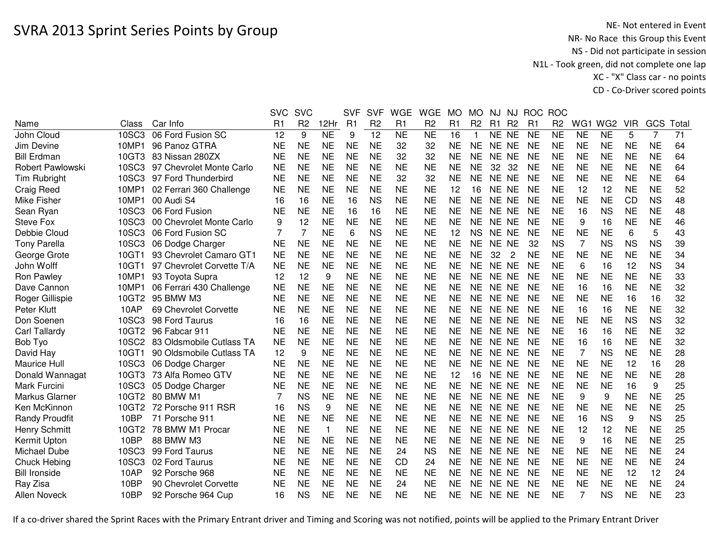|                       |       |                           | <b>SVC</b> | <b>SVC</b>     |                | <b>SVF</b> | <b>SVF</b>     | <b>WGE</b> | <b>WGE</b>     | <b>MO</b> | <b>MO</b>      | NJ        | NJ             | <b>ROC</b> | <b>ROC</b>     |                 |                 |            |                |      |
|-----------------------|-------|---------------------------|------------|----------------|----------------|------------|----------------|------------|----------------|-----------|----------------|-----------|----------------|------------|----------------|-----------------|-----------------|------------|----------------|------|
| Name                  | Class | Car Info                  | R1         | R <sub>2</sub> | 12Hr           | R1         | R <sub>2</sub> | R1         | R <sub>2</sub> | R1        | R <sub>2</sub> | R1        | <b>R2</b>      | R1         | R <sub>2</sub> | WG <sub>1</sub> | WG <sub>2</sub> | <b>VIR</b> | GCS            | Tota |
| John Cloud            | 10SC3 | 06 Ford Fusion SC         | 12         | 9              | N <sub>E</sub> | 9          | 12             | <b>NE</b>  | <b>NE</b>      | 16        |                | NE NE     |                | <b>NE</b>  | <b>NE</b>      | <b>NE</b>       | N <sub>E</sub>  | 5          | $\overline{7}$ | 71   |
| Jim Devine            | 10MP1 | 96 Panoz GTRA             | <b>NE</b>  | <b>NE</b>      | <b>NE</b>      | <b>NE</b>  | <b>NE</b>      | 32         | 32             | NE        | NE.            | NE NE     |                | <b>NE</b>  | <b>NE</b>      | <b>NE</b>       | <b>NE</b>       | <b>NE</b>  | <b>NE</b>      | 64   |
| <b>Bill Erdman</b>    | 10GT3 | 83 Nissan 280ZX           | <b>NE</b>  | <b>NE</b>      | <b>NE</b>      | <b>NE</b>  | <b>NE</b>      | 32         | 32             | <b>NE</b> | <b>NE</b>      | NE NE     |                | <b>NE</b>  | <b>NE</b>      | <b>NE</b>       | <b>NE</b>       | <b>NE</b>  | <b>NE</b>      | 64   |
| Robert Pawlowski      | 10SC3 | 97 Chevrolet Monte Carlo  | <b>NE</b>  | <b>NE</b>      | <b>NE</b>      | <b>NE</b>  | <b>NE</b>      | <b>NE</b>  | <b>NE</b>      | <b>NE</b> | <b>NE</b>      | 32        | -32            | <b>NE</b>  | <b>NE</b>      | <b>NE</b>       | <b>NE</b>       | <b>NE</b>  | <b>NE</b>      | 64   |
| Tim Rubright          | 10SC3 | 97 Ford Thunderbird       | <b>NE</b>  | <b>NE</b>      | <b>NE</b>      | <b>NE</b>  | <b>NE</b>      | 32         | 32             | <b>NE</b> | <b>NE</b>      | NE NE     |                | <b>NE</b>  | <b>NE</b>      | <b>NE</b>       | <b>NE</b>       | <b>NE</b>  | <b>NE</b>      | 64   |
| Craig Reed            | 10MP1 | 02 Ferrari 360 Challenge  | <b>NE</b>  | <b>NE</b>      | <b>NE</b>      | <b>NE</b>  | <b>NE</b>      | <b>NE</b>  | <b>NE</b>      | 12        | 16             | NE NE     |                | <b>NE</b>  | <b>NE</b>      | 12              | 12              | <b>NE</b>  | <b>NE</b>      | 52   |
| Mike Fisher           | 10MP1 | 00 Audi S4                | 16         | 16             | <b>NE</b>      | 16         | <b>NS</b>      | <b>NE</b>  | <b>NE</b>      | <b>NE</b> | <b>NE</b>      | NE NE     |                | <b>NE</b>  | <b>NE</b>      | <b>NE</b>       | <b>NE</b>       | CD         | <b>NS</b>      | 48   |
| Sean Ryan             | 10SC3 | 06 Ford Fusion            | <b>NE</b>  | <b>NE</b>      | <b>NE</b>      | 16         | 16             | <b>NE</b>  | <b>NE</b>      | <b>NE</b> | <b>NE</b>      | NE NE     |                | <b>NE</b>  | <b>NE</b>      | 16              | <b>NS</b>       | <b>NE</b>  | <b>NE</b>      | 48   |
| <b>Steve Fox</b>      | 10SC3 | 00 Chevrolet Monte Carlo  | 9          | 12             | <b>NE</b>      | <b>NE</b>  | <b>NE</b>      | <b>NE</b>  | <b>NE</b>      | <b>NE</b> | <b>NE</b>      | NE NE     |                | <b>NE</b>  | <b>NE</b>      | 9               | 16              | <b>NE</b>  | <b>NE</b>      | 46   |
| Debbie Cloud          | 10SC3 | 06 Ford Fusion SC         |            | 7              | <b>NE</b>      | 6          | <b>NS</b>      | <b>NE</b>  | <b>NE</b>      | 12        | <b>NS</b>      | NE NE     |                | <b>NE</b>  | <b>NE</b>      | <b>NE</b>       | <b>NE</b>       | 6          | 5              | 43   |
| <b>Tony Parella</b>   | 10SC3 | 06 Dodge Charger          | <b>NE</b>  | <b>NE</b>      | <b>NE</b>      | <b>NE</b>  | <b>NE</b>      | <b>NE</b>  | <b>NE</b>      | <b>NE</b> | <b>NE</b>      | NE NE     |                | 32         | <b>NS</b>      | $\overline{7}$  | <b>NS</b>       | <b>NS</b>  | <b>NS</b>      | 39   |
| George Grote          | 10GT1 | 93 Chevrolet Camaro GT1   | <b>NE</b>  | <b>NE</b>      | <b>NE</b>      | <b>NE</b>  | <b>NE</b>      | <b>NE</b>  | <b>NE</b>      | <b>NE</b> | <b>NE</b>      | 32        | $\overline{2}$ | <b>NE</b>  | <b>NE</b>      | <b>NE</b>       | <b>NE</b>       | <b>NE</b>  | <b>NE</b>      | 34   |
| John Wolff            | 10GT1 | 97 Chevrolet Corvette T/A | <b>NE</b>  | <b>NE</b>      | <b>NE</b>      | <b>NE</b>  | <b>NE</b>      | <b>NE</b>  | <b>NE</b>      | <b>NE</b> | <b>NE</b>      | <b>NE</b> | <b>NE</b>      | <b>NE</b>  | <b>NE</b>      | 6               | 16              | 12         | <b>NS</b>      | 34   |
| Ron Pawley            | 10MP1 | 93 Toyota Supra           | 12         | 12             | 9              | <b>NE</b>  | <b>NE</b>      | <b>NE</b>  | <b>NE</b>      | <b>NE</b> | <b>NE</b>      | NE NE     |                | <b>NE</b>  | <b>NE</b>      | <b>NE</b>       | <b>NE</b>       | <b>NE</b>  | <b>NE</b>      | 33   |
| Dave Cannon           | 10MP1 | 06 Ferrari 430 Challenge  | <b>NE</b>  | <b>NE</b>      | <b>NE</b>      | <b>NE</b>  | <b>NE</b>      | <b>NE</b>  | <b>NE</b>      | <b>NE</b> | <b>NE</b>      | NE NE     |                | <b>NE</b>  | <b>NE</b>      | 16              | 16              | <b>NE</b>  | <b>NE</b>      | 32   |
| Roger Gillispie       | 10GT2 | 95 BMW M3                 | <b>NE</b>  | <b>NE</b>      | <b>NE</b>      | <b>NE</b>  | <b>NE</b>      | <b>NE</b>  | <b>NE</b>      | <b>NE</b> | NE.            | NE NE     |                | <b>NE</b>  | <b>NE</b>      | <b>NE</b>       | <b>NE</b>       | 16         | 16             | 32   |
| Peter Klutt           | 10AP  | 69 Chevrolet Corvette     | <b>NE</b>  | <b>NE</b>      | <b>NE</b>      | <b>NE</b>  | <b>NE</b>      | <b>NE</b>  | <b>NE</b>      | <b>NE</b> | <b>NE</b>      | NE NE     |                | <b>NE</b>  | <b>NE</b>      | 16              | 16              | <b>NE</b>  | <b>NE</b>      | 32   |
| Don Soenen            | 10SC3 | 98 Ford Taurus            | 16         | 16             | <b>NE</b>      | <b>NE</b>  | <b>NE</b>      | <b>NE</b>  | <b>NE</b>      | <b>NE</b> | <b>NE</b>      | NE NE     |                | <b>NE</b>  | <b>NE</b>      | <b>NE</b>       | <b>NE</b>       | <b>NS</b>  | <b>NS</b>      | 32   |
| <b>Carl Tallardy</b>  | 10GT2 | 96 Fabcar 911             | <b>NE</b>  | <b>NE</b>      | <b>NE</b>      | <b>NE</b>  | <b>NE</b>      | <b>NE</b>  | <b>NE</b>      | <b>NE</b> | NE.            | NE NE     |                | <b>NE</b>  | <b>NE</b>      | 16              | 16              | <b>NE</b>  | <b>NE</b>      | 32   |
| Bob Tyo               | 10SC2 | 83 Oldsmobile Cutlass TA  | <b>NE</b>  | <b>NE</b>      | <b>NE</b>      | <b>NE</b>  | <b>NE</b>      | <b>NE</b>  | <b>NE</b>      | <b>NE</b> | <b>NE</b>      | NE NE     |                | <b>NE</b>  | <b>NE</b>      | 16              | 16              | <b>NE</b>  | <b>NE</b>      | 32   |
| David Hay             | 10GT1 | 90 Oldsmobile Cutlass TA  | 12         | 9              | <b>NE</b>      | <b>NE</b>  | <b>NE</b>      | <b>NE</b>  | <b>NE</b>      | <b>NE</b> | <b>NE</b>      | NE NE     |                | <b>NE</b>  | <b>NE</b>      | 7               | <b>NS</b>       | <b>NE</b>  | <b>NE</b>      | 28   |
| Maurice Hull          | 10SC3 | 06 Dodge Charger          | <b>NE</b>  | <b>NE</b>      | <b>NE</b>      | <b>NE</b>  | <b>NE</b>      | <b>NE</b>  | <b>NE</b>      | <b>NE</b> | <b>NE</b>      | NE NE     |                | <b>NE</b>  | <b>NE</b>      | <b>NE</b>       | <b>NE</b>       | 12         | 16             | 28   |
| Donald Wannagat       | 10GT3 | 73 Alfa Romeo GTV         | <b>NE</b>  | <b>NE</b>      | <b>NE</b>      | <b>NE</b>  | <b>NE</b>      | <b>NE</b>  | <b>NE</b>      | 12        | 16             | NE NE     |                | <b>NE</b>  | <b>NE</b>      | <b>NE</b>       | <b>NE</b>       | <b>NE</b>  | <b>NE</b>      | 28   |
| Mark Furcini          | 10SC3 | 05 Dodge Charger          | <b>NE</b>  | <b>NE</b>      | <b>NE</b>      | <b>NE</b>  | <b>NE</b>      | <b>NE</b>  | <b>NE</b>      | <b>NE</b> | <b>NE</b>      | NE NE     |                | <b>NE</b>  | <b>NE</b>      | <b>NE</b>       | <b>NE</b>       | 16         | 9              | 25   |
| Markus Glarner        | 10GT2 | 80 BMW M1                 | 7          | <b>NS</b>      | <b>NE</b>      | <b>NE</b>  | <b>NE</b>      | <b>NE</b>  | <b>NE</b>      | <b>NE</b> | <b>NE</b>      | NE NE     |                | <b>NE</b>  | <b>NE</b>      | 9               | 9               | <b>NE</b>  | <b>NE</b>      | 25   |
| Ken McKinnon          | 10GT2 | 72 Porsche 911 RSR        | 16         | <b>NS</b>      | 9              | <b>NE</b>  | <b>NE</b>      | <b>NE</b>  | <b>NE</b>      | <b>NE</b> | NE.            | NE NE     |                | <b>NE</b>  | <b>NE</b>      | <b>NE</b>       | <b>NE</b>       | <b>NE</b>  | <b>NE</b>      | 25   |
| <b>Randy Proudfit</b> | 10BP  | 71 Porsche 911            | <b>NE</b>  | <b>NE</b>      | <b>NE</b>      | <b>NE</b>  | <b>NE</b>      | <b>NE</b>  | <b>NE</b>      | <b>NE</b> | <b>NE</b>      | NE NE     |                | <b>NE</b>  | <b>NE</b>      | 16              | <b>NS</b>       | 9          | <b>NS</b>      | 25   |
| <b>Henry Schmitt</b>  | 10GT2 | 78 BMW M1 Procar          | <b>NE</b>  | <b>NE</b>      | $\mathbf 1$    | <b>NE</b>  | <b>NE</b>      | <b>NE</b>  | <b>NE</b>      | <b>NE</b> | <b>NE</b>      | NE NE     |                | <b>NE</b>  | <b>NE</b>      | 12              | 12              | <b>NE</b>  | <b>NE</b>      | 25   |
| Kermit Upton          | 10BP  | 88 BMW M3                 | <b>NE</b>  | <b>NE</b>      | <b>NE</b>      | <b>NE</b>  | <b>NE</b>      | <b>NE</b>  | <b>NE</b>      | <b>NE</b> | <b>NE</b>      | NE NE     |                | <b>NE</b>  | <b>NE</b>      | 9               | 16              | <b>NE</b>  | <b>NE</b>      | 25   |
| Michael Dube          | 10SC3 | 99 Ford Taurus            | <b>NE</b>  | <b>NE</b>      | <b>NE</b>      | <b>NE</b>  | <b>NE</b>      | 24         | <b>NS</b>      | <b>NE</b> | <b>NE</b>      | NE NE     |                | <b>NE</b>  | <b>NE</b>      | <b>NE</b>       | <b>NE</b>       | <b>NE</b>  | <b>NE</b>      | 24   |
| <b>Chuck Hebing</b>   | 10SC3 | 02 Ford Taurus            | <b>NE</b>  | <b>NE</b>      | <b>NE</b>      | <b>NE</b>  | <b>NE</b>      | <b>CD</b>  | 24             | <b>NE</b> | NE.            | NE NE     |                | <b>NE</b>  | <b>NE</b>      | <b>NE</b>       | <b>NE</b>       | <b>NE</b>  | <b>NE</b>      | 24   |
| <b>Bill Ironside</b>  | 10AP  | 92 Porsche 968            | <b>NE</b>  | <b>NE</b>      | <b>NE</b>      | <b>NE</b>  | <b>NE</b>      | <b>NE</b>  | NE             | NE        | NE.            | NE NE     |                | <b>NE</b>  | <b>NE</b>      | <b>NE</b>       | <b>NE</b>       | 12         | 12             | 24   |
| Ray Zisa              | 10BP  | 90 Chevrolet Corvette     | NE         | NE             | NE             | <b>NE</b>  | <b>NE</b>      | 24         | NE             | <b>NE</b> | NE.            | NE NE     |                | <b>NE</b>  | <b>NE</b>      | <b>NE</b>       | <b>NE</b>       | <b>NE</b>  | <b>NE</b>      | 24   |
| <b>Allen Noveck</b>   | 10BP  | 92 Porsche 964 Cup        | 16         | <b>NS</b>      | <b>NE</b>      | <b>NE</b>  | <b>NE</b>      | <b>NE</b>  | <b>NE</b>      | <b>NE</b> | <b>NE</b>      | NE NE     |                | <b>NE</b>  | <b>NE</b>      | 7               | <b>NS</b>       | <b>NE</b>  | <b>NE</b>      | 23   |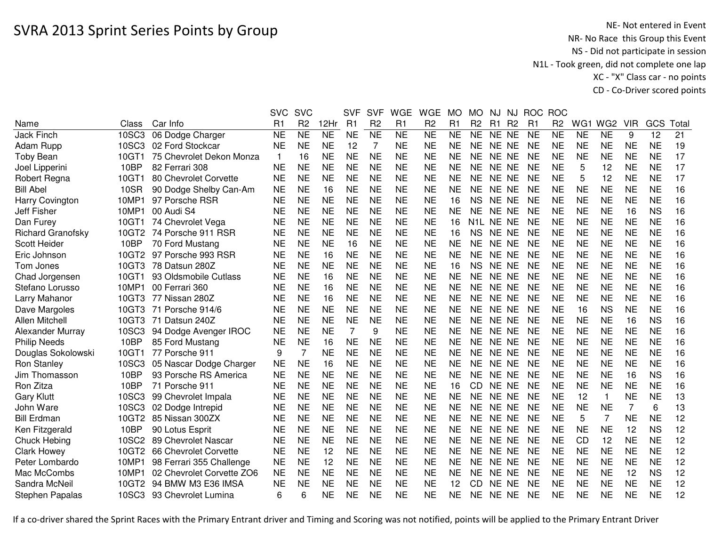|                          |       |                           | <b>SVC</b>     | <b>SVC</b>     |           | <b>SVF</b> | <b>SVF</b>     | <b>WGE</b> | <b>WGE</b>     | <b>MO</b> | <b>MO</b>              | NJ    | NJ             | <b>ROC</b> | <b>ROC</b>     |           |                 |                |           |       |
|--------------------------|-------|---------------------------|----------------|----------------|-----------|------------|----------------|------------|----------------|-----------|------------------------|-------|----------------|------------|----------------|-----------|-----------------|----------------|-----------|-------|
| Name                     | Class | Car Info                  | R <sub>1</sub> | R <sub>2</sub> | 12Hr      | R1         | R <sub>2</sub> | R1         | R <sub>2</sub> | R1        | R <sub>2</sub>         | R1    | R <sub>2</sub> | R1         | R <sub>2</sub> | WG1       | WG <sub>2</sub> | <b>VIR</b>     | GCS       | Total |
| <b>Jack Finch</b>        | 10SC3 | 06 Dodge Charger          | <b>NE</b>      | <b>NE</b>      | <b>NE</b> | <b>NE</b>  | <b>NE</b>      | <b>NE</b>  | <b>NE</b>      | <b>NE</b> | <b>NE</b>              | NE NE |                | <b>NE</b>  | <b>NE</b>      | <b>NE</b> | <b>NE</b>       | 9              | 12        | 21    |
| Adam Rupp                |       | 10SC3 02 Ford Stockcar    | <b>NE</b>      | <b>NE</b>      | <b>NE</b> | 12         | $\overline{7}$ | <b>NE</b>  | <b>NE</b>      | <b>NE</b> | <b>NE</b>              | NE NE |                | <b>NE</b>  | <b>NE</b>      | <b>NE</b> | <b>NE</b>       | <b>NE</b>      | <b>NE</b> | 19    |
| <b>Toby Bean</b>         | 10GT1 | 75 Chevrolet Dekon Monza  | $\mathbf{1}$   | 16             | <b>NE</b> | <b>NE</b>  | <b>NE</b>      | <b>NE</b>  | <b>NE</b>      | <b>NE</b> | <b>NE</b>              | NE NE |                | <b>NE</b>  | <b>NE</b>      | <b>NE</b> | <b>NE</b>       | <b>NE</b>      | <b>NE</b> | 17    |
| Joel Lipperini           | 10BP  | 82 Ferrari 308            | <b>NE</b>      | <b>NE</b>      | <b>NE</b> | <b>NE</b>  | <b>NE</b>      | <b>NE</b>  | <b>NE</b>      | <b>NE</b> | <b>NE</b>              | NE NE |                | <b>NE</b>  | <b>NE</b>      | 5         | 12              | <b>NE</b>      | <b>NE</b> | 17    |
| Robert Regna             | 10GT1 | 80 Chevrolet Corvette     | <b>NE</b>      | <b>NE</b>      | <b>NE</b> | <b>NE</b>  | <b>NE</b>      | <b>NE</b>  | <b>NE</b>      | <b>NE</b> | <b>NE</b>              | NE NE |                | <b>NE</b>  | <b>NE</b>      | 5         | 12              | <b>NE</b>      | <b>NE</b> | 17    |
| <b>Bill Abel</b>         | 10SR  | 90 Dodge Shelby Can-Am    | <b>NE</b>      | <b>NE</b>      | 16        | <b>NE</b>  | <b>NE</b>      | <b>NE</b>  | <b>NE</b>      | <b>NE</b> | <b>NE</b>              | NE NE |                | <b>NE</b>  | <b>NE</b>      | <b>NE</b> | <b>NE</b>       | <b>NE</b>      | <b>NE</b> | 16    |
| <b>Harry Covington</b>   | 10MP1 | 97 Porsche RSR            | <b>NE</b>      | <b>NE</b>      | <b>NE</b> | <b>NE</b>  | <b>NE</b>      | <b>NE</b>  | <b>NE</b>      | 16        | <b>NS</b>              | NE NE |                | <b>NE</b>  | <b>NE</b>      | <b>NE</b> | <b>NE</b>       | <b>NE</b>      | <b>NE</b> | 16    |
| Jeff Fisher              | 10MP1 | 00 Audi S4                | <b>NE</b>      | <b>NE</b>      | <b>NE</b> | <b>NE</b>  | <b>NE</b>      | <b>NE</b>  | <b>NE</b>      | <b>NE</b> | NE                     | NE NE |                | <b>NE</b>  | <b>NE</b>      | <b>NE</b> | <b>NE</b>       | 16             | <b>NS</b> | 16    |
| Dan Furey                | 10GT1 | 74 Chevrolet Vega         | <b>NE</b>      | <b>NE</b>      | <b>NE</b> | <b>NE</b>  | <b>NE</b>      | <b>NE</b>  | <b>NE</b>      | 16        | N <sub>1</sub> L NE NE |       |                | <b>NE</b>  | <b>NE</b>      | <b>NE</b> | <b>NE</b>       | NE             | <b>NE</b> | 16    |
| <b>Richard Granofsky</b> | 10GT2 | 74 Porsche 911 RSR        | <b>NE</b>      | <b>NE</b>      | <b>NE</b> | <b>NE</b>  | <b>NE</b>      | <b>NE</b>  | <b>NE</b>      | 16        | <b>NS</b>              | NE NE |                | <b>NE</b>  | <b>NE</b>      | <b>NE</b> | <b>NE</b>       | <b>NE</b>      | <b>NE</b> | 16    |
| Scott Heider             | 10BP  | 70 Ford Mustang           | <b>NE</b>      | <b>NE</b>      | <b>NE</b> | 16         | <b>NE</b>      | <b>NE</b>  | <b>NE</b>      | <b>NE</b> | <b>NE</b>              | NE NE |                | <b>NE</b>  | <b>NE</b>      | <b>NE</b> | <b>NE</b>       | <b>NE</b>      | <b>NE</b> | 16    |
| Eric Johnson             | 10GT2 | 97 Porsche 993 RSR        | <b>NE</b>      | <b>NE</b>      | 16        | <b>NE</b>  | <b>NE</b>      | <b>NE</b>  | <b>NE</b>      | <b>NE</b> | <b>NE</b>              | NE NE |                | <b>NE</b>  | <b>NE</b>      | <b>NE</b> | <b>NE</b>       | <b>NE</b>      | <b>NE</b> | 16    |
| Tom Jones                | 10GT3 | 78 Datsun 280Z            | <b>NE</b>      | <b>NE</b>      | <b>NE</b> | <b>NE</b>  | <b>NE</b>      | <b>NE</b>  | <b>NE</b>      | 16        | <b>NS</b>              | NE NE |                | <b>NE</b>  | <b>NE</b>      | <b>NE</b> | <b>NE</b>       | <b>NE</b>      | <b>NE</b> | 16    |
| Chad Jorgensen           | 10GT1 | 93 Oldsmobile Cutlass     | <b>NE</b>      | <b>NE</b>      | 16        | <b>NE</b>  | <b>NE</b>      | <b>NE</b>  | <b>NE</b>      | <b>NE</b> | <b>NE</b>              | NE NE |                | <b>NE</b>  | <b>NE</b>      | <b>NE</b> | <b>NE</b>       | <b>NE</b>      | <b>NE</b> | 16    |
| Stefano Lorusso          | 10MP1 | 00 Ferrari 360            | <b>NE</b>      | <b>NE</b>      | 16        | <b>NE</b>  | <b>NE</b>      | <b>NE</b>  | <b>NE</b>      | <b>NE</b> | <b>NE</b>              | NE NE |                | <b>NE</b>  | <b>NE</b>      | <b>NE</b> | <b>NE</b>       | <b>NE</b>      | <b>NE</b> | 16    |
| Larry Mahanor            | 10GT3 | 77 Nissan 280Z            | <b>NE</b>      | <b>NE</b>      | 16        | <b>NE</b>  | <b>NE</b>      | <b>NE</b>  | <b>NE</b>      | <b>NE</b> | <b>NE</b>              | NE NE |                | <b>NE</b>  | <b>NE</b>      | <b>NE</b> | <b>NE</b>       | <b>NE</b>      | <b>NE</b> | 16    |
| Dave Margoles            | 10GT3 | 71 Porsche 914/6          | <b>NE</b>      | <b>NE</b>      | <b>NE</b> | <b>NE</b>  | <b>NE</b>      | <b>NE</b>  | <b>NE</b>      | <b>NE</b> | <b>NE</b>              | NE NE |                | <b>NE</b>  | <b>NE</b>      | 16        | <b>NS</b>       | <b>NE</b>      | <b>NE</b> | 16    |
| <b>Allen Mitchell</b>    | 10GT3 | 71 Datsun 240Z            | <b>NE</b>      | <b>NE</b>      | <b>NE</b> | <b>NE</b>  | <b>NE</b>      | <b>NE</b>  | <b>NE</b>      | <b>NE</b> | <b>NE</b>              | NE NE |                | <b>NE</b>  | <b>NE</b>      | <b>NE</b> | <b>NE</b>       | 16             | <b>NS</b> | 16    |
| Alexander Murray         | 10SC3 | 94 Dodge Avenger IROC     | <b>NE</b>      | <b>NE</b>      | <b>NE</b> | 7          | 9              | <b>NE</b>  | <b>NE</b>      | <b>NE</b> | <b>NE</b>              | NE NE |                | <b>NE</b>  | <b>NE</b>      | <b>NE</b> | <b>NE</b>       | <b>NE</b>      | <b>NE</b> | 16    |
| <b>Philip Needs</b>      | 10BP  | 85 Ford Mustang           | <b>NE</b>      | <b>NE</b>      | 16        | <b>NE</b>  | <b>NE</b>      | <b>NE</b>  | <b>NE</b>      | <b>NE</b> | <b>NE</b>              | NE NE |                | <b>NE</b>  | <b>NE</b>      | <b>NE</b> | <b>NE</b>       | <b>NE</b>      | <b>NE</b> | 16    |
| Douglas Sokolowski       | 10GT1 | 77 Porsche 911            | 9              |                | <b>NE</b> | <b>NE</b>  | <b>NE</b>      | <b>NE</b>  | <b>NE</b>      | <b>NE</b> | <b>NE</b>              | NE NE |                | <b>NE</b>  | <b>NE</b>      | <b>NE</b> | <b>NE</b>       | <b>NE</b>      | <b>NE</b> | 16    |
| Ron Stanley              | 10SC3 | 05 Nascar Dodge Charger   | <b>NE</b>      | <b>NE</b>      | 16        | <b>NE</b>  | <b>NE</b>      | <b>NE</b>  | <b>NE</b>      | <b>NE</b> | <b>NE</b>              | NE NE |                | <b>NE</b>  | NE             | <b>NE</b> | <b>NE</b>       | NE             | <b>NE</b> | 16    |
| Jim Thomasson            | 10BP  | 93 Porsche RS America     | <b>NE</b>      | <b>NE</b>      | <b>NE</b> | <b>NE</b>  | <b>NE</b>      | <b>NE</b>  | <b>NE</b>      | <b>NE</b> | <b>NE</b>              | NE NE |                | <b>NE</b>  | <b>NE</b>      | <b>NE</b> | <b>NE</b>       | 16             | <b>NS</b> | 16    |
| Ron Zitza                | 10BP  | 71 Porsche 911            | <b>NE</b>      | <b>NE</b>      | <b>NE</b> | <b>NE</b>  | <b>NE</b>      | <b>NE</b>  | <b>NE</b>      | 16        | <b>CD</b>              | NE NE |                | <b>NE</b>  | <b>NE</b>      | <b>NE</b> | <b>NE</b>       | <b>NE</b>      | <b>NE</b> | 16    |
| <b>Gary Klutt</b>        | 10SC3 | 99 Chevrolet Impala       | <b>NE</b>      | <b>NE</b>      | <b>NE</b> | <b>NE</b>  | <b>NE</b>      | <b>NE</b>  | <b>NE</b>      | <b>NE</b> | <b>NE</b>              | NE NE |                | <b>NE</b>  | <b>NE</b>      | 12        | 1               | <b>NE</b>      | <b>NE</b> | 13    |
| John Ware                | 10SC3 | 02 Dodge Intrepid         | <b>NE</b>      | <b>NE</b>      | <b>NE</b> | <b>NE</b>  | <b>NE</b>      | <b>NE</b>  | <b>NE</b>      | <b>NE</b> | <b>NE</b>              | NE NE |                | <b>NE</b>  | <b>NE</b>      | <b>NE</b> | <b>NE</b>       | $\overline{7}$ | 6         | 13    |
| <b>Bill Erdman</b>       | 10GT2 | 85 Nissan 300ZX           | <b>NE</b>      | <b>NE</b>      | <b>NE</b> | <b>NE</b>  | <b>NE</b>      | <b>NE</b>  | <b>NE</b>      | <b>NE</b> | <b>NE</b>              | NE NE |                | <b>NE</b>  | <b>NE</b>      | 5         | 7               | <b>NE</b>      | <b>NE</b> | 12    |
| Ken Fitzgerald           | 10BP  | 90 Lotus Esprit           | <b>NE</b>      | <b>NE</b>      | <b>NE</b> | <b>NE</b>  | <b>NE</b>      | <b>NE</b>  | <b>NE</b>      | <b>NE</b> | <b>NE</b>              | NE NE |                | <b>NE</b>  | <b>NE</b>      | <b>NE</b> | <b>NE</b>       | 12             | <b>NS</b> | 12    |
| Chuck Hebing             | 10SC2 | 89 Chevrolet Nascar       | <b>NE</b>      | <b>NE</b>      | <b>NE</b> | <b>NE</b>  | <b>NE</b>      | <b>NE</b>  | <b>NE</b>      | <b>NE</b> | <b>NE</b>              | NE NE |                | <b>NE</b>  | <b>NE</b>      | CD        | 12              | <b>NE</b>      | <b>NE</b> | 12    |
| <b>Clark Howey</b>       | 10GT2 | 66 Chevrolet Corvette     | <b>NE</b>      | <b>NE</b>      | 12        | <b>NE</b>  | <b>NE</b>      | <b>NE</b>  | <b>NE</b>      | <b>NE</b> | <b>NE</b>              | NE NE |                | <b>NE</b>  | <b>NE</b>      | <b>NE</b> | <b>NE</b>       | <b>NE</b>      | <b>NE</b> | 12    |
| Peter Lombardo           | 10MP1 | 98 Ferrari 355 Challenge  | <b>NE</b>      | <b>NE</b>      | 12        | <b>NE</b>  | <b>NE</b>      | <b>NE</b>  | <b>NE</b>      | <b>NE</b> | <b>NE</b>              | NE NE |                | <b>NE</b>  | <b>NE</b>      | <b>NE</b> | <b>NE</b>       | <b>NE</b>      | <b>NE</b> | 12    |
| Mac McCombs              | 10MP1 | 02 Chevrolet Corvette ZO6 | <b>NE</b>      | <b>NE</b>      | <b>NE</b> | <b>NE</b>  | <b>NE</b>      | <b>NE</b>  | <b>NE</b>      | <b>NE</b> | <b>NE</b>              | NE NE |                | <b>NE</b>  | <b>NE</b>      | <b>NE</b> | <b>NE</b>       | 12             | <b>NS</b> | 12    |
| Sandra McNeil            | 10GT2 | 94 BMW M3 E36 IMSA        | <b>NE</b>      | <b>NE</b>      | <b>NE</b> | <b>NE</b>  | <b>NE</b>      | <b>NE</b>  | <b>NE</b>      | 12        | <b>CD</b>              | NE.   | <b>NE</b>      | <b>NE</b>  | <b>NE</b>      | <b>NE</b> | <b>NE</b>       | <b>NE</b>      | <b>NE</b> | 12    |
| Stephen Papalas          | 10SC3 | 93 Chevrolet Lumina       | 6              | 6              | <b>NE</b> | <b>NE</b>  | <b>NE</b>      | <b>NE</b>  | <b>NE</b>      | <b>NE</b> | NE                     | NE NE |                | <b>NE</b>  | <b>NE</b>      | <b>NE</b> | <b>NE</b>       | <b>NE</b>      | <b>NE</b> | 12    |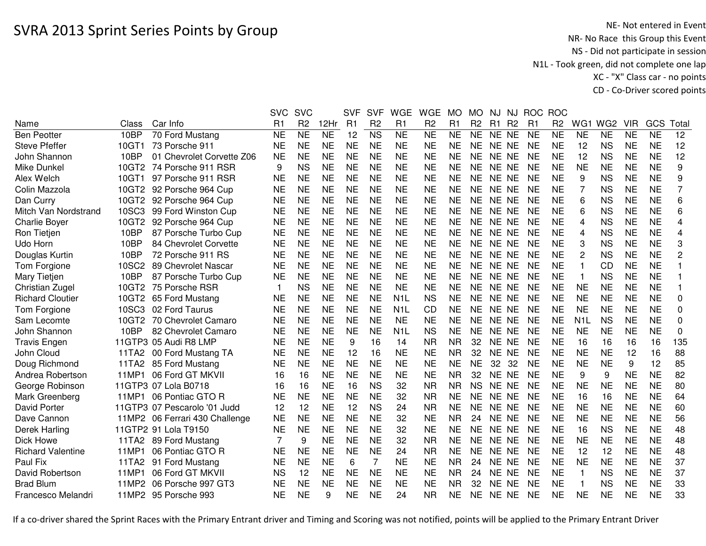|                          |       |                                | <b>SVC</b>     | <b>SVC</b>      |                 | <b>SVF</b>     | <b>SVF</b>             | <b>WGE</b>       | <b>WGE</b>      | <b>MO</b> | <b>MO</b>           | NJ.       | NJ             | <b>ROC</b>     | <b>ROC</b>     |                  |                 |            |                 |             |
|--------------------------|-------|--------------------------------|----------------|-----------------|-----------------|----------------|------------------------|------------------|-----------------|-----------|---------------------|-----------|----------------|----------------|----------------|------------------|-----------------|------------|-----------------|-------------|
| Name                     | Class | Car Info                       | R <sub>1</sub> | R <sub>2</sub>  | 12Hr            | R <sub>1</sub> | R <sub>2</sub>         | R1               | R <sub>2</sub>  | R1        | R <sub>2</sub>      | R1        | R <sub>2</sub> | R <sub>1</sub> | R <sub>2</sub> | WG <sub>1</sub>  | WG <sub>2</sub> | <b>VIR</b> | <b>GCS</b>      | Tota        |
| <b>Ben Peotter</b>       | 10BP  | 70 Ford Mustang                | <b>NE</b>      | $\overline{NE}$ | $\overline{NE}$ | 12             | $\overline{\text{NS}}$ | $\overline{NE}$  | $\overline{NE}$ | <b>NE</b> | $\overline{\sf NE}$ | NE NE     |                | <b>NE</b>      | <b>NE</b>      | N <sub>E</sub>   | <b>NE</b>       | <b>NE</b>  | $\overline{NE}$ | 12          |
| <b>Steve Pfeffer</b>     | 10GT1 | 73 Porsche 911                 | <b>NE</b>      | <b>NE</b>       | <b>NE</b>       | <b>NE</b>      | <b>NE</b>              | <b>NE</b>        | <b>NE</b>       | <b>NE</b> | <b>NE</b>           | NE NE     |                | <b>NE</b>      | <b>NE</b>      | 12               | <b>NS</b>       | <b>NE</b>  | <b>NE</b>       | 12          |
| John Shannon             | 10BP  | 01 Chevrolet Corvette Z06      | <b>NE</b>      | <b>NE</b>       | <b>NE</b>       | <b>NE</b>      | <b>NE</b>              | <b>NE</b>        | <b>NE</b>       | <b>NE</b> | <b>NE</b>           | NE NE     |                | <b>NE</b>      | <b>NE</b>      | 12               | <b>NS</b>       | <b>NE</b>  | <b>NE</b>       | 12          |
| Mike Dunkel              | 10GT2 | 74 Porsche 911 RSR             | 9              | <b>NS</b>       | <b>NE</b>       | <b>NE</b>      | <b>NE</b>              | <b>NE</b>        | <b>NE</b>       | <b>NE</b> | <b>NE</b>           | NE NE     |                | <b>NE</b>      | <b>NE</b>      | <b>NE</b>        | <b>NE</b>       | <b>NE</b>  | <b>NE</b>       | 9           |
| Alex Welch               | 10GT1 | 97 Porsche 911 RSR             | <b>NE</b>      | <b>NE</b>       | <b>NE</b>       | <b>NE</b>      | <b>NE</b>              | <b>NE</b>        | <b>NE</b>       | <b>NE</b> | <b>NE</b>           | NE NE     |                | <b>NE</b>      | <b>NE</b>      | 9                | <b>NS</b>       | <b>NE</b>  | <b>NE</b>       | 9           |
| Colin Mazzola            |       | 10GT2 92 Porsche 964 Cup       | <b>NE</b>      | <b>NE</b>       | <b>NE</b>       | <b>NE</b>      | <b>NE</b>              | <b>NE</b>        | <b>NE</b>       | <b>NE</b> | NE.                 | NE NE     |                | <b>NE</b>      | <b>NE</b>      |                  | <b>NS</b>       | <b>NE</b>  | <b>NE</b>       | 7           |
| Dan Curry                |       | 10GT2 92 Porsche 964 Cup       | <b>NE</b>      | <b>NE</b>       | <b>NE</b>       | <b>NE</b>      | <b>NE</b>              | <b>NE</b>        | <b>NE</b>       | <b>NE</b> | <b>NE</b>           | NE NE     |                | <b>NE</b>      | <b>NE</b>      | 6                | <b>NS</b>       | <b>NE</b>  | <b>NE</b>       | 6           |
| Mitch Van Nordstrand     | 10SC3 | 99 Ford Winston Cup            | <b>NE</b>      | <b>NE</b>       | <b>NE</b>       | <b>NE</b>      | <b>NE</b>              | <b>NE</b>        | <b>NE</b>       | <b>NE</b> | <b>NE</b>           | NE NE     |                | <b>NE</b>      | <b>NE</b>      | 6                | <b>NS</b>       | <b>NE</b>  | <b>NE</b>       | 6           |
| <b>Charlie Boyer</b>     | 10GT2 | 92 Porsche 964 Cup             | <b>NE</b>      | <b>NE</b>       | <b>NE</b>       | <b>NE</b>      | <b>NE</b>              | <b>NE</b>        | <b>NE</b>       | <b>NE</b> | <b>NE</b>           | NE NE     |                | <b>NE</b>      | <b>NE</b>      | 4                | <b>NS</b>       | <b>NE</b>  | <b>NE</b>       | 4           |
| Ron Tietjen              | 10BP  | 87 Porsche Turbo Cup           | <b>NE</b>      | <b>NE</b>       | <b>NE</b>       | <b>NE</b>      | <b>NE</b>              | <b>NE</b>        | <b>NE</b>       | <b>NE</b> | <b>NE</b>           | NE NE     |                | <b>NE</b>      | <b>NE</b>      | 4                | <b>NS</b>       | <b>NE</b>  | <b>NE</b>       | 4           |
| Udo Horn                 | 10BP  | 84 Chevrolet Corvette          | <b>NE</b>      | <b>NE</b>       | <b>NE</b>       | <b>NE</b>      | <b>NE</b>              | <b>NE</b>        | <b>NE</b>       | <b>NE</b> | <b>NE</b>           | NE NE     |                | <b>NE</b>      | <b>NE</b>      | 3                | <b>NS</b>       | <b>NE</b>  | <b>NE</b>       | 3           |
| Douglas Kurtin           | 10BP  | 72 Porsche 911 RS              | <b>NE</b>      | <b>NE</b>       | <b>NE</b>       | <b>NE</b>      | <b>NE</b>              | <b>NE</b>        | <b>NE</b>       | <b>NE</b> | <b>NE</b>           | NE NE     |                | <b>NE</b>      | <b>NE</b>      | $\overline{c}$   | <b>NS</b>       | <b>NE</b>  | <b>NE</b>       | 2           |
| Tom Forgione             | 10SC2 | 89 Chevrolet Nascar            | <b>NE</b>      | <b>NE</b>       | <b>NE</b>       | <b>NE</b>      | <b>NE</b>              | <b>NE</b>        | <b>NE</b>       | <b>NE</b> | <b>NE</b>           | NE NE     |                | <b>NE</b>      | <b>NE</b>      | $\overline{1}$   | <b>CD</b>       | <b>NE</b>  | <b>NE</b>       |             |
| Mary Tietjen             | 10BP  | 87 Porsche Turbo Cup           | <b>NE</b>      | <b>NE</b>       | <b>NE</b>       | <b>NE</b>      | <b>NE</b>              | <b>NE</b>        | <b>NE</b>       | <b>NE</b> | NE                  | NE        | <b>NE</b>      | <b>NE</b>      | <b>NE</b>      | -1               | <b>NS</b>       | <b>NE</b>  | <b>NE</b>       |             |
| Christian Zugel          | 10GT2 | 75 Porsche RSR                 | $\mathbf 1$    | <b>NS</b>       | <b>NE</b>       | <b>NE</b>      | <b>NE</b>              | <b>NE</b>        | <b>NE</b>       | <b>NE</b> | <b>NE</b>           | <b>NE</b> | <b>NE</b>      | <b>NE</b>      | <b>NE</b>      | <b>NE</b>        | <b>NE</b>       | <b>NE</b>  | <b>NE</b>       |             |
| <b>Richard Cloutier</b>  |       | 10GT2 65 Ford Mustang          | <b>NE</b>      | <b>NE</b>       | <b>NE</b>       | <b>NE</b>      | <b>NE</b>              | N <sub>1</sub> L | <b>NS</b>       | <b>NE</b> | <b>NE</b>           | NE NE     |                | <b>NE</b>      | <b>NE</b>      | <b>NE</b>        | <b>NE</b>       | <b>NE</b>  | <b>NE</b>       | $\mathbf 0$ |
| Tom Forgione             | 10SC3 | 02 Ford Taurus                 | <b>NE</b>      | <b>NE</b>       | <b>NE</b>       | <b>NE</b>      | <b>NE</b>              | N <sub>1</sub> L | CD              | <b>NE</b> | <b>NE</b>           | NE NE     |                | <b>NE</b>      | <b>NE</b>      | <b>NE</b>        | <b>NE</b>       | <b>NE</b>  | <b>NE</b>       | 0           |
| Sam Lecomte              | 10GT2 | 70 Chevrolet Camaro            | <b>NE</b>      | <b>NE</b>       | <b>NE</b>       | <b>NE</b>      | <b>NE</b>              | <b>NE</b>        | <b>NE</b>       | <b>NE</b> | <b>NE</b>           | NE NE     |                | <b>NE</b>      | <b>NE</b>      | N <sub>1</sub> L | <b>NS</b>       | <b>NE</b>  | <b>NE</b>       | 0           |
| John Shannon             | 10BP  | 82 Chevrolet Camaro            | <b>NE</b>      | <b>NE</b>       | <b>NE</b>       | <b>NE</b>      | <b>NE</b>              | N <sub>1</sub> L | <b>NS</b>       | <b>NE</b> | <b>NE</b>           | NE NE     |                | <b>NE</b>      | <b>NE</b>      | <b>NE</b>        | <b>NE</b>       | <b>NE</b>  | <b>NE</b>       | 0           |
| <b>Travis Engen</b>      |       | 11GTP3 05 Audi R8 LMP          | <b>NE</b>      | <b>NE</b>       | <b>NE</b>       | 9              | 16                     | 14               | <b>NR</b>       | <b>NR</b> | 32                  | NE NE     |                | <b>NE</b>      | <b>NE</b>      | 16               | 16              | 16         | 16              | 135         |
| John Cloud               |       | 11TA2 00 Ford Mustang TA       | <b>NE</b>      | <b>NE</b>       | <b>NE</b>       | 12             | 16                     | <b>NE</b>        | <b>NE</b>       | <b>NR</b> | 32                  | NE NE     |                | <b>NE</b>      | <b>NE</b>      | <b>NE</b>        | <b>NE</b>       | 12         | 16              | 88          |
| Doug Richmond            |       | 11TA2 85 Ford Mustang          | <b>NE</b>      | <b>NE</b>       | <b>NE</b>       | <b>NE</b>      | <b>NE</b>              | <b>NE</b>        | <b>NE</b>       | <b>NE</b> | <b>NE</b>           | 32        | 32             | <b>NE</b>      | <b>NE</b>      | <b>NE</b>        | <b>NE</b>       | 9          | 12              | 85          |
| Andrea Robertson         | 11MP1 | 06 Ford GT MKVII               | 16             | 16              | <b>NE</b>       | <b>NE</b>      | <b>NE</b>              | <b>NE</b>        | <b>NE</b>       | <b>NR</b> | 32                  | NE NE     |                | <b>NE</b>      | <b>NE</b>      | 9                | 9               | <b>NE</b>  | <b>NE</b>       | 82          |
| George Robinson          |       | 11GTP3 07 Lola B0718           | 16             | 16              | <b>NE</b>       | 16             | <b>NS</b>              | 32               | <b>NR</b>       | <b>NR</b> | <b>NS</b>           | NE NE     |                | <b>NE</b>      | <b>NE</b>      | <b>NE</b>        | <b>NE</b>       | <b>NE</b>  | <b>NE</b>       | 80          |
| Mark Greenberg           |       | 11MP1 06 Pontiac GTO R         | <b>NE</b>      | <b>NE</b>       | <b>NE</b>       | <b>NE</b>      | <b>NE</b>              | 32               | <b>NR</b>       | <b>NE</b> | <b>NE</b>           | NE NE     |                | <b>NE</b>      | <b>NE</b>      | 16               | 16              | <b>NE</b>  | <b>NE</b>       | 64          |
| David Porter             |       | 11GTP3 07 Pescarolo '01 Judd   | 12             | 12              | <b>NE</b>       | 12             | <b>NS</b>              | 24               | <b>NR</b>       | <b>NE</b> | <b>NE</b>           | NE NE     |                | <b>NE</b>      | <b>NE</b>      | <b>NE</b>        | <b>NE</b>       | <b>NE</b>  | <b>NE</b>       | 60          |
| Dave Cannon              |       | 11MP2 06 Ferrari 430 Challenge | <b>NE</b>      | <b>NE</b>       | <b>NE</b>       | <b>NE</b>      | <b>NE</b>              | 32               | <b>NE</b>       | <b>NR</b> | 24                  | NE NE     |                | <b>NE</b>      | <b>NE</b>      | <b>NE</b>        | <b>NE</b>       | <b>NE</b>  | <b>NE</b>       | 56          |
| Derek Harling            |       | 11GTP2 91 Lola T9150           | <b>NE</b>      | <b>NE</b>       | <b>NE</b>       | <b>NE</b>      | <b>NE</b>              | 32               | <b>NE</b>       | <b>NE</b> | NE                  | <b>NE</b> | <b>NE</b>      | <b>NE</b>      | <b>NE</b>      | 16               | <b>NS</b>       | <b>NE</b>  | <b>NE</b>       | 48          |
| Dick Howe                |       | 11TA2 89 Ford Mustang          |                | 9               | <b>NE</b>       | <b>NE</b>      | <b>NE</b>              | 32               | <b>NR</b>       | <b>NE</b> | <b>NE</b>           | NE NE     |                | <b>NE</b>      | <b>NE</b>      | <b>NE</b>        | <b>NE</b>       | <b>NE</b>  | <b>NE</b>       | 48          |
| <b>Richard Valentine</b> | 11MP1 | 06 Pontiac GTO R               | <b>NE</b>      | <b>NE</b>       | <b>NE</b>       | <b>NE</b>      | <b>NE</b>              | 24               | <b>NR</b>       | <b>NE</b> | <b>NE</b>           | NE NE     |                | <b>NE</b>      | <b>NE</b>      | 12               | 12              | <b>NE</b>  | <b>NE</b>       | 48          |
| Paul Fix                 | 11TA2 | 91 Ford Mustang                | <b>NE</b>      | <b>NE</b>       | <b>NE</b>       | 6              | 7                      | <b>NE</b>        | <b>NE</b>       | <b>NR</b> | 24                  | NE NE     |                | <b>NE</b>      | <b>NE</b>      | <b>NE</b>        | <b>NE</b>       | <b>NE</b>  | <b>NE</b>       | 37          |
| David Robertson          | 11MP1 | 06 Ford GT MKVII               | <b>NS</b>      | 12              | <b>NE</b>       | <b>NE</b>      | <b>NE</b>              | <b>NE</b>        | <b>NE</b>       | <b>NR</b> | 24                  | NE NE     |                | <b>NE</b>      | <b>NE</b>      | 1                | <b>NS</b>       | <b>NE</b>  | <b>NE</b>       | 37          |
| <b>Brad Blum</b>         | 11MP2 | 06 Porsche 997 GT3             | NE             | <b>NE</b>       | <b>NE</b>       | <b>NE</b>      | <b>NE</b>              | <b>NE</b>        | <b>NE</b>       | <b>NR</b> | 32                  | NE NE     |                | <b>NE</b>      | <b>NE</b>      | -1               | <b>NS</b>       | <b>NE</b>  | <b>NE</b>       | 33          |
| Francesco Melandri       |       | 11MP2 95 Porsche 993           | <b>NE</b>      | <b>NE</b>       | 9               | <b>NE</b>      | <b>NE</b>              | 24               | ΝR              | <b>NE</b> | <b>NE</b>           | NE NE     |                | <b>NE</b>      | <b>NE</b>      | <b>NE</b>        | <b>NE</b>       | <b>NE</b>  | <b>NE</b>       | 33          |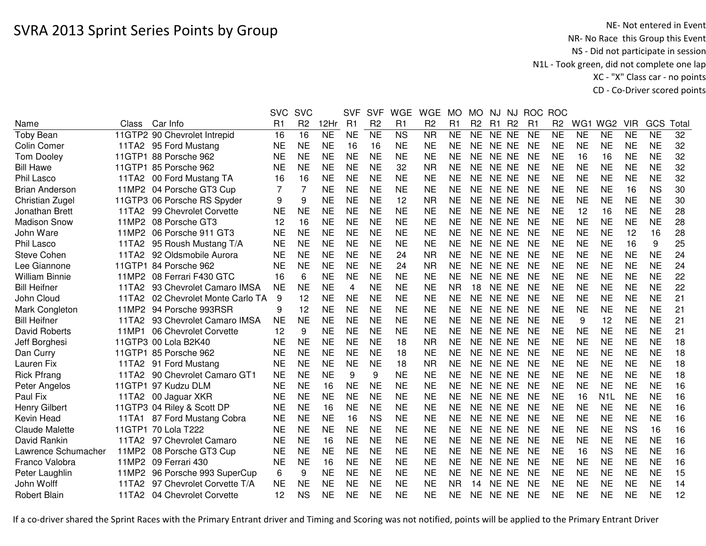|                       |       |                               | <b>SVC</b> | <b>SVC</b>     |           | <b>SVF</b> | <b>SVF</b>     | <b>WGE</b>             | <b>WGE</b>             | <b>MO</b>              | <b>MO</b>       | NJ        | NJ             | <b>ROC</b>     | <b>ROC</b>     |                 |                  |                |           |       |
|-----------------------|-------|-------------------------------|------------|----------------|-----------|------------|----------------|------------------------|------------------------|------------------------|-----------------|-----------|----------------|----------------|----------------|-----------------|------------------|----------------|-----------|-------|
| Name                  | Class | Car Info                      | R1         | R <sub>2</sub> | 12Hr      | R1         | R <sub>2</sub> | R1                     | R <sub>2</sub>         | R1                     | R <sub>2</sub>  | R1        | R <sub>2</sub> | R <sub>1</sub> | R <sub>2</sub> | WG <sub>1</sub> | WG <sub>2</sub>  | <b>VIR</b>     | GCS       | Total |
| <b>Toby Bean</b>      |       | 11GTP2 90 Chevrolet Intrepid  | 16         | 16             | <b>NE</b> | <b>NE</b>  | NE             | $\overline{\text{NS}}$ | $\overline{\text{NR}}$ | $\overline{\text{NE}}$ | $\overline{NE}$ | NE NE     |                | <b>NE</b>      | N <sub>E</sub> | N <sub>E</sub>  | $\overline{NE}$  | N <sub>E</sub> | NE        | 32    |
| Colin Comer           |       | 11TA2 95 Ford Mustang         | <b>NE</b>  | <b>NE</b>      | <b>NE</b> | 16         | 16             | <b>NE</b>              | <b>NE</b>              | <b>NE</b>              | <b>NE</b>       | NE NE     |                | <b>NE</b>      | <b>NE</b>      | <b>NE</b>       | <b>NE</b>        | <b>NE</b>      | <b>NE</b> | 32    |
| <b>Tom Dooley</b>     |       | 11GTP1 88 Porsche 962         | <b>NE</b>  | <b>NE</b>      | <b>NE</b> | <b>NE</b>  | <b>NE</b>      | <b>NE</b>              | <b>NE</b>              | <b>NE</b>              | <b>NE</b>       | NE NE     |                | <b>NE</b>      | <b>NE</b>      | 16              | 16               | <b>NE</b>      | <b>NE</b> | 32    |
| <b>Bill Hawe</b>      |       | 11GTP1 85 Porsche 962         | <b>NE</b>  | <b>NE</b>      | <b>NE</b> | <b>NE</b>  | <b>NE</b>      | 32                     | <b>NR</b>              | <b>NE</b>              | <b>NE</b>       | NE NE     |                | <b>NE</b>      | <b>NE</b>      | <b>NE</b>       | <b>NE</b>        | <b>NE</b>      | <b>NE</b> | 32    |
| Phil Lasco            | 11TA2 | 00 Ford Mustang TA            | 16         | 16             | <b>NE</b> | <b>NE</b>  | <b>NE</b>      | <b>NE</b>              | <b>NE</b>              | <b>NE</b>              | <b>NE</b>       | NE NE     |                | <b>NE</b>      | <b>NE</b>      | <b>NE</b>       | <b>NE</b>        | <b>NE</b>      | <b>NE</b> | 32    |
| <b>Brian Anderson</b> |       | 11MP2 04 Porsche GT3 Cup      |            | 7              | <b>NE</b> | <b>NE</b>  | <b>NE</b>      | <b>NE</b>              | <b>NE</b>              | <b>NE</b>              | NE.             | NE NE     |                | <b>NE</b>      | NE             | <b>NE</b>       | <b>NE</b>        | 16             | <b>NS</b> | 30    |
| Christian Zugel       |       | 11GTP3 06 Porsche RS Spyder   | 9          | 9              | <b>NE</b> | <b>NE</b>  | <b>NE</b>      | 12                     | <b>NR</b>              | <b>NE</b>              | <b>NE</b>       | NE NE     |                | <b>NE</b>      | <b>NE</b>      | <b>NE</b>       | <b>NE</b>        | <b>NE</b>      | <b>NE</b> | 30    |
| Jonathan Brett        |       | 11TA2 99 Chevrolet Corvette   | <b>NE</b>  | <b>NE</b>      | NE        | <b>NE</b>  | <b>NE</b>      | <b>NE</b>              | NE                     | <b>NE</b>              | NE.             | NE NE     |                | <b>NE</b>      | NE             | 12              | 16               | <b>NE</b>      | <b>NE</b> | 28    |
| <b>Madison Snow</b>   |       | 11MP2 08 Porsche GT3          | 12         | 16             | <b>NE</b> | <b>NE</b>  | <b>NE</b>      | <b>NE</b>              | <b>NE</b>              | <b>NE</b>              | <b>NE</b>       | NE NE     |                | <b>NE</b>      | <b>NE</b>      | <b>NE</b>       | <b>NE</b>        | <b>NE</b>      | <b>NE</b> | 28    |
| John Ware             |       | 11MP2 06 Porsche 911 GT3      | <b>NE</b>  | <b>NE</b>      | <b>NE</b> | <b>NE</b>  | <b>NE</b>      | <b>NE</b>              | <b>NE</b>              | <b>NE</b>              | <b>NE</b>       | NE NE     |                | <b>NE</b>      | <b>NE</b>      | <b>NE</b>       | <b>NE</b>        | 12             | 16        | 28    |
| Phil Lasco            | 11TA2 | 95 Roush Mustang T/A          | <b>NE</b>  | <b>NE</b>      | <b>NE</b> | <b>NE</b>  | <b>NE</b>      | <b>NE</b>              | <b>NE</b>              | <b>NE</b>              | <b>NE</b>       | NE NE     |                | <b>NE</b>      | <b>NE</b>      | <b>NE</b>       | <b>NE</b>        | 16             | 9         | 25    |
| <b>Steve Cohen</b>    |       | 11TA2 92 Oldsmobile Aurora    | <b>NE</b>  | <b>NE</b>      | <b>NE</b> | <b>NE</b>  | <b>NE</b>      | 24                     | <b>NR</b>              | <b>NE</b>              | <b>NE</b>       | NE NE     |                | <b>NE</b>      | <b>NE</b>      | <b>NE</b>       | <b>NE</b>        | <b>NE</b>      | <b>NE</b> | 24    |
| Lee Giannone          |       | 11GTP1 84 Porsche 962         | <b>NE</b>  | <b>NE</b>      | <b>NE</b> | <b>NE</b>  | <b>NE</b>      | 24                     | <b>NR</b>              | <b>NE</b>              | <b>NE</b>       | NE NE     |                | <b>NE</b>      | <b>NE</b>      | <b>NE</b>       | <b>NE</b>        | <b>NE</b>      | <b>NE</b> | 24    |
| <b>William Binnie</b> | 11MP2 | 08 Ferrari F430 GTC           | 16         | 6              | <b>NE</b> | <b>NE</b>  | <b>NE</b>      | <b>NE</b>              | NE                     | <b>NE</b>              | NE.             | NE.       | NE.            | <b>NE</b>      | NE             | <b>NE</b>       | <b>NE</b>        | <b>NE</b>      | <b>NE</b> | 22    |
| <b>Bill Heifner</b>   | 11TA2 | 93 Chevrolet Camaro IMSA      | <b>NE</b>  | <b>NE</b>      | <b>NE</b> | 4          | <b>NE</b>      | <b>NE</b>              | <b>NE</b>              | <b>NR</b>              | 18              | <b>NE</b> | <b>NE</b>      | <b>NE</b>      | <b>NE</b>      | <b>NE</b>       | <b>NE</b>        | <b>NE</b>      | <b>NE</b> | 22    |
| John Cloud            | 11TA2 | 02 Chevrolet Monte Carlo TA   | 9          | 12             | <b>NE</b> | <b>NE</b>  | <b>NE</b>      | <b>NE</b>              | <b>NE</b>              | <b>NE</b>              | <b>NE</b>       | NE NE     |                | <b>NE</b>      | <b>NE</b>      | <b>NE</b>       | <b>NE</b>        | <b>NE</b>      | <b>NE</b> | 21    |
| Mark Congleton        | 11MP2 | 94 Porsche 993RSR             | 9          | 12             | <b>NE</b> | <b>NE</b>  | <b>NE</b>      | <b>NE</b>              | <b>NE</b>              | <b>NE</b>              | <b>NE</b>       | NE NE     |                | <b>NE</b>      | <b>NE</b>      | <b>NE</b>       | <b>NE</b>        | <b>NE</b>      | <b>NE</b> | 21    |
| <b>Bill Heifner</b>   | 11TA2 | 93 Chevrolet Camaro IMSA      | <b>NE</b>  | <b>NE</b>      | <b>NE</b> | <b>NE</b>  | <b>NE</b>      | <b>NE</b>              | <b>NE</b>              | <b>NE</b>              | <b>NE</b>       | NE NE     |                | <b>NE</b>      | <b>NE</b>      | 9               | 12               | <b>NE</b>      | <b>NE</b> | 21    |
| <b>David Roberts</b>  | 11MP1 | 06 Chevrolet Corvette         | 12         | 9              | <b>NE</b> | <b>NE</b>  | <b>NE</b>      | <b>NE</b>              | <b>NE</b>              | <b>NE</b>              | <b>NE</b>       | NE NE     |                | <b>NE</b>      | <b>NE</b>      | <b>NE</b>       | <b>NE</b>        | <b>NE</b>      | <b>NE</b> | 21    |
| Jeff Borghesi         |       | 11GTP3 00 Lola B2K40          | <b>NE</b>  | <b>NE</b>      | <b>NE</b> | <b>NE</b>  | <b>NE</b>      | 18                     | <b>NR</b>              | <b>NE</b>              | <b>NE</b>       | NE NE     |                | <b>NE</b>      | <b>NE</b>      | <b>NE</b>       | <b>NE</b>        | <b>NE</b>      | <b>NE</b> | 18    |
| Dan Curry             |       | 11GTP1 85 Porsche 962         | <b>NE</b>  | <b>NE</b>      | <b>NE</b> | <b>NE</b>  | <b>NE</b>      | 18                     | <b>NE</b>              | <b>NE</b>              | NE              | NE NE     |                | <b>NE</b>      | <b>NE</b>      | <b>NE</b>       | <b>NE</b>        | <b>NE</b>      | <b>NE</b> | 18    |
| Lauren Fix            |       | 11TA2 91 Ford Mustang         | <b>NE</b>  | <b>NE</b>      | <b>NE</b> | <b>NE</b>  | <b>NE</b>      | 18                     | <b>NR</b>              | <b>NE</b>              | <b>NE</b>       | NE NE     |                | <b>NE</b>      | <b>NE</b>      | <b>NE</b>       | <b>NE</b>        | <b>NE</b>      | <b>NE</b> | 18    |
| <b>Rick Pfrang</b>    |       | 11TA2 90 Chevrolet Camaro GT1 | NE         | <b>NE</b>      | <b>NE</b> | 9          | 9              | <b>NE</b>              | <b>NE</b>              | <b>NE</b>              | <b>NE</b>       | NE NE     |                | <b>NE</b>      | <b>NE</b>      | <b>NE</b>       | <b>NE</b>        | <b>NE</b>      | <b>NE</b> | 18    |
| Peter Angelos         |       | 11GTP1 97 Kudzu DLM           | <b>NE</b>  | <b>NE</b>      | 16        | <b>NE</b>  | <b>NE</b>      | <b>NE</b>              | <b>NE</b>              | <b>NE</b>              | <b>NE</b>       | NE NE     |                | <b>NE</b>      | <b>NE</b>      | <b>NE</b>       | <b>NE</b>        | <b>NE</b>      | <b>NE</b> | 16    |
| Paul Fix              |       | 11TA2 00 Jaguar XKR           | <b>NE</b>  | <b>NE</b>      | <b>NE</b> | <b>NE</b>  | <b>NE</b>      | <b>NE</b>              | <b>NE</b>              | <b>NE</b>              | <b>NE</b>       | NE NE     |                | <b>NE</b>      | <b>NE</b>      | 16              | N <sub>1</sub> L | <b>NE</b>      | <b>NE</b> | 16    |
| <b>Henry Gilbert</b>  |       | 11GTP3 04 Riley & Scott DP    | <b>NE</b>  | <b>NE</b>      | 16        | <b>NE</b>  | <b>NE</b>      | <b>NE</b>              | <b>NE</b>              | <b>NE</b>              | <b>NE</b>       | NE NE     |                | <b>NE</b>      | <b>NE</b>      | <b>NE</b>       | <b>NE</b>        | <b>NE</b>      | <b>NE</b> | 16    |
| Kevin Head            | 11TA1 | 87 Ford Mustang Cobra         | <b>NE</b>  | <b>NE</b>      | <b>NE</b> | 16         | <b>NS</b>      | <b>NE</b>              | <b>NE</b>              | <b>NE</b>              | <b>NE</b>       | <b>NE</b> | NE.            | <b>NE</b>      | <b>NE</b>      | <b>NE</b>       | <b>NE</b>        | <b>NE</b>      | <b>NE</b> | 16    |
| <b>Claude Malette</b> |       | 11GTP1 70 Lola T222           | <b>NE</b>  | <b>NE</b>      | <b>NE</b> | <b>NE</b>  | <b>NE</b>      | <b>NE</b>              | <b>NE</b>              | <b>NE</b>              | <b>NE</b>       | NE NE     |                | <b>NE</b>      | <b>NE</b>      | <b>NE</b>       | <b>NE</b>        | <b>NS</b>      | 16        | 16    |
| David Rankin          |       | 11TA2 97 Chevrolet Camaro     | <b>NE</b>  | <b>NE</b>      | 16        | <b>NE</b>  | <b>NE</b>      | <b>NE</b>              | <b>NE</b>              | <b>NE</b>              | <b>NE</b>       | NE NE     |                | <b>NE</b>      | <b>NE</b>      | <b>NE</b>       | <b>NE</b>        | <b>NE</b>      | <b>NE</b> | 16    |
| Lawrence Schumacher   |       | 11MP2 08 Porsche GT3 Cup      | <b>NE</b>  | <b>NE</b>      | <b>NE</b> | <b>NE</b>  | <b>NE</b>      | <b>NE</b>              | <b>NE</b>              | <b>NE</b>              | <b>NE</b>       | NE NE     |                | <b>NE</b>      | <b>NE</b>      | 16              | <b>NS</b>        | <b>NE</b>      | <b>NE</b> | 16    |
| Franco Valobra        |       | 11MP2 09 Ferrari 430          | <b>NE</b>  | <b>NE</b>      | 16        | <b>NE</b>  | <b>NE</b>      | <b>NE</b>              | <b>NE</b>              | <b>NE</b>              | <b>NE</b>       | NE NE     |                | <b>NE</b>      | <b>NE</b>      | <b>NE</b>       | <b>NE</b>        | <b>NE</b>      | <b>NE</b> | 16    |
| Peter Laughlin        | 11MP2 | 96 Porsche 993 SuperCup       | 6          | 9              | <b>NE</b> | <b>NE</b>  | <b>NE</b>      | <b>NE</b>              | <b>NE</b>              | <b>NE</b>              | <b>NE</b>       | NE NE     |                | <b>NE</b>      | <b>NE</b>      | <b>NE</b>       | <b>NE</b>        | <b>NE</b>      | <b>NE</b> | 15    |
| John Wolff            | 11TA2 | 97 Chevrolet Corvette T/A     | <b>NE</b>  | <b>NE</b>      | <b>NE</b> | <b>NE</b>  | <b>NE</b>      | <b>NE</b>              | <b>NE</b>              | <b>NR</b>              | 14              | NE NE     |                | <b>NE</b>      | <b>NE</b>      | <b>NE</b>       | <b>NE</b>        | <b>NE</b>      | <b>NE</b> | 14    |
| <b>Robert Blain</b>   |       | 11TA2 04 Chevrolet Corvette   | 12         | <b>NS</b>      | <b>NE</b> | <b>NE</b>  | <b>NE</b>      | <b>NE</b>              | <b>NE</b>              | <b>NE</b>              | NE.             | NE NE     |                | <b>NE</b>      | <b>NE</b>      | <b>NE</b>       | <b>NE</b>        | <b>NE</b>      | <b>NE</b> | 12    |